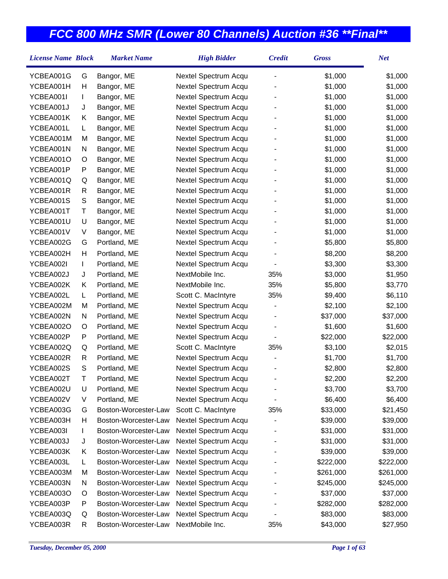| <b>License Name Block</b> |   | <b>Market Name</b>   | <b>High Bidder</b>   | <b>Credit</b>            | <b>Gross</b> | <b>Net</b> |
|---------------------------|---|----------------------|----------------------|--------------------------|--------------|------------|
| YCBEA001G                 | G | Bangor, ME           | Nextel Spectrum Acqu |                          | \$1,000      | \$1,000    |
| YCBEA001H                 | Н | Bangor, ME           | Nextel Spectrum Acqu |                          | \$1,000      | \$1,000    |
| YCBEA001I                 | L | Bangor, ME           | Nextel Spectrum Acqu |                          | \$1,000      | \$1,000    |
| YCBEA001J                 | J | Bangor, ME           | Nextel Spectrum Acqu |                          | \$1,000      | \$1,000    |
| YCBEA001K                 | Κ | Bangor, ME           | Nextel Spectrum Acqu |                          | \$1,000      | \$1,000    |
| YCBEA001L                 | L | Bangor, ME           | Nextel Spectrum Acqu |                          | \$1,000      | \$1,000    |
| YCBEA001M                 | M | Bangor, ME           | Nextel Spectrum Acqu |                          | \$1,000      | \$1,000    |
| YCBEA001N                 | N | Bangor, ME           | Nextel Spectrum Acqu |                          | \$1,000      | \$1,000    |
| YCBEA001O                 | O | Bangor, ME           | Nextel Spectrum Acqu |                          | \$1,000      | \$1,000    |
| YCBEA001P                 | P | Bangor, ME           | Nextel Spectrum Acqu |                          | \$1,000      | \$1,000    |
| YCBEA001Q                 | Q | Bangor, ME           | Nextel Spectrum Acqu |                          | \$1,000      | \$1,000    |
| YCBEA001R                 | R | Bangor, ME           | Nextel Spectrum Acqu |                          | \$1,000      | \$1,000    |
| YCBEA001S                 | S | Bangor, ME           | Nextel Spectrum Acqu |                          | \$1,000      | \$1,000    |
| YCBEA001T                 | Т | Bangor, ME           | Nextel Spectrum Acqu |                          | \$1,000      | \$1,000    |
| YCBEA001U                 | U | Bangor, ME           | Nextel Spectrum Acqu |                          | \$1,000      | \$1,000    |
| YCBEA001V                 | V | Bangor, ME           | Nextel Spectrum Acqu |                          | \$1,000      | \$1,000    |
| YCBEA002G                 | G | Portland, ME         | Nextel Spectrum Acqu |                          | \$5,800      | \$5,800    |
| YCBEA002H                 | Н | Portland, ME         | Nextel Spectrum Acqu |                          | \$8,200      | \$8,200    |
| YCBEA002I                 | L | Portland, ME         | Nextel Spectrum Acqu |                          | \$3,300      | \$3,300    |
| YCBEA002J                 | J | Portland, ME         | NextMobile Inc.      | 35%                      | \$3,000      | \$1,950    |
| YCBEA002K                 | Κ | Portland, ME         | NextMobile Inc.      | 35%                      | \$5,800      | \$3,770    |
| YCBEA002L                 | L | Portland, ME         | Scott C. MacIntyre   | 35%                      | \$9,400      | \$6,110    |
| YCBEA002M                 | М | Portland, ME         | Nextel Spectrum Acqu |                          | \$2,100      | \$2,100    |
| YCBEA002N                 | N | Portland, ME         | Nextel Spectrum Acqu |                          | \$37,000     | \$37,000   |
| YCBEA002O                 | O | Portland, ME         | Nextel Spectrum Acqu |                          | \$1,600      | \$1,600    |
| YCBEA002P                 | P | Portland, ME         | Nextel Spectrum Acqu |                          | \$22,000     | \$22,000   |
| YCBEA002Q                 | Q | Portland, ME         | Scott C. MacIntyre   | 35%                      | \$3,100      | \$2,015    |
| YCBEA002R                 | R | Portland, ME         | Nextel Spectrum Acqu |                          | \$1,700      | \$1,700    |
| YCBEA002S                 | S | Portland, ME         | Nextel Spectrum Acqu |                          | \$2,800      | \$2,800    |
| YCBEA002T                 | T | Portland, ME         | Nextel Spectrum Acqu |                          | \$2,200      | \$2,200    |
| YCBEA002U                 | U | Portland, ME         | Nextel Spectrum Acqu |                          | \$3,700      | \$3,700    |
| YCBEA002V                 | V | Portland, ME         | Nextel Spectrum Acqu | $\overline{\phantom{a}}$ | \$6,400      | \$6,400    |
| YCBEA003G                 | G | Boston-Worcester-Law | Scott C. MacIntyre   | 35%                      | \$33,000     | \$21,450   |
| YCBEA003H                 | н | Boston-Worcester-Law | Nextel Spectrum Acqu |                          | \$39,000     | \$39,000   |
| YCBEA003I                 | L | Boston-Worcester-Law | Nextel Spectrum Acqu |                          | \$31,000     | \$31,000   |
| YCBEA003J                 | J | Boston-Worcester-Law | Nextel Spectrum Acqu |                          | \$31,000     | \$31,000   |
| YCBEA003K                 | Κ | Boston-Worcester-Law | Nextel Spectrum Acqu |                          | \$39,000     | \$39,000   |
| YCBEA003L                 | L | Boston-Worcester-Law | Nextel Spectrum Acqu |                          | \$222,000    | \$222,000  |
| YCBEA003M                 | M | Boston-Worcester-Law | Nextel Spectrum Acqu |                          | \$261,000    | \$261,000  |
| YCBEA003N                 | N | Boston-Worcester-Law | Nextel Spectrum Acqu |                          | \$245,000    | \$245,000  |
| YCBEA003O                 | Ő | Boston-Worcester-Law | Nextel Spectrum Acqu |                          | \$37,000     | \$37,000   |
| YCBEA003P                 | P | Boston-Worcester-Law | Nextel Spectrum Acqu |                          | \$282,000    | \$282,000  |
| YCBEA003Q                 | Q | Boston-Worcester-Law | Nextel Spectrum Acqu |                          | \$83,000     | \$83,000   |
| YCBEA003R                 | R | Boston-Worcester-Law | NextMobile Inc.      | 35%                      | \$43,000     | \$27,950   |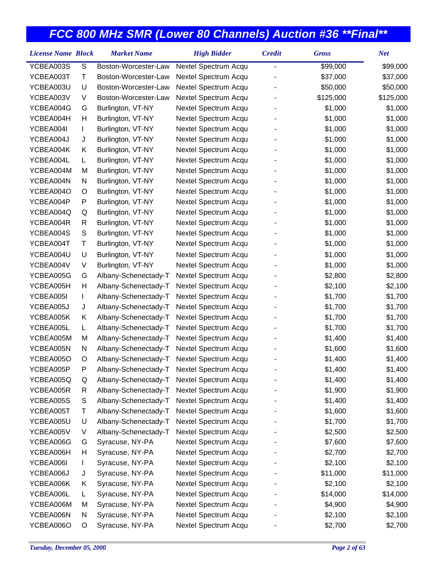| <b>License Name Block</b> |               | <b>Market Name</b>   | <b>High Bidder</b>   | <b>Credit</b>  | <b>Gross</b> | <b>Net</b> |
|---------------------------|---------------|----------------------|----------------------|----------------|--------------|------------|
| YCBEA003S                 | ${\mathsf S}$ | Boston-Worcester-Law | Nextel Spectrum Acqu | $\overline{a}$ | \$99,000     | \$99,000   |
| YCBEA003T                 | Τ             | Boston-Worcester-Law | Nextel Spectrum Acqu |                | \$37,000     | \$37,000   |
| YCBEA003U                 | U             | Boston-Worcester-Law | Nextel Spectrum Acqu |                | \$50,000     | \$50,000   |
| YCBEA003V                 | V             | Boston-Worcester-Law | Nextel Spectrum Acqu |                | \$125,000    | \$125,000  |
| YCBEA004G                 | G             | Burlington, VT-NY    | Nextel Spectrum Acqu |                | \$1,000      | \$1,000    |
| YCBEA004H                 | н             | Burlington, VT-NY    | Nextel Spectrum Acqu |                | \$1,000      | \$1,000    |
| YCBEA004I                 | L             | Burlington, VT-NY    | Nextel Spectrum Acqu |                | \$1,000      | \$1,000    |
| YCBEA004J                 | J             | Burlington, VT-NY    | Nextel Spectrum Acqu |                | \$1,000      | \$1,000    |
| YCBEA004K                 | Κ             | Burlington, VT-NY    | Nextel Spectrum Acqu |                | \$1,000      | \$1,000    |
| YCBEA004L                 | L             | Burlington, VT-NY    | Nextel Spectrum Acqu |                | \$1,000      | \$1,000    |
| YCBEA004M                 | M             | Burlington, VT-NY    | Nextel Spectrum Acqu |                | \$1,000      | \$1,000    |
| YCBEA004N                 | N             | Burlington, VT-NY    | Nextel Spectrum Acqu |                | \$1,000      | \$1,000    |
| YCBEA004O                 | O             | Burlington, VT-NY    | Nextel Spectrum Acqu |                | \$1,000      | \$1,000    |
| YCBEA004P                 | P             | Burlington, VT-NY    | Nextel Spectrum Acqu |                | \$1,000      | \$1,000    |
| YCBEA004Q                 | Q             | Burlington, VT-NY    | Nextel Spectrum Acqu |                | \$1,000      | \$1,000    |
| YCBEA004R                 | R             | Burlington, VT-NY    | Nextel Spectrum Acqu |                | \$1,000      | \$1,000    |
| YCBEA004S                 | ${\mathsf S}$ | Burlington, VT-NY    | Nextel Spectrum Acqu |                | \$1,000      | \$1,000    |
| YCBEA004T                 | Т             | Burlington, VT-NY    | Nextel Spectrum Acqu |                | \$1,000      | \$1,000    |
| YCBEA004U                 | U             | Burlington, VT-NY    | Nextel Spectrum Acqu |                | \$1,000      | \$1,000    |
| YCBEA004V                 | V             | Burlington, VT-NY    | Nextel Spectrum Acqu |                | \$1,000      | \$1,000    |
| YCBEA005G                 | G             | Albany-Schenectady-T | Nextel Spectrum Acqu |                | \$2,800      | \$2,800    |
| YCBEA005H                 | Н             | Albany-Schenectady-T | Nextel Spectrum Acqu |                | \$2,100      | \$2,100    |
| YCBEA005I                 | L             | Albany-Schenectady-T | Nextel Spectrum Acqu |                | \$1,700      | \$1,700    |
| YCBEA005J                 | J             | Albany-Schenectady-T | Nextel Spectrum Acqu |                | \$1,700      | \$1,700    |
| YCBEA005K                 | Κ             | Albany-Schenectady-T | Nextel Spectrum Acqu |                | \$1,700      | \$1,700    |
| YCBEA005L                 | L             | Albany-Schenectady-T | Nextel Spectrum Acqu |                | \$1,700      | \$1,700    |
| YCBEA005M                 | M             | Albany-Schenectady-T | Nextel Spectrum Acqu |                | \$1,400      | \$1,400    |
| YCBEA005N                 | N             | Albany-Schenectady-T | Nextel Spectrum Acqu |                | \$1,600      | \$1,600    |
| YCBEA005O                 | O             | Albany-Schenectady-T | Nextel Spectrum Acqu |                | \$1,400      | \$1,400    |
| YCBEA005P                 | Ρ             | Albany-Schenectady-T | Nextel Spectrum Acqu |                | \$1,400      | \$1,400    |
| YCBEA005Q                 | Q             | Albany-Schenectady-T | Nextel Spectrum Acqu |                | \$1,400      | \$1,400    |
| YCBEA005R                 | R             | Albany-Schenectady-T | Nextel Spectrum Acqu |                | \$1,900      | \$1,900    |
| YCBEA005S                 | S             | Albany-Schenectady-T | Nextel Spectrum Acqu |                | \$1,400      | \$1,400    |
| YCBEA005T                 | Т             | Albany-Schenectady-T | Nextel Spectrum Acqu |                | \$1,600      | \$1,600    |
| YCBEA005U                 | U             | Albany-Schenectady-T | Nextel Spectrum Acqu |                | \$1,700      | \$1,700    |
| YCBEA005V                 | V             | Albany-Schenectady-T | Nextel Spectrum Acqu |                | \$2,500      | \$2,500    |
| YCBEA006G                 | G             | Syracuse, NY-PA      | Nextel Spectrum Acqu |                | \$7,600      | \$7,600    |
| YCBEA006H                 | н             | Syracuse, NY-PA      | Nextel Spectrum Acqu |                | \$2,700      | \$2,700    |
| YCBEA006I                 | L             | Syracuse, NY-PA      | Nextel Spectrum Acqu |                | \$2,100      | \$2,100    |
| YCBEA006J                 | J             | Syracuse, NY-PA      | Nextel Spectrum Acqu |                | \$11,000     | \$11,000   |
| YCBEA006K                 | Κ             | Syracuse, NY-PA      | Nextel Spectrum Acqu |                | \$2,100      | \$2,100    |
| YCBEA006L                 | L             | Syracuse, NY-PA      | Nextel Spectrum Acqu |                | \$14,000     | \$14,000   |
| YCBEA006M                 | M             | Syracuse, NY-PA      | Nextel Spectrum Acqu |                | \$4,900      | \$4,900    |
| YCBEA006N                 | N             | Syracuse, NY-PA      | Nextel Spectrum Acqu |                | \$2,100      | \$2,100    |
| YCBEA006O                 | O             | Syracuse, NY-PA      | Nextel Spectrum Acqu |                | \$2,700      | \$2,700    |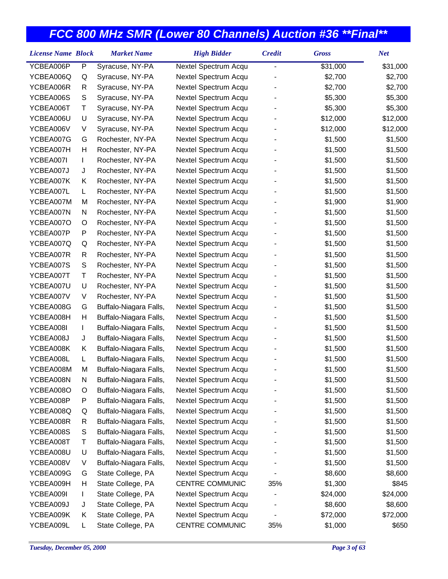| <b>License Name Block</b> |   | <b>Market Name</b>     | <b>High Bidder</b>   | <b>Credit</b>            | <b>Gross</b> | <b>Net</b> |
|---------------------------|---|------------------------|----------------------|--------------------------|--------------|------------|
| YCBEA006P                 | P | Syracuse, NY-PA        | Nextel Spectrum Acqu | $\overline{\phantom{0}}$ | \$31,000     | \$31,000   |
| YCBEA006Q                 | Q | Syracuse, NY-PA        | Nextel Spectrum Acqu |                          | \$2,700      | \$2,700    |
| YCBEA006R                 | R | Syracuse, NY-PA        | Nextel Spectrum Acqu |                          | \$2,700      | \$2,700    |
| YCBEA006S                 | S | Syracuse, NY-PA        | Nextel Spectrum Acqu |                          | \$5,300      | \$5,300    |
| YCBEA006T                 | Τ | Syracuse, NY-PA        | Nextel Spectrum Acqu |                          | \$5,300      | \$5,300    |
| YCBEA006U                 | U | Syracuse, NY-PA        | Nextel Spectrum Acqu |                          | \$12,000     | \$12,000   |
| YCBEA006V                 | V | Syracuse, NY-PA        | Nextel Spectrum Acqu |                          | \$12,000     | \$12,000   |
| YCBEA007G                 | G | Rochester, NY-PA       | Nextel Spectrum Acqu |                          | \$1,500      | \$1,500    |
| YCBEA007H                 | Н | Rochester, NY-PA       | Nextel Spectrum Acqu |                          | \$1,500      | \$1,500    |
| YCBEA007I                 | L | Rochester, NY-PA       | Nextel Spectrum Acqu |                          | \$1,500      | \$1,500    |
| YCBEA007J                 | J | Rochester, NY-PA       | Nextel Spectrum Acqu |                          | \$1,500      | \$1,500    |
| YCBEA007K                 | Κ | Rochester, NY-PA       | Nextel Spectrum Acqu |                          | \$1,500      | \$1,500    |
| YCBEA007L                 | L | Rochester, NY-PA       | Nextel Spectrum Acqu |                          | \$1,500      | \$1,500    |
| YCBEA007M                 | M | Rochester, NY-PA       | Nextel Spectrum Acqu |                          | \$1,900      | \$1,900    |
| YCBEA007N                 | N | Rochester, NY-PA       | Nextel Spectrum Acqu |                          | \$1,500      | \$1,500    |
| YCBEA007O                 | O | Rochester, NY-PA       | Nextel Spectrum Acqu |                          | \$1,500      | \$1,500    |
| YCBEA007P                 | P | Rochester, NY-PA       | Nextel Spectrum Acqu |                          | \$1,500      | \$1,500    |
| YCBEA007Q                 | Q | Rochester, NY-PA       | Nextel Spectrum Acqu |                          | \$1,500      | \$1,500    |
| YCBEA007R                 | R | Rochester, NY-PA       | Nextel Spectrum Acqu |                          | \$1,500      | \$1,500    |
| YCBEA007S                 | S | Rochester, NY-PA       | Nextel Spectrum Acqu |                          | \$1,500      | \$1,500    |
| YCBEA007T                 | Τ | Rochester, NY-PA       | Nextel Spectrum Acqu |                          | \$1,500      | \$1,500    |
| YCBEA007U                 | U | Rochester, NY-PA       | Nextel Spectrum Acqu |                          | \$1,500      | \$1,500    |
| YCBEA007V                 | V | Rochester, NY-PA       | Nextel Spectrum Acqu |                          | \$1,500      | \$1,500    |
| YCBEA008G                 | G | Buffalo-Niagara Falls, | Nextel Spectrum Acqu |                          | \$1,500      | \$1,500    |
| YCBEA008H                 | Н | Buffalo-Niagara Falls, | Nextel Spectrum Acqu |                          | \$1,500      | \$1,500    |
| YCBEA008I                 | L | Buffalo-Niagara Falls, | Nextel Spectrum Acqu |                          | \$1,500      | \$1,500    |
| YCBEA008J                 | J | Buffalo-Niagara Falls, | Nextel Spectrum Acqu |                          | \$1,500      | \$1,500    |
| YCBEA008K                 | Κ | Buffalo-Niagara Falls, | Nextel Spectrum Acqu |                          | \$1,500      | \$1,500    |
| YCBEA008L                 | L | Buffalo-Niagara Falls, | Nextel Spectrum Acqu |                          | \$1,500      | \$1,500    |
| YCBEA008M                 | M | Buffalo-Niagara Falls, | Nextel Spectrum Acqu |                          | \$1,500      | \$1,500    |
| YCBEA008N                 | N | Buffalo-Niagara Falls, | Nextel Spectrum Acqu |                          | \$1,500      | \$1,500    |
| YCBEA008O                 | O | Buffalo-Niagara Falls, | Nextel Spectrum Acqu |                          | \$1,500      | \$1,500    |
| YCBEA008P                 | P | Buffalo-Niagara Falls, | Nextel Spectrum Acqu |                          | \$1,500      | \$1,500    |
| YCBEA008Q                 | Q | Buffalo-Niagara Falls, | Nextel Spectrum Acqu |                          | \$1,500      | \$1,500    |
| YCBEA008R                 | R | Buffalo-Niagara Falls, | Nextel Spectrum Acqu |                          | \$1,500      | \$1,500    |
| YCBEA008S                 | S | Buffalo-Niagara Falls, | Nextel Spectrum Acqu |                          | \$1,500      | \$1,500    |
| YCBEA008T                 | Τ | Buffalo-Niagara Falls, | Nextel Spectrum Acqu |                          | \$1,500      | \$1,500    |
| YCBEA008U                 | U | Buffalo-Niagara Falls, | Nextel Spectrum Acqu |                          | \$1,500      | \$1,500    |
| YCBEA008V                 | V | Buffalo-Niagara Falls, | Nextel Spectrum Acqu |                          | \$1,500      | \$1,500    |
| YCBEA009G                 | G | State College, PA      | Nextel Spectrum Acqu |                          | \$8,600      | \$8,600    |
| YCBEA009H                 | H | State College, PA      | CENTRE COMMUNIC      | 35%                      | \$1,300      | \$845      |
| YCBEA009I                 | L | State College, PA      | Nextel Spectrum Acqu |                          | \$24,000     | \$24,000   |
| YCBEA009J                 | J | State College, PA      | Nextel Spectrum Acqu |                          | \$8,600      | \$8,600    |
| YCBEA009K                 | Κ | State College, PA      | Nextel Spectrum Acqu |                          | \$72,000     | \$72,000   |
| YCBEA009L                 | L | State College, PA      | CENTRE COMMUNIC      | 35%                      | \$1,000      | \$650      |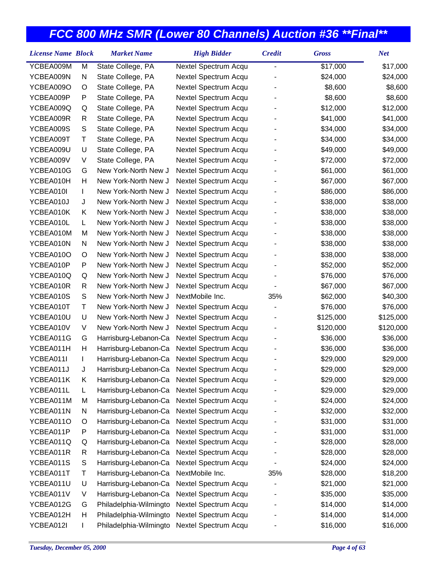|                                                                                                                                                                                                                                                                                                            |   | <b>Market Name</b>     | <b>High Bidder</b>   | <b>Credit</b> | <b>Gross</b> | <b>Net</b> |
|------------------------------------------------------------------------------------------------------------------------------------------------------------------------------------------------------------------------------------------------------------------------------------------------------------|---|------------------------|----------------------|---------------|--------------|------------|
| YCBEA009M                                                                                                                                                                                                                                                                                                  | M | State College, PA      | Nextel Spectrum Acqu | -             | \$17,000     | \$17,000   |
| YCBEA009N                                                                                                                                                                                                                                                                                                  | N | State College, PA      | Nextel Spectrum Acqu |               | \$24,000     | \$24,000   |
| YCBEA009O                                                                                                                                                                                                                                                                                                  | O | State College, PA      | Nextel Spectrum Acqu |               | \$8,600      | \$8,600    |
| <b>License Name Block</b><br>YCBEA009P<br>P<br>State College, PA<br>State College, PA<br>YCBEA009Q<br>Q<br>YCBEA009R<br>R<br>State College, PA<br>YCBEA009S<br>S<br>State College, PA<br>Τ<br>State College, PA<br>YCBEA009T<br>YCBEA009U<br>U<br>State College, PA<br>YCBEA009V<br>V<br>State College, PA |   | Nextel Spectrum Acqu   |                      | \$8,600       | \$8,600      |            |
|                                                                                                                                                                                                                                                                                                            |   |                        | Nextel Spectrum Acqu |               | \$12,000     | \$12,000   |
|                                                                                                                                                                                                                                                                                                            |   |                        | Nextel Spectrum Acqu |               | \$41,000     | \$41,000   |
|                                                                                                                                                                                                                                                                                                            |   |                        | Nextel Spectrum Acqu |               | \$34,000     | \$34,000   |
|                                                                                                                                                                                                                                                                                                            |   |                        | Nextel Spectrum Acqu |               | \$34,000     | \$34,000   |
|                                                                                                                                                                                                                                                                                                            |   |                        | Nextel Spectrum Acqu |               | \$49,000     | \$49,000   |
|                                                                                                                                                                                                                                                                                                            |   |                        | Nextel Spectrum Acqu |               | \$72,000     | \$72,000   |
| YCBEA010G                                                                                                                                                                                                                                                                                                  | G | New York-North New J   | Nextel Spectrum Acqu |               | \$61,000     | \$61,000   |
| YCBEA010H                                                                                                                                                                                                                                                                                                  | Н | New York-North New J   | Nextel Spectrum Acqu |               | \$67,000     | \$67,000   |
| YCBEA010I                                                                                                                                                                                                                                                                                                  | L | New York-North New J   | Nextel Spectrum Acqu |               | \$86,000     | \$86,000   |
| YCBEA010J                                                                                                                                                                                                                                                                                                  | J | New York-North New J   | Nextel Spectrum Acqu |               | \$38,000     | \$38,000   |
| YCBEA010K                                                                                                                                                                                                                                                                                                  | K | New York-North New J   | Nextel Spectrum Acqu |               | \$38,000     | \$38,000   |
| YCBEA010L                                                                                                                                                                                                                                                                                                  | L | New York-North New J   | Nextel Spectrum Acqu |               | \$38,000     | \$38,000   |
| YCBEA010M                                                                                                                                                                                                                                                                                                  | M | New York-North New J   | Nextel Spectrum Acqu |               | \$38,000     | \$38,000   |
| YCBEA010N                                                                                                                                                                                                                                                                                                  | N | New York-North New J   | Nextel Spectrum Acqu |               | \$38,000     | \$38,000   |
| YCBEA010O                                                                                                                                                                                                                                                                                                  | O | New York-North New J   | Nextel Spectrum Acqu |               | \$38,000     | \$38,000   |
| YCBEA010P                                                                                                                                                                                                                                                                                                  | P | New York-North New J   | Nextel Spectrum Acqu |               | \$52,000     | \$52,000   |
| YCBEA010Q                                                                                                                                                                                                                                                                                                  | Q | New York-North New J   | Nextel Spectrum Acqu |               | \$76,000     | \$76,000   |
| YCBEA010R                                                                                                                                                                                                                                                                                                  | R | New York-North New J   | Nextel Spectrum Acqu |               | \$67,000     | \$67,000   |
| YCBEA010S                                                                                                                                                                                                                                                                                                  | S | New York-North New J   | NextMobile Inc.      | 35%           | \$62,000     | \$40,300   |
| YCBEA010T                                                                                                                                                                                                                                                                                                  | Τ | New York-North New J   | Nextel Spectrum Acqu |               | \$76,000     | \$76,000   |
| YCBEA010U                                                                                                                                                                                                                                                                                                  | U | New York-North New J   | Nextel Spectrum Acqu |               | \$125,000    | \$125,000  |
| YCBEA010V                                                                                                                                                                                                                                                                                                  | V | New York-North New J   | Nextel Spectrum Acqu |               | \$120,000    | \$120,000  |
| YCBEA011G                                                                                                                                                                                                                                                                                                  | G | Harrisburg-Lebanon-Ca  | Nextel Spectrum Acqu |               | \$36,000     | \$36,000   |
| YCBEA011H                                                                                                                                                                                                                                                                                                  | Н | Harrisburg-Lebanon-Ca  | Nextel Spectrum Acqu |               | \$36,000     | \$36,000   |
| YCBEA011I                                                                                                                                                                                                                                                                                                  | L | Harrisburg-Lebanon-Ca  | Nextel Spectrum Acqu |               | \$29,000     | \$29,000   |
| YCBEA011J                                                                                                                                                                                                                                                                                                  | J | Harrisburg-Lebanon-Ca  | Nextel Spectrum Acqu |               | \$29,000     | \$29,000   |
| YCBEA011K                                                                                                                                                                                                                                                                                                  | Κ | Harrisburg-Lebanon-Ca  | Nextel Spectrum Acqu |               | \$29,000     | \$29,000   |
| YCBEA011L                                                                                                                                                                                                                                                                                                  | L | Harrisburg-Lebanon-Ca  | Nextel Spectrum Acqu |               | \$29,000     | \$29,000   |
| YCBEA011M                                                                                                                                                                                                                                                                                                  | M | Harrisburg-Lebanon-Ca  | Nextel Spectrum Acqu |               | \$24,000     | \$24,000   |
| YCBEA011N                                                                                                                                                                                                                                                                                                  | N | Harrisburg-Lebanon-Ca  | Nextel Spectrum Acqu |               | \$32,000     | \$32,000   |
| YCBEA011O                                                                                                                                                                                                                                                                                                  | O | Harrisburg-Lebanon-Ca  | Nextel Spectrum Acqu |               | \$31,000     | \$31,000   |
| YCBEA011P                                                                                                                                                                                                                                                                                                  | P | Harrisburg-Lebanon-Ca  | Nextel Spectrum Acqu |               | \$31,000     | \$31,000   |
| YCBEA011Q                                                                                                                                                                                                                                                                                                  | Q | Harrisburg-Lebanon-Ca  | Nextel Spectrum Acqu |               | \$28,000     | \$28,000   |
| YCBEA011R                                                                                                                                                                                                                                                                                                  | R | Harrisburg-Lebanon-Ca  | Nextel Spectrum Acqu |               | \$28,000     | \$28,000   |
| YCBEA011S                                                                                                                                                                                                                                                                                                  | S | Harrisburg-Lebanon-Ca  | Nextel Spectrum Acqu |               | \$24,000     | \$24,000   |
| YCBEA011T                                                                                                                                                                                                                                                                                                  | Τ | Harrisburg-Lebanon-Ca  | NextMobile Inc.      | 35%           | \$28,000     | \$18,200   |
| YCBEA011U                                                                                                                                                                                                                                                                                                  | U | Harrisburg-Lebanon-Ca  | Nextel Spectrum Acqu |               | \$21,000     | \$21,000   |
| YCBEA011V                                                                                                                                                                                                                                                                                                  | V | Harrisburg-Lebanon-Ca  | Nextel Spectrum Acqu |               | \$35,000     | \$35,000   |
| YCBEA012G                                                                                                                                                                                                                                                                                                  | G | Philadelphia-Wilmingto | Nextel Spectrum Acqu |               | \$14,000     | \$14,000   |
| YCBEA012H                                                                                                                                                                                                                                                                                                  | н | Philadelphia-Wilmingto | Nextel Spectrum Acqu |               | \$14,000     | \$14,000   |
| YCBEA012I                                                                                                                                                                                                                                                                                                  |   | Philadelphia-Wilmingto | Nextel Spectrum Acqu |               | \$16,000     | \$16,000   |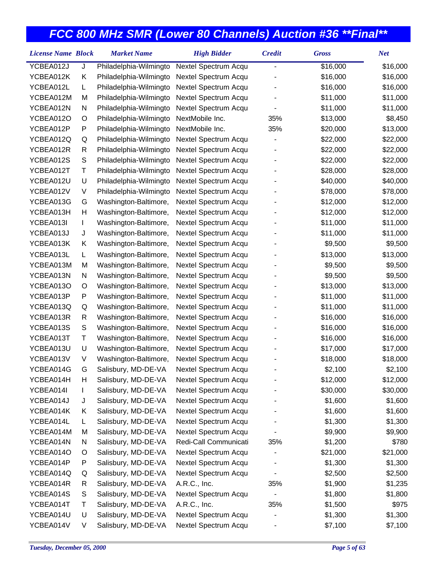| YCBEA012J<br>Philadelphia-Wilmingto<br>\$16,000<br>\$16,000<br>J<br>Nextel Spectrum Acqu<br>YCBEA012K<br>Κ<br>Philadelphia-Wilmingto<br>Nextel Spectrum Acqu<br>\$16,000<br>\$16,000<br>Philadelphia-Wilmingto<br>Nextel Spectrum Acqu<br>YCBEA012L<br>\$16,000<br>\$16,000<br>L<br>YCBEA012M<br>M<br>Philadelphia-Wilmingto<br>Nextel Spectrum Acqu<br>\$11,000<br>\$11,000<br>YCBEA012N<br>Philadelphia-Wilmingto<br>Nextel Spectrum Acqu<br>\$11,000<br>\$11,000<br>N<br>YCBEA012O<br>O<br>Philadelphia-Wilmingto<br>NextMobile Inc.<br>35%<br>\$13,000<br>\$8,450<br>YCBEA012P<br>P<br>Philadelphia-Wilmingto<br>NextMobile Inc.<br>35%<br>\$20,000<br>\$13,000<br>Philadelphia-Wilmingto<br>YCBEA012Q<br>Nextel Spectrum Acqu<br>\$22,000<br>\$22,000<br>Q<br>YCBEA012R<br>R<br>Philadelphia-Wilmingto<br>Nextel Spectrum Acqu<br>\$22,000<br>\$22,000<br>S<br>YCBEA012S<br>Philadelphia-Wilmingto<br>Nextel Spectrum Acqu<br>\$22,000<br>\$22,000<br>YCBEA012T<br>Τ<br>Philadelphia-Wilmingto<br>Nextel Spectrum Acqu<br>\$28,000<br>\$28,000<br>U<br>YCBEA012U<br>Philadelphia-Wilmingto<br>Nextel Spectrum Acqu<br>\$40,000<br>\$40,000<br>YCBEA012V<br>V<br>Philadelphia-Wilmingto<br>Nextel Spectrum Acqu<br>\$78,000<br>\$78,000<br>YCBEA013G<br>G<br>Washington-Baltimore,<br>Nextel Spectrum Acqu<br>\$12,000<br>\$12,000<br>YCBEA013H<br>Н<br>Washington-Baltimore,<br>Nextel Spectrum Acqu<br>\$12,000<br>\$12,000<br>YCBEA013I<br>Nextel Spectrum Acqu<br>\$11,000<br>\$11,000<br>Washington-Baltimore,<br>L<br>YCBEA013J<br>J<br>Washington-Baltimore,<br>Nextel Spectrum Acqu<br>\$11,000<br>\$11,000<br>YCBEA013K<br>Κ<br>Washington-Baltimore,<br>Nextel Spectrum Acqu<br>\$9,500<br>\$9,500<br>Nextel Spectrum Acqu<br>\$13,000<br>\$13,000<br>YCBEA013L<br>Washington-Baltimore,<br>L<br>YCBEA013M<br>M<br>Washington-Baltimore,<br>Nextel Spectrum Acqu<br>\$9,500<br>\$9,500<br>YCBEA013N<br>N<br>Nextel Spectrum Acqu<br>\$9,500<br>\$9,500<br>Washington-Baltimore,<br>YCBEA013O<br>Washington-Baltimore,<br>Nextel Spectrum Acqu<br>\$13,000<br>\$13,000<br>O<br>P<br>YCBEA013P<br>Washington-Baltimore,<br>Nextel Spectrum Acqu<br>\$11,000<br>\$11,000<br>YCBEA013Q<br>Washington-Baltimore,<br>Nextel Spectrum Acqu<br>\$11,000<br>\$11,000<br>Q<br>YCBEA013R<br>Washington-Baltimore,<br>Nextel Spectrum Acqu<br>\$16,000<br>\$16,000<br>R<br>$\mathbb S$<br>YCBEA013S<br>Washington-Baltimore,<br>Nextel Spectrum Acqu<br>\$16,000<br>\$16,000<br>YCBEA013T<br>Τ<br>Washington-Baltimore,<br>Nextel Spectrum Acqu<br>\$16,000<br>\$16,000<br>YCBEA013U<br>U<br>Washington-Baltimore,<br>Nextel Spectrum Acqu<br>\$17,000<br>\$17,000<br>YCBEA013V<br>V<br>Washington-Baltimore,<br>Nextel Spectrum Acqu<br>\$18,000<br>\$18,000<br>YCBEA014G<br>G<br>Salisbury, MD-DE-VA<br>Nextel Spectrum Acqu<br>\$2,100<br>\$2,100<br>YCBEA014H<br>Salisbury, MD-DE-VA<br>Nextel Spectrum Acqu<br>\$12,000<br>\$12,000<br>H<br>YCBEA014I<br>Salisbury, MD-DE-VA<br>Nextel Spectrum Acqu<br>\$30,000<br>\$30,000<br>L<br>YCBEA014J<br>Salisbury, MD-DE-VA<br>Nextel Spectrum Acqu<br>\$1,600<br>\$1,600<br>J<br>Salisbury, MD-DE-VA<br>Nextel Spectrum Acqu<br>YCBEA014K<br>\$1,600<br>\$1,600<br>Κ<br>YCBEA014L<br>Salisbury, MD-DE-VA<br>Nextel Spectrum Acqu<br>\$1,300<br>\$1,300<br>L<br>YCBEA014M<br>Salisbury, MD-DE-VA<br>М<br>Nextel Spectrum Acqu<br>\$9,900<br>\$9,900<br>Salisbury, MD-DE-VA<br>Redi-Call Communicati<br>YCBEA014N<br>N<br>35%<br>\$1,200<br>\$780<br>Salisbury, MD-DE-VA<br>Nextel Spectrum Acqu<br>\$21,000<br>YCBEA014O<br>\$21,000<br>O<br>Salisbury, MD-DE-VA<br>Nextel Spectrum Acqu<br>\$1,300<br>YCBEA014P<br>P<br>\$1,300<br>Salisbury, MD-DE-VA<br>Nextel Spectrum Acqu<br>YCBEA014Q<br>\$2,500<br>\$2,500<br>Q<br>YCBEA014R<br>Salisbury, MD-DE-VA<br>35%<br>A.R.C., Inc.<br>\$1,900<br>\$1,235<br>R<br>Salisbury, MD-DE-VA<br>YCBEA014S<br>S<br>Nextel Spectrum Acqu<br>\$1,800<br>\$1,800<br>$\overline{\phantom{0}}$ | <b>License Name Block</b> |   | <b>Market Name</b>  | <b>High Bidder</b> | <b>Credit</b> | <b>Gross</b> | <b>Net</b> |
|-----------------------------------------------------------------------------------------------------------------------------------------------------------------------------------------------------------------------------------------------------------------------------------------------------------------------------------------------------------------------------------------------------------------------------------------------------------------------------------------------------------------------------------------------------------------------------------------------------------------------------------------------------------------------------------------------------------------------------------------------------------------------------------------------------------------------------------------------------------------------------------------------------------------------------------------------------------------------------------------------------------------------------------------------------------------------------------------------------------------------------------------------------------------------------------------------------------------------------------------------------------------------------------------------------------------------------------------------------------------------------------------------------------------------------------------------------------------------------------------------------------------------------------------------------------------------------------------------------------------------------------------------------------------------------------------------------------------------------------------------------------------------------------------------------------------------------------------------------------------------------------------------------------------------------------------------------------------------------------------------------------------------------------------------------------------------------------------------------------------------------------------------------------------------------------------------------------------------------------------------------------------------------------------------------------------------------------------------------------------------------------------------------------------------------------------------------------------------------------------------------------------------------------------------------------------------------------------------------------------------------------------------------------------------------------------------------------------------------------------------------------------------------------------------------------------------------------------------------------------------------------------------------------------------------------------------------------------------------------------------------------------------------------------------------------------------------------------------------------------------------------------------------------------------------------------------------------------------------------------------------------------------------------------------------------------------------------------------------------------------------------------------------------------------------------------------------------------------------------------------------------------------------------------------------------------------------------------------------------------------------------------------------------------------------------------------------------------------------------------------------------------------------------------------------------------------------------------------------------------------------------------------------------------------------------------------------------------------------------|---------------------------|---|---------------------|--------------------|---------------|--------------|------------|
|                                                                                                                                                                                                                                                                                                                                                                                                                                                                                                                                                                                                                                                                                                                                                                                                                                                                                                                                                                                                                                                                                                                                                                                                                                                                                                                                                                                                                                                                                                                                                                                                                                                                                                                                                                                                                                                                                                                                                                                                                                                                                                                                                                                                                                                                                                                                                                                                                                                                                                                                                                                                                                                                                                                                                                                                                                                                                                                                                                                                                                                                                                                                                                                                                                                                                                                                                                                                                                                                                                                                                                                                                                                                                                                                                                                                                                                                                                                                                                                   |                           |   |                     |                    |               |              |            |
|                                                                                                                                                                                                                                                                                                                                                                                                                                                                                                                                                                                                                                                                                                                                                                                                                                                                                                                                                                                                                                                                                                                                                                                                                                                                                                                                                                                                                                                                                                                                                                                                                                                                                                                                                                                                                                                                                                                                                                                                                                                                                                                                                                                                                                                                                                                                                                                                                                                                                                                                                                                                                                                                                                                                                                                                                                                                                                                                                                                                                                                                                                                                                                                                                                                                                                                                                                                                                                                                                                                                                                                                                                                                                                                                                                                                                                                                                                                                                                                   |                           |   |                     |                    |               |              |            |
|                                                                                                                                                                                                                                                                                                                                                                                                                                                                                                                                                                                                                                                                                                                                                                                                                                                                                                                                                                                                                                                                                                                                                                                                                                                                                                                                                                                                                                                                                                                                                                                                                                                                                                                                                                                                                                                                                                                                                                                                                                                                                                                                                                                                                                                                                                                                                                                                                                                                                                                                                                                                                                                                                                                                                                                                                                                                                                                                                                                                                                                                                                                                                                                                                                                                                                                                                                                                                                                                                                                                                                                                                                                                                                                                                                                                                                                                                                                                                                                   |                           |   |                     |                    |               |              |            |
|                                                                                                                                                                                                                                                                                                                                                                                                                                                                                                                                                                                                                                                                                                                                                                                                                                                                                                                                                                                                                                                                                                                                                                                                                                                                                                                                                                                                                                                                                                                                                                                                                                                                                                                                                                                                                                                                                                                                                                                                                                                                                                                                                                                                                                                                                                                                                                                                                                                                                                                                                                                                                                                                                                                                                                                                                                                                                                                                                                                                                                                                                                                                                                                                                                                                                                                                                                                                                                                                                                                                                                                                                                                                                                                                                                                                                                                                                                                                                                                   |                           |   |                     |                    |               |              |            |
|                                                                                                                                                                                                                                                                                                                                                                                                                                                                                                                                                                                                                                                                                                                                                                                                                                                                                                                                                                                                                                                                                                                                                                                                                                                                                                                                                                                                                                                                                                                                                                                                                                                                                                                                                                                                                                                                                                                                                                                                                                                                                                                                                                                                                                                                                                                                                                                                                                                                                                                                                                                                                                                                                                                                                                                                                                                                                                                                                                                                                                                                                                                                                                                                                                                                                                                                                                                                                                                                                                                                                                                                                                                                                                                                                                                                                                                                                                                                                                                   |                           |   |                     |                    |               |              |            |
|                                                                                                                                                                                                                                                                                                                                                                                                                                                                                                                                                                                                                                                                                                                                                                                                                                                                                                                                                                                                                                                                                                                                                                                                                                                                                                                                                                                                                                                                                                                                                                                                                                                                                                                                                                                                                                                                                                                                                                                                                                                                                                                                                                                                                                                                                                                                                                                                                                                                                                                                                                                                                                                                                                                                                                                                                                                                                                                                                                                                                                                                                                                                                                                                                                                                                                                                                                                                                                                                                                                                                                                                                                                                                                                                                                                                                                                                                                                                                                                   |                           |   |                     |                    |               |              |            |
|                                                                                                                                                                                                                                                                                                                                                                                                                                                                                                                                                                                                                                                                                                                                                                                                                                                                                                                                                                                                                                                                                                                                                                                                                                                                                                                                                                                                                                                                                                                                                                                                                                                                                                                                                                                                                                                                                                                                                                                                                                                                                                                                                                                                                                                                                                                                                                                                                                                                                                                                                                                                                                                                                                                                                                                                                                                                                                                                                                                                                                                                                                                                                                                                                                                                                                                                                                                                                                                                                                                                                                                                                                                                                                                                                                                                                                                                                                                                                                                   |                           |   |                     |                    |               |              |            |
|                                                                                                                                                                                                                                                                                                                                                                                                                                                                                                                                                                                                                                                                                                                                                                                                                                                                                                                                                                                                                                                                                                                                                                                                                                                                                                                                                                                                                                                                                                                                                                                                                                                                                                                                                                                                                                                                                                                                                                                                                                                                                                                                                                                                                                                                                                                                                                                                                                                                                                                                                                                                                                                                                                                                                                                                                                                                                                                                                                                                                                                                                                                                                                                                                                                                                                                                                                                                                                                                                                                                                                                                                                                                                                                                                                                                                                                                                                                                                                                   |                           |   |                     |                    |               |              |            |
|                                                                                                                                                                                                                                                                                                                                                                                                                                                                                                                                                                                                                                                                                                                                                                                                                                                                                                                                                                                                                                                                                                                                                                                                                                                                                                                                                                                                                                                                                                                                                                                                                                                                                                                                                                                                                                                                                                                                                                                                                                                                                                                                                                                                                                                                                                                                                                                                                                                                                                                                                                                                                                                                                                                                                                                                                                                                                                                                                                                                                                                                                                                                                                                                                                                                                                                                                                                                                                                                                                                                                                                                                                                                                                                                                                                                                                                                                                                                                                                   |                           |   |                     |                    |               |              |            |
|                                                                                                                                                                                                                                                                                                                                                                                                                                                                                                                                                                                                                                                                                                                                                                                                                                                                                                                                                                                                                                                                                                                                                                                                                                                                                                                                                                                                                                                                                                                                                                                                                                                                                                                                                                                                                                                                                                                                                                                                                                                                                                                                                                                                                                                                                                                                                                                                                                                                                                                                                                                                                                                                                                                                                                                                                                                                                                                                                                                                                                                                                                                                                                                                                                                                                                                                                                                                                                                                                                                                                                                                                                                                                                                                                                                                                                                                                                                                                                                   |                           |   |                     |                    |               |              |            |
|                                                                                                                                                                                                                                                                                                                                                                                                                                                                                                                                                                                                                                                                                                                                                                                                                                                                                                                                                                                                                                                                                                                                                                                                                                                                                                                                                                                                                                                                                                                                                                                                                                                                                                                                                                                                                                                                                                                                                                                                                                                                                                                                                                                                                                                                                                                                                                                                                                                                                                                                                                                                                                                                                                                                                                                                                                                                                                                                                                                                                                                                                                                                                                                                                                                                                                                                                                                                                                                                                                                                                                                                                                                                                                                                                                                                                                                                                                                                                                                   |                           |   |                     |                    |               |              |            |
|                                                                                                                                                                                                                                                                                                                                                                                                                                                                                                                                                                                                                                                                                                                                                                                                                                                                                                                                                                                                                                                                                                                                                                                                                                                                                                                                                                                                                                                                                                                                                                                                                                                                                                                                                                                                                                                                                                                                                                                                                                                                                                                                                                                                                                                                                                                                                                                                                                                                                                                                                                                                                                                                                                                                                                                                                                                                                                                                                                                                                                                                                                                                                                                                                                                                                                                                                                                                                                                                                                                                                                                                                                                                                                                                                                                                                                                                                                                                                                                   |                           |   |                     |                    |               |              |            |
|                                                                                                                                                                                                                                                                                                                                                                                                                                                                                                                                                                                                                                                                                                                                                                                                                                                                                                                                                                                                                                                                                                                                                                                                                                                                                                                                                                                                                                                                                                                                                                                                                                                                                                                                                                                                                                                                                                                                                                                                                                                                                                                                                                                                                                                                                                                                                                                                                                                                                                                                                                                                                                                                                                                                                                                                                                                                                                                                                                                                                                                                                                                                                                                                                                                                                                                                                                                                                                                                                                                                                                                                                                                                                                                                                                                                                                                                                                                                                                                   |                           |   |                     |                    |               |              |            |
|                                                                                                                                                                                                                                                                                                                                                                                                                                                                                                                                                                                                                                                                                                                                                                                                                                                                                                                                                                                                                                                                                                                                                                                                                                                                                                                                                                                                                                                                                                                                                                                                                                                                                                                                                                                                                                                                                                                                                                                                                                                                                                                                                                                                                                                                                                                                                                                                                                                                                                                                                                                                                                                                                                                                                                                                                                                                                                                                                                                                                                                                                                                                                                                                                                                                                                                                                                                                                                                                                                                                                                                                                                                                                                                                                                                                                                                                                                                                                                                   |                           |   |                     |                    |               |              |            |
|                                                                                                                                                                                                                                                                                                                                                                                                                                                                                                                                                                                                                                                                                                                                                                                                                                                                                                                                                                                                                                                                                                                                                                                                                                                                                                                                                                                                                                                                                                                                                                                                                                                                                                                                                                                                                                                                                                                                                                                                                                                                                                                                                                                                                                                                                                                                                                                                                                                                                                                                                                                                                                                                                                                                                                                                                                                                                                                                                                                                                                                                                                                                                                                                                                                                                                                                                                                                                                                                                                                                                                                                                                                                                                                                                                                                                                                                                                                                                                                   |                           |   |                     |                    |               |              |            |
|                                                                                                                                                                                                                                                                                                                                                                                                                                                                                                                                                                                                                                                                                                                                                                                                                                                                                                                                                                                                                                                                                                                                                                                                                                                                                                                                                                                                                                                                                                                                                                                                                                                                                                                                                                                                                                                                                                                                                                                                                                                                                                                                                                                                                                                                                                                                                                                                                                                                                                                                                                                                                                                                                                                                                                                                                                                                                                                                                                                                                                                                                                                                                                                                                                                                                                                                                                                                                                                                                                                                                                                                                                                                                                                                                                                                                                                                                                                                                                                   |                           |   |                     |                    |               |              |            |
|                                                                                                                                                                                                                                                                                                                                                                                                                                                                                                                                                                                                                                                                                                                                                                                                                                                                                                                                                                                                                                                                                                                                                                                                                                                                                                                                                                                                                                                                                                                                                                                                                                                                                                                                                                                                                                                                                                                                                                                                                                                                                                                                                                                                                                                                                                                                                                                                                                                                                                                                                                                                                                                                                                                                                                                                                                                                                                                                                                                                                                                                                                                                                                                                                                                                                                                                                                                                                                                                                                                                                                                                                                                                                                                                                                                                                                                                                                                                                                                   |                           |   |                     |                    |               |              |            |
|                                                                                                                                                                                                                                                                                                                                                                                                                                                                                                                                                                                                                                                                                                                                                                                                                                                                                                                                                                                                                                                                                                                                                                                                                                                                                                                                                                                                                                                                                                                                                                                                                                                                                                                                                                                                                                                                                                                                                                                                                                                                                                                                                                                                                                                                                                                                                                                                                                                                                                                                                                                                                                                                                                                                                                                                                                                                                                                                                                                                                                                                                                                                                                                                                                                                                                                                                                                                                                                                                                                                                                                                                                                                                                                                                                                                                                                                                                                                                                                   |                           |   |                     |                    |               |              |            |
|                                                                                                                                                                                                                                                                                                                                                                                                                                                                                                                                                                                                                                                                                                                                                                                                                                                                                                                                                                                                                                                                                                                                                                                                                                                                                                                                                                                                                                                                                                                                                                                                                                                                                                                                                                                                                                                                                                                                                                                                                                                                                                                                                                                                                                                                                                                                                                                                                                                                                                                                                                                                                                                                                                                                                                                                                                                                                                                                                                                                                                                                                                                                                                                                                                                                                                                                                                                                                                                                                                                                                                                                                                                                                                                                                                                                                                                                                                                                                                                   |                           |   |                     |                    |               |              |            |
|                                                                                                                                                                                                                                                                                                                                                                                                                                                                                                                                                                                                                                                                                                                                                                                                                                                                                                                                                                                                                                                                                                                                                                                                                                                                                                                                                                                                                                                                                                                                                                                                                                                                                                                                                                                                                                                                                                                                                                                                                                                                                                                                                                                                                                                                                                                                                                                                                                                                                                                                                                                                                                                                                                                                                                                                                                                                                                                                                                                                                                                                                                                                                                                                                                                                                                                                                                                                                                                                                                                                                                                                                                                                                                                                                                                                                                                                                                                                                                                   |                           |   |                     |                    |               |              |            |
|                                                                                                                                                                                                                                                                                                                                                                                                                                                                                                                                                                                                                                                                                                                                                                                                                                                                                                                                                                                                                                                                                                                                                                                                                                                                                                                                                                                                                                                                                                                                                                                                                                                                                                                                                                                                                                                                                                                                                                                                                                                                                                                                                                                                                                                                                                                                                                                                                                                                                                                                                                                                                                                                                                                                                                                                                                                                                                                                                                                                                                                                                                                                                                                                                                                                                                                                                                                                                                                                                                                                                                                                                                                                                                                                                                                                                                                                                                                                                                                   |                           |   |                     |                    |               |              |            |
|                                                                                                                                                                                                                                                                                                                                                                                                                                                                                                                                                                                                                                                                                                                                                                                                                                                                                                                                                                                                                                                                                                                                                                                                                                                                                                                                                                                                                                                                                                                                                                                                                                                                                                                                                                                                                                                                                                                                                                                                                                                                                                                                                                                                                                                                                                                                                                                                                                                                                                                                                                                                                                                                                                                                                                                                                                                                                                                                                                                                                                                                                                                                                                                                                                                                                                                                                                                                                                                                                                                                                                                                                                                                                                                                                                                                                                                                                                                                                                                   |                           |   |                     |                    |               |              |            |
|                                                                                                                                                                                                                                                                                                                                                                                                                                                                                                                                                                                                                                                                                                                                                                                                                                                                                                                                                                                                                                                                                                                                                                                                                                                                                                                                                                                                                                                                                                                                                                                                                                                                                                                                                                                                                                                                                                                                                                                                                                                                                                                                                                                                                                                                                                                                                                                                                                                                                                                                                                                                                                                                                                                                                                                                                                                                                                                                                                                                                                                                                                                                                                                                                                                                                                                                                                                                                                                                                                                                                                                                                                                                                                                                                                                                                                                                                                                                                                                   |                           |   |                     |                    |               |              |            |
|                                                                                                                                                                                                                                                                                                                                                                                                                                                                                                                                                                                                                                                                                                                                                                                                                                                                                                                                                                                                                                                                                                                                                                                                                                                                                                                                                                                                                                                                                                                                                                                                                                                                                                                                                                                                                                                                                                                                                                                                                                                                                                                                                                                                                                                                                                                                                                                                                                                                                                                                                                                                                                                                                                                                                                                                                                                                                                                                                                                                                                                                                                                                                                                                                                                                                                                                                                                                                                                                                                                                                                                                                                                                                                                                                                                                                                                                                                                                                                                   |                           |   |                     |                    |               |              |            |
|                                                                                                                                                                                                                                                                                                                                                                                                                                                                                                                                                                                                                                                                                                                                                                                                                                                                                                                                                                                                                                                                                                                                                                                                                                                                                                                                                                                                                                                                                                                                                                                                                                                                                                                                                                                                                                                                                                                                                                                                                                                                                                                                                                                                                                                                                                                                                                                                                                                                                                                                                                                                                                                                                                                                                                                                                                                                                                                                                                                                                                                                                                                                                                                                                                                                                                                                                                                                                                                                                                                                                                                                                                                                                                                                                                                                                                                                                                                                                                                   |                           |   |                     |                    |               |              |            |
|                                                                                                                                                                                                                                                                                                                                                                                                                                                                                                                                                                                                                                                                                                                                                                                                                                                                                                                                                                                                                                                                                                                                                                                                                                                                                                                                                                                                                                                                                                                                                                                                                                                                                                                                                                                                                                                                                                                                                                                                                                                                                                                                                                                                                                                                                                                                                                                                                                                                                                                                                                                                                                                                                                                                                                                                                                                                                                                                                                                                                                                                                                                                                                                                                                                                                                                                                                                                                                                                                                                                                                                                                                                                                                                                                                                                                                                                                                                                                                                   |                           |   |                     |                    |               |              |            |
|                                                                                                                                                                                                                                                                                                                                                                                                                                                                                                                                                                                                                                                                                                                                                                                                                                                                                                                                                                                                                                                                                                                                                                                                                                                                                                                                                                                                                                                                                                                                                                                                                                                                                                                                                                                                                                                                                                                                                                                                                                                                                                                                                                                                                                                                                                                                                                                                                                                                                                                                                                                                                                                                                                                                                                                                                                                                                                                                                                                                                                                                                                                                                                                                                                                                                                                                                                                                                                                                                                                                                                                                                                                                                                                                                                                                                                                                                                                                                                                   |                           |   |                     |                    |               |              |            |
|                                                                                                                                                                                                                                                                                                                                                                                                                                                                                                                                                                                                                                                                                                                                                                                                                                                                                                                                                                                                                                                                                                                                                                                                                                                                                                                                                                                                                                                                                                                                                                                                                                                                                                                                                                                                                                                                                                                                                                                                                                                                                                                                                                                                                                                                                                                                                                                                                                                                                                                                                                                                                                                                                                                                                                                                                                                                                                                                                                                                                                                                                                                                                                                                                                                                                                                                                                                                                                                                                                                                                                                                                                                                                                                                                                                                                                                                                                                                                                                   |                           |   |                     |                    |               |              |            |
|                                                                                                                                                                                                                                                                                                                                                                                                                                                                                                                                                                                                                                                                                                                                                                                                                                                                                                                                                                                                                                                                                                                                                                                                                                                                                                                                                                                                                                                                                                                                                                                                                                                                                                                                                                                                                                                                                                                                                                                                                                                                                                                                                                                                                                                                                                                                                                                                                                                                                                                                                                                                                                                                                                                                                                                                                                                                                                                                                                                                                                                                                                                                                                                                                                                                                                                                                                                                                                                                                                                                                                                                                                                                                                                                                                                                                                                                                                                                                                                   |                           |   |                     |                    |               |              |            |
|                                                                                                                                                                                                                                                                                                                                                                                                                                                                                                                                                                                                                                                                                                                                                                                                                                                                                                                                                                                                                                                                                                                                                                                                                                                                                                                                                                                                                                                                                                                                                                                                                                                                                                                                                                                                                                                                                                                                                                                                                                                                                                                                                                                                                                                                                                                                                                                                                                                                                                                                                                                                                                                                                                                                                                                                                                                                                                                                                                                                                                                                                                                                                                                                                                                                                                                                                                                                                                                                                                                                                                                                                                                                                                                                                                                                                                                                                                                                                                                   |                           |   |                     |                    |               |              |            |
|                                                                                                                                                                                                                                                                                                                                                                                                                                                                                                                                                                                                                                                                                                                                                                                                                                                                                                                                                                                                                                                                                                                                                                                                                                                                                                                                                                                                                                                                                                                                                                                                                                                                                                                                                                                                                                                                                                                                                                                                                                                                                                                                                                                                                                                                                                                                                                                                                                                                                                                                                                                                                                                                                                                                                                                                                                                                                                                                                                                                                                                                                                                                                                                                                                                                                                                                                                                                                                                                                                                                                                                                                                                                                                                                                                                                                                                                                                                                                                                   |                           |   |                     |                    |               |              |            |
|                                                                                                                                                                                                                                                                                                                                                                                                                                                                                                                                                                                                                                                                                                                                                                                                                                                                                                                                                                                                                                                                                                                                                                                                                                                                                                                                                                                                                                                                                                                                                                                                                                                                                                                                                                                                                                                                                                                                                                                                                                                                                                                                                                                                                                                                                                                                                                                                                                                                                                                                                                                                                                                                                                                                                                                                                                                                                                                                                                                                                                                                                                                                                                                                                                                                                                                                                                                                                                                                                                                                                                                                                                                                                                                                                                                                                                                                                                                                                                                   |                           |   |                     |                    |               |              |            |
|                                                                                                                                                                                                                                                                                                                                                                                                                                                                                                                                                                                                                                                                                                                                                                                                                                                                                                                                                                                                                                                                                                                                                                                                                                                                                                                                                                                                                                                                                                                                                                                                                                                                                                                                                                                                                                                                                                                                                                                                                                                                                                                                                                                                                                                                                                                                                                                                                                                                                                                                                                                                                                                                                                                                                                                                                                                                                                                                                                                                                                                                                                                                                                                                                                                                                                                                                                                                                                                                                                                                                                                                                                                                                                                                                                                                                                                                                                                                                                                   |                           |   |                     |                    |               |              |            |
|                                                                                                                                                                                                                                                                                                                                                                                                                                                                                                                                                                                                                                                                                                                                                                                                                                                                                                                                                                                                                                                                                                                                                                                                                                                                                                                                                                                                                                                                                                                                                                                                                                                                                                                                                                                                                                                                                                                                                                                                                                                                                                                                                                                                                                                                                                                                                                                                                                                                                                                                                                                                                                                                                                                                                                                                                                                                                                                                                                                                                                                                                                                                                                                                                                                                                                                                                                                                                                                                                                                                                                                                                                                                                                                                                                                                                                                                                                                                                                                   |                           |   |                     |                    |               |              |            |
|                                                                                                                                                                                                                                                                                                                                                                                                                                                                                                                                                                                                                                                                                                                                                                                                                                                                                                                                                                                                                                                                                                                                                                                                                                                                                                                                                                                                                                                                                                                                                                                                                                                                                                                                                                                                                                                                                                                                                                                                                                                                                                                                                                                                                                                                                                                                                                                                                                                                                                                                                                                                                                                                                                                                                                                                                                                                                                                                                                                                                                                                                                                                                                                                                                                                                                                                                                                                                                                                                                                                                                                                                                                                                                                                                                                                                                                                                                                                                                                   |                           |   |                     |                    |               |              |            |
|                                                                                                                                                                                                                                                                                                                                                                                                                                                                                                                                                                                                                                                                                                                                                                                                                                                                                                                                                                                                                                                                                                                                                                                                                                                                                                                                                                                                                                                                                                                                                                                                                                                                                                                                                                                                                                                                                                                                                                                                                                                                                                                                                                                                                                                                                                                                                                                                                                                                                                                                                                                                                                                                                                                                                                                                                                                                                                                                                                                                                                                                                                                                                                                                                                                                                                                                                                                                                                                                                                                                                                                                                                                                                                                                                                                                                                                                                                                                                                                   |                           |   |                     |                    |               |              |            |
|                                                                                                                                                                                                                                                                                                                                                                                                                                                                                                                                                                                                                                                                                                                                                                                                                                                                                                                                                                                                                                                                                                                                                                                                                                                                                                                                                                                                                                                                                                                                                                                                                                                                                                                                                                                                                                                                                                                                                                                                                                                                                                                                                                                                                                                                                                                                                                                                                                                                                                                                                                                                                                                                                                                                                                                                                                                                                                                                                                                                                                                                                                                                                                                                                                                                                                                                                                                                                                                                                                                                                                                                                                                                                                                                                                                                                                                                                                                                                                                   |                           |   |                     |                    |               |              |            |
|                                                                                                                                                                                                                                                                                                                                                                                                                                                                                                                                                                                                                                                                                                                                                                                                                                                                                                                                                                                                                                                                                                                                                                                                                                                                                                                                                                                                                                                                                                                                                                                                                                                                                                                                                                                                                                                                                                                                                                                                                                                                                                                                                                                                                                                                                                                                                                                                                                                                                                                                                                                                                                                                                                                                                                                                                                                                                                                                                                                                                                                                                                                                                                                                                                                                                                                                                                                                                                                                                                                                                                                                                                                                                                                                                                                                                                                                                                                                                                                   |                           |   |                     |                    |               |              |            |
|                                                                                                                                                                                                                                                                                                                                                                                                                                                                                                                                                                                                                                                                                                                                                                                                                                                                                                                                                                                                                                                                                                                                                                                                                                                                                                                                                                                                                                                                                                                                                                                                                                                                                                                                                                                                                                                                                                                                                                                                                                                                                                                                                                                                                                                                                                                                                                                                                                                                                                                                                                                                                                                                                                                                                                                                                                                                                                                                                                                                                                                                                                                                                                                                                                                                                                                                                                                                                                                                                                                                                                                                                                                                                                                                                                                                                                                                                                                                                                                   |                           |   |                     |                    |               |              |            |
|                                                                                                                                                                                                                                                                                                                                                                                                                                                                                                                                                                                                                                                                                                                                                                                                                                                                                                                                                                                                                                                                                                                                                                                                                                                                                                                                                                                                                                                                                                                                                                                                                                                                                                                                                                                                                                                                                                                                                                                                                                                                                                                                                                                                                                                                                                                                                                                                                                                                                                                                                                                                                                                                                                                                                                                                                                                                                                                                                                                                                                                                                                                                                                                                                                                                                                                                                                                                                                                                                                                                                                                                                                                                                                                                                                                                                                                                                                                                                                                   |                           |   |                     |                    |               |              |            |
|                                                                                                                                                                                                                                                                                                                                                                                                                                                                                                                                                                                                                                                                                                                                                                                                                                                                                                                                                                                                                                                                                                                                                                                                                                                                                                                                                                                                                                                                                                                                                                                                                                                                                                                                                                                                                                                                                                                                                                                                                                                                                                                                                                                                                                                                                                                                                                                                                                                                                                                                                                                                                                                                                                                                                                                                                                                                                                                                                                                                                                                                                                                                                                                                                                                                                                                                                                                                                                                                                                                                                                                                                                                                                                                                                                                                                                                                                                                                                                                   |                           |   |                     |                    |               |              |            |
|                                                                                                                                                                                                                                                                                                                                                                                                                                                                                                                                                                                                                                                                                                                                                                                                                                                                                                                                                                                                                                                                                                                                                                                                                                                                                                                                                                                                                                                                                                                                                                                                                                                                                                                                                                                                                                                                                                                                                                                                                                                                                                                                                                                                                                                                                                                                                                                                                                                                                                                                                                                                                                                                                                                                                                                                                                                                                                                                                                                                                                                                                                                                                                                                                                                                                                                                                                                                                                                                                                                                                                                                                                                                                                                                                                                                                                                                                                                                                                                   |                           |   |                     |                    |               |              |            |
|                                                                                                                                                                                                                                                                                                                                                                                                                                                                                                                                                                                                                                                                                                                                                                                                                                                                                                                                                                                                                                                                                                                                                                                                                                                                                                                                                                                                                                                                                                                                                                                                                                                                                                                                                                                                                                                                                                                                                                                                                                                                                                                                                                                                                                                                                                                                                                                                                                                                                                                                                                                                                                                                                                                                                                                                                                                                                                                                                                                                                                                                                                                                                                                                                                                                                                                                                                                                                                                                                                                                                                                                                                                                                                                                                                                                                                                                                                                                                                                   | YCBEA014T                 | т | Salisbury, MD-DE-VA | A.R.C., Inc.       | 35%           | \$1,500      | \$975      |
| YCBEA014U<br>U<br>Salisbury, MD-DE-VA<br>Nextel Spectrum Acqu<br>\$1,300<br>\$1,300                                                                                                                                                                                                                                                                                                                                                                                                                                                                                                                                                                                                                                                                                                                                                                                                                                                                                                                                                                                                                                                                                                                                                                                                                                                                                                                                                                                                                                                                                                                                                                                                                                                                                                                                                                                                                                                                                                                                                                                                                                                                                                                                                                                                                                                                                                                                                                                                                                                                                                                                                                                                                                                                                                                                                                                                                                                                                                                                                                                                                                                                                                                                                                                                                                                                                                                                                                                                                                                                                                                                                                                                                                                                                                                                                                                                                                                                                               |                           |   |                     |                    |               |              |            |
| YCBEA014V<br>Salisbury, MD-DE-VA<br>Nextel Spectrum Acqu<br>V<br>\$7,100<br>\$7,100                                                                                                                                                                                                                                                                                                                                                                                                                                                                                                                                                                                                                                                                                                                                                                                                                                                                                                                                                                                                                                                                                                                                                                                                                                                                                                                                                                                                                                                                                                                                                                                                                                                                                                                                                                                                                                                                                                                                                                                                                                                                                                                                                                                                                                                                                                                                                                                                                                                                                                                                                                                                                                                                                                                                                                                                                                                                                                                                                                                                                                                                                                                                                                                                                                                                                                                                                                                                                                                                                                                                                                                                                                                                                                                                                                                                                                                                                               |                           |   |                     |                    |               |              |            |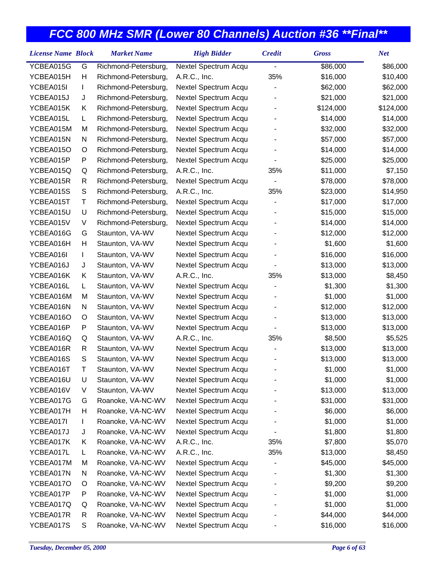| <b>License Name Block</b> |             | <b>Market Name</b>   | <b>High Bidder</b>   | <b>Credit</b> | <b>Gross</b> | <b>Net</b> |
|---------------------------|-------------|----------------------|----------------------|---------------|--------------|------------|
| YCBEA015G                 | G           | Richmond-Petersburg, | Nextel Spectrum Acqu |               | \$86,000     | \$86,000   |
| YCBEA015H                 | Н           | Richmond-Petersburg, | A.R.C., Inc.         | 35%           | \$16,000     | \$10,400   |
| YCBEA015I                 | L           | Richmond-Petersburg, | Nextel Spectrum Acqu |               | \$62,000     | \$62,000   |
| YCBEA015J                 | J           | Richmond-Petersburg, | Nextel Spectrum Acqu |               | \$21,000     | \$21,000   |
| YCBEA015K                 | Κ           | Richmond-Petersburg, | Nextel Spectrum Acqu |               | \$124,000    | \$124,000  |
| YCBEA015L                 | L           | Richmond-Petersburg, | Nextel Spectrum Acqu |               | \$14,000     | \$14,000   |
| YCBEA015M                 | M           | Richmond-Petersburg, | Nextel Spectrum Acqu |               | \$32,000     | \$32,000   |
| YCBEA015N                 | N           | Richmond-Petersburg, | Nextel Spectrum Acqu |               | \$57,000     | \$57,000   |
| YCBEA015O                 | O           | Richmond-Petersburg, | Nextel Spectrum Acqu |               | \$14,000     | \$14,000   |
| YCBEA015P                 | P           | Richmond-Petersburg, | Nextel Spectrum Acqu |               | \$25,000     | \$25,000   |
| YCBEA015Q                 | Q           | Richmond-Petersburg, | A.R.C., Inc.         | 35%           | \$11,000     | \$7,150    |
| YCBEA015R                 | R           | Richmond-Petersburg, | Nextel Spectrum Acqu |               | \$78,000     | \$78,000   |
| YCBEA015S                 | $\mathbb S$ | Richmond-Petersburg, | A.R.C., Inc.         | 35%           | \$23,000     | \$14,950   |
| YCBEA015T                 | Τ           | Richmond-Petersburg, | Nextel Spectrum Acqu |               | \$17,000     | \$17,000   |
| YCBEA015U                 | U           | Richmond-Petersburg, | Nextel Spectrum Acqu |               | \$15,000     | \$15,000   |
| YCBEA015V                 | V           | Richmond-Petersburg, | Nextel Spectrum Acqu |               | \$14,000     | \$14,000   |
| YCBEA016G                 | G           | Staunton, VA-WV      | Nextel Spectrum Acqu |               | \$12,000     | \$12,000   |
| YCBEA016H                 | Н           | Staunton, VA-WV      | Nextel Spectrum Acqu |               | \$1,600      | \$1,600    |
| YCBEA016I                 | L           | Staunton, VA-WV      | Nextel Spectrum Acqu |               | \$16,000     | \$16,000   |
| YCBEA016J                 | J           | Staunton, VA-WV      | Nextel Spectrum Acqu |               | \$13,000     | \$13,000   |
| YCBEA016K                 | Κ           | Staunton, VA-WV      | A.R.C., Inc.         | 35%           | \$13,000     | \$8,450    |
| YCBEA016L                 | L           | Staunton, VA-WV      | Nextel Spectrum Acqu |               | \$1,300      | \$1,300    |
| YCBEA016M                 | M           | Staunton, VA-WV      | Nextel Spectrum Acqu |               | \$1,000      | \$1,000    |
| YCBEA016N                 | N           | Staunton, VA-WV      | Nextel Spectrum Acqu |               | \$12,000     | \$12,000   |
| YCBEA016O                 | O           | Staunton, VA-WV      | Nextel Spectrum Acqu |               | \$13,000     | \$13,000   |
| YCBEA016P                 | P           | Staunton, VA-WV      | Nextel Spectrum Acqu |               | \$13,000     | \$13,000   |
| YCBEA016Q                 | Q           | Staunton, VA-WV      | A.R.C., Inc.         | 35%           | \$8,500      | \$5,525    |
| YCBEA016R                 | R           | Staunton, VA-WV      | Nextel Spectrum Acqu |               | \$13,000     | \$13,000   |
| YCBEA016S                 | S           | Staunton, VA-WV      | Nextel Spectrum Acqu |               | \$13,000     | \$13,000   |
| YCBEA016T                 | Τ           | Staunton, VA-WV      | Nextel Spectrum Acqu |               | \$1,000      | \$1,000    |
| YCBEA016U                 | U           | Staunton, VA-WV      | Nextel Spectrum Acqu |               | \$1,000      | \$1,000    |
| YCBEA016V                 | V           | Staunton, VA-WV      | Nextel Spectrum Acqu |               | \$13,000     | \$13,000   |
| YCBEA017G                 | G           | Roanoke, VA-NC-WV    | Nextel Spectrum Acqu |               | \$31,000     | \$31,000   |
| YCBEA017H                 | Н           | Roanoke, VA-NC-WV    | Nextel Spectrum Acqu |               | \$6,000      | \$6,000    |
| YCBEA017I                 | L           | Roanoke, VA-NC-WV    | Nextel Spectrum Acqu |               | \$1,000      | \$1,000    |
| YCBEA017J                 | J           | Roanoke, VA-NC-WV    | Nextel Spectrum Acqu |               | \$1,800      | \$1,800    |
| YCBEA017K                 | Κ           | Roanoke, VA-NC-WV    | A.R.C., Inc.         | 35%           | \$7,800      | \$5,070    |
| YCBEA017L                 | L           | Roanoke, VA-NC-WV    | A.R.C., Inc.         | 35%           | \$13,000     | \$8,450    |
| YCBEA017M                 | M           | Roanoke, VA-NC-WV    | Nextel Spectrum Acqu |               | \$45,000     | \$45,000   |
| YCBEA017N                 | N           | Roanoke, VA-NC-WV    | Nextel Spectrum Acqu |               | \$1,300      | \$1,300    |
| YCBEA017O                 | O           | Roanoke, VA-NC-WV    | Nextel Spectrum Acqu |               | \$9,200      | \$9,200    |
| YCBEA017P                 | P           | Roanoke, VA-NC-WV    | Nextel Spectrum Acqu |               | \$1,000      | \$1,000    |
| YCBEA017Q                 | Q           | Roanoke, VA-NC-WV    | Nextel Spectrum Acqu |               | \$1,000      | \$1,000    |
| YCBEA017R                 | R           | Roanoke, VA-NC-WV    | Nextel Spectrum Acqu |               | \$44,000     | \$44,000   |
| YCBEA017S                 | S           | Roanoke, VA-NC-WV    | Nextel Spectrum Acqu |               | \$16,000     | \$16,000   |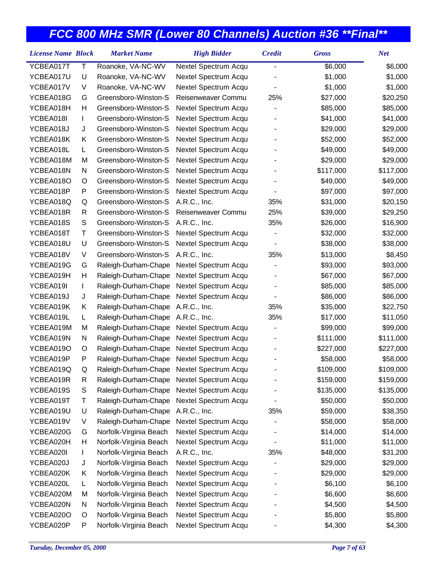| YCBEA017T<br>Т<br>Roanoke, VA-NC-WV<br>\$6,000<br>\$6,000<br>Nextel Spectrum Acqu<br>-<br>YCBEA017U<br>U<br>Nextel Spectrum Acqu<br>\$1,000<br>\$1,000<br>Roanoke, VA-NC-WV<br>Roanoke, VA-NC-WV<br>YCBEA017V<br>V<br>Nextel Spectrum Acqu<br>\$1,000<br>\$1,000<br>YCBEA018G<br>Greensboro-Winston-S<br>Reisenweaver Commu<br>25%<br>\$27,000<br>\$20,250<br>G<br>YCBEA018H<br>Н<br>Greensboro-Winston-S<br>Nextel Spectrum Acqu<br>\$85,000<br>\$85,000<br>YCBEA018I<br>Greensboro-Winston-S<br>Nextel Spectrum Acqu<br>\$41,000<br>\$41,000<br>L<br>Greensboro-Winston-S<br>YCBEA018J<br>J<br>Nextel Spectrum Acqu<br>\$29,000<br>\$29,000<br>Greensboro-Winston-S<br>YCBEA018K<br>Nextel Spectrum Acqu<br>\$52,000<br>\$52,000<br>Κ<br>Greensboro-Winston-S<br>YCBEA018L<br>Nextel Spectrum Acqu<br>\$49,000<br>\$49,000<br>L<br>YCBEA018M<br>M<br>Greensboro-Winston-S<br>Nextel Spectrum Acqu<br>\$29,000<br>\$29,000<br>YCBEA018N<br>Greensboro-Winston-S<br>Nextel Spectrum Acqu<br>\$117,000<br>\$117,000<br>N<br>YCBEA018O<br>Greensboro-Winston-S<br>Nextel Spectrum Acqu<br>\$49,000<br>\$49,000<br>O<br>Greensboro-Winston-S<br>YCBEA018P<br>P<br>Nextel Spectrum Acqu<br>\$97,000<br>\$97,000<br>Greensboro-Winston-S<br>YCBEA018Q<br>A.R.C., Inc.<br>35%<br>\$31,000<br>\$20,150<br>Q<br>Greensboro-Winston-S<br>25%<br>YCBEA018R<br>\$39,000<br>\$29,250<br>R<br>Reisenweaver Commu<br>YCBEA018S<br>S<br>Greensboro-Winston-S<br>35%<br>\$26,000<br>\$16,900<br>A.R.C., Inc.<br>Greensboro-Winston-S<br>YCBEA018T<br>Τ<br>\$32,000<br>\$32,000<br>Nextel Spectrum Acqu<br>YCBEA018U<br>U<br>Greensboro-Winston-S<br>Nextel Spectrum Acqu<br>\$38,000<br>\$38,000<br>Greensboro-Winston-S<br>A.R.C., Inc.<br>35%<br>\$8,450<br>YCBEA018V<br>V<br>\$13,000<br>YCBEA019G<br>G<br>Raleigh-Durham-Chape<br>\$93,000<br>\$93,000<br>Nextel Spectrum Acqu<br>YCBEA019H<br>Н<br>Nextel Spectrum Acqu<br>\$67,000<br>\$67,000<br>Raleigh-Durham-Chape<br>YCBEA019I<br>Nextel Spectrum Acqu<br>\$85,000<br>\$85,000<br>Raleigh-Durham-Chape<br>L<br>YCBEA019J<br>Raleigh-Durham-Chape<br>Nextel Spectrum Acqu<br>\$86,000<br>\$86,000<br>J<br>YCBEA019K<br>Raleigh-Durham-Chape<br>A.R.C., Inc.<br>35%<br>\$35,000<br>\$22,750<br>Κ<br>YCBEA019L<br>Raleigh-Durham-Chape<br>A.R.C., Inc.<br>35%<br>\$17,000<br>\$11,050<br>L<br>YCBEA019M<br>\$99,000<br>\$99,000<br>M<br>Raleigh-Durham-Chape<br>Nextel Spectrum Acqu<br>YCBEA019N<br>Raleigh-Durham-Chape<br>Nextel Spectrum Acqu<br>\$111,000<br>\$111,000<br>N<br>YCBEA019O<br>Raleigh-Durham-Chape<br>Nextel Spectrum Acqu<br>\$227,000<br>\$227,000<br>O<br>YCBEA019P<br>P<br>Raleigh-Durham-Chape<br>Nextel Spectrum Acqu<br>\$58,000<br>\$58,000<br>YCBEA019Q<br>Q<br>Raleigh-Durham-Chape<br>Nextel Spectrum Acqu<br>\$109,000<br>\$109,000<br>YCBEA019R<br>\$159,000<br>Nextel Spectrum Acqu<br>\$159,000<br>R<br>Raleigh-Durham-Chape<br>YCBEA019S<br>Nextel Spectrum Acqu<br>\$135,000<br>S<br>Raleigh-Durham-Chape<br>\$135,000<br>Nextel Spectrum Acqu<br>YCBEA019T<br>Т<br>Raleigh-Durham-Chape<br>\$50,000<br>\$50,000<br>Raleigh-Durham-Chape<br>YCBEA019U<br>U<br>A.R.C., Inc.<br>35%<br>\$59,000<br>\$38,350<br>YCBEA019V<br>V<br>Raleigh-Durham-Chape<br>Nextel Spectrum Acqu<br>\$58,000<br>\$58,000<br>YCBEA020G<br>Nextel Spectrum Acqu<br>G<br>Norfolk-Virginia Beach<br>\$14,000<br>\$14,000<br>Norfolk-Virginia Beach<br>Nextel Spectrum Acqu<br>YCBEA020H<br>Н<br>\$11,000<br>\$11,000<br>Norfolk-Virginia Beach<br>A.R.C., Inc.<br>35%<br>YCBEA020I<br>\$48,000<br>\$31,200<br>L<br>Norfolk-Virginia Beach<br>YCBEA020J<br>J<br>Nextel Spectrum Acqu<br>\$29,000<br>\$29,000<br>Nextel Spectrum Acqu<br>YCBEA020K<br>Norfolk-Virginia Beach<br>\$29,000<br>\$29,000<br>Κ<br>YCBEA020L<br>Nextel Spectrum Acqu<br>\$6,100<br>L<br>Norfolk-Virginia Beach<br>\$6,100<br>Norfolk-Virginia Beach<br>Nextel Spectrum Acqu<br>YCBEA020M<br>M<br>\$6,600<br>\$6,600<br>Norfolk-Virginia Beach<br>Nextel Spectrum Acqu<br>\$4,500<br>YCBEA020N<br>N<br>\$4,500<br>Norfolk-Virginia Beach<br>Nextel Spectrum Acqu<br>\$5,800<br>\$5,800<br>YCBEA020O<br>O | <b>License Name Block</b> |   | <b>Market Name</b>     | <b>High Bidder</b>   | <b>Credit</b> | <b>Gross</b> | <b>Net</b> |
|------------------------------------------------------------------------------------------------------------------------------------------------------------------------------------------------------------------------------------------------------------------------------------------------------------------------------------------------------------------------------------------------------------------------------------------------------------------------------------------------------------------------------------------------------------------------------------------------------------------------------------------------------------------------------------------------------------------------------------------------------------------------------------------------------------------------------------------------------------------------------------------------------------------------------------------------------------------------------------------------------------------------------------------------------------------------------------------------------------------------------------------------------------------------------------------------------------------------------------------------------------------------------------------------------------------------------------------------------------------------------------------------------------------------------------------------------------------------------------------------------------------------------------------------------------------------------------------------------------------------------------------------------------------------------------------------------------------------------------------------------------------------------------------------------------------------------------------------------------------------------------------------------------------------------------------------------------------------------------------------------------------------------------------------------------------------------------------------------------------------------------------------------------------------------------------------------------------------------------------------------------------------------------------------------------------------------------------------------------------------------------------------------------------------------------------------------------------------------------------------------------------------------------------------------------------------------------------------------------------------------------------------------------------------------------------------------------------------------------------------------------------------------------------------------------------------------------------------------------------------------------------------------------------------------------------------------------------------------------------------------------------------------------------------------------------------------------------------------------------------------------------------------------------------------------------------------------------------------------------------------------------------------------------------------------------------------------------------------------------------------------------------------------------------------------------------------------------------------------------------------------------------------------------------------------------------------------------------------------------------------------------------------------------------------------------------------------------------------------------------------------------------------------------------------------------------------------------------------------------------------------------------------------------------------------------------------------------------------------------------------------------------------------------------------------------------------------------------------------------------------------|---------------------------|---|------------------------|----------------------|---------------|--------------|------------|
|                                                                                                                                                                                                                                                                                                                                                                                                                                                                                                                                                                                                                                                                                                                                                                                                                                                                                                                                                                                                                                                                                                                                                                                                                                                                                                                                                                                                                                                                                                                                                                                                                                                                                                                                                                                                                                                                                                                                                                                                                                                                                                                                                                                                                                                                                                                                                                                                                                                                                                                                                                                                                                                                                                                                                                                                                                                                                                                                                                                                                                                                                                                                                                                                                                                                                                                                                                                                                                                                                                                                                                                                                                                                                                                                                                                                                                                                                                                                                                                                                                                                                                                                    |                           |   |                        |                      |               |              |            |
|                                                                                                                                                                                                                                                                                                                                                                                                                                                                                                                                                                                                                                                                                                                                                                                                                                                                                                                                                                                                                                                                                                                                                                                                                                                                                                                                                                                                                                                                                                                                                                                                                                                                                                                                                                                                                                                                                                                                                                                                                                                                                                                                                                                                                                                                                                                                                                                                                                                                                                                                                                                                                                                                                                                                                                                                                                                                                                                                                                                                                                                                                                                                                                                                                                                                                                                                                                                                                                                                                                                                                                                                                                                                                                                                                                                                                                                                                                                                                                                                                                                                                                                                    |                           |   |                        |                      |               |              |            |
|                                                                                                                                                                                                                                                                                                                                                                                                                                                                                                                                                                                                                                                                                                                                                                                                                                                                                                                                                                                                                                                                                                                                                                                                                                                                                                                                                                                                                                                                                                                                                                                                                                                                                                                                                                                                                                                                                                                                                                                                                                                                                                                                                                                                                                                                                                                                                                                                                                                                                                                                                                                                                                                                                                                                                                                                                                                                                                                                                                                                                                                                                                                                                                                                                                                                                                                                                                                                                                                                                                                                                                                                                                                                                                                                                                                                                                                                                                                                                                                                                                                                                                                                    |                           |   |                        |                      |               |              |            |
|                                                                                                                                                                                                                                                                                                                                                                                                                                                                                                                                                                                                                                                                                                                                                                                                                                                                                                                                                                                                                                                                                                                                                                                                                                                                                                                                                                                                                                                                                                                                                                                                                                                                                                                                                                                                                                                                                                                                                                                                                                                                                                                                                                                                                                                                                                                                                                                                                                                                                                                                                                                                                                                                                                                                                                                                                                                                                                                                                                                                                                                                                                                                                                                                                                                                                                                                                                                                                                                                                                                                                                                                                                                                                                                                                                                                                                                                                                                                                                                                                                                                                                                                    |                           |   |                        |                      |               |              |            |
|                                                                                                                                                                                                                                                                                                                                                                                                                                                                                                                                                                                                                                                                                                                                                                                                                                                                                                                                                                                                                                                                                                                                                                                                                                                                                                                                                                                                                                                                                                                                                                                                                                                                                                                                                                                                                                                                                                                                                                                                                                                                                                                                                                                                                                                                                                                                                                                                                                                                                                                                                                                                                                                                                                                                                                                                                                                                                                                                                                                                                                                                                                                                                                                                                                                                                                                                                                                                                                                                                                                                                                                                                                                                                                                                                                                                                                                                                                                                                                                                                                                                                                                                    |                           |   |                        |                      |               |              |            |
|                                                                                                                                                                                                                                                                                                                                                                                                                                                                                                                                                                                                                                                                                                                                                                                                                                                                                                                                                                                                                                                                                                                                                                                                                                                                                                                                                                                                                                                                                                                                                                                                                                                                                                                                                                                                                                                                                                                                                                                                                                                                                                                                                                                                                                                                                                                                                                                                                                                                                                                                                                                                                                                                                                                                                                                                                                                                                                                                                                                                                                                                                                                                                                                                                                                                                                                                                                                                                                                                                                                                                                                                                                                                                                                                                                                                                                                                                                                                                                                                                                                                                                                                    |                           |   |                        |                      |               |              |            |
|                                                                                                                                                                                                                                                                                                                                                                                                                                                                                                                                                                                                                                                                                                                                                                                                                                                                                                                                                                                                                                                                                                                                                                                                                                                                                                                                                                                                                                                                                                                                                                                                                                                                                                                                                                                                                                                                                                                                                                                                                                                                                                                                                                                                                                                                                                                                                                                                                                                                                                                                                                                                                                                                                                                                                                                                                                                                                                                                                                                                                                                                                                                                                                                                                                                                                                                                                                                                                                                                                                                                                                                                                                                                                                                                                                                                                                                                                                                                                                                                                                                                                                                                    |                           |   |                        |                      |               |              |            |
|                                                                                                                                                                                                                                                                                                                                                                                                                                                                                                                                                                                                                                                                                                                                                                                                                                                                                                                                                                                                                                                                                                                                                                                                                                                                                                                                                                                                                                                                                                                                                                                                                                                                                                                                                                                                                                                                                                                                                                                                                                                                                                                                                                                                                                                                                                                                                                                                                                                                                                                                                                                                                                                                                                                                                                                                                                                                                                                                                                                                                                                                                                                                                                                                                                                                                                                                                                                                                                                                                                                                                                                                                                                                                                                                                                                                                                                                                                                                                                                                                                                                                                                                    |                           |   |                        |                      |               |              |            |
|                                                                                                                                                                                                                                                                                                                                                                                                                                                                                                                                                                                                                                                                                                                                                                                                                                                                                                                                                                                                                                                                                                                                                                                                                                                                                                                                                                                                                                                                                                                                                                                                                                                                                                                                                                                                                                                                                                                                                                                                                                                                                                                                                                                                                                                                                                                                                                                                                                                                                                                                                                                                                                                                                                                                                                                                                                                                                                                                                                                                                                                                                                                                                                                                                                                                                                                                                                                                                                                                                                                                                                                                                                                                                                                                                                                                                                                                                                                                                                                                                                                                                                                                    |                           |   |                        |                      |               |              |            |
|                                                                                                                                                                                                                                                                                                                                                                                                                                                                                                                                                                                                                                                                                                                                                                                                                                                                                                                                                                                                                                                                                                                                                                                                                                                                                                                                                                                                                                                                                                                                                                                                                                                                                                                                                                                                                                                                                                                                                                                                                                                                                                                                                                                                                                                                                                                                                                                                                                                                                                                                                                                                                                                                                                                                                                                                                                                                                                                                                                                                                                                                                                                                                                                                                                                                                                                                                                                                                                                                                                                                                                                                                                                                                                                                                                                                                                                                                                                                                                                                                                                                                                                                    |                           |   |                        |                      |               |              |            |
|                                                                                                                                                                                                                                                                                                                                                                                                                                                                                                                                                                                                                                                                                                                                                                                                                                                                                                                                                                                                                                                                                                                                                                                                                                                                                                                                                                                                                                                                                                                                                                                                                                                                                                                                                                                                                                                                                                                                                                                                                                                                                                                                                                                                                                                                                                                                                                                                                                                                                                                                                                                                                                                                                                                                                                                                                                                                                                                                                                                                                                                                                                                                                                                                                                                                                                                                                                                                                                                                                                                                                                                                                                                                                                                                                                                                                                                                                                                                                                                                                                                                                                                                    |                           |   |                        |                      |               |              |            |
|                                                                                                                                                                                                                                                                                                                                                                                                                                                                                                                                                                                                                                                                                                                                                                                                                                                                                                                                                                                                                                                                                                                                                                                                                                                                                                                                                                                                                                                                                                                                                                                                                                                                                                                                                                                                                                                                                                                                                                                                                                                                                                                                                                                                                                                                                                                                                                                                                                                                                                                                                                                                                                                                                                                                                                                                                                                                                                                                                                                                                                                                                                                                                                                                                                                                                                                                                                                                                                                                                                                                                                                                                                                                                                                                                                                                                                                                                                                                                                                                                                                                                                                                    |                           |   |                        |                      |               |              |            |
|                                                                                                                                                                                                                                                                                                                                                                                                                                                                                                                                                                                                                                                                                                                                                                                                                                                                                                                                                                                                                                                                                                                                                                                                                                                                                                                                                                                                                                                                                                                                                                                                                                                                                                                                                                                                                                                                                                                                                                                                                                                                                                                                                                                                                                                                                                                                                                                                                                                                                                                                                                                                                                                                                                                                                                                                                                                                                                                                                                                                                                                                                                                                                                                                                                                                                                                                                                                                                                                                                                                                                                                                                                                                                                                                                                                                                                                                                                                                                                                                                                                                                                                                    |                           |   |                        |                      |               |              |            |
|                                                                                                                                                                                                                                                                                                                                                                                                                                                                                                                                                                                                                                                                                                                                                                                                                                                                                                                                                                                                                                                                                                                                                                                                                                                                                                                                                                                                                                                                                                                                                                                                                                                                                                                                                                                                                                                                                                                                                                                                                                                                                                                                                                                                                                                                                                                                                                                                                                                                                                                                                                                                                                                                                                                                                                                                                                                                                                                                                                                                                                                                                                                                                                                                                                                                                                                                                                                                                                                                                                                                                                                                                                                                                                                                                                                                                                                                                                                                                                                                                                                                                                                                    |                           |   |                        |                      |               |              |            |
|                                                                                                                                                                                                                                                                                                                                                                                                                                                                                                                                                                                                                                                                                                                                                                                                                                                                                                                                                                                                                                                                                                                                                                                                                                                                                                                                                                                                                                                                                                                                                                                                                                                                                                                                                                                                                                                                                                                                                                                                                                                                                                                                                                                                                                                                                                                                                                                                                                                                                                                                                                                                                                                                                                                                                                                                                                                                                                                                                                                                                                                                                                                                                                                                                                                                                                                                                                                                                                                                                                                                                                                                                                                                                                                                                                                                                                                                                                                                                                                                                                                                                                                                    |                           |   |                        |                      |               |              |            |
|                                                                                                                                                                                                                                                                                                                                                                                                                                                                                                                                                                                                                                                                                                                                                                                                                                                                                                                                                                                                                                                                                                                                                                                                                                                                                                                                                                                                                                                                                                                                                                                                                                                                                                                                                                                                                                                                                                                                                                                                                                                                                                                                                                                                                                                                                                                                                                                                                                                                                                                                                                                                                                                                                                                                                                                                                                                                                                                                                                                                                                                                                                                                                                                                                                                                                                                                                                                                                                                                                                                                                                                                                                                                                                                                                                                                                                                                                                                                                                                                                                                                                                                                    |                           |   |                        |                      |               |              |            |
|                                                                                                                                                                                                                                                                                                                                                                                                                                                                                                                                                                                                                                                                                                                                                                                                                                                                                                                                                                                                                                                                                                                                                                                                                                                                                                                                                                                                                                                                                                                                                                                                                                                                                                                                                                                                                                                                                                                                                                                                                                                                                                                                                                                                                                                                                                                                                                                                                                                                                                                                                                                                                                                                                                                                                                                                                                                                                                                                                                                                                                                                                                                                                                                                                                                                                                                                                                                                                                                                                                                                                                                                                                                                                                                                                                                                                                                                                                                                                                                                                                                                                                                                    |                           |   |                        |                      |               |              |            |
|                                                                                                                                                                                                                                                                                                                                                                                                                                                                                                                                                                                                                                                                                                                                                                                                                                                                                                                                                                                                                                                                                                                                                                                                                                                                                                                                                                                                                                                                                                                                                                                                                                                                                                                                                                                                                                                                                                                                                                                                                                                                                                                                                                                                                                                                                                                                                                                                                                                                                                                                                                                                                                                                                                                                                                                                                                                                                                                                                                                                                                                                                                                                                                                                                                                                                                                                                                                                                                                                                                                                                                                                                                                                                                                                                                                                                                                                                                                                                                                                                                                                                                                                    |                           |   |                        |                      |               |              |            |
|                                                                                                                                                                                                                                                                                                                                                                                                                                                                                                                                                                                                                                                                                                                                                                                                                                                                                                                                                                                                                                                                                                                                                                                                                                                                                                                                                                                                                                                                                                                                                                                                                                                                                                                                                                                                                                                                                                                                                                                                                                                                                                                                                                                                                                                                                                                                                                                                                                                                                                                                                                                                                                                                                                                                                                                                                                                                                                                                                                                                                                                                                                                                                                                                                                                                                                                                                                                                                                                                                                                                                                                                                                                                                                                                                                                                                                                                                                                                                                                                                                                                                                                                    |                           |   |                        |                      |               |              |            |
|                                                                                                                                                                                                                                                                                                                                                                                                                                                                                                                                                                                                                                                                                                                                                                                                                                                                                                                                                                                                                                                                                                                                                                                                                                                                                                                                                                                                                                                                                                                                                                                                                                                                                                                                                                                                                                                                                                                                                                                                                                                                                                                                                                                                                                                                                                                                                                                                                                                                                                                                                                                                                                                                                                                                                                                                                                                                                                                                                                                                                                                                                                                                                                                                                                                                                                                                                                                                                                                                                                                                                                                                                                                                                                                                                                                                                                                                                                                                                                                                                                                                                                                                    |                           |   |                        |                      |               |              |            |
|                                                                                                                                                                                                                                                                                                                                                                                                                                                                                                                                                                                                                                                                                                                                                                                                                                                                                                                                                                                                                                                                                                                                                                                                                                                                                                                                                                                                                                                                                                                                                                                                                                                                                                                                                                                                                                                                                                                                                                                                                                                                                                                                                                                                                                                                                                                                                                                                                                                                                                                                                                                                                                                                                                                                                                                                                                                                                                                                                                                                                                                                                                                                                                                                                                                                                                                                                                                                                                                                                                                                                                                                                                                                                                                                                                                                                                                                                                                                                                                                                                                                                                                                    |                           |   |                        |                      |               |              |            |
|                                                                                                                                                                                                                                                                                                                                                                                                                                                                                                                                                                                                                                                                                                                                                                                                                                                                                                                                                                                                                                                                                                                                                                                                                                                                                                                                                                                                                                                                                                                                                                                                                                                                                                                                                                                                                                                                                                                                                                                                                                                                                                                                                                                                                                                                                                                                                                                                                                                                                                                                                                                                                                                                                                                                                                                                                                                                                                                                                                                                                                                                                                                                                                                                                                                                                                                                                                                                                                                                                                                                                                                                                                                                                                                                                                                                                                                                                                                                                                                                                                                                                                                                    |                           |   |                        |                      |               |              |            |
|                                                                                                                                                                                                                                                                                                                                                                                                                                                                                                                                                                                                                                                                                                                                                                                                                                                                                                                                                                                                                                                                                                                                                                                                                                                                                                                                                                                                                                                                                                                                                                                                                                                                                                                                                                                                                                                                                                                                                                                                                                                                                                                                                                                                                                                                                                                                                                                                                                                                                                                                                                                                                                                                                                                                                                                                                                                                                                                                                                                                                                                                                                                                                                                                                                                                                                                                                                                                                                                                                                                                                                                                                                                                                                                                                                                                                                                                                                                                                                                                                                                                                                                                    |                           |   |                        |                      |               |              |            |
|                                                                                                                                                                                                                                                                                                                                                                                                                                                                                                                                                                                                                                                                                                                                                                                                                                                                                                                                                                                                                                                                                                                                                                                                                                                                                                                                                                                                                                                                                                                                                                                                                                                                                                                                                                                                                                                                                                                                                                                                                                                                                                                                                                                                                                                                                                                                                                                                                                                                                                                                                                                                                                                                                                                                                                                                                                                                                                                                                                                                                                                                                                                                                                                                                                                                                                                                                                                                                                                                                                                                                                                                                                                                                                                                                                                                                                                                                                                                                                                                                                                                                                                                    |                           |   |                        |                      |               |              |            |
|                                                                                                                                                                                                                                                                                                                                                                                                                                                                                                                                                                                                                                                                                                                                                                                                                                                                                                                                                                                                                                                                                                                                                                                                                                                                                                                                                                                                                                                                                                                                                                                                                                                                                                                                                                                                                                                                                                                                                                                                                                                                                                                                                                                                                                                                                                                                                                                                                                                                                                                                                                                                                                                                                                                                                                                                                                                                                                                                                                                                                                                                                                                                                                                                                                                                                                                                                                                                                                                                                                                                                                                                                                                                                                                                                                                                                                                                                                                                                                                                                                                                                                                                    |                           |   |                        |                      |               |              |            |
|                                                                                                                                                                                                                                                                                                                                                                                                                                                                                                                                                                                                                                                                                                                                                                                                                                                                                                                                                                                                                                                                                                                                                                                                                                                                                                                                                                                                                                                                                                                                                                                                                                                                                                                                                                                                                                                                                                                                                                                                                                                                                                                                                                                                                                                                                                                                                                                                                                                                                                                                                                                                                                                                                                                                                                                                                                                                                                                                                                                                                                                                                                                                                                                                                                                                                                                                                                                                                                                                                                                                                                                                                                                                                                                                                                                                                                                                                                                                                                                                                                                                                                                                    |                           |   |                        |                      |               |              |            |
|                                                                                                                                                                                                                                                                                                                                                                                                                                                                                                                                                                                                                                                                                                                                                                                                                                                                                                                                                                                                                                                                                                                                                                                                                                                                                                                                                                                                                                                                                                                                                                                                                                                                                                                                                                                                                                                                                                                                                                                                                                                                                                                                                                                                                                                                                                                                                                                                                                                                                                                                                                                                                                                                                                                                                                                                                                                                                                                                                                                                                                                                                                                                                                                                                                                                                                                                                                                                                                                                                                                                                                                                                                                                                                                                                                                                                                                                                                                                                                                                                                                                                                                                    |                           |   |                        |                      |               |              |            |
|                                                                                                                                                                                                                                                                                                                                                                                                                                                                                                                                                                                                                                                                                                                                                                                                                                                                                                                                                                                                                                                                                                                                                                                                                                                                                                                                                                                                                                                                                                                                                                                                                                                                                                                                                                                                                                                                                                                                                                                                                                                                                                                                                                                                                                                                                                                                                                                                                                                                                                                                                                                                                                                                                                                                                                                                                                                                                                                                                                                                                                                                                                                                                                                                                                                                                                                                                                                                                                                                                                                                                                                                                                                                                                                                                                                                                                                                                                                                                                                                                                                                                                                                    |                           |   |                        |                      |               |              |            |
|                                                                                                                                                                                                                                                                                                                                                                                                                                                                                                                                                                                                                                                                                                                                                                                                                                                                                                                                                                                                                                                                                                                                                                                                                                                                                                                                                                                                                                                                                                                                                                                                                                                                                                                                                                                                                                                                                                                                                                                                                                                                                                                                                                                                                                                                                                                                                                                                                                                                                                                                                                                                                                                                                                                                                                                                                                                                                                                                                                                                                                                                                                                                                                                                                                                                                                                                                                                                                                                                                                                                                                                                                                                                                                                                                                                                                                                                                                                                                                                                                                                                                                                                    |                           |   |                        |                      |               |              |            |
|                                                                                                                                                                                                                                                                                                                                                                                                                                                                                                                                                                                                                                                                                                                                                                                                                                                                                                                                                                                                                                                                                                                                                                                                                                                                                                                                                                                                                                                                                                                                                                                                                                                                                                                                                                                                                                                                                                                                                                                                                                                                                                                                                                                                                                                                                                                                                                                                                                                                                                                                                                                                                                                                                                                                                                                                                                                                                                                                                                                                                                                                                                                                                                                                                                                                                                                                                                                                                                                                                                                                                                                                                                                                                                                                                                                                                                                                                                                                                                                                                                                                                                                                    |                           |   |                        |                      |               |              |            |
|                                                                                                                                                                                                                                                                                                                                                                                                                                                                                                                                                                                                                                                                                                                                                                                                                                                                                                                                                                                                                                                                                                                                                                                                                                                                                                                                                                                                                                                                                                                                                                                                                                                                                                                                                                                                                                                                                                                                                                                                                                                                                                                                                                                                                                                                                                                                                                                                                                                                                                                                                                                                                                                                                                                                                                                                                                                                                                                                                                                                                                                                                                                                                                                                                                                                                                                                                                                                                                                                                                                                                                                                                                                                                                                                                                                                                                                                                                                                                                                                                                                                                                                                    |                           |   |                        |                      |               |              |            |
|                                                                                                                                                                                                                                                                                                                                                                                                                                                                                                                                                                                                                                                                                                                                                                                                                                                                                                                                                                                                                                                                                                                                                                                                                                                                                                                                                                                                                                                                                                                                                                                                                                                                                                                                                                                                                                                                                                                                                                                                                                                                                                                                                                                                                                                                                                                                                                                                                                                                                                                                                                                                                                                                                                                                                                                                                                                                                                                                                                                                                                                                                                                                                                                                                                                                                                                                                                                                                                                                                                                                                                                                                                                                                                                                                                                                                                                                                                                                                                                                                                                                                                                                    |                           |   |                        |                      |               |              |            |
|                                                                                                                                                                                                                                                                                                                                                                                                                                                                                                                                                                                                                                                                                                                                                                                                                                                                                                                                                                                                                                                                                                                                                                                                                                                                                                                                                                                                                                                                                                                                                                                                                                                                                                                                                                                                                                                                                                                                                                                                                                                                                                                                                                                                                                                                                                                                                                                                                                                                                                                                                                                                                                                                                                                                                                                                                                                                                                                                                                                                                                                                                                                                                                                                                                                                                                                                                                                                                                                                                                                                                                                                                                                                                                                                                                                                                                                                                                                                                                                                                                                                                                                                    |                           |   |                        |                      |               |              |            |
|                                                                                                                                                                                                                                                                                                                                                                                                                                                                                                                                                                                                                                                                                                                                                                                                                                                                                                                                                                                                                                                                                                                                                                                                                                                                                                                                                                                                                                                                                                                                                                                                                                                                                                                                                                                                                                                                                                                                                                                                                                                                                                                                                                                                                                                                                                                                                                                                                                                                                                                                                                                                                                                                                                                                                                                                                                                                                                                                                                                                                                                                                                                                                                                                                                                                                                                                                                                                                                                                                                                                                                                                                                                                                                                                                                                                                                                                                                                                                                                                                                                                                                                                    |                           |   |                        |                      |               |              |            |
|                                                                                                                                                                                                                                                                                                                                                                                                                                                                                                                                                                                                                                                                                                                                                                                                                                                                                                                                                                                                                                                                                                                                                                                                                                                                                                                                                                                                                                                                                                                                                                                                                                                                                                                                                                                                                                                                                                                                                                                                                                                                                                                                                                                                                                                                                                                                                                                                                                                                                                                                                                                                                                                                                                                                                                                                                                                                                                                                                                                                                                                                                                                                                                                                                                                                                                                                                                                                                                                                                                                                                                                                                                                                                                                                                                                                                                                                                                                                                                                                                                                                                                                                    |                           |   |                        |                      |               |              |            |
|                                                                                                                                                                                                                                                                                                                                                                                                                                                                                                                                                                                                                                                                                                                                                                                                                                                                                                                                                                                                                                                                                                                                                                                                                                                                                                                                                                                                                                                                                                                                                                                                                                                                                                                                                                                                                                                                                                                                                                                                                                                                                                                                                                                                                                                                                                                                                                                                                                                                                                                                                                                                                                                                                                                                                                                                                                                                                                                                                                                                                                                                                                                                                                                                                                                                                                                                                                                                                                                                                                                                                                                                                                                                                                                                                                                                                                                                                                                                                                                                                                                                                                                                    |                           |   |                        |                      |               |              |            |
|                                                                                                                                                                                                                                                                                                                                                                                                                                                                                                                                                                                                                                                                                                                                                                                                                                                                                                                                                                                                                                                                                                                                                                                                                                                                                                                                                                                                                                                                                                                                                                                                                                                                                                                                                                                                                                                                                                                                                                                                                                                                                                                                                                                                                                                                                                                                                                                                                                                                                                                                                                                                                                                                                                                                                                                                                                                                                                                                                                                                                                                                                                                                                                                                                                                                                                                                                                                                                                                                                                                                                                                                                                                                                                                                                                                                                                                                                                                                                                                                                                                                                                                                    |                           |   |                        |                      |               |              |            |
|                                                                                                                                                                                                                                                                                                                                                                                                                                                                                                                                                                                                                                                                                                                                                                                                                                                                                                                                                                                                                                                                                                                                                                                                                                                                                                                                                                                                                                                                                                                                                                                                                                                                                                                                                                                                                                                                                                                                                                                                                                                                                                                                                                                                                                                                                                                                                                                                                                                                                                                                                                                                                                                                                                                                                                                                                                                                                                                                                                                                                                                                                                                                                                                                                                                                                                                                                                                                                                                                                                                                                                                                                                                                                                                                                                                                                                                                                                                                                                                                                                                                                                                                    |                           |   |                        |                      |               |              |            |
|                                                                                                                                                                                                                                                                                                                                                                                                                                                                                                                                                                                                                                                                                                                                                                                                                                                                                                                                                                                                                                                                                                                                                                                                                                                                                                                                                                                                                                                                                                                                                                                                                                                                                                                                                                                                                                                                                                                                                                                                                                                                                                                                                                                                                                                                                                                                                                                                                                                                                                                                                                                                                                                                                                                                                                                                                                                                                                                                                                                                                                                                                                                                                                                                                                                                                                                                                                                                                                                                                                                                                                                                                                                                                                                                                                                                                                                                                                                                                                                                                                                                                                                                    |                           |   |                        |                      |               |              |            |
|                                                                                                                                                                                                                                                                                                                                                                                                                                                                                                                                                                                                                                                                                                                                                                                                                                                                                                                                                                                                                                                                                                                                                                                                                                                                                                                                                                                                                                                                                                                                                                                                                                                                                                                                                                                                                                                                                                                                                                                                                                                                                                                                                                                                                                                                                                                                                                                                                                                                                                                                                                                                                                                                                                                                                                                                                                                                                                                                                                                                                                                                                                                                                                                                                                                                                                                                                                                                                                                                                                                                                                                                                                                                                                                                                                                                                                                                                                                                                                                                                                                                                                                                    |                           |   |                        |                      |               |              |            |
|                                                                                                                                                                                                                                                                                                                                                                                                                                                                                                                                                                                                                                                                                                                                                                                                                                                                                                                                                                                                                                                                                                                                                                                                                                                                                                                                                                                                                                                                                                                                                                                                                                                                                                                                                                                                                                                                                                                                                                                                                                                                                                                                                                                                                                                                                                                                                                                                                                                                                                                                                                                                                                                                                                                                                                                                                                                                                                                                                                                                                                                                                                                                                                                                                                                                                                                                                                                                                                                                                                                                                                                                                                                                                                                                                                                                                                                                                                                                                                                                                                                                                                                                    |                           |   |                        |                      |               |              |            |
|                                                                                                                                                                                                                                                                                                                                                                                                                                                                                                                                                                                                                                                                                                                                                                                                                                                                                                                                                                                                                                                                                                                                                                                                                                                                                                                                                                                                                                                                                                                                                                                                                                                                                                                                                                                                                                                                                                                                                                                                                                                                                                                                                                                                                                                                                                                                                                                                                                                                                                                                                                                                                                                                                                                                                                                                                                                                                                                                                                                                                                                                                                                                                                                                                                                                                                                                                                                                                                                                                                                                                                                                                                                                                                                                                                                                                                                                                                                                                                                                                                                                                                                                    |                           |   |                        |                      |               |              |            |
|                                                                                                                                                                                                                                                                                                                                                                                                                                                                                                                                                                                                                                                                                                                                                                                                                                                                                                                                                                                                                                                                                                                                                                                                                                                                                                                                                                                                                                                                                                                                                                                                                                                                                                                                                                                                                                                                                                                                                                                                                                                                                                                                                                                                                                                                                                                                                                                                                                                                                                                                                                                                                                                                                                                                                                                                                                                                                                                                                                                                                                                                                                                                                                                                                                                                                                                                                                                                                                                                                                                                                                                                                                                                                                                                                                                                                                                                                                                                                                                                                                                                                                                                    |                           |   |                        |                      |               |              |            |
|                                                                                                                                                                                                                                                                                                                                                                                                                                                                                                                                                                                                                                                                                                                                                                                                                                                                                                                                                                                                                                                                                                                                                                                                                                                                                                                                                                                                                                                                                                                                                                                                                                                                                                                                                                                                                                                                                                                                                                                                                                                                                                                                                                                                                                                                                                                                                                                                                                                                                                                                                                                                                                                                                                                                                                                                                                                                                                                                                                                                                                                                                                                                                                                                                                                                                                                                                                                                                                                                                                                                                                                                                                                                                                                                                                                                                                                                                                                                                                                                                                                                                                                                    |                           |   |                        |                      |               |              |            |
|                                                                                                                                                                                                                                                                                                                                                                                                                                                                                                                                                                                                                                                                                                                                                                                                                                                                                                                                                                                                                                                                                                                                                                                                                                                                                                                                                                                                                                                                                                                                                                                                                                                                                                                                                                                                                                                                                                                                                                                                                                                                                                                                                                                                                                                                                                                                                                                                                                                                                                                                                                                                                                                                                                                                                                                                                                                                                                                                                                                                                                                                                                                                                                                                                                                                                                                                                                                                                                                                                                                                                                                                                                                                                                                                                                                                                                                                                                                                                                                                                                                                                                                                    | YCBEA020P                 | P | Norfolk-Virginia Beach | Nextel Spectrum Acqu |               | \$4,300      | \$4,300    |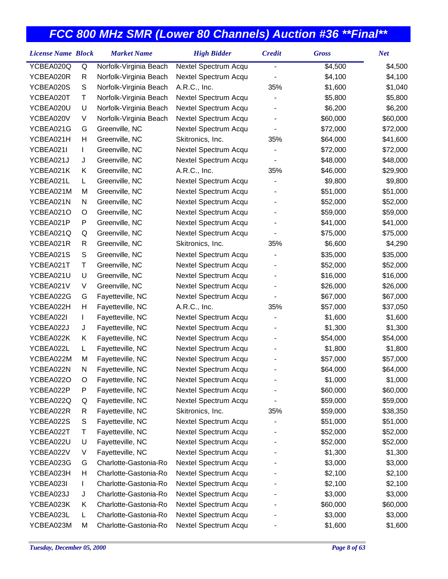| <b>License Name Block</b> |    | <b>Market Name</b>     | <b>High Bidder</b>   | <b>Credit</b>  | <b>Gross</b> | <b>Net</b> |
|---------------------------|----|------------------------|----------------------|----------------|--------------|------------|
| YCBEA020Q                 | Q  | Norfolk-Virginia Beach | Nextel Spectrum Acqu | $\overline{a}$ | \$4,500      | \$4,500    |
| YCBEA020R                 | R  | Norfolk-Virginia Beach | Nextel Spectrum Acqu |                | \$4,100      | \$4,100    |
| YCBEA020S                 | S  | Norfolk-Virginia Beach | A.R.C., Inc.         | 35%            | \$1,600      | \$1,040    |
| YCBEA020T                 | Τ  | Norfolk-Virginia Beach | Nextel Spectrum Acqu |                | \$5,800      | \$5,800    |
| YCBEA020U                 | U  | Norfolk-Virginia Beach | Nextel Spectrum Acqu |                | \$6,200      | \$6,200    |
| YCBEA020V                 | V  | Norfolk-Virginia Beach | Nextel Spectrum Acqu |                | \$60,000     | \$60,000   |
| YCBEA021G                 | G  | Greenville, NC         | Nextel Spectrum Acqu |                | \$72,000     | \$72,000   |
| YCBEA021H                 | Н  | Greenville, NC         | Skitronics, Inc.     | 35%            | \$64,000     | \$41,600   |
| YCBEA021I                 | L  | Greenville, NC         | Nextel Spectrum Acqu |                | \$72,000     | \$72,000   |
| YCBEA021J                 | J  | Greenville, NC         | Nextel Spectrum Acqu |                | \$48,000     | \$48,000   |
| YCBEA021K                 | Κ  | Greenville, NC         | A.R.C., Inc.         | 35%            | \$46,000     | \$29,900   |
| YCBEA021L                 | L. | Greenville, NC         | Nextel Spectrum Acqu |                | \$9,800      | \$9,800    |
| YCBEA021M                 | M  | Greenville, NC         | Nextel Spectrum Acqu |                | \$51,000     | \$51,000   |
| YCBEA021N                 | N  | Greenville, NC         | Nextel Spectrum Acqu |                | \$52,000     | \$52,000   |
| YCBEA021O                 | O  | Greenville, NC         | Nextel Spectrum Acqu |                | \$59,000     | \$59,000   |
| YCBEA021P                 | P  | Greenville, NC         | Nextel Spectrum Acqu |                | \$41,000     | \$41,000   |
| YCBEA021Q                 | Q  | Greenville, NC         | Nextel Spectrum Acqu |                | \$75,000     | \$75,000   |
| YCBEA021R                 | R  | Greenville, NC         | Skitronics, Inc.     | 35%            | \$6,600      | \$4,290    |
| YCBEA021S                 | S  | Greenville, NC         | Nextel Spectrum Acqu |                | \$35,000     | \$35,000   |
| YCBEA021T                 | Τ  | Greenville, NC         | Nextel Spectrum Acqu |                | \$52,000     | \$52,000   |
| YCBEA021U                 | U  | Greenville, NC         | Nextel Spectrum Acqu |                | \$16,000     | \$16,000   |
| YCBEA021V                 | V  | Greenville, NC         | Nextel Spectrum Acqu |                | \$26,000     | \$26,000   |
| YCBEA022G                 | G  | Fayetteville, NC       | Nextel Spectrum Acqu |                | \$67,000     | \$67,000   |
| YCBEA022H                 | Н  | Fayetteville, NC       | A.R.C., Inc.         | 35%            | \$57,000     | \$37,050   |
| YCBEA022I                 | L  | Fayetteville, NC       | Nextel Spectrum Acqu |                | \$1,600      | \$1,600    |
| YCBEA022J                 | J  | Fayetteville, NC       | Nextel Spectrum Acqu |                | \$1,300      | \$1,300    |
| YCBEA022K                 | Κ  | Fayetteville, NC       | Nextel Spectrum Acqu |                | \$54,000     | \$54,000   |
| YCBEA022L                 | L  | Fayetteville, NC       | Nextel Spectrum Acqu |                | \$1,800      | \$1,800    |
| YCBEA022M                 | M  | Fayetteville, NC       | Nextel Spectrum Acqu |                | \$57,000     | \$57,000   |
| YCBEA022N                 | N  | Fayetteville, NC       | Nextel Spectrum Acqu |                | \$64,000     | \$64,000   |
| YCBEA022O                 | O  | Fayetteville, NC       | Nextel Spectrum Acqu |                | \$1,000      | \$1,000    |
| YCBEA022P                 | Ρ  | Fayetteville, NC       | Nextel Spectrum Acqu |                | \$60,000     | \$60,000   |
| YCBEA022Q                 | Q  | Fayetteville, NC       | Nextel Spectrum Acqu |                | \$59,000     | \$59,000   |
| YCBEA022R                 | R  | Fayetteville, NC       | Skitronics, Inc.     | 35%            | \$59,000     | \$38,350   |
| YCBEA022S                 | S  | Fayetteville, NC       | Nextel Spectrum Acqu |                | \$51,000     | \$51,000   |
| YCBEA022T                 | Т  | Fayetteville, NC       | Nextel Spectrum Acqu |                | \$52,000     | \$52,000   |
| YCBEA022U                 | U  | Fayetteville, NC       | Nextel Spectrum Acqu |                | \$52,000     | \$52,000   |
| YCBEA022V                 | V  | Fayetteville, NC       | Nextel Spectrum Acqu |                | \$1,300      | \$1,300    |
| YCBEA023G                 | G  | Charlotte-Gastonia-Ro  | Nextel Spectrum Acqu |                | \$3,000      | \$3,000    |
| YCBEA023H                 | Н  | Charlotte-Gastonia-Ro  | Nextel Spectrum Acqu |                | \$2,100      | \$2,100    |
| YCBEA023I                 | L  | Charlotte-Gastonia-Ro  | Nextel Spectrum Acqu |                | \$2,100      | \$2,100    |
| YCBEA023J                 | J  | Charlotte-Gastonia-Ro  | Nextel Spectrum Acqu |                | \$3,000      | \$3,000    |
| YCBEA023K                 | Κ  | Charlotte-Gastonia-Ro  | Nextel Spectrum Acqu |                | \$60,000     | \$60,000   |
| YCBEA023L                 | L  | Charlotte-Gastonia-Ro  | Nextel Spectrum Acqu |                | \$3,000      | \$3,000    |
| YCBEA023M                 | M  | Charlotte-Gastonia-Ro  | Nextel Spectrum Acqu |                | \$1,600      | \$1,600    |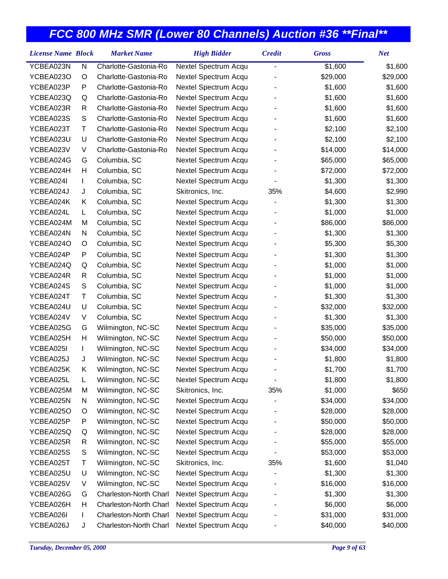| YCBEA023N<br>N<br>Charlotte-Gastonia-Ro<br>Nextel Spectrum Acqu<br>\$1,600<br>-<br>YCBEA023O<br>Charlotte-Gastonia-Ro<br>Nextel Spectrum Acqu<br>\$29,000<br>O | \$1,600<br>\$29,000<br>\$1,600 |
|----------------------------------------------------------------------------------------------------------------------------------------------------------------|--------------------------------|
|                                                                                                                                                                |                                |
|                                                                                                                                                                |                                |
| YCBEA023P<br>P<br>Charlotte-Gastonia-Ro<br>Nextel Spectrum Acqu<br>\$1,600                                                                                     |                                |
| YCBEA023Q<br>Charlotte-Gastonia-Ro<br>Nextel Spectrum Acqu<br>\$1,600<br>Q                                                                                     | \$1,600                        |
| YCBEA023R<br>Charlotte-Gastonia-Ro<br>Nextel Spectrum Acqu<br>\$1,600<br>R                                                                                     | \$1,600                        |
| S<br>YCBEA023S<br>Charlotte-Gastonia-Ro<br>Nextel Spectrum Acqu<br>\$1,600                                                                                     | \$1,600                        |
| YCBEA023T<br>Τ<br>Charlotte-Gastonia-Ro<br>Nextel Spectrum Acqu<br>\$2,100                                                                                     | \$2,100                        |
| YCBEA023U<br>U<br>Charlotte-Gastonia-Ro<br>Nextel Spectrum Acqu<br>\$2,100                                                                                     | \$2,100                        |
| YCBEA023V<br>V<br>Charlotte-Gastonia-Ro<br>Nextel Spectrum Acqu<br>\$14,000                                                                                    | \$14,000                       |
| YCBEA024G<br>G<br>Columbia, SC<br>Nextel Spectrum Acqu<br>\$65,000                                                                                             | \$65,000                       |
| YCBEA024H<br>Н<br>Columbia, SC<br>Nextel Spectrum Acqu<br>\$72,000                                                                                             | \$72,000                       |
| YCBEA024I<br>Columbia, SC<br>Nextel Spectrum Acqu<br>\$1,300<br>L                                                                                              | \$1,300                        |
| YCBEA024J<br>J<br>Columbia, SC<br>Skitronics, Inc.<br>35%<br>\$4,600                                                                                           | \$2,990                        |
| YCBEA024K<br>Κ<br>Columbia, SC<br>Nextel Spectrum Acqu<br>\$1,300                                                                                              | \$1,300                        |
| YCBEA024L<br>Columbia, SC<br>Nextel Spectrum Acqu<br>\$1,000<br>L                                                                                              | \$1,000                        |
| YCBEA024M<br>Columbia, SC<br>Nextel Spectrum Acqu<br>\$86,000<br>M                                                                                             | \$86,000                       |
| YCBEA024N<br>Columbia, SC<br>Nextel Spectrum Acqu<br>\$1,300<br>N                                                                                              | \$1,300                        |
| YCBEA024O<br>Columbia, SC<br>Nextel Spectrum Acqu<br>\$5,300<br>O                                                                                              | \$5,300                        |
| P<br>Columbia, SC<br>YCBEA024P<br>Nextel Spectrum Acqu<br>\$1,300                                                                                              | \$1,300                        |
| YCBEA024Q<br>Columbia, SC<br>Nextel Spectrum Acqu<br>\$1,000<br>Q                                                                                              | \$1,000                        |
| YCBEA024R<br>Columbia, SC<br>Nextel Spectrum Acqu<br>\$1,000<br>R                                                                                              | \$1,000                        |
| ${\mathsf S}$<br>YCBEA024S<br>Columbia, SC<br>Nextel Spectrum Acqu<br>\$1,000                                                                                  | \$1,000                        |
| YCBEA024T<br>Τ<br>Columbia, SC<br>Nextel Spectrum Acqu<br>\$1,300                                                                                              | \$1,300                        |
| U<br>YCBEA024U<br>Columbia, SC<br>Nextel Spectrum Acqu<br>\$32,000                                                                                             | \$32,000                       |
| YCBEA024V<br>V<br>Columbia, SC<br>Nextel Spectrum Acqu<br>\$1,300                                                                                              | \$1,300                        |
| YCBEA025G<br>G<br>Wilmington, NC-SC<br>Nextel Spectrum Acqu<br>\$35,000                                                                                        | \$35,000                       |
| Н<br>YCBEA025H<br>Wilmington, NC-SC<br>Nextel Spectrum Acqu<br>\$50,000                                                                                        | \$50,000                       |
| YCBEA025I<br>Wilmington, NC-SC<br>Nextel Spectrum Acqu<br>\$34,000<br>L                                                                                        | \$34,000                       |
| YCBEA025J<br>J<br>Wilmington, NC-SC<br>Nextel Spectrum Acqu<br>\$1,800                                                                                         | \$1,800                        |
| Κ<br>YCBEA025K<br>Wilmington, NC-SC<br>Nextel Spectrum Acqu<br>\$1,700                                                                                         | \$1,700                        |
| YCBEA025L<br>L<br>Nextel Spectrum Acqu<br>\$1,800<br>Wilmington, NC-SC                                                                                         | \$1,800                        |
| YCBEA025M<br>Wilmington, NC-SC<br>35%<br>\$1,000<br>M<br>Skitronics, Inc.                                                                                      | \$650                          |
| Wilmington, NC-SC<br>Nextel Spectrum Acqu<br>YCBEA025N<br>N<br>\$34,000                                                                                        | \$34,000                       |
| Wilmington, NC-SC<br>Nextel Spectrum Acqu<br>YCBEA025O<br>O<br>\$28,000                                                                                        | \$28,000                       |
| P<br>Wilmington, NC-SC<br>Nextel Spectrum Acqu<br>YCBEA025P<br>\$50,000                                                                                        | \$50,000                       |
| YCBEA025Q<br>Wilmington, NC-SC<br>Nextel Spectrum Acqu<br>Q<br>\$28,000                                                                                        | \$28,000                       |
| Wilmington, NC-SC<br>Nextel Spectrum Acqu<br>YCBEA025R<br>\$55,000<br>R                                                                                        | \$55,000                       |
| S<br>Wilmington, NC-SC<br>Nextel Spectrum Acqu<br>YCBEA025S<br>\$53,000                                                                                        | \$53,000                       |
| Τ<br>Wilmington, NC-SC<br>Skitronics, Inc.<br>35%<br>\$1,600<br>YCBEA025T                                                                                      | \$1,040                        |
| U<br>Wilmington, NC-SC<br>Nextel Spectrum Acqu<br>YCBEA025U<br>\$1,300                                                                                         | \$1,300                        |
| YCBEA025V<br>Wilmington, NC-SC<br>Nextel Spectrum Acqu<br>V<br>\$16,000                                                                                        | \$16,000                       |
| Charleston-North Charl<br>Nextel Spectrum Acqu<br>YCBEA026G<br>\$1,300<br>G                                                                                    | \$1,300                        |
| Charleston-North Charl<br>Nextel Spectrum Acqu<br>\$6,000<br>YCBEA026H<br>н                                                                                    | \$6,000                        |
| YCBEA026I<br>Charleston-North Charl<br>Nextel Spectrum Acqu<br>\$31,000<br>L                                                                                   | \$31,000                       |
| YCBEA026J<br>Charleston-North Charl<br>Nextel Spectrum Acqu<br>\$40,000<br>J                                                                                   | \$40,000                       |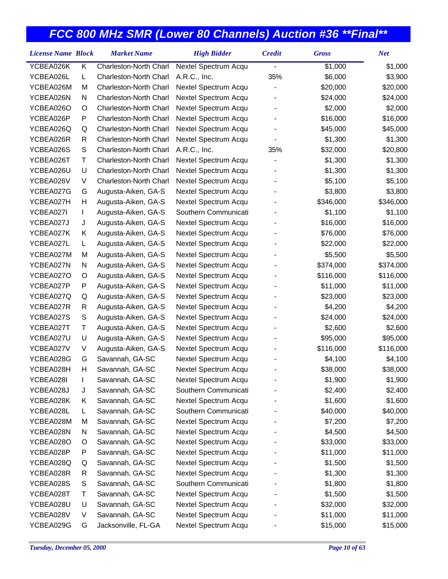| <b>License Name Block</b> |   | <b>Market Name</b>     | <b>High Bidder</b>   | <b>Credit</b> | <b>Gross</b> | <b>Net</b> |
|---------------------------|---|------------------------|----------------------|---------------|--------------|------------|
| YCBEA026K                 | Κ | Charleston-North Charl | Nextel Spectrum Acqu |               | \$1,000      | \$1,000    |
| YCBEA026L                 | L | Charleston-North Charl | A.R.C., Inc.         | 35%           | \$6,000      | \$3,900    |
| YCBEA026M                 | M | Charleston-North Charl | Nextel Spectrum Acqu |               | \$20,000     | \$20,000   |
| YCBEA026N                 | N | Charleston-North Charl | Nextel Spectrum Acqu |               | \$24,000     | \$24,000   |
| YCBEA026O                 | O | Charleston-North Charl | Nextel Spectrum Acqu |               | \$2,000      | \$2,000    |
| YCBEA026P                 | Ρ | Charleston-North Charl | Nextel Spectrum Acqu |               | \$16,000     | \$16,000   |
| YCBEA026Q                 | Q | Charleston-North Charl | Nextel Spectrum Acqu |               | \$45,000     | \$45,000   |
| YCBEA026R                 | R | Charleston-North Charl | Nextel Spectrum Acqu |               | \$1,300      | \$1,300    |
| YCBEA026S                 | S | Charleston-North Charl | A.R.C., Inc.         | 35%           | \$32,000     | \$20,800   |
| YCBEA026T                 | Τ | Charleston-North Charl | Nextel Spectrum Acqu |               | \$1,300      | \$1,300    |
| YCBEA026U                 | U | Charleston-North Charl | Nextel Spectrum Acqu |               | \$1,300      | \$1,300    |
| YCBEA026V                 | V | Charleston-North Charl | Nextel Spectrum Acqu |               | \$5,100      | \$5,100    |
| YCBEA027G                 | G | Augusta-Aiken, GA-S    | Nextel Spectrum Acqu |               | \$3,800      | \$3,800    |
| YCBEA027H                 | Η | Augusta-Aiken, GA-S    | Nextel Spectrum Acqu |               | \$346,000    | \$346,000  |
| YCBEA027I                 | L | Augusta-Aiken, GA-S    | Southern Communicati |               | \$1,100      | \$1,100    |
| YCBEA027J                 | J | Augusta-Aiken, GA-S    | Nextel Spectrum Acqu |               | \$16,000     | \$16,000   |
| YCBEA027K                 | Κ | Augusta-Aiken, GA-S    | Nextel Spectrum Acqu |               | \$76,000     | \$76,000   |
| YCBEA027L                 | L | Augusta-Aiken, GA-S    | Nextel Spectrum Acqu |               | \$22,000     | \$22,000   |
| YCBEA027M                 | M | Augusta-Aiken, GA-S    | Nextel Spectrum Acqu |               | \$5,500      | \$5,500    |
| YCBEA027N                 | N | Augusta-Aiken, GA-S    | Nextel Spectrum Acqu |               | \$374,000    | \$374,000  |
| YCBEA027O                 | O | Augusta-Aiken, GA-S    | Nextel Spectrum Acqu |               | \$116,000    | \$116,000  |
| YCBEA027P                 | P | Augusta-Aiken, GA-S    | Nextel Spectrum Acqu |               | \$11,000     | \$11,000   |
| YCBEA027Q                 | Q | Augusta-Aiken, GA-S    | Nextel Spectrum Acqu |               | \$23,000     | \$23,000   |
| YCBEA027R                 | R | Augusta-Aiken, GA-S    | Nextel Spectrum Acqu |               | \$4,200      | \$4,200    |
| YCBEA027S                 | S | Augusta-Aiken, GA-S    | Nextel Spectrum Acqu |               | \$24,000     | \$24,000   |
| YCBEA027T                 | Τ | Augusta-Aiken, GA-S    | Nextel Spectrum Acqu |               | \$2,600      | \$2,600    |
| YCBEA027U                 | U | Augusta-Aiken, GA-S    | Nextel Spectrum Acqu |               | \$95,000     | \$95,000   |
| YCBEA027V                 | V | Augusta-Aiken, GA-S    | Nextel Spectrum Acqu |               | \$116,000    | \$116,000  |
| YCBEA028G                 | G | Savannah, GA-SC        | Nextel Spectrum Acqu |               | \$4,100      | \$4,100    |
| YCBEA028H                 | Η | Savannah, GA-SC        | Nextel Spectrum Acqu |               | \$38,000     | \$38,000   |
| YCBEA028I                 | L | Savannah, GA-SC        | Nextel Spectrum Acqu |               | \$1,900      | \$1,900    |
| YCBEA028J                 | J | Savannah, GA-SC        | Southern Communicati |               | \$2,400      | \$2,400    |
| YCBEA028K                 | Κ | Savannah, GA-SC        | Nextel Spectrum Acqu |               | \$1,600      | \$1,600    |
| YCBEA028L                 | L | Savannah, GA-SC        | Southern Communicati |               | \$40,000     | \$40,000   |
| YCBEA028M                 | M | Savannah, GA-SC        | Nextel Spectrum Acqu |               | \$7,200      | \$7,200    |
| YCBEA028N                 | N | Savannah, GA-SC        | Nextel Spectrum Acqu |               | \$4,500      | \$4,500    |
| YCBEA028O                 | O | Savannah, GA-SC        | Nextel Spectrum Acqu |               | \$33,000     | \$33,000   |
| YCBEA028P                 | Ρ | Savannah, GA-SC        | Nextel Spectrum Acqu |               | \$11,000     | \$11,000   |
| YCBEA028Q                 | Q | Savannah, GA-SC        | Nextel Spectrum Acqu |               | \$1,500      | \$1,500    |
| YCBEA028R                 | R | Savannah, GA-SC        | Nextel Spectrum Acqu |               | \$1,300      | \$1,300    |
| YCBEA028S                 | S | Savannah, GA-SC        | Southern Communicati |               | \$1,800      | \$1,800    |
| YCBEA028T                 | Т | Savannah, GA-SC        | Nextel Spectrum Acqu |               | \$1,500      | \$1,500    |
| YCBEA028U                 | U | Savannah, GA-SC        | Nextel Spectrum Acqu |               | \$32,000     | \$32,000   |
| YCBEA028V                 | V | Savannah, GA-SC        | Nextel Spectrum Acqu |               | \$11,000     | \$11,000   |
| YCBEA029G                 | G | Jacksonville, FL-GA    | Nextel Spectrum Acqu |               | \$15,000     | \$15,000   |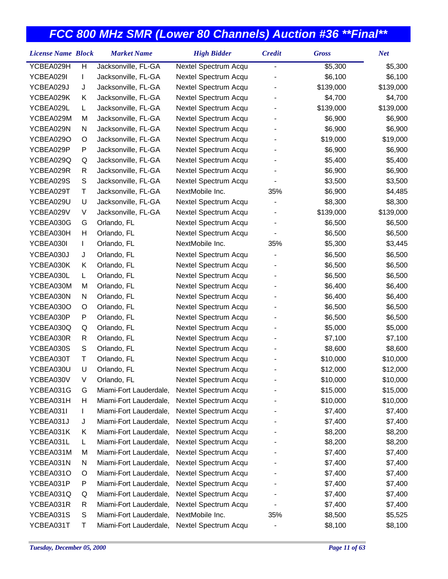| <b>License Name Block</b> |   | <b>Market Name</b>     | <b>High Bidder</b>   | <b>Credit</b>  | <b>Gross</b> | <b>Net</b> |
|---------------------------|---|------------------------|----------------------|----------------|--------------|------------|
| YCBEA029H                 | H | Jacksonville, FL-GA    | Nextel Spectrum Acqu | $\overline{a}$ | \$5,300      | \$5,300    |
| YCBEA029I                 | L | Jacksonville, FL-GA    | Nextel Spectrum Acqu |                | \$6,100      | \$6,100    |
| YCBEA029J                 | J | Jacksonville, FL-GA    | Nextel Spectrum Acqu |                | \$139,000    | \$139,000  |
| YCBEA029K                 | Κ | Jacksonville, FL-GA    | Nextel Spectrum Acqu |                | \$4,700      | \$4,700    |
| YCBEA029L                 | L | Jacksonville, FL-GA    | Nextel Spectrum Acqu |                | \$139,000    | \$139,000  |
| YCBEA029M                 | M | Jacksonville, FL-GA    | Nextel Spectrum Acqu |                | \$6,900      | \$6,900    |
| YCBEA029N                 | N | Jacksonville, FL-GA    | Nextel Spectrum Acqu |                | \$6,900      | \$6,900    |
| YCBEA029O                 | O | Jacksonville, FL-GA    | Nextel Spectrum Acqu |                | \$19,000     | \$19,000   |
| YCBEA029P                 | P | Jacksonville, FL-GA    | Nextel Spectrum Acqu |                | \$6,900      | \$6,900    |
| YCBEA029Q                 | Q | Jacksonville, FL-GA    | Nextel Spectrum Acqu |                | \$5,400      | \$5,400    |
| YCBEA029R                 | R | Jacksonville, FL-GA    | Nextel Spectrum Acqu |                | \$6,900      | \$6,900    |
| YCBEA029S                 | S | Jacksonville, FL-GA    | Nextel Spectrum Acqu |                | \$3,500      | \$3,500    |
| YCBEA029T                 | Τ | Jacksonville, FL-GA    | NextMobile Inc.      | 35%            | \$6,900      | \$4,485    |
| YCBEA029U                 | U | Jacksonville, FL-GA    | Nextel Spectrum Acqu |                | \$8,300      | \$8,300    |
| YCBEA029V                 | V | Jacksonville, FL-GA    | Nextel Spectrum Acqu |                | \$139,000    | \$139,000  |
| YCBEA030G                 | G | Orlando, FL            | Nextel Spectrum Acqu |                | \$6,500      | \$6,500    |
| YCBEA030H                 | Н | Orlando, FL            | Nextel Spectrum Acqu |                | \$6,500      | \$6,500    |
| YCBEA030I                 | L | Orlando, FL            | NextMobile Inc.      | 35%            | \$5,300      | \$3,445    |
| YCBEA030J                 | J | Orlando, FL            | Nextel Spectrum Acqu |                | \$6,500      | \$6,500    |
| YCBEA030K                 | Κ | Orlando, FL            | Nextel Spectrum Acqu |                | \$6,500      | \$6,500    |
| YCBEA030L                 | L | Orlando, FL            | Nextel Spectrum Acqu |                | \$6,500      | \$6,500    |
| YCBEA030M                 | M | Orlando, FL            | Nextel Spectrum Acqu |                | \$6,400      | \$6,400    |
| YCBEA030N                 | N | Orlando, FL            | Nextel Spectrum Acqu |                | \$6,400      | \$6,400    |
| YCBEA030O                 | O | Orlando, FL            | Nextel Spectrum Acqu |                | \$6,500      | \$6,500    |
| YCBEA030P                 | P | Orlando, FL            | Nextel Spectrum Acqu |                | \$6,500      | \$6,500    |
| YCBEA030Q                 | Q | Orlando, FL            | Nextel Spectrum Acqu |                | \$5,000      | \$5,000    |
| YCBEA030R                 | R | Orlando, FL            | Nextel Spectrum Acqu |                | \$7,100      | \$7,100    |
| YCBEA030S                 | S | Orlando, FL            | Nextel Spectrum Acqu |                | \$8,600      | \$8,600    |
| YCBEA030T                 | Τ | Orlando, FL            | Nextel Spectrum Acqu |                | \$10,000     | \$10,000   |
| YCBEA030U                 | U | Orlando, FL            | Nextel Spectrum Acqu |                | \$12,000     | \$12,000   |
| YCBEA030V                 | V | Orlando, FL            | Nextel Spectrum Acqu |                | \$10,000     | \$10,000   |
| YCBEA031G                 | G | Miami-Fort Lauderdale, | Nextel Spectrum Acqu |                | \$15,000     | \$15,000   |
| YCBEA031H                 | н | Miami-Fort Lauderdale, | Nextel Spectrum Acqu |                | \$10,000     | \$10,000   |
| YCBEA031I                 | L | Miami-Fort Lauderdale, | Nextel Spectrum Acqu |                | \$7,400      | \$7,400    |
| YCBEA031J                 | J | Miami-Fort Lauderdale, | Nextel Spectrum Acqu |                | \$7,400      | \$7,400    |
| YCBEA031K                 | Κ | Miami-Fort Lauderdale, | Nextel Spectrum Acqu |                | \$8,200      | \$8,200    |
| YCBEA031L                 | L | Miami-Fort Lauderdale, | Nextel Spectrum Acqu |                | \$8,200      | \$8,200    |
| YCBEA031M                 | M | Miami-Fort Lauderdale, | Nextel Spectrum Acqu |                | \$7,400      | \$7,400    |
| YCBEA031N                 | N | Miami-Fort Lauderdale, | Nextel Spectrum Acqu |                | \$7,400      | \$7,400    |
| YCBEA031O                 | O | Miami-Fort Lauderdale, | Nextel Spectrum Acqu |                | \$7,400      | \$7,400    |
| YCBEA031P                 | P | Miami-Fort Lauderdale, | Nextel Spectrum Acqu |                | \$7,400      | \$7,400    |
| YCBEA031Q                 | Q | Miami-Fort Lauderdale, | Nextel Spectrum Acqu |                | \$7,400      | \$7,400    |
| YCBEA031R                 | R | Miami-Fort Lauderdale, | Nextel Spectrum Acqu |                | \$7,400      | \$7,400    |
| YCBEA031S                 | S | Miami-Fort Lauderdale, | NextMobile Inc.      | 35%            | \$8,500      | \$5,525    |
| YCBEA031T                 | Т | Miami-Fort Lauderdale, | Nextel Spectrum Acqu |                | \$8,100      | \$8,100    |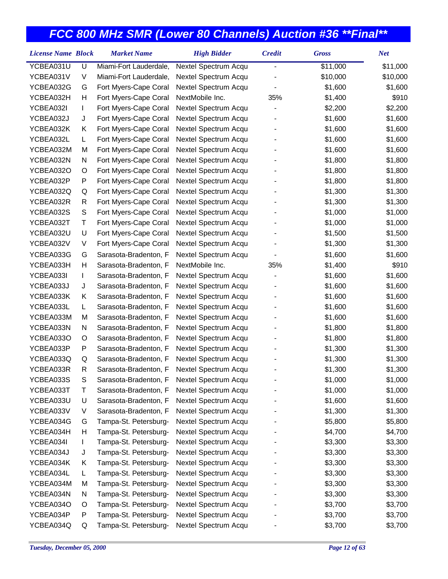| YCBEA031U<br>U<br>Miami-Fort Lauderdale,<br>Nextel Spectrum Acqu<br>\$11,000<br>\$11,000<br>-<br>\$10,000<br>YCBEA031V<br>V<br>Miami-Fort Lauderdale,<br>Nextel Spectrum Acqu<br>\$10,000<br>YCBEA032G<br>Fort Myers-Cape Coral<br>Nextel Spectrum Acqu<br>\$1,600<br>\$1,600<br>G<br>YCBEA032H<br>Fort Myers-Cape Coral<br>NextMobile Inc.<br>35%<br>\$1,400<br>\$910<br>н<br>\$2,200<br>YCBEA032I<br>Fort Myers-Cape Coral<br>Nextel Spectrum Acqu<br>\$2,200<br>L<br>YCBEA032J<br>Fort Myers-Cape Coral<br>Nextel Spectrum Acqu<br>\$1,600<br>\$1,600<br>J<br>YCBEA032K<br>Fort Myers-Cape Coral<br>Nextel Spectrum Acqu<br>\$1,600<br>\$1,600<br>Κ<br>YCBEA032L<br>Fort Myers-Cape Coral<br>Nextel Spectrum Acqu<br>\$1,600<br>\$1,600<br>L<br>YCBEA032M<br>M<br>Fort Myers-Cape Coral<br>Nextel Spectrum Acqu<br>\$1,600<br>\$1,600<br>\$1,800<br>YCBEA032N<br>Fort Myers-Cape Coral<br>Nextel Spectrum Acqu<br>\$1,800<br>N<br>YCBEA032O<br>Fort Myers-Cape Coral<br>Nextel Spectrum Acqu<br>\$1,800<br>\$1,800<br>O<br>YCBEA032P<br>P<br>Fort Myers-Cape Coral<br>Nextel Spectrum Acqu<br>\$1,800<br>\$1,800<br>YCBEA032Q<br>Fort Myers-Cape Coral<br>Nextel Spectrum Acqu<br>\$1,300<br>\$1,300<br>Q<br>YCBEA032R<br>R<br>Fort Myers-Cape Coral<br>Nextel Spectrum Acqu<br>\$1,300<br>\$1,300<br>S<br>\$1,000<br>\$1,000<br>YCBEA032S<br>Fort Myers-Cape Coral<br>Nextel Spectrum Acqu<br>YCBEA032T<br>Nextel Spectrum Acqu<br>\$1,000<br>\$1,000<br>Т<br>Fort Myers-Cape Coral<br>YCBEA032U<br>U<br>Fort Myers-Cape Coral<br>Nextel Spectrum Acqu<br>\$1,500<br>\$1,500<br>YCBEA032V<br>V<br>Fort Myers-Cape Coral<br>Nextel Spectrum Acqu<br>\$1,300<br>\$1,300<br>YCBEA033G<br>Nextel Spectrum Acqu<br>\$1,600<br>\$1,600<br>G<br>Sarasota-Bradenton, F<br>YCBEA033H<br>Н<br>Sarasota-Bradenton, F<br>NextMobile Inc.<br>35%<br>\$1,400<br>\$910<br>YCBEA033I<br>Nextel Spectrum Acqu<br>\$1,600<br>\$1,600<br>Sarasota-Bradenton, F<br>L<br>YCBEA033J<br>Sarasota-Bradenton, F<br>Nextel Spectrum Acqu<br>\$1,600<br>\$1,600<br>J<br>YCBEA033K<br>Κ<br>Sarasota-Bradenton, F<br>Nextel Spectrum Acqu<br>\$1,600<br>\$1,600<br>YCBEA033L<br>Sarasota-Bradenton, F<br>Nextel Spectrum Acqu<br>\$1,600<br>\$1,600<br>L<br>YCBEA033M<br>Sarasota-Bradenton, F<br>Nextel Spectrum Acqu<br>\$1,600<br>\$1,600<br>M<br>YCBEA033N<br>Sarasota-Bradenton, F<br>Nextel Spectrum Acqu<br>\$1,800<br>\$1,800<br>N<br>YCBEA033O<br>Nextel Spectrum Acqu<br>\$1,800<br>\$1,800<br>O<br>Sarasota-Bradenton, F<br>YCBEA033P<br>P<br>Sarasota-Bradenton, F<br>Nextel Spectrum Acqu<br>\$1,300<br>\$1,300<br>YCBEA033Q<br>Nextel Spectrum Acqu<br>\$1,300<br>\$1,300<br>Q<br>Sarasota-Bradenton, F<br>YCBEA033R<br>R<br>Sarasota-Bradenton, F<br>Nextel Spectrum Acqu<br>\$1,300<br>\$1,300 |
|---------------------------------------------------------------------------------------------------------------------------------------------------------------------------------------------------------------------------------------------------------------------------------------------------------------------------------------------------------------------------------------------------------------------------------------------------------------------------------------------------------------------------------------------------------------------------------------------------------------------------------------------------------------------------------------------------------------------------------------------------------------------------------------------------------------------------------------------------------------------------------------------------------------------------------------------------------------------------------------------------------------------------------------------------------------------------------------------------------------------------------------------------------------------------------------------------------------------------------------------------------------------------------------------------------------------------------------------------------------------------------------------------------------------------------------------------------------------------------------------------------------------------------------------------------------------------------------------------------------------------------------------------------------------------------------------------------------------------------------------------------------------------------------------------------------------------------------------------------------------------------------------------------------------------------------------------------------------------------------------------------------------------------------------------------------------------------------------------------------------------------------------------------------------------------------------------------------------------------------------------------------------------------------------------------------------------------------------------------------------------------------------------------------------------------------------------------------------------------------------------------------------------------------------------------------------------------------------------------------------------------------------------------------------------------------------------------------------------------------------------------------------------------------|
|                                                                                                                                                                                                                                                                                                                                                                                                                                                                                                                                                                                                                                                                                                                                                                                                                                                                                                                                                                                                                                                                                                                                                                                                                                                                                                                                                                                                                                                                                                                                                                                                                                                                                                                                                                                                                                                                                                                                                                                                                                                                                                                                                                                                                                                                                                                                                                                                                                                                                                                                                                                                                                                                                                                                                                                       |
|                                                                                                                                                                                                                                                                                                                                                                                                                                                                                                                                                                                                                                                                                                                                                                                                                                                                                                                                                                                                                                                                                                                                                                                                                                                                                                                                                                                                                                                                                                                                                                                                                                                                                                                                                                                                                                                                                                                                                                                                                                                                                                                                                                                                                                                                                                                                                                                                                                                                                                                                                                                                                                                                                                                                                                                       |
|                                                                                                                                                                                                                                                                                                                                                                                                                                                                                                                                                                                                                                                                                                                                                                                                                                                                                                                                                                                                                                                                                                                                                                                                                                                                                                                                                                                                                                                                                                                                                                                                                                                                                                                                                                                                                                                                                                                                                                                                                                                                                                                                                                                                                                                                                                                                                                                                                                                                                                                                                                                                                                                                                                                                                                                       |
|                                                                                                                                                                                                                                                                                                                                                                                                                                                                                                                                                                                                                                                                                                                                                                                                                                                                                                                                                                                                                                                                                                                                                                                                                                                                                                                                                                                                                                                                                                                                                                                                                                                                                                                                                                                                                                                                                                                                                                                                                                                                                                                                                                                                                                                                                                                                                                                                                                                                                                                                                                                                                                                                                                                                                                                       |
|                                                                                                                                                                                                                                                                                                                                                                                                                                                                                                                                                                                                                                                                                                                                                                                                                                                                                                                                                                                                                                                                                                                                                                                                                                                                                                                                                                                                                                                                                                                                                                                                                                                                                                                                                                                                                                                                                                                                                                                                                                                                                                                                                                                                                                                                                                                                                                                                                                                                                                                                                                                                                                                                                                                                                                                       |
|                                                                                                                                                                                                                                                                                                                                                                                                                                                                                                                                                                                                                                                                                                                                                                                                                                                                                                                                                                                                                                                                                                                                                                                                                                                                                                                                                                                                                                                                                                                                                                                                                                                                                                                                                                                                                                                                                                                                                                                                                                                                                                                                                                                                                                                                                                                                                                                                                                                                                                                                                                                                                                                                                                                                                                                       |
|                                                                                                                                                                                                                                                                                                                                                                                                                                                                                                                                                                                                                                                                                                                                                                                                                                                                                                                                                                                                                                                                                                                                                                                                                                                                                                                                                                                                                                                                                                                                                                                                                                                                                                                                                                                                                                                                                                                                                                                                                                                                                                                                                                                                                                                                                                                                                                                                                                                                                                                                                                                                                                                                                                                                                                                       |
|                                                                                                                                                                                                                                                                                                                                                                                                                                                                                                                                                                                                                                                                                                                                                                                                                                                                                                                                                                                                                                                                                                                                                                                                                                                                                                                                                                                                                                                                                                                                                                                                                                                                                                                                                                                                                                                                                                                                                                                                                                                                                                                                                                                                                                                                                                                                                                                                                                                                                                                                                                                                                                                                                                                                                                                       |
|                                                                                                                                                                                                                                                                                                                                                                                                                                                                                                                                                                                                                                                                                                                                                                                                                                                                                                                                                                                                                                                                                                                                                                                                                                                                                                                                                                                                                                                                                                                                                                                                                                                                                                                                                                                                                                                                                                                                                                                                                                                                                                                                                                                                                                                                                                                                                                                                                                                                                                                                                                                                                                                                                                                                                                                       |
|                                                                                                                                                                                                                                                                                                                                                                                                                                                                                                                                                                                                                                                                                                                                                                                                                                                                                                                                                                                                                                                                                                                                                                                                                                                                                                                                                                                                                                                                                                                                                                                                                                                                                                                                                                                                                                                                                                                                                                                                                                                                                                                                                                                                                                                                                                                                                                                                                                                                                                                                                                                                                                                                                                                                                                                       |
|                                                                                                                                                                                                                                                                                                                                                                                                                                                                                                                                                                                                                                                                                                                                                                                                                                                                                                                                                                                                                                                                                                                                                                                                                                                                                                                                                                                                                                                                                                                                                                                                                                                                                                                                                                                                                                                                                                                                                                                                                                                                                                                                                                                                                                                                                                                                                                                                                                                                                                                                                                                                                                                                                                                                                                                       |
|                                                                                                                                                                                                                                                                                                                                                                                                                                                                                                                                                                                                                                                                                                                                                                                                                                                                                                                                                                                                                                                                                                                                                                                                                                                                                                                                                                                                                                                                                                                                                                                                                                                                                                                                                                                                                                                                                                                                                                                                                                                                                                                                                                                                                                                                                                                                                                                                                                                                                                                                                                                                                                                                                                                                                                                       |
|                                                                                                                                                                                                                                                                                                                                                                                                                                                                                                                                                                                                                                                                                                                                                                                                                                                                                                                                                                                                                                                                                                                                                                                                                                                                                                                                                                                                                                                                                                                                                                                                                                                                                                                                                                                                                                                                                                                                                                                                                                                                                                                                                                                                                                                                                                                                                                                                                                                                                                                                                                                                                                                                                                                                                                                       |
|                                                                                                                                                                                                                                                                                                                                                                                                                                                                                                                                                                                                                                                                                                                                                                                                                                                                                                                                                                                                                                                                                                                                                                                                                                                                                                                                                                                                                                                                                                                                                                                                                                                                                                                                                                                                                                                                                                                                                                                                                                                                                                                                                                                                                                                                                                                                                                                                                                                                                                                                                                                                                                                                                                                                                                                       |
|                                                                                                                                                                                                                                                                                                                                                                                                                                                                                                                                                                                                                                                                                                                                                                                                                                                                                                                                                                                                                                                                                                                                                                                                                                                                                                                                                                                                                                                                                                                                                                                                                                                                                                                                                                                                                                                                                                                                                                                                                                                                                                                                                                                                                                                                                                                                                                                                                                                                                                                                                                                                                                                                                                                                                                                       |
|                                                                                                                                                                                                                                                                                                                                                                                                                                                                                                                                                                                                                                                                                                                                                                                                                                                                                                                                                                                                                                                                                                                                                                                                                                                                                                                                                                                                                                                                                                                                                                                                                                                                                                                                                                                                                                                                                                                                                                                                                                                                                                                                                                                                                                                                                                                                                                                                                                                                                                                                                                                                                                                                                                                                                                                       |
|                                                                                                                                                                                                                                                                                                                                                                                                                                                                                                                                                                                                                                                                                                                                                                                                                                                                                                                                                                                                                                                                                                                                                                                                                                                                                                                                                                                                                                                                                                                                                                                                                                                                                                                                                                                                                                                                                                                                                                                                                                                                                                                                                                                                                                                                                                                                                                                                                                                                                                                                                                                                                                                                                                                                                                                       |
|                                                                                                                                                                                                                                                                                                                                                                                                                                                                                                                                                                                                                                                                                                                                                                                                                                                                                                                                                                                                                                                                                                                                                                                                                                                                                                                                                                                                                                                                                                                                                                                                                                                                                                                                                                                                                                                                                                                                                                                                                                                                                                                                                                                                                                                                                                                                                                                                                                                                                                                                                                                                                                                                                                                                                                                       |
|                                                                                                                                                                                                                                                                                                                                                                                                                                                                                                                                                                                                                                                                                                                                                                                                                                                                                                                                                                                                                                                                                                                                                                                                                                                                                                                                                                                                                                                                                                                                                                                                                                                                                                                                                                                                                                                                                                                                                                                                                                                                                                                                                                                                                                                                                                                                                                                                                                                                                                                                                                                                                                                                                                                                                                                       |
|                                                                                                                                                                                                                                                                                                                                                                                                                                                                                                                                                                                                                                                                                                                                                                                                                                                                                                                                                                                                                                                                                                                                                                                                                                                                                                                                                                                                                                                                                                                                                                                                                                                                                                                                                                                                                                                                                                                                                                                                                                                                                                                                                                                                                                                                                                                                                                                                                                                                                                                                                                                                                                                                                                                                                                                       |
|                                                                                                                                                                                                                                                                                                                                                                                                                                                                                                                                                                                                                                                                                                                                                                                                                                                                                                                                                                                                                                                                                                                                                                                                                                                                                                                                                                                                                                                                                                                                                                                                                                                                                                                                                                                                                                                                                                                                                                                                                                                                                                                                                                                                                                                                                                                                                                                                                                                                                                                                                                                                                                                                                                                                                                                       |
|                                                                                                                                                                                                                                                                                                                                                                                                                                                                                                                                                                                                                                                                                                                                                                                                                                                                                                                                                                                                                                                                                                                                                                                                                                                                                                                                                                                                                                                                                                                                                                                                                                                                                                                                                                                                                                                                                                                                                                                                                                                                                                                                                                                                                                                                                                                                                                                                                                                                                                                                                                                                                                                                                                                                                                                       |
|                                                                                                                                                                                                                                                                                                                                                                                                                                                                                                                                                                                                                                                                                                                                                                                                                                                                                                                                                                                                                                                                                                                                                                                                                                                                                                                                                                                                                                                                                                                                                                                                                                                                                                                                                                                                                                                                                                                                                                                                                                                                                                                                                                                                                                                                                                                                                                                                                                                                                                                                                                                                                                                                                                                                                                                       |
|                                                                                                                                                                                                                                                                                                                                                                                                                                                                                                                                                                                                                                                                                                                                                                                                                                                                                                                                                                                                                                                                                                                                                                                                                                                                                                                                                                                                                                                                                                                                                                                                                                                                                                                                                                                                                                                                                                                                                                                                                                                                                                                                                                                                                                                                                                                                                                                                                                                                                                                                                                                                                                                                                                                                                                                       |
|                                                                                                                                                                                                                                                                                                                                                                                                                                                                                                                                                                                                                                                                                                                                                                                                                                                                                                                                                                                                                                                                                                                                                                                                                                                                                                                                                                                                                                                                                                                                                                                                                                                                                                                                                                                                                                                                                                                                                                                                                                                                                                                                                                                                                                                                                                                                                                                                                                                                                                                                                                                                                                                                                                                                                                                       |
|                                                                                                                                                                                                                                                                                                                                                                                                                                                                                                                                                                                                                                                                                                                                                                                                                                                                                                                                                                                                                                                                                                                                                                                                                                                                                                                                                                                                                                                                                                                                                                                                                                                                                                                                                                                                                                                                                                                                                                                                                                                                                                                                                                                                                                                                                                                                                                                                                                                                                                                                                                                                                                                                                                                                                                                       |
|                                                                                                                                                                                                                                                                                                                                                                                                                                                                                                                                                                                                                                                                                                                                                                                                                                                                                                                                                                                                                                                                                                                                                                                                                                                                                                                                                                                                                                                                                                                                                                                                                                                                                                                                                                                                                                                                                                                                                                                                                                                                                                                                                                                                                                                                                                                                                                                                                                                                                                                                                                                                                                                                                                                                                                                       |
|                                                                                                                                                                                                                                                                                                                                                                                                                                                                                                                                                                                                                                                                                                                                                                                                                                                                                                                                                                                                                                                                                                                                                                                                                                                                                                                                                                                                                                                                                                                                                                                                                                                                                                                                                                                                                                                                                                                                                                                                                                                                                                                                                                                                                                                                                                                                                                                                                                                                                                                                                                                                                                                                                                                                                                                       |
|                                                                                                                                                                                                                                                                                                                                                                                                                                                                                                                                                                                                                                                                                                                                                                                                                                                                                                                                                                                                                                                                                                                                                                                                                                                                                                                                                                                                                                                                                                                                                                                                                                                                                                                                                                                                                                                                                                                                                                                                                                                                                                                                                                                                                                                                                                                                                                                                                                                                                                                                                                                                                                                                                                                                                                                       |
|                                                                                                                                                                                                                                                                                                                                                                                                                                                                                                                                                                                                                                                                                                                                                                                                                                                                                                                                                                                                                                                                                                                                                                                                                                                                                                                                                                                                                                                                                                                                                                                                                                                                                                                                                                                                                                                                                                                                                                                                                                                                                                                                                                                                                                                                                                                                                                                                                                                                                                                                                                                                                                                                                                                                                                                       |
| YCBEA033S<br>S<br>\$1,000<br>\$1,000<br>Sarasota-Bradenton, F<br>Nextel Spectrum Acqu                                                                                                                                                                                                                                                                                                                                                                                                                                                                                                                                                                                                                                                                                                                                                                                                                                                                                                                                                                                                                                                                                                                                                                                                                                                                                                                                                                                                                                                                                                                                                                                                                                                                                                                                                                                                                                                                                                                                                                                                                                                                                                                                                                                                                                                                                                                                                                                                                                                                                                                                                                                                                                                                                                 |
| Nextel Spectrum Acqu<br>\$1,000<br>YCBEA033T<br>Τ<br>Sarasota-Bradenton, F<br>\$1,000                                                                                                                                                                                                                                                                                                                                                                                                                                                                                                                                                                                                                                                                                                                                                                                                                                                                                                                                                                                                                                                                                                                                                                                                                                                                                                                                                                                                                                                                                                                                                                                                                                                                                                                                                                                                                                                                                                                                                                                                                                                                                                                                                                                                                                                                                                                                                                                                                                                                                                                                                                                                                                                                                                 |
| U<br>Nextel Spectrum Acqu<br>YCBEA033U<br>Sarasota-Bradenton, F<br>\$1,600<br>\$1,600                                                                                                                                                                                                                                                                                                                                                                                                                                                                                                                                                                                                                                                                                                                                                                                                                                                                                                                                                                                                                                                                                                                                                                                                                                                                                                                                                                                                                                                                                                                                                                                                                                                                                                                                                                                                                                                                                                                                                                                                                                                                                                                                                                                                                                                                                                                                                                                                                                                                                                                                                                                                                                                                                                 |
| Sarasota-Bradenton, F<br>Nextel Spectrum Acqu<br>YCBEA033V<br>V<br>\$1,300<br>\$1,300                                                                                                                                                                                                                                                                                                                                                                                                                                                                                                                                                                                                                                                                                                                                                                                                                                                                                                                                                                                                                                                                                                                                                                                                                                                                                                                                                                                                                                                                                                                                                                                                                                                                                                                                                                                                                                                                                                                                                                                                                                                                                                                                                                                                                                                                                                                                                                                                                                                                                                                                                                                                                                                                                                 |
| YCBEA034G<br>Tampa-St. Petersburg-<br>Nextel Spectrum Acqu<br>G<br>\$5,800<br>\$5,800                                                                                                                                                                                                                                                                                                                                                                                                                                                                                                                                                                                                                                                                                                                                                                                                                                                                                                                                                                                                                                                                                                                                                                                                                                                                                                                                                                                                                                                                                                                                                                                                                                                                                                                                                                                                                                                                                                                                                                                                                                                                                                                                                                                                                                                                                                                                                                                                                                                                                                                                                                                                                                                                                                 |
| \$4,700<br>YCBEA034H<br>н<br>Tampa-St. Petersburg-<br>Nextel Spectrum Acqu<br>\$4,700                                                                                                                                                                                                                                                                                                                                                                                                                                                                                                                                                                                                                                                                                                                                                                                                                                                                                                                                                                                                                                                                                                                                                                                                                                                                                                                                                                                                                                                                                                                                                                                                                                                                                                                                                                                                                                                                                                                                                                                                                                                                                                                                                                                                                                                                                                                                                                                                                                                                                                                                                                                                                                                                                                 |
| YCBEA034I<br>Tampa-St. Petersburg-<br>Nextel Spectrum Acqu<br>\$3,300<br>\$3,300<br>L                                                                                                                                                                                                                                                                                                                                                                                                                                                                                                                                                                                                                                                                                                                                                                                                                                                                                                                                                                                                                                                                                                                                                                                                                                                                                                                                                                                                                                                                                                                                                                                                                                                                                                                                                                                                                                                                                                                                                                                                                                                                                                                                                                                                                                                                                                                                                                                                                                                                                                                                                                                                                                                                                                 |
| Tampa-St. Petersburg-<br>Nextel Spectrum Acqu<br>\$3,300<br>YCBEA034J<br>J<br>\$3,300                                                                                                                                                                                                                                                                                                                                                                                                                                                                                                                                                                                                                                                                                                                                                                                                                                                                                                                                                                                                                                                                                                                                                                                                                                                                                                                                                                                                                                                                                                                                                                                                                                                                                                                                                                                                                                                                                                                                                                                                                                                                                                                                                                                                                                                                                                                                                                                                                                                                                                                                                                                                                                                                                                 |
| \$3,300<br>YCBEA034K<br>Κ<br>Tampa-St. Petersburg-<br>Nextel Spectrum Acqu<br>\$3,300                                                                                                                                                                                                                                                                                                                                                                                                                                                                                                                                                                                                                                                                                                                                                                                                                                                                                                                                                                                                                                                                                                                                                                                                                                                                                                                                                                                                                                                                                                                                                                                                                                                                                                                                                                                                                                                                                                                                                                                                                                                                                                                                                                                                                                                                                                                                                                                                                                                                                                                                                                                                                                                                                                 |
| Tampa-St. Petersburg-<br>YCBEA034L<br>Nextel Spectrum Acqu<br>\$3,300<br>\$3,300<br>L                                                                                                                                                                                                                                                                                                                                                                                                                                                                                                                                                                                                                                                                                                                                                                                                                                                                                                                                                                                                                                                                                                                                                                                                                                                                                                                                                                                                                                                                                                                                                                                                                                                                                                                                                                                                                                                                                                                                                                                                                                                                                                                                                                                                                                                                                                                                                                                                                                                                                                                                                                                                                                                                                                 |
| Nextel Spectrum Acqu<br>YCBEA034M<br>Tampa-St. Petersburg-<br>\$3,300<br>\$3,300<br>M                                                                                                                                                                                                                                                                                                                                                                                                                                                                                                                                                                                                                                                                                                                                                                                                                                                                                                                                                                                                                                                                                                                                                                                                                                                                                                                                                                                                                                                                                                                                                                                                                                                                                                                                                                                                                                                                                                                                                                                                                                                                                                                                                                                                                                                                                                                                                                                                                                                                                                                                                                                                                                                                                                 |
| Tampa-St. Petersburg-<br>YCBEA034N<br>Nextel Spectrum Acqu<br>\$3,300<br>\$3,300<br>N                                                                                                                                                                                                                                                                                                                                                                                                                                                                                                                                                                                                                                                                                                                                                                                                                                                                                                                                                                                                                                                                                                                                                                                                                                                                                                                                                                                                                                                                                                                                                                                                                                                                                                                                                                                                                                                                                                                                                                                                                                                                                                                                                                                                                                                                                                                                                                                                                                                                                                                                                                                                                                                                                                 |
| Tampa-St. Petersburg-<br>Nextel Spectrum Acqu<br>\$3,700<br>YCBEA034O<br>O<br>\$3,700                                                                                                                                                                                                                                                                                                                                                                                                                                                                                                                                                                                                                                                                                                                                                                                                                                                                                                                                                                                                                                                                                                                                                                                                                                                                                                                                                                                                                                                                                                                                                                                                                                                                                                                                                                                                                                                                                                                                                                                                                                                                                                                                                                                                                                                                                                                                                                                                                                                                                                                                                                                                                                                                                                 |
| P<br>Tampa-St. Petersburg-<br>Nextel Spectrum Acqu<br>\$3,700<br>YCBEA034P<br>\$3,700                                                                                                                                                                                                                                                                                                                                                                                                                                                                                                                                                                                                                                                                                                                                                                                                                                                                                                                                                                                                                                                                                                                                                                                                                                                                                                                                                                                                                                                                                                                                                                                                                                                                                                                                                                                                                                                                                                                                                                                                                                                                                                                                                                                                                                                                                                                                                                                                                                                                                                                                                                                                                                                                                                 |
| Tampa-St. Petersburg-<br>Nextel Spectrum Acqu<br>\$3,700<br>YCBEA034Q<br>\$3,700<br>Q                                                                                                                                                                                                                                                                                                                                                                                                                                                                                                                                                                                                                                                                                                                                                                                                                                                                                                                                                                                                                                                                                                                                                                                                                                                                                                                                                                                                                                                                                                                                                                                                                                                                                                                                                                                                                                                                                                                                                                                                                                                                                                                                                                                                                                                                                                                                                                                                                                                                                                                                                                                                                                                                                                 |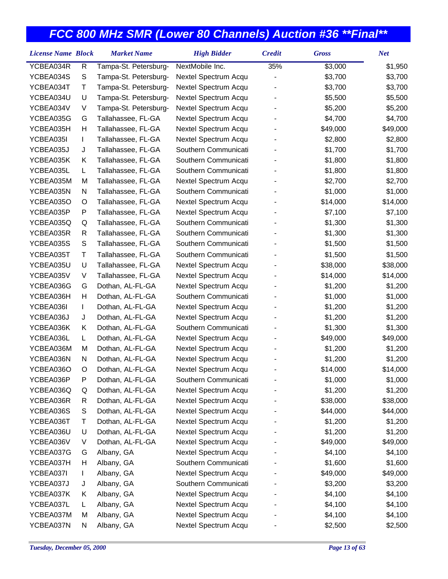| <b>License Name Block</b> |             | <b>Market Name</b>    | <b>High Bidder</b>   | <b>Credit</b>  | <b>Gross</b> | <b>Net</b> |
|---------------------------|-------------|-----------------------|----------------------|----------------|--------------|------------|
| YCBEA034R                 | R           | Tampa-St. Petersburg- | NextMobile Inc.      | 35%            | \$3,000      | \$1,950    |
| YCBEA034S                 | S           | Tampa-St. Petersburg- | Nextel Spectrum Acqu | $\overline{a}$ | \$3,700      | \$3,700    |
| YCBEA034T                 | Т           | Tampa-St. Petersburg- | Nextel Spectrum Acqu |                | \$3,700      | \$3,700    |
| YCBEA034U                 | U           | Tampa-St. Petersburg- | Nextel Spectrum Acqu |                | \$5,500      | \$5,500    |
| YCBEA034V                 | V           | Tampa-St. Petersburg- | Nextel Spectrum Acqu |                | \$5,200      | \$5,200    |
| YCBEA035G                 | G           | Tallahassee, FL-GA    | Nextel Spectrum Acqu |                | \$4,700      | \$4,700    |
| YCBEA035H                 | Н           | Tallahassee, FL-GA    | Nextel Spectrum Acqu |                | \$49,000     | \$49,000   |
| YCBEA035I                 | L           | Tallahassee, FL-GA    | Nextel Spectrum Acqu |                | \$2,800      | \$2,800    |
| YCBEA035J                 | J           | Tallahassee, FL-GA    | Southern Communicati |                | \$1,700      | \$1,700    |
| YCBEA035K                 | Κ           | Tallahassee, FL-GA    | Southern Communicati |                | \$1,800      | \$1,800    |
| YCBEA035L                 | L           | Tallahassee, FL-GA    | Southern Communicati |                | \$1,800      | \$1,800    |
| YCBEA035M                 | M           | Tallahassee, FL-GA    | Nextel Spectrum Acqu |                | \$2,700      | \$2,700    |
| YCBEA035N                 | N           | Tallahassee, FL-GA    | Southern Communicati |                | \$1,000      | \$1,000    |
| YCBEA035O                 | O           | Tallahassee, FL-GA    | Nextel Spectrum Acqu |                | \$14,000     | \$14,000   |
| YCBEA035P                 | P           | Tallahassee, FL-GA    | Nextel Spectrum Acqu |                | \$7,100      | \$7,100    |
| YCBEA035Q                 | Q           | Tallahassee, FL-GA    | Southern Communicati |                | \$1,300      | \$1,300    |
| YCBEA035R                 | R           | Tallahassee, FL-GA    | Southern Communicati |                | \$1,300      | \$1,300    |
| YCBEA035S                 | $\mathsf S$ | Tallahassee, FL-GA    | Southern Communicati |                | \$1,500      | \$1,500    |
| YCBEA035T                 | T           | Tallahassee, FL-GA    | Southern Communicati |                | \$1,500      | \$1,500    |
| YCBEA035U                 | U           | Tallahassee, FL-GA    | Nextel Spectrum Acqu |                | \$38,000     | \$38,000   |
| YCBEA035V                 | V           | Tallahassee, FL-GA    | Nextel Spectrum Acqu |                | \$14,000     | \$14,000   |
| YCBEA036G                 | G           | Dothan, AL-FL-GA      | Nextel Spectrum Acqu |                | \$1,200      | \$1,200    |
| YCBEA036H                 | Н           | Dothan, AL-FL-GA      | Southern Communicati |                | \$1,000      | \$1,000    |
| YCBEA036I                 | L           | Dothan, AL-FL-GA      | Nextel Spectrum Acqu |                | \$1,200      | \$1,200    |
| YCBEA036J                 | J           | Dothan, AL-FL-GA      | Nextel Spectrum Acqu |                | \$1,200      | \$1,200    |
| YCBEA036K                 | Κ           | Dothan, AL-FL-GA      | Southern Communicati |                | \$1,300      | \$1,300    |
| YCBEA036L                 | L           | Dothan, AL-FL-GA      | Nextel Spectrum Acqu |                | \$49,000     | \$49,000   |
| YCBEA036M                 | M           | Dothan, AL-FL-GA      | Nextel Spectrum Acqu |                | \$1,200      | \$1,200    |
| YCBEA036N                 | N           | Dothan, AL-FL-GA      | Nextel Spectrum Acqu |                | \$1,200      | \$1,200    |
| YCBEA036O                 | O           | Dothan, AL-FL-GA      | Nextel Spectrum Acqu |                | \$14,000     | \$14,000   |
| YCBEA036P                 | P           | Dothan, AL-FL-GA      | Southern Communicati |                | \$1,000      | \$1,000    |
| YCBEA036Q                 | Q           | Dothan, AL-FL-GA      | Nextel Spectrum Acqu |                | \$1,200      | \$1,200    |
| YCBEA036R                 | R           | Dothan, AL-FL-GA      | Nextel Spectrum Acqu |                | \$38,000     | \$38,000   |
| YCBEA036S                 | S           | Dothan, AL-FL-GA      | Nextel Spectrum Acqu |                | \$44,000     | \$44,000   |
| YCBEA036T                 | Т           | Dothan, AL-FL-GA      | Nextel Spectrum Acqu |                | \$1,200      | \$1,200    |
| YCBEA036U                 | U           | Dothan, AL-FL-GA      | Nextel Spectrum Acqu |                | \$1,200      | \$1,200    |
| YCBEA036V                 | V           | Dothan, AL-FL-GA      | Nextel Spectrum Acqu |                | \$49,000     | \$49,000   |
| YCBEA037G                 | G           | Albany, GA            | Nextel Spectrum Acqu |                | \$4,100      | \$4,100    |
| YCBEA037H                 | н           | Albany, GA            | Southern Communicati |                | \$1,600      | \$1,600    |
| YCBEA037I                 | L           | Albany, GA            | Nextel Spectrum Acqu |                | \$49,000     | \$49,000   |
| YCBEA037J                 | J           | Albany, GA            | Southern Communicati |                | \$3,200      | \$3,200    |
| YCBEA037K                 | Κ           | Albany, GA            | Nextel Spectrum Acqu |                | \$4,100      | \$4,100    |
| YCBEA037L                 | L           | Albany, GA            | Nextel Spectrum Acqu |                | \$4,100      | \$4,100    |
| YCBEA037M                 | M           | Albany, GA            | Nextel Spectrum Acqu |                | \$4,100      | \$4,100    |
| YCBEA037N                 | N           | Albany, GA            | Nextel Spectrum Acqu |                | \$2,500      | \$2,500    |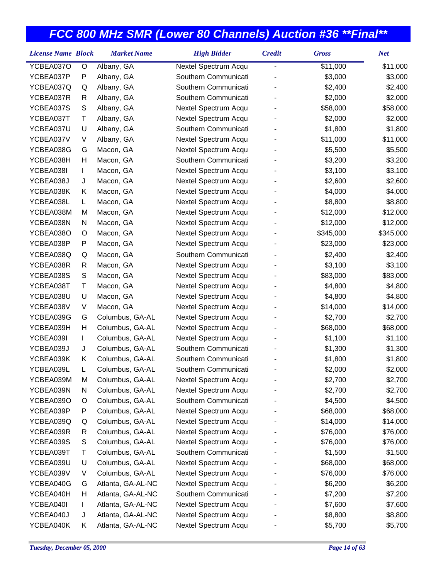| <b>License Name Block</b> |   | <b>Market Name</b> | <b>High Bidder</b>   | <b>Credit</b> | <b>Gross</b> | <b>Net</b> |
|---------------------------|---|--------------------|----------------------|---------------|--------------|------------|
| YCBEA037O                 | O | Albany, GA         | Nextel Spectrum Acqu | -             | \$11,000     | \$11,000   |
| YCBEA037P                 | P | Albany, GA         | Southern Communicati |               | \$3,000      | \$3,000    |
| YCBEA037Q                 | Q | Albany, GA         | Southern Communicati |               | \$2,400      | \$2,400    |
| YCBEA037R                 | R | Albany, GA         | Southern Communicati |               | \$2,000      | \$2,000    |
| YCBEA037S                 | S | Albany, GA         | Nextel Spectrum Acqu |               | \$58,000     | \$58,000   |
| YCBEA037T                 | Τ | Albany, GA         | Nextel Spectrum Acqu |               | \$2,000      | \$2,000    |
| YCBEA037U                 | U | Albany, GA         | Southern Communicati |               | \$1,800      | \$1,800    |
| YCBEA037V                 | V | Albany, GA         | Nextel Spectrum Acqu |               | \$11,000     | \$11,000   |
| YCBEA038G                 | G | Macon, GA          | Nextel Spectrum Acqu |               | \$5,500      | \$5,500    |
| YCBEA038H                 | Н | Macon, GA          | Southern Communicati |               | \$3,200      | \$3,200    |
| YCBEA038I                 | L | Macon, GA          | Nextel Spectrum Acqu |               | \$3,100      | \$3,100    |
| YCBEA038J                 | J | Macon, GA          | Nextel Spectrum Acqu |               | \$2,600      | \$2,600    |
| YCBEA038K                 | Κ | Macon, GA          | Nextel Spectrum Acqu |               | \$4,000      | \$4,000    |
| YCBEA038L                 | L | Macon, GA          | Nextel Spectrum Acqu |               | \$8,800      | \$8,800    |
| YCBEA038M                 | M | Macon, GA          | Nextel Spectrum Acqu |               | \$12,000     | \$12,000   |
| YCBEA038N                 | N | Macon, GA          | Nextel Spectrum Acqu |               | \$12,000     | \$12,000   |
| YCBEA038O                 | O | Macon, GA          | Nextel Spectrum Acqu |               | \$345,000    | \$345,000  |
| YCBEA038P                 | P | Macon, GA          | Nextel Spectrum Acqu |               | \$23,000     | \$23,000   |
| YCBEA038Q                 | Q | Macon, GA          | Southern Communicati |               | \$2,400      | \$2,400    |
| YCBEA038R                 | R | Macon, GA          | Nextel Spectrum Acqu |               | \$3,100      | \$3,100    |
| YCBEA038S                 | S | Macon, GA          | Nextel Spectrum Acqu |               | \$83,000     | \$83,000   |
| YCBEA038T                 | Τ | Macon, GA          | Nextel Spectrum Acqu |               | \$4,800      | \$4,800    |
| YCBEA038U                 | U | Macon, GA          | Nextel Spectrum Acqu |               | \$4,800      | \$4,800    |
| YCBEA038V                 | V | Macon, GA          | Nextel Spectrum Acqu |               | \$14,000     | \$14,000   |
| YCBEA039G                 | G | Columbus, GA-AL    | Nextel Spectrum Acqu |               | \$2,700      | \$2,700    |
| YCBEA039H                 | Н | Columbus, GA-AL    | Nextel Spectrum Acqu |               | \$68,000     | \$68,000   |
| YCBEA039I                 | L | Columbus, GA-AL    | Nextel Spectrum Acqu |               | \$1,100      | \$1,100    |
| YCBEA039J                 | J | Columbus, GA-AL    | Southern Communicati |               | \$1,300      | \$1,300    |
| YCBEA039K                 | Κ | Columbus, GA-AL    | Southern Communicati |               | \$1,800      | \$1,800    |
| YCBEA039L                 | L | Columbus, GA-AL    | Southern Communicati |               | \$2,000      | \$2,000    |
| YCBEA039M                 | M | Columbus, GA-AL    | Nextel Spectrum Acqu |               | \$2,700      | \$2,700    |
| YCBEA039N                 | N | Columbus, GA-AL    | Nextel Spectrum Acqu |               | \$2,700      | \$2,700    |
| YCBEA039O                 | O | Columbus, GA-AL    | Southern Communicati |               | \$4,500      | \$4,500    |
| YCBEA039P                 | P | Columbus, GA-AL    | Nextel Spectrum Acqu |               | \$68,000     | \$68,000   |
| YCBEA039Q                 | Q | Columbus, GA-AL    | Nextel Spectrum Acqu |               | \$14,000     | \$14,000   |
| YCBEA039R                 | R | Columbus, GA-AL    | Nextel Spectrum Acqu |               | \$76,000     | \$76,000   |
| YCBEA039S                 | S | Columbus, GA-AL    | Nextel Spectrum Acqu |               | \$76,000     | \$76,000   |
| YCBEA039T                 | Τ | Columbus, GA-AL    | Southern Communicati |               | \$1,500      | \$1,500    |
| YCBEA039U                 | U | Columbus, GA-AL    | Nextel Spectrum Acqu |               | \$68,000     | \$68,000   |
| YCBEA039V                 | V | Columbus, GA-AL    | Nextel Spectrum Acqu |               | \$76,000     | \$76,000   |
| YCBEA040G                 | G | Atlanta, GA-AL-NC  | Nextel Spectrum Acqu |               | \$6,200      | \$6,200    |
| YCBEA040H                 | н | Atlanta, GA-AL-NC  | Southern Communicati |               | \$7,200      | \$7,200    |
| YCBEA040I                 | L | Atlanta, GA-AL-NC  | Nextel Spectrum Acqu |               | \$7,600      | \$7,600    |
| YCBEA040J                 | J | Atlanta, GA-AL-NC  | Nextel Spectrum Acqu |               | \$8,800      | \$8,800    |
| YCBEA040K                 | K | Atlanta, GA-AL-NC  | Nextel Spectrum Acqu |               | \$5,700      | \$5,700    |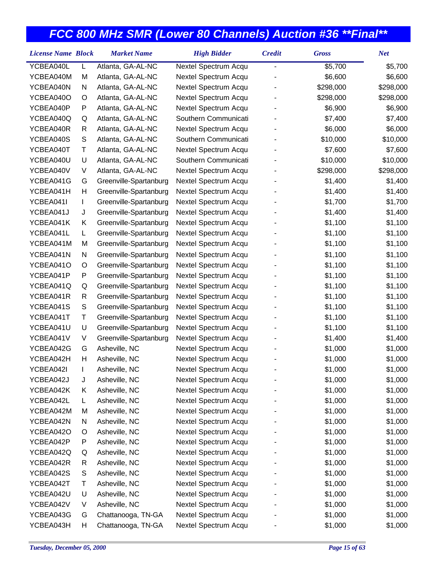| YCBEA040L<br>Atlanta, GA-AL-NC<br>Nextel Spectrum Acqu<br>\$5,700<br>\$5,700<br>L<br>-<br>YCBEA040M<br>M<br>Atlanta, GA-AL-NC<br>Nextel Spectrum Acqu<br>\$6,600<br>\$6,600<br>Atlanta, GA-AL-NC<br>Nextel Spectrum Acqu<br>\$298,000<br>YCBEA040N<br>N<br>\$298,000<br>Nextel Spectrum Acqu<br>YCBEA040O<br>O<br>Atlanta, GA-AL-NC<br>\$298,000<br>\$298,000<br>YCBEA040P<br>P<br>Atlanta, GA-AL-NC<br>Nextel Spectrum Acqu<br>\$6,900<br>\$6,900<br>Atlanta, GA-AL-NC<br>Southern Communicati<br>YCBEA040Q<br>\$7,400<br>\$7,400<br>Q<br>\$6,000<br>YCBEA040R<br>Atlanta, GA-AL-NC<br>Nextel Spectrum Acqu<br>\$6,000<br>R<br>Atlanta, GA-AL-NC<br>Southern Communicati<br>YCBEA040S<br>S<br>\$10,000<br>\$10,000<br>T<br>YCBEA040T<br>Atlanta, GA-AL-NC<br>Nextel Spectrum Acqu<br>\$7,600<br>\$7,600<br>Southern Communicati<br>\$10,000<br>YCBEA040U<br>U<br>Atlanta, GA-AL-NC<br>\$10,000<br>YCBEA040V<br>V<br>Atlanta, GA-AL-NC<br>Nextel Spectrum Acqu<br>\$298,000<br>\$298,000<br>YCBEA041G<br>G<br>Greenville-Spartanburg<br>Nextel Spectrum Acqu<br>\$1,400<br>\$1,400<br>Greenville-Spartanburg<br>YCBEA041H<br>Н<br>Nextel Spectrum Acqu<br>\$1,400<br>\$1,400<br>Greenville-Spartanburg<br>YCBEA041I<br>Nextel Spectrum Acqu<br>\$1,700<br>\$1,700<br>L<br>YCBEA041J<br>J<br>Greenville-Spartanburg<br>Nextel Spectrum Acqu<br>\$1,400<br>\$1,400<br>YCBEA041K<br>Greenville-Spartanburg<br>Nextel Spectrum Acqu<br>\$1,100<br>\$1,100<br>Κ<br>YCBEA041L<br>Greenville-Spartanburg<br>Nextel Spectrum Acqu<br>\$1,100<br>\$1,100<br>L<br>YCBEA041M<br>Greenville-Spartanburg<br>Nextel Spectrum Acqu<br>\$1,100<br>\$1,100<br>M<br>Greenville-Spartanburg<br>Nextel Spectrum Acqu<br>\$1,100<br>YCBEA041N<br>N<br>\$1,100<br>YCBEA041O<br>Greenville-Spartanburg<br>Nextel Spectrum Acqu<br>\$1,100<br>\$1,100<br>O<br>YCBEA041P<br>P<br>Greenville-Spartanburg<br>Nextel Spectrum Acqu<br>\$1,100<br>\$1,100<br>YCBEA041Q<br>Q<br>Greenville-Spartanburg<br>Nextel Spectrum Acqu<br>\$1,100<br>\$1,100<br>YCBEA041R<br>R<br>Greenville-Spartanburg<br>Nextel Spectrum Acqu<br>\$1,100<br>\$1,100<br>${\mathsf S}$<br>YCBEA041S<br>Greenville-Spartanburg<br>Nextel Spectrum Acqu<br>\$1,100<br>\$1,100<br>Τ<br>YCBEA041T<br>Greenville-Spartanburg<br>Nextel Spectrum Acqu<br>\$1,100<br>\$1,100<br>Greenville-Spartanburg<br>YCBEA041U<br>U<br>Nextel Spectrum Acqu<br>\$1,100<br>\$1,100<br>YCBEA041V<br>V<br>Greenville-Spartanburg<br>Nextel Spectrum Acqu<br>\$1,400<br>\$1,400<br>Asheville, NC<br>YCBEA042G<br>G<br>Nextel Spectrum Acqu<br>\$1,000<br>\$1,000<br>Asheville, NC<br>Nextel Spectrum Acqu<br>YCBEA042H<br>Н<br>\$1,000<br>\$1,000<br>Asheville, NC<br>\$1,000<br>YCBEA042I<br>Nextel Spectrum Acqu<br>\$1,000<br>L<br>YCBEA042J<br>Asheville, NC<br>Nextel Spectrum Acqu<br>\$1,000<br>\$1,000<br>J<br>YCBEA042K<br>Asheville, NC<br>Nextel Spectrum Acqu<br>\$1,000<br>\$1,000<br>Κ<br>Asheville, NC<br>Nextel Spectrum Acqu<br>YCBEA042L<br>\$1,000<br>\$1,000<br>L<br>YCBEA042M<br>Asheville, NC<br>Nextel Spectrum Acqu<br>\$1,000<br>M<br>\$1,000<br>YCBEA042N<br>Asheville, NC<br>Nextel Spectrum Acqu<br>\$1,000<br>\$1,000<br>N<br>YCBEA042O<br>Asheville, NC<br>Nextel Spectrum Acqu<br>\$1,000<br>\$1,000<br>O<br>Asheville, NC<br>Nextel Spectrum Acqu<br>YCBEA042P<br>P<br>\$1,000<br>\$1,000<br>Asheville, NC<br>Nextel Spectrum Acqu<br>\$1,000<br>YCBEA042Q<br>\$1,000<br>Q<br>YCBEA042R<br>Asheville, NC<br>Nextel Spectrum Acqu<br>\$1,000<br>\$1,000<br>R<br>Asheville, NC<br>Nextel Spectrum Acqu<br>YCBEA042S<br>S<br>\$1,000<br>\$1,000<br>YCBEA042T<br>Τ<br>Asheville, NC<br>Nextel Spectrum Acqu<br>\$1,000<br>\$1,000<br>YCBEA042U<br>Asheville, NC<br>Nextel Spectrum Acqu<br>U<br>\$1,000<br>\$1,000<br>YCBEA042V<br>Asheville, NC<br>Nextel Spectrum Acqu<br>\$1,000<br>V<br>\$1,000<br>YCBEA043G<br>Chattanooga, TN-GA<br>Nextel Spectrum Acqu<br>\$1,000<br>\$1,000<br>G | <b>License Name Block</b> |   | <b>Market Name</b> | <b>High Bidder</b>   | <b>Credit</b> | <b>Gross</b> | <b>Net</b> |
|--------------------------------------------------------------------------------------------------------------------------------------------------------------------------------------------------------------------------------------------------------------------------------------------------------------------------------------------------------------------------------------------------------------------------------------------------------------------------------------------------------------------------------------------------------------------------------------------------------------------------------------------------------------------------------------------------------------------------------------------------------------------------------------------------------------------------------------------------------------------------------------------------------------------------------------------------------------------------------------------------------------------------------------------------------------------------------------------------------------------------------------------------------------------------------------------------------------------------------------------------------------------------------------------------------------------------------------------------------------------------------------------------------------------------------------------------------------------------------------------------------------------------------------------------------------------------------------------------------------------------------------------------------------------------------------------------------------------------------------------------------------------------------------------------------------------------------------------------------------------------------------------------------------------------------------------------------------------------------------------------------------------------------------------------------------------------------------------------------------------------------------------------------------------------------------------------------------------------------------------------------------------------------------------------------------------------------------------------------------------------------------------------------------------------------------------------------------------------------------------------------------------------------------------------------------------------------------------------------------------------------------------------------------------------------------------------------------------------------------------------------------------------------------------------------------------------------------------------------------------------------------------------------------------------------------------------------------------------------------------------------------------------------------------------------------------------------------------------------------------------------------------------------------------------------------------------------------------------------------------------------------------------------------------------------------------------------------------------------------------------------------------------------------------------------------------------------------------------------------------------------------------------------------------------------------------------------------------------------------------------------------------------------------------------------------------------------------------------------------------------------------------------------------------------------------------------------------------------------------------------------------------------------------------------------------------|---------------------------|---|--------------------|----------------------|---------------|--------------|------------|
|                                                                                                                                                                                                                                                                                                                                                                                                                                                                                                                                                                                                                                                                                                                                                                                                                                                                                                                                                                                                                                                                                                                                                                                                                                                                                                                                                                                                                                                                                                                                                                                                                                                                                                                                                                                                                                                                                                                                                                                                                                                                                                                                                                                                                                                                                                                                                                                                                                                                                                                                                                                                                                                                                                                                                                                                                                                                                                                                                                                                                                                                                                                                                                                                                                                                                                                                                                                                                                                                                                                                                                                                                                                                                                                                                                                                                                                                                                                                            |                           |   |                    |                      |               |              |            |
|                                                                                                                                                                                                                                                                                                                                                                                                                                                                                                                                                                                                                                                                                                                                                                                                                                                                                                                                                                                                                                                                                                                                                                                                                                                                                                                                                                                                                                                                                                                                                                                                                                                                                                                                                                                                                                                                                                                                                                                                                                                                                                                                                                                                                                                                                                                                                                                                                                                                                                                                                                                                                                                                                                                                                                                                                                                                                                                                                                                                                                                                                                                                                                                                                                                                                                                                                                                                                                                                                                                                                                                                                                                                                                                                                                                                                                                                                                                                            |                           |   |                    |                      |               |              |            |
|                                                                                                                                                                                                                                                                                                                                                                                                                                                                                                                                                                                                                                                                                                                                                                                                                                                                                                                                                                                                                                                                                                                                                                                                                                                                                                                                                                                                                                                                                                                                                                                                                                                                                                                                                                                                                                                                                                                                                                                                                                                                                                                                                                                                                                                                                                                                                                                                                                                                                                                                                                                                                                                                                                                                                                                                                                                                                                                                                                                                                                                                                                                                                                                                                                                                                                                                                                                                                                                                                                                                                                                                                                                                                                                                                                                                                                                                                                                                            |                           |   |                    |                      |               |              |            |
|                                                                                                                                                                                                                                                                                                                                                                                                                                                                                                                                                                                                                                                                                                                                                                                                                                                                                                                                                                                                                                                                                                                                                                                                                                                                                                                                                                                                                                                                                                                                                                                                                                                                                                                                                                                                                                                                                                                                                                                                                                                                                                                                                                                                                                                                                                                                                                                                                                                                                                                                                                                                                                                                                                                                                                                                                                                                                                                                                                                                                                                                                                                                                                                                                                                                                                                                                                                                                                                                                                                                                                                                                                                                                                                                                                                                                                                                                                                                            |                           |   |                    |                      |               |              |            |
|                                                                                                                                                                                                                                                                                                                                                                                                                                                                                                                                                                                                                                                                                                                                                                                                                                                                                                                                                                                                                                                                                                                                                                                                                                                                                                                                                                                                                                                                                                                                                                                                                                                                                                                                                                                                                                                                                                                                                                                                                                                                                                                                                                                                                                                                                                                                                                                                                                                                                                                                                                                                                                                                                                                                                                                                                                                                                                                                                                                                                                                                                                                                                                                                                                                                                                                                                                                                                                                                                                                                                                                                                                                                                                                                                                                                                                                                                                                                            |                           |   |                    |                      |               |              |            |
|                                                                                                                                                                                                                                                                                                                                                                                                                                                                                                                                                                                                                                                                                                                                                                                                                                                                                                                                                                                                                                                                                                                                                                                                                                                                                                                                                                                                                                                                                                                                                                                                                                                                                                                                                                                                                                                                                                                                                                                                                                                                                                                                                                                                                                                                                                                                                                                                                                                                                                                                                                                                                                                                                                                                                                                                                                                                                                                                                                                                                                                                                                                                                                                                                                                                                                                                                                                                                                                                                                                                                                                                                                                                                                                                                                                                                                                                                                                                            |                           |   |                    |                      |               |              |            |
|                                                                                                                                                                                                                                                                                                                                                                                                                                                                                                                                                                                                                                                                                                                                                                                                                                                                                                                                                                                                                                                                                                                                                                                                                                                                                                                                                                                                                                                                                                                                                                                                                                                                                                                                                                                                                                                                                                                                                                                                                                                                                                                                                                                                                                                                                                                                                                                                                                                                                                                                                                                                                                                                                                                                                                                                                                                                                                                                                                                                                                                                                                                                                                                                                                                                                                                                                                                                                                                                                                                                                                                                                                                                                                                                                                                                                                                                                                                                            |                           |   |                    |                      |               |              |            |
|                                                                                                                                                                                                                                                                                                                                                                                                                                                                                                                                                                                                                                                                                                                                                                                                                                                                                                                                                                                                                                                                                                                                                                                                                                                                                                                                                                                                                                                                                                                                                                                                                                                                                                                                                                                                                                                                                                                                                                                                                                                                                                                                                                                                                                                                                                                                                                                                                                                                                                                                                                                                                                                                                                                                                                                                                                                                                                                                                                                                                                                                                                                                                                                                                                                                                                                                                                                                                                                                                                                                                                                                                                                                                                                                                                                                                                                                                                                                            |                           |   |                    |                      |               |              |            |
|                                                                                                                                                                                                                                                                                                                                                                                                                                                                                                                                                                                                                                                                                                                                                                                                                                                                                                                                                                                                                                                                                                                                                                                                                                                                                                                                                                                                                                                                                                                                                                                                                                                                                                                                                                                                                                                                                                                                                                                                                                                                                                                                                                                                                                                                                                                                                                                                                                                                                                                                                                                                                                                                                                                                                                                                                                                                                                                                                                                                                                                                                                                                                                                                                                                                                                                                                                                                                                                                                                                                                                                                                                                                                                                                                                                                                                                                                                                                            |                           |   |                    |                      |               |              |            |
|                                                                                                                                                                                                                                                                                                                                                                                                                                                                                                                                                                                                                                                                                                                                                                                                                                                                                                                                                                                                                                                                                                                                                                                                                                                                                                                                                                                                                                                                                                                                                                                                                                                                                                                                                                                                                                                                                                                                                                                                                                                                                                                                                                                                                                                                                                                                                                                                                                                                                                                                                                                                                                                                                                                                                                                                                                                                                                                                                                                                                                                                                                                                                                                                                                                                                                                                                                                                                                                                                                                                                                                                                                                                                                                                                                                                                                                                                                                                            |                           |   |                    |                      |               |              |            |
|                                                                                                                                                                                                                                                                                                                                                                                                                                                                                                                                                                                                                                                                                                                                                                                                                                                                                                                                                                                                                                                                                                                                                                                                                                                                                                                                                                                                                                                                                                                                                                                                                                                                                                                                                                                                                                                                                                                                                                                                                                                                                                                                                                                                                                                                                                                                                                                                                                                                                                                                                                                                                                                                                                                                                                                                                                                                                                                                                                                                                                                                                                                                                                                                                                                                                                                                                                                                                                                                                                                                                                                                                                                                                                                                                                                                                                                                                                                                            |                           |   |                    |                      |               |              |            |
|                                                                                                                                                                                                                                                                                                                                                                                                                                                                                                                                                                                                                                                                                                                                                                                                                                                                                                                                                                                                                                                                                                                                                                                                                                                                                                                                                                                                                                                                                                                                                                                                                                                                                                                                                                                                                                                                                                                                                                                                                                                                                                                                                                                                                                                                                                                                                                                                                                                                                                                                                                                                                                                                                                                                                                                                                                                                                                                                                                                                                                                                                                                                                                                                                                                                                                                                                                                                                                                                                                                                                                                                                                                                                                                                                                                                                                                                                                                                            |                           |   |                    |                      |               |              |            |
|                                                                                                                                                                                                                                                                                                                                                                                                                                                                                                                                                                                                                                                                                                                                                                                                                                                                                                                                                                                                                                                                                                                                                                                                                                                                                                                                                                                                                                                                                                                                                                                                                                                                                                                                                                                                                                                                                                                                                                                                                                                                                                                                                                                                                                                                                                                                                                                                                                                                                                                                                                                                                                                                                                                                                                                                                                                                                                                                                                                                                                                                                                                                                                                                                                                                                                                                                                                                                                                                                                                                                                                                                                                                                                                                                                                                                                                                                                                                            |                           |   |                    |                      |               |              |            |
|                                                                                                                                                                                                                                                                                                                                                                                                                                                                                                                                                                                                                                                                                                                                                                                                                                                                                                                                                                                                                                                                                                                                                                                                                                                                                                                                                                                                                                                                                                                                                                                                                                                                                                                                                                                                                                                                                                                                                                                                                                                                                                                                                                                                                                                                                                                                                                                                                                                                                                                                                                                                                                                                                                                                                                                                                                                                                                                                                                                                                                                                                                                                                                                                                                                                                                                                                                                                                                                                                                                                                                                                                                                                                                                                                                                                                                                                                                                                            |                           |   |                    |                      |               |              |            |
|                                                                                                                                                                                                                                                                                                                                                                                                                                                                                                                                                                                                                                                                                                                                                                                                                                                                                                                                                                                                                                                                                                                                                                                                                                                                                                                                                                                                                                                                                                                                                                                                                                                                                                                                                                                                                                                                                                                                                                                                                                                                                                                                                                                                                                                                                                                                                                                                                                                                                                                                                                                                                                                                                                                                                                                                                                                                                                                                                                                                                                                                                                                                                                                                                                                                                                                                                                                                                                                                                                                                                                                                                                                                                                                                                                                                                                                                                                                                            |                           |   |                    |                      |               |              |            |
|                                                                                                                                                                                                                                                                                                                                                                                                                                                                                                                                                                                                                                                                                                                                                                                                                                                                                                                                                                                                                                                                                                                                                                                                                                                                                                                                                                                                                                                                                                                                                                                                                                                                                                                                                                                                                                                                                                                                                                                                                                                                                                                                                                                                                                                                                                                                                                                                                                                                                                                                                                                                                                                                                                                                                                                                                                                                                                                                                                                                                                                                                                                                                                                                                                                                                                                                                                                                                                                                                                                                                                                                                                                                                                                                                                                                                                                                                                                                            |                           |   |                    |                      |               |              |            |
|                                                                                                                                                                                                                                                                                                                                                                                                                                                                                                                                                                                                                                                                                                                                                                                                                                                                                                                                                                                                                                                                                                                                                                                                                                                                                                                                                                                                                                                                                                                                                                                                                                                                                                                                                                                                                                                                                                                                                                                                                                                                                                                                                                                                                                                                                                                                                                                                                                                                                                                                                                                                                                                                                                                                                                                                                                                                                                                                                                                                                                                                                                                                                                                                                                                                                                                                                                                                                                                                                                                                                                                                                                                                                                                                                                                                                                                                                                                                            |                           |   |                    |                      |               |              |            |
|                                                                                                                                                                                                                                                                                                                                                                                                                                                                                                                                                                                                                                                                                                                                                                                                                                                                                                                                                                                                                                                                                                                                                                                                                                                                                                                                                                                                                                                                                                                                                                                                                                                                                                                                                                                                                                                                                                                                                                                                                                                                                                                                                                                                                                                                                                                                                                                                                                                                                                                                                                                                                                                                                                                                                                                                                                                                                                                                                                                                                                                                                                                                                                                                                                                                                                                                                                                                                                                                                                                                                                                                                                                                                                                                                                                                                                                                                                                                            |                           |   |                    |                      |               |              |            |
|                                                                                                                                                                                                                                                                                                                                                                                                                                                                                                                                                                                                                                                                                                                                                                                                                                                                                                                                                                                                                                                                                                                                                                                                                                                                                                                                                                                                                                                                                                                                                                                                                                                                                                                                                                                                                                                                                                                                                                                                                                                                                                                                                                                                                                                                                                                                                                                                                                                                                                                                                                                                                                                                                                                                                                                                                                                                                                                                                                                                                                                                                                                                                                                                                                                                                                                                                                                                                                                                                                                                                                                                                                                                                                                                                                                                                                                                                                                                            |                           |   |                    |                      |               |              |            |
|                                                                                                                                                                                                                                                                                                                                                                                                                                                                                                                                                                                                                                                                                                                                                                                                                                                                                                                                                                                                                                                                                                                                                                                                                                                                                                                                                                                                                                                                                                                                                                                                                                                                                                                                                                                                                                                                                                                                                                                                                                                                                                                                                                                                                                                                                                                                                                                                                                                                                                                                                                                                                                                                                                                                                                                                                                                                                                                                                                                                                                                                                                                                                                                                                                                                                                                                                                                                                                                                                                                                                                                                                                                                                                                                                                                                                                                                                                                                            |                           |   |                    |                      |               |              |            |
|                                                                                                                                                                                                                                                                                                                                                                                                                                                                                                                                                                                                                                                                                                                                                                                                                                                                                                                                                                                                                                                                                                                                                                                                                                                                                                                                                                                                                                                                                                                                                                                                                                                                                                                                                                                                                                                                                                                                                                                                                                                                                                                                                                                                                                                                                                                                                                                                                                                                                                                                                                                                                                                                                                                                                                                                                                                                                                                                                                                                                                                                                                                                                                                                                                                                                                                                                                                                                                                                                                                                                                                                                                                                                                                                                                                                                                                                                                                                            |                           |   |                    |                      |               |              |            |
|                                                                                                                                                                                                                                                                                                                                                                                                                                                                                                                                                                                                                                                                                                                                                                                                                                                                                                                                                                                                                                                                                                                                                                                                                                                                                                                                                                                                                                                                                                                                                                                                                                                                                                                                                                                                                                                                                                                                                                                                                                                                                                                                                                                                                                                                                                                                                                                                                                                                                                                                                                                                                                                                                                                                                                                                                                                                                                                                                                                                                                                                                                                                                                                                                                                                                                                                                                                                                                                                                                                                                                                                                                                                                                                                                                                                                                                                                                                                            |                           |   |                    |                      |               |              |            |
|                                                                                                                                                                                                                                                                                                                                                                                                                                                                                                                                                                                                                                                                                                                                                                                                                                                                                                                                                                                                                                                                                                                                                                                                                                                                                                                                                                                                                                                                                                                                                                                                                                                                                                                                                                                                                                                                                                                                                                                                                                                                                                                                                                                                                                                                                                                                                                                                                                                                                                                                                                                                                                                                                                                                                                                                                                                                                                                                                                                                                                                                                                                                                                                                                                                                                                                                                                                                                                                                                                                                                                                                                                                                                                                                                                                                                                                                                                                                            |                           |   |                    |                      |               |              |            |
|                                                                                                                                                                                                                                                                                                                                                                                                                                                                                                                                                                                                                                                                                                                                                                                                                                                                                                                                                                                                                                                                                                                                                                                                                                                                                                                                                                                                                                                                                                                                                                                                                                                                                                                                                                                                                                                                                                                                                                                                                                                                                                                                                                                                                                                                                                                                                                                                                                                                                                                                                                                                                                                                                                                                                                                                                                                                                                                                                                                                                                                                                                                                                                                                                                                                                                                                                                                                                                                                                                                                                                                                                                                                                                                                                                                                                                                                                                                                            |                           |   |                    |                      |               |              |            |
|                                                                                                                                                                                                                                                                                                                                                                                                                                                                                                                                                                                                                                                                                                                                                                                                                                                                                                                                                                                                                                                                                                                                                                                                                                                                                                                                                                                                                                                                                                                                                                                                                                                                                                                                                                                                                                                                                                                                                                                                                                                                                                                                                                                                                                                                                                                                                                                                                                                                                                                                                                                                                                                                                                                                                                                                                                                                                                                                                                                                                                                                                                                                                                                                                                                                                                                                                                                                                                                                                                                                                                                                                                                                                                                                                                                                                                                                                                                                            |                           |   |                    |                      |               |              |            |
|                                                                                                                                                                                                                                                                                                                                                                                                                                                                                                                                                                                                                                                                                                                                                                                                                                                                                                                                                                                                                                                                                                                                                                                                                                                                                                                                                                                                                                                                                                                                                                                                                                                                                                                                                                                                                                                                                                                                                                                                                                                                                                                                                                                                                                                                                                                                                                                                                                                                                                                                                                                                                                                                                                                                                                                                                                                                                                                                                                                                                                                                                                                                                                                                                                                                                                                                                                                                                                                                                                                                                                                                                                                                                                                                                                                                                                                                                                                                            |                           |   |                    |                      |               |              |            |
|                                                                                                                                                                                                                                                                                                                                                                                                                                                                                                                                                                                                                                                                                                                                                                                                                                                                                                                                                                                                                                                                                                                                                                                                                                                                                                                                                                                                                                                                                                                                                                                                                                                                                                                                                                                                                                                                                                                                                                                                                                                                                                                                                                                                                                                                                                                                                                                                                                                                                                                                                                                                                                                                                                                                                                                                                                                                                                                                                                                                                                                                                                                                                                                                                                                                                                                                                                                                                                                                                                                                                                                                                                                                                                                                                                                                                                                                                                                                            |                           |   |                    |                      |               |              |            |
|                                                                                                                                                                                                                                                                                                                                                                                                                                                                                                                                                                                                                                                                                                                                                                                                                                                                                                                                                                                                                                                                                                                                                                                                                                                                                                                                                                                                                                                                                                                                                                                                                                                                                                                                                                                                                                                                                                                                                                                                                                                                                                                                                                                                                                                                                                                                                                                                                                                                                                                                                                                                                                                                                                                                                                                                                                                                                                                                                                                                                                                                                                                                                                                                                                                                                                                                                                                                                                                                                                                                                                                                                                                                                                                                                                                                                                                                                                                                            |                           |   |                    |                      |               |              |            |
|                                                                                                                                                                                                                                                                                                                                                                                                                                                                                                                                                                                                                                                                                                                                                                                                                                                                                                                                                                                                                                                                                                                                                                                                                                                                                                                                                                                                                                                                                                                                                                                                                                                                                                                                                                                                                                                                                                                                                                                                                                                                                                                                                                                                                                                                                                                                                                                                                                                                                                                                                                                                                                                                                                                                                                                                                                                                                                                                                                                                                                                                                                                                                                                                                                                                                                                                                                                                                                                                                                                                                                                                                                                                                                                                                                                                                                                                                                                                            |                           |   |                    |                      |               |              |            |
|                                                                                                                                                                                                                                                                                                                                                                                                                                                                                                                                                                                                                                                                                                                                                                                                                                                                                                                                                                                                                                                                                                                                                                                                                                                                                                                                                                                                                                                                                                                                                                                                                                                                                                                                                                                                                                                                                                                                                                                                                                                                                                                                                                                                                                                                                                                                                                                                                                                                                                                                                                                                                                                                                                                                                                                                                                                                                                                                                                                                                                                                                                                                                                                                                                                                                                                                                                                                                                                                                                                                                                                                                                                                                                                                                                                                                                                                                                                                            |                           |   |                    |                      |               |              |            |
|                                                                                                                                                                                                                                                                                                                                                                                                                                                                                                                                                                                                                                                                                                                                                                                                                                                                                                                                                                                                                                                                                                                                                                                                                                                                                                                                                                                                                                                                                                                                                                                                                                                                                                                                                                                                                                                                                                                                                                                                                                                                                                                                                                                                                                                                                                                                                                                                                                                                                                                                                                                                                                                                                                                                                                                                                                                                                                                                                                                                                                                                                                                                                                                                                                                                                                                                                                                                                                                                                                                                                                                                                                                                                                                                                                                                                                                                                                                                            |                           |   |                    |                      |               |              |            |
|                                                                                                                                                                                                                                                                                                                                                                                                                                                                                                                                                                                                                                                                                                                                                                                                                                                                                                                                                                                                                                                                                                                                                                                                                                                                                                                                                                                                                                                                                                                                                                                                                                                                                                                                                                                                                                                                                                                                                                                                                                                                                                                                                                                                                                                                                                                                                                                                                                                                                                                                                                                                                                                                                                                                                                                                                                                                                                                                                                                                                                                                                                                                                                                                                                                                                                                                                                                                                                                                                                                                                                                                                                                                                                                                                                                                                                                                                                                                            |                           |   |                    |                      |               |              |            |
|                                                                                                                                                                                                                                                                                                                                                                                                                                                                                                                                                                                                                                                                                                                                                                                                                                                                                                                                                                                                                                                                                                                                                                                                                                                                                                                                                                                                                                                                                                                                                                                                                                                                                                                                                                                                                                                                                                                                                                                                                                                                                                                                                                                                                                                                                                                                                                                                                                                                                                                                                                                                                                                                                                                                                                                                                                                                                                                                                                                                                                                                                                                                                                                                                                                                                                                                                                                                                                                                                                                                                                                                                                                                                                                                                                                                                                                                                                                                            |                           |   |                    |                      |               |              |            |
|                                                                                                                                                                                                                                                                                                                                                                                                                                                                                                                                                                                                                                                                                                                                                                                                                                                                                                                                                                                                                                                                                                                                                                                                                                                                                                                                                                                                                                                                                                                                                                                                                                                                                                                                                                                                                                                                                                                                                                                                                                                                                                                                                                                                                                                                                                                                                                                                                                                                                                                                                                                                                                                                                                                                                                                                                                                                                                                                                                                                                                                                                                                                                                                                                                                                                                                                                                                                                                                                                                                                                                                                                                                                                                                                                                                                                                                                                                                                            |                           |   |                    |                      |               |              |            |
|                                                                                                                                                                                                                                                                                                                                                                                                                                                                                                                                                                                                                                                                                                                                                                                                                                                                                                                                                                                                                                                                                                                                                                                                                                                                                                                                                                                                                                                                                                                                                                                                                                                                                                                                                                                                                                                                                                                                                                                                                                                                                                                                                                                                                                                                                                                                                                                                                                                                                                                                                                                                                                                                                                                                                                                                                                                                                                                                                                                                                                                                                                                                                                                                                                                                                                                                                                                                                                                                                                                                                                                                                                                                                                                                                                                                                                                                                                                                            |                           |   |                    |                      |               |              |            |
|                                                                                                                                                                                                                                                                                                                                                                                                                                                                                                                                                                                                                                                                                                                                                                                                                                                                                                                                                                                                                                                                                                                                                                                                                                                                                                                                                                                                                                                                                                                                                                                                                                                                                                                                                                                                                                                                                                                                                                                                                                                                                                                                                                                                                                                                                                                                                                                                                                                                                                                                                                                                                                                                                                                                                                                                                                                                                                                                                                                                                                                                                                                                                                                                                                                                                                                                                                                                                                                                                                                                                                                                                                                                                                                                                                                                                                                                                                                                            |                           |   |                    |                      |               |              |            |
|                                                                                                                                                                                                                                                                                                                                                                                                                                                                                                                                                                                                                                                                                                                                                                                                                                                                                                                                                                                                                                                                                                                                                                                                                                                                                                                                                                                                                                                                                                                                                                                                                                                                                                                                                                                                                                                                                                                                                                                                                                                                                                                                                                                                                                                                                                                                                                                                                                                                                                                                                                                                                                                                                                                                                                                                                                                                                                                                                                                                                                                                                                                                                                                                                                                                                                                                                                                                                                                                                                                                                                                                                                                                                                                                                                                                                                                                                                                                            |                           |   |                    |                      |               |              |            |
|                                                                                                                                                                                                                                                                                                                                                                                                                                                                                                                                                                                                                                                                                                                                                                                                                                                                                                                                                                                                                                                                                                                                                                                                                                                                                                                                                                                                                                                                                                                                                                                                                                                                                                                                                                                                                                                                                                                                                                                                                                                                                                                                                                                                                                                                                                                                                                                                                                                                                                                                                                                                                                                                                                                                                                                                                                                                                                                                                                                                                                                                                                                                                                                                                                                                                                                                                                                                                                                                                                                                                                                                                                                                                                                                                                                                                                                                                                                                            |                           |   |                    |                      |               |              |            |
|                                                                                                                                                                                                                                                                                                                                                                                                                                                                                                                                                                                                                                                                                                                                                                                                                                                                                                                                                                                                                                                                                                                                                                                                                                                                                                                                                                                                                                                                                                                                                                                                                                                                                                                                                                                                                                                                                                                                                                                                                                                                                                                                                                                                                                                                                                                                                                                                                                                                                                                                                                                                                                                                                                                                                                                                                                                                                                                                                                                                                                                                                                                                                                                                                                                                                                                                                                                                                                                                                                                                                                                                                                                                                                                                                                                                                                                                                                                                            |                           |   |                    |                      |               |              |            |
|                                                                                                                                                                                                                                                                                                                                                                                                                                                                                                                                                                                                                                                                                                                                                                                                                                                                                                                                                                                                                                                                                                                                                                                                                                                                                                                                                                                                                                                                                                                                                                                                                                                                                                                                                                                                                                                                                                                                                                                                                                                                                                                                                                                                                                                                                                                                                                                                                                                                                                                                                                                                                                                                                                                                                                                                                                                                                                                                                                                                                                                                                                                                                                                                                                                                                                                                                                                                                                                                                                                                                                                                                                                                                                                                                                                                                                                                                                                                            |                           |   |                    |                      |               |              |            |
|                                                                                                                                                                                                                                                                                                                                                                                                                                                                                                                                                                                                                                                                                                                                                                                                                                                                                                                                                                                                                                                                                                                                                                                                                                                                                                                                                                                                                                                                                                                                                                                                                                                                                                                                                                                                                                                                                                                                                                                                                                                                                                                                                                                                                                                                                                                                                                                                                                                                                                                                                                                                                                                                                                                                                                                                                                                                                                                                                                                                                                                                                                                                                                                                                                                                                                                                                                                                                                                                                                                                                                                                                                                                                                                                                                                                                                                                                                                                            |                           |   |                    |                      |               |              |            |
|                                                                                                                                                                                                                                                                                                                                                                                                                                                                                                                                                                                                                                                                                                                                                                                                                                                                                                                                                                                                                                                                                                                                                                                                                                                                                                                                                                                                                                                                                                                                                                                                                                                                                                                                                                                                                                                                                                                                                                                                                                                                                                                                                                                                                                                                                                                                                                                                                                                                                                                                                                                                                                                                                                                                                                                                                                                                                                                                                                                                                                                                                                                                                                                                                                                                                                                                                                                                                                                                                                                                                                                                                                                                                                                                                                                                                                                                                                                                            |                           |   |                    |                      |               |              |            |
|                                                                                                                                                                                                                                                                                                                                                                                                                                                                                                                                                                                                                                                                                                                                                                                                                                                                                                                                                                                                                                                                                                                                                                                                                                                                                                                                                                                                                                                                                                                                                                                                                                                                                                                                                                                                                                                                                                                                                                                                                                                                                                                                                                                                                                                                                                                                                                                                                                                                                                                                                                                                                                                                                                                                                                                                                                                                                                                                                                                                                                                                                                                                                                                                                                                                                                                                                                                                                                                                                                                                                                                                                                                                                                                                                                                                                                                                                                                                            |                           |   |                    |                      |               |              |            |
|                                                                                                                                                                                                                                                                                                                                                                                                                                                                                                                                                                                                                                                                                                                                                                                                                                                                                                                                                                                                                                                                                                                                                                                                                                                                                                                                                                                                                                                                                                                                                                                                                                                                                                                                                                                                                                                                                                                                                                                                                                                                                                                                                                                                                                                                                                                                                                                                                                                                                                                                                                                                                                                                                                                                                                                                                                                                                                                                                                                                                                                                                                                                                                                                                                                                                                                                                                                                                                                                                                                                                                                                                                                                                                                                                                                                                                                                                                                                            |                           |   |                    |                      |               |              |            |
|                                                                                                                                                                                                                                                                                                                                                                                                                                                                                                                                                                                                                                                                                                                                                                                                                                                                                                                                                                                                                                                                                                                                                                                                                                                                                                                                                                                                                                                                                                                                                                                                                                                                                                                                                                                                                                                                                                                                                                                                                                                                                                                                                                                                                                                                                                                                                                                                                                                                                                                                                                                                                                                                                                                                                                                                                                                                                                                                                                                                                                                                                                                                                                                                                                                                                                                                                                                                                                                                                                                                                                                                                                                                                                                                                                                                                                                                                                                                            | YCBEA043H                 | н | Chattanooga, TN-GA | Nextel Spectrum Acqu |               | \$1,000      | \$1,000    |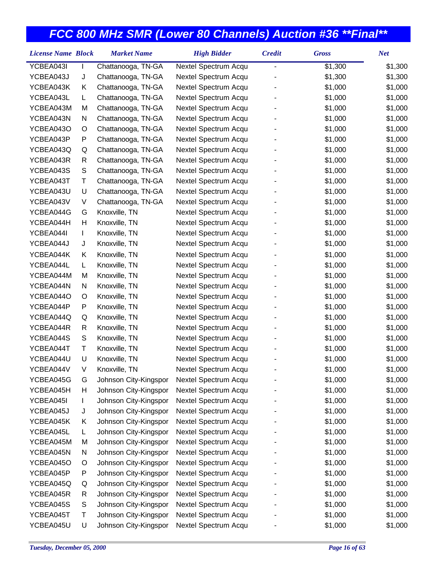| <b>License Name Block</b> |    | <b>Market Name</b>    | <b>High Bidder</b>   | <b>Credit</b>  | <b>Gross</b> | <b>Net</b> |
|---------------------------|----|-----------------------|----------------------|----------------|--------------|------------|
| YCBEA043I                 |    | Chattanooga, TN-GA    | Nextel Spectrum Acqu | $\overline{a}$ | \$1,300      | \$1,300    |
| YCBEA043J                 | J  | Chattanooga, TN-GA    | Nextel Spectrum Acqu |                | \$1,300      | \$1,300    |
| YCBEA043K                 | Κ  | Chattanooga, TN-GA    | Nextel Spectrum Acqu |                | \$1,000      | \$1,000    |
| YCBEA043L                 | L  | Chattanooga, TN-GA    | Nextel Spectrum Acqu |                | \$1,000      | \$1,000    |
| YCBEA043M                 | M  | Chattanooga, TN-GA    | Nextel Spectrum Acqu |                | \$1,000      | \$1,000    |
| YCBEA043N                 | N  | Chattanooga, TN-GA    | Nextel Spectrum Acqu |                | \$1,000      | \$1,000    |
| YCBEA043O                 | O  | Chattanooga, TN-GA    | Nextel Spectrum Acqu |                | \$1,000      | \$1,000    |
| YCBEA043P                 | P  | Chattanooga, TN-GA    | Nextel Spectrum Acqu |                | \$1,000      | \$1,000    |
| YCBEA043Q                 | Q  | Chattanooga, TN-GA    | Nextel Spectrum Acqu |                | \$1,000      | \$1,000    |
| YCBEA043R                 | R  | Chattanooga, TN-GA    | Nextel Spectrum Acqu |                | \$1,000      | \$1,000    |
| YCBEA043S                 | S  | Chattanooga, TN-GA    | Nextel Spectrum Acqu |                | \$1,000      | \$1,000    |
| YCBEA043T                 | Τ  | Chattanooga, TN-GA    | Nextel Spectrum Acqu |                | \$1,000      | \$1,000    |
| YCBEA043U                 | U  | Chattanooga, TN-GA    | Nextel Spectrum Acqu |                | \$1,000      | \$1,000    |
| YCBEA043V                 | V  | Chattanooga, TN-GA    | Nextel Spectrum Acqu |                | \$1,000      | \$1,000    |
| YCBEA044G                 | G  | Knoxville, TN         | Nextel Spectrum Acqu |                | \$1,000      | \$1,000    |
| YCBEA044H                 | Н  | Knoxville, TN         | Nextel Spectrum Acqu |                | \$1,000      | \$1,000    |
| YCBEA044I                 | L  | Knoxville, TN         | Nextel Spectrum Acqu |                | \$1,000      | \$1,000    |
| YCBEA044J                 | J  | Knoxville, TN         | Nextel Spectrum Acqu |                | \$1,000      | \$1,000    |
| YCBEA044K                 | Κ  | Knoxville, TN         | Nextel Spectrum Acqu |                | \$1,000      | \$1,000    |
| YCBEA044L                 | L. | Knoxville, TN         | Nextel Spectrum Acqu |                | \$1,000      | \$1,000    |
| YCBEA044M                 | M  | Knoxville, TN         | Nextel Spectrum Acqu |                | \$1,000      | \$1,000    |
| YCBEA044N                 | N  | Knoxville, TN         | Nextel Spectrum Acqu |                | \$1,000      | \$1,000    |
| YCBEA044O                 | O  | Knoxville, TN         | Nextel Spectrum Acqu |                | \$1,000      | \$1,000    |
| YCBEA044P                 | P  | Knoxville, TN         | Nextel Spectrum Acqu |                | \$1,000      | \$1,000    |
| YCBEA044Q                 | Q  | Knoxville, TN         | Nextel Spectrum Acqu |                | \$1,000      | \$1,000    |
| YCBEA044R                 | R  | Knoxville, TN         | Nextel Spectrum Acqu |                | \$1,000      | \$1,000    |
| YCBEA044S                 | S  | Knoxville, TN         | Nextel Spectrum Acqu |                | \$1,000      | \$1,000    |
| YCBEA044T                 | Τ  | Knoxville, TN         | Nextel Spectrum Acqu |                | \$1,000      | \$1,000    |
| YCBEA044U                 | U  | Knoxville, TN         | Nextel Spectrum Acqu |                | \$1,000      | \$1,000    |
| YCBEA044V                 | V  | Knoxville, TN         | Nextel Spectrum Acqu |                | \$1,000      | \$1,000    |
| YCBEA045G                 | G  | Johnson City-Kingspor | Nextel Spectrum Acqu |                | \$1,000      | \$1,000    |
| YCBEA045H                 | н  | Johnson City-Kingspor | Nextel Spectrum Acqu |                | \$1,000      | \$1,000    |
| YCBEA045I                 | L  | Johnson City-Kingspor | Nextel Spectrum Acqu |                | \$1,000      | \$1,000    |
| YCBEA045J                 | J  | Johnson City-Kingspor | Nextel Spectrum Acqu |                | \$1,000      | \$1,000    |
| YCBEA045K                 | Κ  | Johnson City-Kingspor | Nextel Spectrum Acqu |                | \$1,000      | \$1,000    |
| YCBEA045L                 | L  | Johnson City-Kingspor | Nextel Spectrum Acqu |                | \$1,000      | \$1,000    |
| YCBEA045M                 | M  | Johnson City-Kingspor | Nextel Spectrum Acqu |                | \$1,000      | \$1,000    |
| YCBEA045N                 | N  | Johnson City-Kingspor | Nextel Spectrum Acqu |                | \$1,000      | \$1,000    |
| YCBEA045O                 | O  | Johnson City-Kingspor | Nextel Spectrum Acqu |                | \$1,000      | \$1,000    |
| YCBEA045P                 | P  | Johnson City-Kingspor | Nextel Spectrum Acqu |                | \$1,000      | \$1,000    |
| YCBEA045Q                 | Q  | Johnson City-Kingspor | Nextel Spectrum Acqu |                | \$1,000      | \$1,000    |
| YCBEA045R                 | R  | Johnson City-Kingspor | Nextel Spectrum Acqu |                | \$1,000      | \$1,000    |
| YCBEA045S                 | S  | Johnson City-Kingspor | Nextel Spectrum Acqu |                | \$1,000      | \$1,000    |
| YCBEA045T                 | Т  | Johnson City-Kingspor | Nextel Spectrum Acqu |                | \$1,000      | \$1,000    |
| YCBEA045U                 | U  | Johnson City-Kingspor | Nextel Spectrum Acqu |                | \$1,000      | \$1,000    |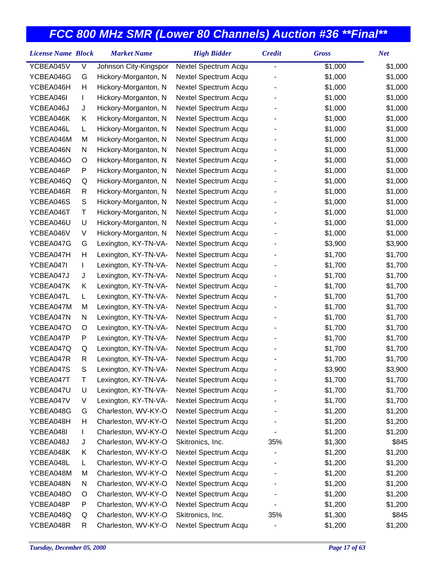| <b>License Name Block</b> |               | <b>Market Name</b>    | <b>High Bidder</b>   | <b>Credit</b> | <b>Gross</b> | <b>Net</b> |
|---------------------------|---------------|-----------------------|----------------------|---------------|--------------|------------|
| YCBEA045V                 | V             | Johnson City-Kingspor | Nextel Spectrum Acqu | -             | \$1,000      | \$1,000    |
| YCBEA046G                 | G             | Hickory-Morganton, N  | Nextel Spectrum Acqu |               | \$1,000      | \$1,000    |
| YCBEA046H                 | Н             | Hickory-Morganton, N  | Nextel Spectrum Acqu |               | \$1,000      | \$1,000    |
| YCBEA046I                 | L             | Hickory-Morganton, N  | Nextel Spectrum Acqu |               | \$1,000      | \$1,000    |
| YCBEA046J                 | J             | Hickory-Morganton, N  | Nextel Spectrum Acqu |               | \$1,000      | \$1,000    |
| YCBEA046K                 | Κ             | Hickory-Morganton, N  | Nextel Spectrum Acqu |               | \$1,000      | \$1,000    |
| YCBEA046L                 | L             | Hickory-Morganton, N  | Nextel Spectrum Acqu |               | \$1,000      | \$1,000    |
| YCBEA046M                 | M             | Hickory-Morganton, N  | Nextel Spectrum Acqu |               | \$1,000      | \$1,000    |
| YCBEA046N                 | N             | Hickory-Morganton, N  | Nextel Spectrum Acqu |               | \$1,000      | \$1,000    |
| YCBEA046O                 | O             | Hickory-Morganton, N  | Nextel Spectrum Acqu |               | \$1,000      | \$1,000    |
| YCBEA046P                 | P             | Hickory-Morganton, N  | Nextel Spectrum Acqu |               | \$1,000      | \$1,000    |
| YCBEA046Q                 | Q             | Hickory-Morganton, N  | Nextel Spectrum Acqu |               | \$1,000      | \$1,000    |
| YCBEA046R                 | R             | Hickory-Morganton, N  | Nextel Spectrum Acqu |               | \$1,000      | \$1,000    |
| YCBEA046S                 | ${\mathsf S}$ | Hickory-Morganton, N  | Nextel Spectrum Acqu |               | \$1,000      | \$1,000    |
| YCBEA046T                 | Τ             | Hickory-Morganton, N  | Nextel Spectrum Acqu |               | \$1,000      | \$1,000    |
| YCBEA046U                 | U             | Hickory-Morganton, N  | Nextel Spectrum Acqu |               | \$1,000      | \$1,000    |
| YCBEA046V                 | V             | Hickory-Morganton, N  | Nextel Spectrum Acqu |               | \$1,000      | \$1,000    |
| YCBEA047G                 | G             | Lexington, KY-TN-VA-  | Nextel Spectrum Acqu |               | \$3,900      | \$3,900    |
| YCBEA047H                 | Н             | Lexington, KY-TN-VA-  | Nextel Spectrum Acqu |               | \$1,700      | \$1,700    |
| YCBEA047I                 | L             | Lexington, KY-TN-VA-  | Nextel Spectrum Acqu |               | \$1,700      | \$1,700    |
| YCBEA047J                 | J             | Lexington, KY-TN-VA-  | Nextel Spectrum Acqu |               | \$1,700      | \$1,700    |
| YCBEA047K                 | Κ             | Lexington, KY-TN-VA-  | Nextel Spectrum Acqu |               | \$1,700      | \$1,700    |
| YCBEA047L                 | L             | Lexington, KY-TN-VA-  | Nextel Spectrum Acqu |               | \$1,700      | \$1,700    |
| YCBEA047M                 | M             | Lexington, KY-TN-VA-  | Nextel Spectrum Acqu |               | \$1,700      | \$1,700    |
| YCBEA047N                 | N             | Lexington, KY-TN-VA-  | Nextel Spectrum Acqu |               | \$1,700      | \$1,700    |
| YCBEA047O                 | O             | Lexington, KY-TN-VA-  | Nextel Spectrum Acqu |               | \$1,700      | \$1,700    |
| YCBEA047P                 | P             | Lexington, KY-TN-VA-  | Nextel Spectrum Acqu |               | \$1,700      | \$1,700    |
| YCBEA047Q                 | Q             | Lexington, KY-TN-VA-  | Nextel Spectrum Acqu |               | \$1,700      | \$1,700    |
| YCBEA047R                 | R             | Lexington, KY-TN-VA-  | Nextel Spectrum Acqu |               | \$1,700      | \$1,700    |
| YCBEA047S                 | S             | Lexington, KY-TN-VA-  | Nextel Spectrum Acqu |               | \$3,900      | \$3,900    |
| YCBEA047T                 | Т             | Lexington, KY-TN-VA-  | Nextel Spectrum Acqu |               | \$1,700      | \$1,700    |
| YCBEA047U                 | U             | Lexington, KY-TN-VA-  | Nextel Spectrum Acqu |               | \$1,700      | \$1,700    |
| YCBEA047V                 | V             | Lexington, KY-TN-VA-  | Nextel Spectrum Acqu |               | \$1,700      | \$1,700    |
| YCBEA048G                 | G             | Charleston, WV-KY-O   | Nextel Spectrum Acqu |               | \$1,200      | \$1,200    |
| YCBEA048H                 | н             | Charleston, WV-KY-O   | Nextel Spectrum Acqu |               | \$1,200      | \$1,200    |
| YCBEA048I                 | L             | Charleston, WV-KY-O   | Nextel Spectrum Acqu |               | \$1,200      | \$1,200    |
| YCBEA048J                 | J             | Charleston, WV-KY-O   | Skitronics, Inc.     | 35%           | \$1,300      | \$845      |
| YCBEA048K                 | Κ             | Charleston, WV-KY-O   | Nextel Spectrum Acqu |               | \$1,200      | \$1,200    |
| YCBEA048L                 | L             | Charleston, WV-KY-O   | Nextel Spectrum Acqu |               | \$1,200      | \$1,200    |
| YCBEA048M                 | M             | Charleston, WV-KY-O   | Nextel Spectrum Acqu |               | \$1,200      | \$1,200    |
| YCBEA048N                 | N             | Charleston, WV-KY-O   | Nextel Spectrum Acqu |               | \$1,200      | \$1,200    |
| YCBEA048O                 | O             | Charleston, WV-KY-O   | Nextel Spectrum Acqu |               | \$1,200      | \$1,200    |
| YCBEA048P                 | P             | Charleston, WV-KY-O   | Nextel Spectrum Acqu |               | \$1,200      | \$1,200    |
| YCBEA048Q                 | Q             | Charleston, WV-KY-O   | Skitronics, Inc.     | 35%           | \$1,300      | \$845      |
| YCBEA048R                 | R             | Charleston, WV-KY-O   | Nextel Spectrum Acqu |               | \$1,200      | \$1,200    |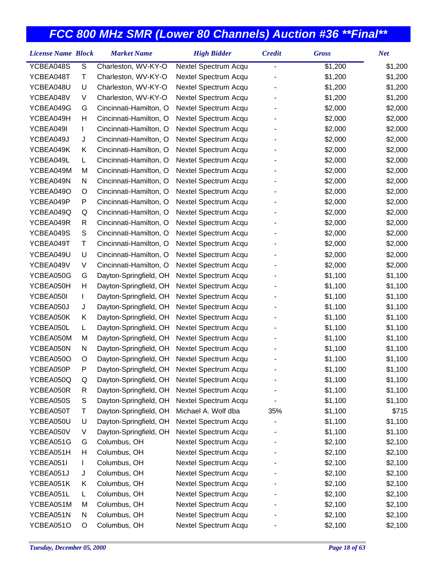| <b>License Name Block</b> |               | <b>Market Name</b>     | <b>High Bidder</b>   | <b>Credit</b> | <b>Gross</b> | <b>Net</b> |
|---------------------------|---------------|------------------------|----------------------|---------------|--------------|------------|
| YCBEA048S                 | ${\mathsf S}$ | Charleston, WV-KY-O    | Nextel Spectrum Acqu | -             | \$1,200      | \$1,200    |
| YCBEA048T                 | Τ             | Charleston, WV-KY-O    | Nextel Spectrum Acqu |               | \$1,200      | \$1,200    |
| YCBEA048U                 | U             | Charleston, WV-KY-O    | Nextel Spectrum Acqu |               | \$1,200      | \$1,200    |
| YCBEA048V                 | V             | Charleston, WV-KY-O    | Nextel Spectrum Acqu |               | \$1,200      | \$1,200    |
| YCBEA049G                 | G             | Cincinnati-Hamilton, O | Nextel Spectrum Acqu |               | \$2,000      | \$2,000    |
| YCBEA049H                 | Н             | Cincinnati-Hamilton, O | Nextel Spectrum Acqu |               | \$2,000      | \$2,000    |
| YCBEA049I                 | L             | Cincinnati-Hamilton, O | Nextel Spectrum Acqu |               | \$2,000      | \$2,000    |
| YCBEA049J                 | J             | Cincinnati-Hamilton, O | Nextel Spectrum Acqu |               | \$2,000      | \$2,000    |
| YCBEA049K                 | Κ             | Cincinnati-Hamilton, O | Nextel Spectrum Acqu |               | \$2,000      | \$2,000    |
| YCBEA049L                 | L             | Cincinnati-Hamilton, O | Nextel Spectrum Acqu |               | \$2,000      | \$2,000    |
| YCBEA049M                 | M             | Cincinnati-Hamilton, O | Nextel Spectrum Acqu |               | \$2,000      | \$2,000    |
| YCBEA049N                 | N             | Cincinnati-Hamilton, O | Nextel Spectrum Acqu |               | \$2,000      | \$2,000    |
| YCBEA049O                 | O             | Cincinnati-Hamilton, O | Nextel Spectrum Acqu |               | \$2,000      | \$2,000    |
| YCBEA049P                 | P             | Cincinnati-Hamilton, O | Nextel Spectrum Acqu |               | \$2,000      | \$2,000    |
| YCBEA049Q                 | Q             | Cincinnati-Hamilton, O | Nextel Spectrum Acqu |               | \$2,000      | \$2,000    |
| YCBEA049R                 | R             | Cincinnati-Hamilton, O | Nextel Spectrum Acqu |               | \$2,000      | \$2,000    |
| YCBEA049S                 | ${\mathsf S}$ | Cincinnati-Hamilton, O | Nextel Spectrum Acqu |               | \$2,000      | \$2,000    |
| YCBEA049T                 | Τ             | Cincinnati-Hamilton, O | Nextel Spectrum Acqu |               | \$2,000      | \$2,000    |
| YCBEA049U                 | U             | Cincinnati-Hamilton, O | Nextel Spectrum Acqu |               | \$2,000      | \$2,000    |
| YCBEA049V                 | V             | Cincinnati-Hamilton, O | Nextel Spectrum Acqu |               | \$2,000      | \$2,000    |
| YCBEA050G                 | G             | Dayton-Springfield, OH | Nextel Spectrum Acqu |               | \$1,100      | \$1,100    |
| YCBEA050H                 | Н             | Dayton-Springfield, OH | Nextel Spectrum Acqu |               | \$1,100      | \$1,100    |
| YCBEA050I                 | L             | Dayton-Springfield, OH | Nextel Spectrum Acqu |               | \$1,100      | \$1,100    |
| YCBEA050J                 | J             | Dayton-Springfield, OH | Nextel Spectrum Acqu |               | \$1,100      | \$1,100    |
| YCBEA050K                 | Κ             | Dayton-Springfield, OH | Nextel Spectrum Acqu |               | \$1,100      | \$1,100    |
| YCBEA050L                 | L             | Dayton-Springfield, OH | Nextel Spectrum Acqu |               | \$1,100      | \$1,100    |
| YCBEA050M                 | M             | Dayton-Springfield, OH | Nextel Spectrum Acqu |               | \$1,100      | \$1,100    |
| YCBEA050N                 | N             | Dayton-Springfield, OH | Nextel Spectrum Acqu |               | \$1,100      | \$1,100    |
| YCBEA050O                 | O             | Dayton-Springfield, OH | Nextel Spectrum Acqu |               | \$1,100      | \$1,100    |
| YCBEA050P                 | P             | Dayton-Springfield, OH | Nextel Spectrum Acqu |               | \$1,100      | \$1,100    |
| YCBEA050Q                 | Q             | Dayton-Springfield, OH | Nextel Spectrum Acqu |               | \$1,100      | \$1,100    |
| YCBEA050R                 | R             | Dayton-Springfield, OH | Nextel Spectrum Acqu |               | \$1,100      | \$1,100    |
| YCBEA050S                 | S             | Dayton-Springfield, OH | Nextel Spectrum Acqu |               | \$1,100      | \$1,100    |
| YCBEA050T                 | Τ             | Dayton-Springfield, OH | Michael A. Wolf dba  | 35%           | \$1,100      | \$715      |
| YCBEA050U                 | U             | Dayton-Springfield, OH | Nextel Spectrum Acqu |               | \$1,100      | \$1,100    |
| YCBEA050V                 | V             | Dayton-Springfield, OH | Nextel Spectrum Acqu |               | \$1,100      | \$1,100    |
| YCBEA051G                 | G             | Columbus, OH           | Nextel Spectrum Acqu |               | \$2,100      | \$2,100    |
| YCBEA051H                 | Н             | Columbus, OH           | Nextel Spectrum Acqu |               | \$2,100      | \$2,100    |
| YCBEA051I                 | L             | Columbus, OH           | Nextel Spectrum Acqu |               | \$2,100      | \$2,100    |
| YCBEA051J                 | J             | Columbus, OH           | Nextel Spectrum Acqu |               | \$2,100      | \$2,100    |
| YCBEA051K                 | Κ             | Columbus, OH           | Nextel Spectrum Acqu |               | \$2,100      | \$2,100    |
| YCBEA051L                 | L             | Columbus, OH           | Nextel Spectrum Acqu |               | \$2,100      | \$2,100    |
| YCBEA051M                 | M             | Columbus, OH           | Nextel Spectrum Acqu |               | \$2,100      | \$2,100    |
| YCBEA051N                 | N             | Columbus, OH           | Nextel Spectrum Acqu |               | \$2,100      | \$2,100    |
| YCBEA051O                 | O             | Columbus, OH           | Nextel Spectrum Acqu |               | \$2,100      | \$2,100    |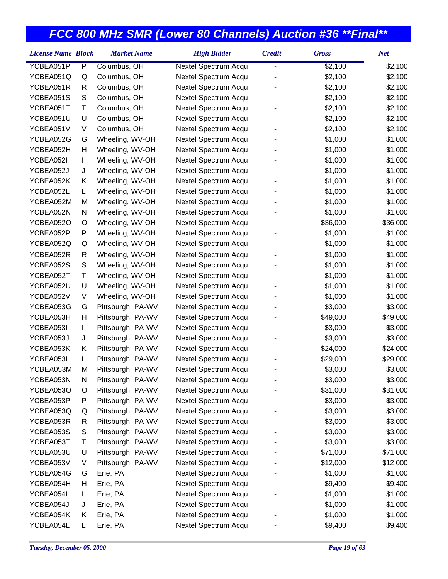| <b>License Name Block</b> |    | <b>Market Name</b> | <b>High Bidder</b>   | <b>Credit</b>                | <b>Gross</b> | <b>Net</b> |
|---------------------------|----|--------------------|----------------------|------------------------------|--------------|------------|
| YCBEA051P                 | P  | Columbus, OH       | Nextel Spectrum Acqu | $\qquad \qquad \blacksquare$ | \$2,100      | \$2,100    |
| YCBEA051Q                 | Q  | Columbus, OH       | Nextel Spectrum Acqu |                              | \$2,100      | \$2,100    |
| YCBEA051R                 | R  | Columbus, OH       | Nextel Spectrum Acqu |                              | \$2,100      | \$2,100    |
| YCBEA051S                 | S  | Columbus, OH       | Nextel Spectrum Acqu |                              | \$2,100      | \$2,100    |
| YCBEA051T                 | т  | Columbus, OH       | Nextel Spectrum Acqu |                              | \$2,100      | \$2,100    |
| YCBEA051U                 | U  | Columbus, OH       | Nextel Spectrum Acqu |                              | \$2,100      | \$2,100    |
| YCBEA051V                 | V  | Columbus, OH       | Nextel Spectrum Acqu |                              | \$2,100      | \$2,100    |
| YCBEA052G                 | G  | Wheeling, WV-OH    | Nextel Spectrum Acqu |                              | \$1,000      | \$1,000    |
| YCBEA052H                 | Η  | Wheeling, WV-OH    | Nextel Spectrum Acqu |                              | \$1,000      | \$1,000    |
| YCBEA052I                 | L  | Wheeling, WV-OH    | Nextel Spectrum Acqu |                              | \$1,000      | \$1,000    |
| YCBEA052J                 | J  | Wheeling, WV-OH    | Nextel Spectrum Acqu |                              | \$1,000      | \$1,000    |
| YCBEA052K                 | Κ  | Wheeling, WV-OH    | Nextel Spectrum Acqu |                              | \$1,000      | \$1,000    |
| YCBEA052L                 | L. | Wheeling, WV-OH    | Nextel Spectrum Acqu |                              | \$1,000      | \$1,000    |
| YCBEA052M                 | M  | Wheeling, WV-OH    | Nextel Spectrum Acqu |                              | \$1,000      | \$1,000    |
| YCBEA052N                 | N  | Wheeling, WV-OH    | Nextel Spectrum Acqu |                              | \$1,000      | \$1,000    |
| YCBEA052O                 | O  | Wheeling, WV-OH    | Nextel Spectrum Acqu |                              | \$36,000     | \$36,000   |
| YCBEA052P                 | P  | Wheeling, WV-OH    | Nextel Spectrum Acqu |                              | \$1,000      | \$1,000    |
| YCBEA052Q                 | Q  | Wheeling, WV-OH    | Nextel Spectrum Acqu |                              | \$1,000      | \$1,000    |
| YCBEA052R                 | R  | Wheeling, WV-OH    | Nextel Spectrum Acqu |                              | \$1,000      | \$1,000    |
| YCBEA052S                 | S  | Wheeling, WV-OH    | Nextel Spectrum Acqu |                              | \$1,000      | \$1,000    |
| YCBEA052T                 | т  | Wheeling, WV-OH    | Nextel Spectrum Acqu |                              | \$1,000      | \$1,000    |
| YCBEA052U                 | U  | Wheeling, WV-OH    | Nextel Spectrum Acqu |                              | \$1,000      | \$1,000    |
| YCBEA052V                 | V  | Wheeling, WV-OH    | Nextel Spectrum Acqu |                              | \$1,000      | \$1,000    |
| YCBEA053G                 | G  | Pittsburgh, PA-WV  | Nextel Spectrum Acqu |                              | \$3,000      | \$3,000    |
| YCBEA053H                 | Η  | Pittsburgh, PA-WV  | Nextel Spectrum Acqu |                              | \$49,000     | \$49,000   |
| YCBEA053I                 | L  | Pittsburgh, PA-WV  | Nextel Spectrum Acqu |                              | \$3,000      | \$3,000    |
| YCBEA053J                 | J  | Pittsburgh, PA-WV  | Nextel Spectrum Acqu |                              | \$3,000      | \$3,000    |
| YCBEA053K                 | Κ  | Pittsburgh, PA-WV  | Nextel Spectrum Acqu |                              | \$24,000     | \$24,000   |
| YCBEA053L                 | L  | Pittsburgh, PA-WV  | Nextel Spectrum Acqu |                              | \$29,000     | \$29,000   |
| YCBEA053M                 | М  | Pittsburgh, PA-WV  | Nextel Spectrum Acqu |                              | \$3,000      | \$3,000    |
| YCBEA053N                 | N  | Pittsburgh, PA-WV  | Nextel Spectrum Acqu |                              | \$3,000      | \$3,000    |
| YCBEA053O                 | O  | Pittsburgh, PA-WV  | Nextel Spectrum Acqu |                              | \$31,000     | \$31,000   |
| YCBEA053P                 | Ρ  | Pittsburgh, PA-WV  | Nextel Spectrum Acqu |                              | \$3,000      | \$3,000    |
| YCBEA053Q                 | Q  | Pittsburgh, PA-WV  | Nextel Spectrum Acqu |                              | \$3,000      | \$3,000    |
| YCBEA053R                 | R  | Pittsburgh, PA-WV  | Nextel Spectrum Acqu |                              | \$3,000      | \$3,000    |
| YCBEA053S                 | S  | Pittsburgh, PA-WV  | Nextel Spectrum Acqu |                              | \$3,000      | \$3,000    |
| YCBEA053T                 | т  | Pittsburgh, PA-WV  | Nextel Spectrum Acqu |                              | \$3,000      | \$3,000    |
| YCBEA053U                 | U  | Pittsburgh, PA-WV  | Nextel Spectrum Acqu |                              | \$71,000     | \$71,000   |
| YCBEA053V                 | V  | Pittsburgh, PA-WV  | Nextel Spectrum Acqu |                              | \$12,000     | \$12,000   |
| YCBEA054G                 | G  | Erie, PA           | Nextel Spectrum Acqu |                              | \$1,000      | \$1,000    |
| YCBEA054H                 | Н  | Erie, PA           | Nextel Spectrum Acqu |                              | \$9,400      | \$9,400    |
| YCBEA054I                 | L  | Erie, PA           | Nextel Spectrum Acqu |                              | \$1,000      | \$1,000    |
| YCBEA054J                 | J  | Erie, PA           | Nextel Spectrum Acqu |                              | \$1,000      | \$1,000    |
| YCBEA054K                 | Κ  | Erie, PA           | Nextel Spectrum Acqu |                              | \$1,000      | \$1,000    |
| YCBEA054L                 | L  | Erie, PA           | Nextel Spectrum Acqu |                              | \$9,400      | \$9,400    |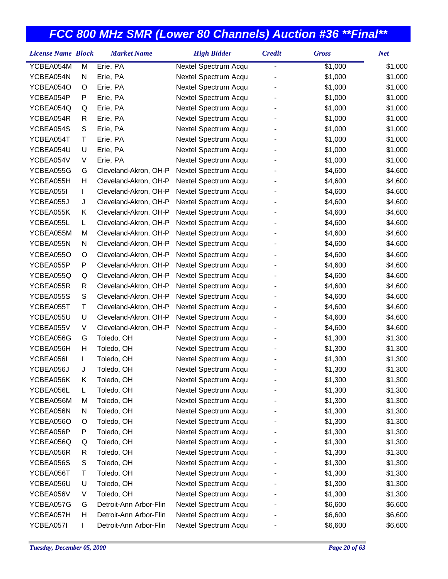| <b>License Name Block</b> |   | <b>Market Name</b>     | <b>High Bidder</b>   | <b>Credit</b> | <b>Gross</b> | <b>Net</b> |
|---------------------------|---|------------------------|----------------------|---------------|--------------|------------|
| YCBEA054M                 | M | Erie, PA               | Nextel Spectrum Acqu |               | \$1,000      | \$1,000    |
| YCBEA054N                 | N | Erie, PA               | Nextel Spectrum Acqu |               | \$1,000      | \$1,000    |
| YCBEA054O                 | O | Erie, PA               | Nextel Spectrum Acqu |               | \$1,000      | \$1,000    |
| YCBEA054P                 | P | Erie, PA               | Nextel Spectrum Acqu |               | \$1,000      | \$1,000    |
| YCBEA054Q                 | Q | Erie, PA               | Nextel Spectrum Acqu |               | \$1,000      | \$1,000    |
| YCBEA054R                 | R | Erie, PA               | Nextel Spectrum Acqu |               | \$1,000      | \$1,000    |
| YCBEA054S                 | S | Erie, PA               | Nextel Spectrum Acqu |               | \$1,000      | \$1,000    |
| YCBEA054T                 | Τ | Erie, PA               | Nextel Spectrum Acqu |               | \$1,000      | \$1,000    |
| YCBEA054U                 | U | Erie, PA               | Nextel Spectrum Acqu |               | \$1,000      | \$1,000    |
| YCBEA054V                 | V | Erie, PA               | Nextel Spectrum Acqu |               | \$1,000      | \$1,000    |
| YCBEA055G                 | G | Cleveland-Akron, OH-P  | Nextel Spectrum Acqu |               | \$4,600      | \$4,600    |
| YCBEA055H                 | Н | Cleveland-Akron, OH-P  | Nextel Spectrum Acqu |               | \$4,600      | \$4,600    |
| YCBEA055I                 | L | Cleveland-Akron, OH-P  | Nextel Spectrum Acqu |               | \$4,600      | \$4,600    |
| YCBEA055J                 | J | Cleveland-Akron, OH-P  | Nextel Spectrum Acqu |               | \$4,600      | \$4,600    |
| YCBEA055K                 | Κ | Cleveland-Akron, OH-P  | Nextel Spectrum Acqu |               | \$4,600      | \$4,600    |
| YCBEA055L                 | L | Cleveland-Akron, OH-P  | Nextel Spectrum Acqu |               | \$4,600      | \$4,600    |
| YCBEA055M                 | M | Cleveland-Akron, OH-P  | Nextel Spectrum Acqu |               | \$4,600      | \$4,600    |
| YCBEA055N                 | N | Cleveland-Akron, OH-P  | Nextel Spectrum Acqu |               | \$4,600      | \$4,600    |
| YCBEA055O                 | O | Cleveland-Akron, OH-P  | Nextel Spectrum Acqu |               | \$4,600      | \$4,600    |
| YCBEA055P                 | P | Cleveland-Akron, OH-P  | Nextel Spectrum Acqu |               | \$4,600      | \$4,600    |
| YCBEA055Q                 | Q | Cleveland-Akron, OH-P  | Nextel Spectrum Acqu |               | \$4,600      | \$4,600    |
| YCBEA055R                 | R | Cleveland-Akron, OH-P  | Nextel Spectrum Acqu |               | \$4,600      | \$4,600    |
| YCBEA055S                 | S | Cleveland-Akron, OH-P  | Nextel Spectrum Acqu |               | \$4,600      | \$4,600    |
| YCBEA055T                 | Τ | Cleveland-Akron, OH-P  | Nextel Spectrum Acqu |               | \$4,600      | \$4,600    |
| YCBEA055U                 | U | Cleveland-Akron, OH-P  | Nextel Spectrum Acqu |               | \$4,600      | \$4,600    |
| YCBEA055V                 | V | Cleveland-Akron, OH-P  | Nextel Spectrum Acqu |               | \$4,600      | \$4,600    |
| YCBEA056G                 | G | Toledo, OH             | Nextel Spectrum Acqu |               | \$1,300      | \$1,300    |
| YCBEA056H                 | Н | Toledo, OH             | Nextel Spectrum Acqu |               | \$1,300      | \$1,300    |
| YCBEA056I                 | L | Toledo, OH             | Nextel Spectrum Acqu |               | \$1,300      | \$1,300    |
| YCBEA056J                 | J | Toledo, OH             | Nextel Spectrum Acqu |               | \$1,300      | \$1,300    |
| YCBEA056K                 | Κ | Toledo, OH             | Nextel Spectrum Acqu |               | \$1,300      | \$1,300    |
| YCBEA056L                 | L | Toledo, OH             | Nextel Spectrum Acqu |               | \$1,300      | \$1,300    |
| YCBEA056M                 | M | Toledo, OH             | Nextel Spectrum Acqu |               | \$1,300      | \$1,300    |
| YCBEA056N                 | N | Toledo, OH             | Nextel Spectrum Acqu |               | \$1,300      | \$1,300    |
| YCBEA056O                 | O | Toledo, OH             | Nextel Spectrum Acqu |               | \$1,300      | \$1,300    |
| YCBEA056P                 | P | Toledo, OH             | Nextel Spectrum Acqu |               | \$1,300      | \$1,300    |
| YCBEA056Q                 | Q | Toledo, OH             | Nextel Spectrum Acqu |               | \$1,300      | \$1,300    |
| YCBEA056R                 | R | Toledo, OH             | Nextel Spectrum Acqu |               | \$1,300      | \$1,300    |
| YCBEA056S                 | S | Toledo, OH             | Nextel Spectrum Acqu |               | \$1,300      | \$1,300    |
| YCBEA056T                 | Τ | Toledo, OH             | Nextel Spectrum Acqu |               | \$1,300      | \$1,300    |
| YCBEA056U                 | U | Toledo, OH             | Nextel Spectrum Acqu |               | \$1,300      | \$1,300    |
| YCBEA056V                 | V | Toledo, OH             | Nextel Spectrum Acqu |               | \$1,300      | \$1,300    |
| YCBEA057G                 | G | Detroit-Ann Arbor-Flin | Nextel Spectrum Acqu |               | \$6,600      | \$6,600    |
| YCBEA057H                 | н | Detroit-Ann Arbor-Flin | Nextel Spectrum Acqu |               | \$6,600      | \$6,600    |
| YCBEA057I                 |   | Detroit-Ann Arbor-Flin | Nextel Spectrum Acqu |               | \$6,600      | \$6,600    |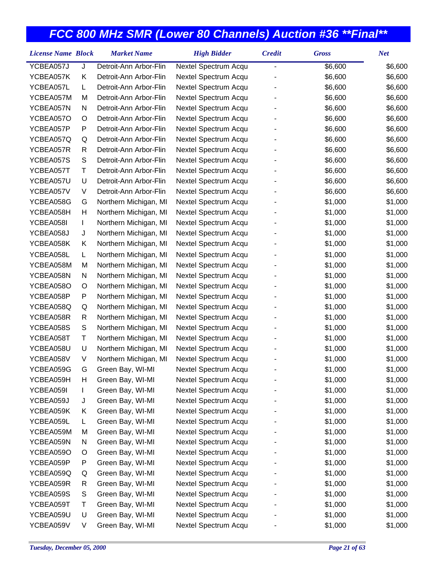| <b>License Name Block</b> |   | <b>Market Name</b>     | <b>High Bidder</b>   | <b>Credit</b> | <b>Gross</b> | <b>Net</b> |
|---------------------------|---|------------------------|----------------------|---------------|--------------|------------|
| YCBEA057J                 | J | Detroit-Ann Arbor-Flin | Nextel Spectrum Acqu | -             | \$6,600      | \$6,600    |
| YCBEA057K                 | Κ | Detroit-Ann Arbor-Flin | Nextel Spectrum Acqu |               | \$6,600      | \$6,600    |
| YCBEA057L                 | L | Detroit-Ann Arbor-Flin | Nextel Spectrum Acqu |               | \$6,600      | \$6,600    |
| YCBEA057M                 | M | Detroit-Ann Arbor-Flin | Nextel Spectrum Acqu |               | \$6,600      | \$6,600    |
| YCBEA057N                 | N | Detroit-Ann Arbor-Flin | Nextel Spectrum Acqu |               | \$6,600      | \$6,600    |
| YCBEA057O                 | O | Detroit-Ann Arbor-Flin | Nextel Spectrum Acqu |               | \$6,600      | \$6,600    |
| YCBEA057P                 | P | Detroit-Ann Arbor-Flin | Nextel Spectrum Acqu |               | \$6,600      | \$6,600    |
| YCBEA057Q                 | Q | Detroit-Ann Arbor-Flin | Nextel Spectrum Acqu |               | \$6,600      | \$6,600    |
| YCBEA057R                 | R | Detroit-Ann Arbor-Flin | Nextel Spectrum Acqu |               | \$6,600      | \$6,600    |
| YCBEA057S                 | S | Detroit-Ann Arbor-Flin | Nextel Spectrum Acqu |               | \$6,600      | \$6,600    |
| YCBEA057T                 | Τ | Detroit-Ann Arbor-Flin | Nextel Spectrum Acqu |               | \$6,600      | \$6,600    |
| YCBEA057U                 | U | Detroit-Ann Arbor-Flin | Nextel Spectrum Acqu |               | \$6,600      | \$6,600    |
| YCBEA057V                 | V | Detroit-Ann Arbor-Flin | Nextel Spectrum Acqu |               | \$6,600      | \$6,600    |
| YCBEA058G                 | G | Northern Michigan, MI  | Nextel Spectrum Acqu |               | \$1,000      | \$1,000    |
| YCBEA058H                 | н | Northern Michigan, MI  | Nextel Spectrum Acqu |               | \$1,000      | \$1,000    |
| YCBEA058I                 | L | Northern Michigan, MI  | Nextel Spectrum Acqu |               | \$1,000      | \$1,000    |
| YCBEA058J                 | J | Northern Michigan, MI  | Nextel Spectrum Acqu |               | \$1,000      | \$1,000    |
| YCBEA058K                 | Κ | Northern Michigan, MI  | Nextel Spectrum Acqu |               | \$1,000      | \$1,000    |
| YCBEA058L                 | L | Northern Michigan, MI  | Nextel Spectrum Acqu |               | \$1,000      | \$1,000    |
| YCBEA058M                 | M | Northern Michigan, MI  | Nextel Spectrum Acqu |               | \$1,000      | \$1,000    |
| YCBEA058N                 | N | Northern Michigan, MI  | Nextel Spectrum Acqu |               | \$1,000      | \$1,000    |
| YCBEA058O                 | O | Northern Michigan, MI  | Nextel Spectrum Acqu |               | \$1,000      | \$1,000    |
| YCBEA058P                 | P | Northern Michigan, MI  | Nextel Spectrum Acqu |               | \$1,000      | \$1,000    |
| YCBEA058Q                 | Q | Northern Michigan, MI  | Nextel Spectrum Acqu |               | \$1,000      | \$1,000    |
| YCBEA058R                 | R | Northern Michigan, MI  | Nextel Spectrum Acqu |               | \$1,000      | \$1,000    |
| YCBEA058S                 | S | Northern Michigan, MI  | Nextel Spectrum Acqu |               | \$1,000      | \$1,000    |
| YCBEA058T                 | Τ | Northern Michigan, MI  | Nextel Spectrum Acqu |               | \$1,000      | \$1,000    |
| YCBEA058U                 | U | Northern Michigan, MI  | Nextel Spectrum Acqu |               | \$1,000      | \$1,000    |
| YCBEA058V                 | V | Northern Michigan, MI  | Nextel Spectrum Acqu |               | \$1,000      | \$1,000    |
| YCBEA059G                 | G | Green Bay, WI-MI       | Nextel Spectrum Acqu |               | \$1,000      | \$1,000    |
| YCBEA059H                 | H | Green Bay, WI-MI       | Nextel Spectrum Acqu |               | \$1,000      | \$1,000    |
| YCBEA059I                 | L | Green Bay, WI-MI       | Nextel Spectrum Acqu |               | \$1,000      | \$1,000    |
| YCBEA059J                 | J | Green Bay, WI-MI       | Nextel Spectrum Acqu |               | \$1,000      | \$1,000    |
| YCBEA059K                 | Κ | Green Bay, WI-MI       | Nextel Spectrum Acqu |               | \$1,000      | \$1,000    |
| YCBEA059L                 | L | Green Bay, WI-MI       | Nextel Spectrum Acqu |               | \$1,000      | \$1,000    |
| YCBEA059M                 | M | Green Bay, WI-MI       | Nextel Spectrum Acqu |               | \$1,000      | \$1,000    |
| YCBEA059N                 | N | Green Bay, WI-MI       | Nextel Spectrum Acqu |               | \$1,000      | \$1,000    |
| YCBEA059O                 | O | Green Bay, WI-MI       | Nextel Spectrum Acqu |               | \$1,000      | \$1,000    |
| YCBEA059P                 | P | Green Bay, WI-MI       | Nextel Spectrum Acqu |               | \$1,000      | \$1,000    |
| YCBEA059Q                 | Q | Green Bay, WI-MI       | Nextel Spectrum Acqu |               | \$1,000      | \$1,000    |
| YCBEA059R                 | R | Green Bay, WI-MI       | Nextel Spectrum Acqu |               | \$1,000      | \$1,000    |
| YCBEA059S                 | S | Green Bay, WI-MI       | Nextel Spectrum Acqu |               | \$1,000      | \$1,000    |
| YCBEA059T                 | Т | Green Bay, WI-MI       | Nextel Spectrum Acqu |               | \$1,000      | \$1,000    |
| YCBEA059U                 | U | Green Bay, WI-MI       | Nextel Spectrum Acqu |               | \$1,000      | \$1,000    |
| YCBEA059V                 | V | Green Bay, WI-MI       | Nextel Spectrum Acqu |               | \$1,000      | \$1,000    |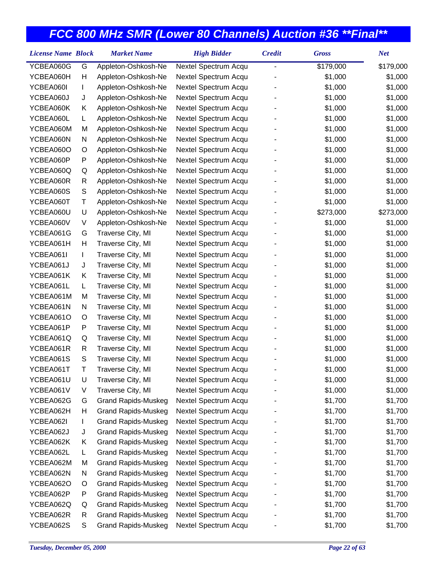| <b>License Name Block</b> |   | <b>Market Name</b>         | <b>High Bidder</b>   | <b>Credit</b>  | <b>Gross</b> | <b>Net</b> |
|---------------------------|---|----------------------------|----------------------|----------------|--------------|------------|
| YCBEA060G                 | G | Appleton-Oshkosh-Ne        | Nextel Spectrum Acqu | $\overline{a}$ | \$179,000    | \$179,000  |
| YCBEA060H                 | H | Appleton-Oshkosh-Ne        | Nextel Spectrum Acqu |                | \$1,000      | \$1,000    |
| YCBEA060I                 | L | Appleton-Oshkosh-Ne        | Nextel Spectrum Acqu |                | \$1,000      | \$1,000    |
| YCBEA060J                 | J | Appleton-Oshkosh-Ne        | Nextel Spectrum Acqu |                | \$1,000      | \$1,000    |
| YCBEA060K                 | Κ | Appleton-Oshkosh-Ne        | Nextel Spectrum Acqu |                | \$1,000      | \$1,000    |
| YCBEA060L                 | L | Appleton-Oshkosh-Ne        | Nextel Spectrum Acqu |                | \$1,000      | \$1,000    |
| YCBEA060M                 | M | Appleton-Oshkosh-Ne        | Nextel Spectrum Acqu |                | \$1,000      | \$1,000    |
| YCBEA060N                 | N | Appleton-Oshkosh-Ne        | Nextel Spectrum Acqu |                | \$1,000      | \$1,000    |
| YCBEA060O                 | O | Appleton-Oshkosh-Ne        | Nextel Spectrum Acqu |                | \$1,000      | \$1,000    |
| YCBEA060P                 | P | Appleton-Oshkosh-Ne        | Nextel Spectrum Acqu |                | \$1,000      | \$1,000    |
| YCBEA060Q                 | Q | Appleton-Oshkosh-Ne        | Nextel Spectrum Acqu |                | \$1,000      | \$1,000    |
| YCBEA060R                 | R | Appleton-Oshkosh-Ne        | Nextel Spectrum Acqu |                | \$1,000      | \$1,000    |
| YCBEA060S                 | S | Appleton-Oshkosh-Ne        | Nextel Spectrum Acqu |                | \$1,000      | \$1,000    |
| YCBEA060T                 | Τ | Appleton-Oshkosh-Ne        | Nextel Spectrum Acqu |                | \$1,000      | \$1,000    |
| YCBEA060U                 | U | Appleton-Oshkosh-Ne        | Nextel Spectrum Acqu |                | \$273,000    | \$273,000  |
| YCBEA060V                 | V | Appleton-Oshkosh-Ne        | Nextel Spectrum Acqu |                | \$1,000      | \$1,000    |
| YCBEA061G                 | G | Traverse City, MI          | Nextel Spectrum Acqu |                | \$1,000      | \$1,000    |
| YCBEA061H                 | Н | Traverse City, MI          | Nextel Spectrum Acqu |                | \$1,000      | \$1,000    |
| YCBEA061I                 | L | Traverse City, MI          | Nextel Spectrum Acqu |                | \$1,000      | \$1,000    |
| YCBEA061J                 | J | Traverse City, MI          | Nextel Spectrum Acqu |                | \$1,000      | \$1,000    |
| YCBEA061K                 | Κ | Traverse City, MI          | Nextel Spectrum Acqu |                | \$1,000      | \$1,000    |
| YCBEA061L                 | L | Traverse City, MI          | Nextel Spectrum Acqu |                | \$1,000      | \$1,000    |
| YCBEA061M                 | м | Traverse City, MI          | Nextel Spectrum Acqu |                | \$1,000      | \$1,000    |
| YCBEA061N                 | N | Traverse City, MI          | Nextel Spectrum Acqu |                | \$1,000      | \$1,000    |
| YCBEA061O                 | O | Traverse City, MI          | Nextel Spectrum Acqu |                | \$1,000      | \$1,000    |
| YCBEA061P                 | P | Traverse City, MI          | Nextel Spectrum Acqu |                | \$1,000      | \$1,000    |
| YCBEA061Q                 | Q | Traverse City, MI          | Nextel Spectrum Acqu |                | \$1,000      | \$1,000    |
| YCBEA061R                 | R | Traverse City, MI          | Nextel Spectrum Acqu |                | \$1,000      | \$1,000    |
| YCBEA061S                 | S | Traverse City, MI          | Nextel Spectrum Acqu |                | \$1,000      | \$1,000    |
| YCBEA061T                 | Τ | Traverse City, MI          | Nextel Spectrum Acqu |                | \$1,000      | \$1,000    |
| YCBEA061U                 | U | Traverse City, MI          | Nextel Spectrum Acqu |                | \$1,000      | \$1,000    |
| YCBEA061V                 | V | Traverse City, MI          | Nextel Spectrum Acqu |                | \$1,000      | \$1,000    |
| YCBEA062G                 | G | <b>Grand Rapids-Muskeg</b> | Nextel Spectrum Acqu |                | \$1,700      | \$1,700    |
| YCBEA062H                 | Н | <b>Grand Rapids-Muskeg</b> | Nextel Spectrum Acqu |                | \$1,700      | \$1,700    |
| YCBEA062I                 | L | <b>Grand Rapids-Muskeg</b> | Nextel Spectrum Acqu |                | \$1,700      | \$1,700    |
| YCBEA062J                 | J | <b>Grand Rapids-Muskeg</b> | Nextel Spectrum Acqu |                | \$1,700      | \$1,700    |
| YCBEA062K                 | Κ | <b>Grand Rapids-Muskeg</b> | Nextel Spectrum Acqu |                | \$1,700      | \$1,700    |
| YCBEA062L                 | L | <b>Grand Rapids-Muskeg</b> | Nextel Spectrum Acqu |                | \$1,700      | \$1,700    |
| YCBEA062M                 | M | <b>Grand Rapids-Muskeg</b> | Nextel Spectrum Acqu |                | \$1,700      | \$1,700    |
| YCBEA062N                 | N | <b>Grand Rapids-Muskeg</b> | Nextel Spectrum Acqu |                | \$1,700      | \$1,700    |
| YCBEA062O                 | O | <b>Grand Rapids-Muskeg</b> | Nextel Spectrum Acqu |                | \$1,700      | \$1,700    |
| YCBEA062P                 | P | <b>Grand Rapids-Muskeg</b> | Nextel Spectrum Acqu |                | \$1,700      | \$1,700    |
| YCBEA062Q                 | Q | <b>Grand Rapids-Muskeg</b> | Nextel Spectrum Acqu |                | \$1,700      | \$1,700    |
| YCBEA062R                 | R | <b>Grand Rapids-Muskeg</b> | Nextel Spectrum Acqu |                | \$1,700      | \$1,700    |
| YCBEA062S                 | S | <b>Grand Rapids-Muskeg</b> | Nextel Spectrum Acqu |                | \$1,700      | \$1,700    |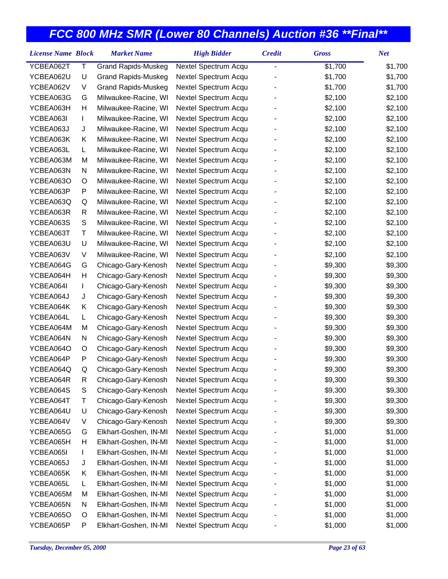| <b>License Name Block</b> |    | <b>Market Name</b>         | <b>High Bidder</b>   | <b>Credit</b>  | <b>Gross</b> | <b>Net</b> |
|---------------------------|----|----------------------------|----------------------|----------------|--------------|------------|
| YCBEA062T                 | Τ  | <b>Grand Rapids-Muskeg</b> | Nextel Spectrum Acqu | $\overline{a}$ | \$1,700      | \$1,700    |
| YCBEA062U                 | U  | <b>Grand Rapids-Muskeg</b> | Nextel Spectrum Acqu |                | \$1,700      | \$1,700    |
| YCBEA062V                 | V  | <b>Grand Rapids-Muskeg</b> | Nextel Spectrum Acqu |                | \$1,700      | \$1,700    |
| YCBEA063G                 | G  | Milwaukee-Racine, WI       | Nextel Spectrum Acqu |                | \$2,100      | \$2,100    |
| YCBEA063H                 | Н  | Milwaukee-Racine, WI       | Nextel Spectrum Acqu |                | \$2,100      | \$2,100    |
| YCBEA063I                 | L  | Milwaukee-Racine, WI       | Nextel Spectrum Acqu |                | \$2,100      | \$2,100    |
| YCBEA063J                 | J  | Milwaukee-Racine, WI       | Nextel Spectrum Acqu |                | \$2,100      | \$2,100    |
| YCBEA063K                 | Κ  | Milwaukee-Racine, WI       | Nextel Spectrum Acqu |                | \$2,100      | \$2,100    |
| YCBEA063L                 | L  | Milwaukee-Racine, WI       | Nextel Spectrum Acqu |                | \$2,100      | \$2,100    |
| YCBEA063M                 | M  | Milwaukee-Racine, WI       | Nextel Spectrum Acqu |                | \$2,100      | \$2,100    |
| YCBEA063N                 | N  | Milwaukee-Racine, WI       | Nextel Spectrum Acqu |                | \$2,100      | \$2,100    |
| YCBEA063O                 | O  | Milwaukee-Racine, WI       | Nextel Spectrum Acqu |                | \$2,100      | \$2,100    |
| YCBEA063P                 | P  | Milwaukee-Racine, WI       | Nextel Spectrum Acqu |                | \$2,100      | \$2,100    |
| YCBEA063Q                 | Q  | Milwaukee-Racine, WI       | Nextel Spectrum Acqu |                | \$2,100      | \$2,100    |
| YCBEA063R                 | R  | Milwaukee-Racine, WI       | Nextel Spectrum Acqu |                | \$2,100      | \$2,100    |
| YCBEA063S                 | S  | Milwaukee-Racine, WI       | Nextel Spectrum Acqu |                | \$2,100      | \$2,100    |
| YCBEA063T                 | Τ  | Milwaukee-Racine, WI       | Nextel Spectrum Acqu |                | \$2,100      | \$2,100    |
| YCBEA063U                 | U  | Milwaukee-Racine, WI       | Nextel Spectrum Acqu |                | \$2,100      | \$2,100    |
| YCBEA063V                 | V  | Milwaukee-Racine, WI       | Nextel Spectrum Acqu |                | \$2,100      | \$2,100    |
| YCBEA064G                 | G  | Chicago-Gary-Kenosh        | Nextel Spectrum Acqu |                | \$9,300      | \$9,300    |
| YCBEA064H                 | Н  | Chicago-Gary-Kenosh        | Nextel Spectrum Acqu |                | \$9,300      | \$9,300    |
| YCBEA064I                 | L  | Chicago-Gary-Kenosh        | Nextel Spectrum Acqu |                | \$9,300      | \$9,300    |
| YCBEA064J                 | J  | Chicago-Gary-Kenosh        | Nextel Spectrum Acqu |                | \$9,300      | \$9,300    |
| YCBEA064K                 | Κ  | Chicago-Gary-Kenosh        | Nextel Spectrum Acqu |                | \$9,300      | \$9,300    |
| YCBEA064L                 | L. | Chicago-Gary-Kenosh        | Nextel Spectrum Acqu |                | \$9,300      | \$9,300    |
| YCBEA064M                 | M  | Chicago-Gary-Kenosh        | Nextel Spectrum Acqu |                | \$9,300      | \$9,300    |
| YCBEA064N                 | N  | Chicago-Gary-Kenosh        | Nextel Spectrum Acqu |                | \$9,300      | \$9,300    |
| YCBEA064O                 | O  | Chicago-Gary-Kenosh        | Nextel Spectrum Acqu |                | \$9,300      | \$9,300    |
| YCBEA064P                 | P  | Chicago-Gary-Kenosh        | Nextel Spectrum Acqu |                | \$9,300      | \$9,300    |
| YCBEA064Q                 | Q  | Chicago-Gary-Kenosh        | Nextel Spectrum Acqu |                | \$9,300      | \$9,300    |
| YCBEA064R                 | R  | Chicago-Gary-Kenosh        | Nextel Spectrum Acqu |                | \$9,300      | \$9,300    |
| YCBEA064S                 | S  | Chicago-Gary-Kenosh        | Nextel Spectrum Acqu |                | \$9,300      | \$9,300    |
| YCBEA064T                 | Τ  | Chicago-Gary-Kenosh        | Nextel Spectrum Acqu |                | \$9,300      | \$9,300    |
| YCBEA064U                 | U  | Chicago-Gary-Kenosh        | Nextel Spectrum Acqu |                | \$9,300      | \$9,300    |
| YCBEA064V                 | V  | Chicago-Gary-Kenosh        | Nextel Spectrum Acqu |                | \$9,300      | \$9,300    |
| YCBEA065G                 | G  | Elkhart-Goshen, IN-MI      | Nextel Spectrum Acqu |                | \$1,000      | \$1,000    |
| YCBEA065H                 | Н  | Elkhart-Goshen, IN-MI      | Nextel Spectrum Acqu |                | \$1,000      | \$1,000    |
| YCBEA065I                 | L  | Elkhart-Goshen, IN-MI      | Nextel Spectrum Acqu |                | \$1,000      | \$1,000    |
| YCBEA065J                 | J  | Elkhart-Goshen, IN-MI      | Nextel Spectrum Acqu |                | \$1,000      | \$1,000    |
| YCBEA065K                 | Κ  | Elkhart-Goshen, IN-MI      | Nextel Spectrum Acqu |                | \$1,000      | \$1,000    |
| YCBEA065L                 | L  | Elkhart-Goshen, IN-MI      | Nextel Spectrum Acqu |                | \$1,000      | \$1,000    |
| YCBEA065M                 | M  | Elkhart-Goshen, IN-MI      | Nextel Spectrum Acqu |                | \$1,000      | \$1,000    |
| YCBEA065N                 | N  | Elkhart-Goshen, IN-MI      | Nextel Spectrum Acqu |                | \$1,000      | \$1,000    |
| YCBEA065O                 | O  | Elkhart-Goshen, IN-MI      | Nextel Spectrum Acqu |                | \$1,000      | \$1,000    |
| YCBEA065P                 | P  | Elkhart-Goshen, IN-MI      | Nextel Spectrum Acqu |                | \$1,000      | \$1,000    |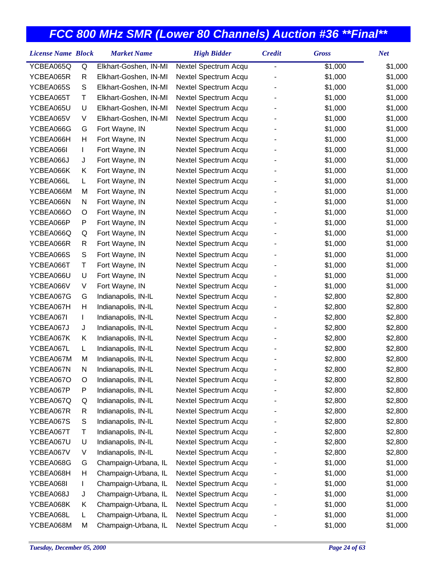| <b>License Name Block</b> |    | <b>Market Name</b>    | <b>High Bidder</b>   | <b>Credit</b> | <b>Gross</b> | <b>Net</b> |
|---------------------------|----|-----------------------|----------------------|---------------|--------------|------------|
| YCBEA065Q                 | Q  | Elkhart-Goshen, IN-MI | Nextel Spectrum Acqu |               | \$1,000      | \$1,000    |
| YCBEA065R                 | R  | Elkhart-Goshen, IN-MI | Nextel Spectrum Acqu |               | \$1,000      | \$1,000    |
| YCBEA065S                 | S  | Elkhart-Goshen, IN-MI | Nextel Spectrum Acqu |               | \$1,000      | \$1,000    |
| YCBEA065T                 | Τ  | Elkhart-Goshen, IN-MI | Nextel Spectrum Acqu |               | \$1,000      | \$1,000    |
| YCBEA065U                 | U  | Elkhart-Goshen, IN-MI | Nextel Spectrum Acqu |               | \$1,000      | \$1,000    |
| YCBEA065V                 | V  | Elkhart-Goshen, IN-MI | Nextel Spectrum Acqu |               | \$1,000      | \$1,000    |
| YCBEA066G                 | G  | Fort Wayne, IN        | Nextel Spectrum Acqu |               | \$1,000      | \$1,000    |
| YCBEA066H                 | н  | Fort Wayne, IN        | Nextel Spectrum Acqu |               | \$1,000      | \$1,000    |
| YCBEA066I                 | L  | Fort Wayne, IN        | Nextel Spectrum Acqu |               | \$1,000      | \$1,000    |
| YCBEA066J                 | J  | Fort Wayne, IN        | Nextel Spectrum Acqu |               | \$1,000      | \$1,000    |
| YCBEA066K                 | Κ  | Fort Wayne, IN        | Nextel Spectrum Acqu |               | \$1,000      | \$1,000    |
| YCBEA066L                 | L. | Fort Wayne, IN        | Nextel Spectrum Acqu |               | \$1,000      | \$1,000    |
| YCBEA066M                 | M  | Fort Wayne, IN        | Nextel Spectrum Acqu |               | \$1,000      | \$1,000    |
| YCBEA066N                 | N  | Fort Wayne, IN        | Nextel Spectrum Acqu |               | \$1,000      | \$1,000    |
| YCBEA066O                 | O  | Fort Wayne, IN        | Nextel Spectrum Acqu |               | \$1,000      | \$1,000    |
| YCBEA066P                 | P  | Fort Wayne, IN        | Nextel Spectrum Acqu |               | \$1,000      | \$1,000    |
| YCBEA066Q                 | Q  | Fort Wayne, IN        | Nextel Spectrum Acqu |               | \$1,000      | \$1,000    |
| YCBEA066R                 | R  | Fort Wayne, IN        | Nextel Spectrum Acqu |               | \$1,000      | \$1,000    |
| YCBEA066S                 | S  | Fort Wayne, IN        | Nextel Spectrum Acqu |               | \$1,000      | \$1,000    |
| YCBEA066T                 | Τ  | Fort Wayne, IN        | Nextel Spectrum Acqu |               | \$1,000      | \$1,000    |
| YCBEA066U                 | U  | Fort Wayne, IN        | Nextel Spectrum Acqu |               | \$1,000      | \$1,000    |
| YCBEA066V                 | V  | Fort Wayne, IN        | Nextel Spectrum Acqu |               | \$1,000      | \$1,000    |
| YCBEA067G                 | G  | Indianapolis, IN-IL   | Nextel Spectrum Acqu |               | \$2,800      | \$2,800    |
| YCBEA067H                 | Н  | Indianapolis, IN-IL   | Nextel Spectrum Acqu |               | \$2,800      | \$2,800    |
| YCBEA067I                 | L  | Indianapolis, IN-IL   | Nextel Spectrum Acqu |               | \$2,800      | \$2,800    |
| YCBEA067J                 | J  | Indianapolis, IN-IL   | Nextel Spectrum Acqu |               | \$2,800      | \$2,800    |
| YCBEA067K                 | Κ  | Indianapolis, IN-IL   | Nextel Spectrum Acqu |               | \$2,800      | \$2,800    |
| YCBEA067L                 | L. | Indianapolis, IN-IL   | Nextel Spectrum Acqu |               | \$2,800      | \$2,800    |
| YCBEA067M                 | M  | Indianapolis, IN-IL   | Nextel Spectrum Acqu |               | \$2,800      | \$2,800    |
| YCBEA067N                 | N  | Indianapolis, IN-IL   | Nextel Spectrum Acqu |               | \$2,800      | \$2,800    |
| YCBEA067O                 | O  | Indianapolis, IN-IL   | Nextel Spectrum Acqu |               | \$2,800      | \$2,800    |
| YCBEA067P                 | Ρ  | Indianapolis, IN-IL   | Nextel Spectrum Acqu |               | \$2,800      | \$2,800    |
| YCBEA067Q                 | Q  | Indianapolis, IN-IL   | Nextel Spectrum Acqu |               | \$2,800      | \$2,800    |
| YCBEA067R                 | R  | Indianapolis, IN-IL   | Nextel Spectrum Acqu |               | \$2,800      | \$2,800    |
| YCBEA067S                 | S  | Indianapolis, IN-IL   | Nextel Spectrum Acqu |               | \$2,800      | \$2,800    |
| YCBEA067T                 | Τ  | Indianapolis, IN-IL   | Nextel Spectrum Acqu |               | \$2,800      | \$2,800    |
| YCBEA067U                 | U  | Indianapolis, IN-IL   | Nextel Spectrum Acqu |               | \$2,800      | \$2,800    |
| YCBEA067V                 | V  | Indianapolis, IN-IL   | Nextel Spectrum Acqu |               | \$2,800      | \$2,800    |
| YCBEA068G                 | G  | Champaign-Urbana, IL  | Nextel Spectrum Acqu |               | \$1,000      | \$1,000    |
| YCBEA068H                 | Н  | Champaign-Urbana, IL  | Nextel Spectrum Acqu |               | \$1,000      | \$1,000    |
| YCBEA068I                 | L  | Champaign-Urbana, IL  | Nextel Spectrum Acqu |               | \$1,000      | \$1,000    |
| YCBEA068J                 | J  | Champaign-Urbana, IL  | Nextel Spectrum Acqu |               | \$1,000      | \$1,000    |
| YCBEA068K                 | Κ  | Champaign-Urbana, IL  | Nextel Spectrum Acqu |               | \$1,000      | \$1,000    |
| YCBEA068L                 | L  | Champaign-Urbana, IL  | Nextel Spectrum Acqu |               | \$1,000      | \$1,000    |
| YCBEA068M                 | M  | Champaign-Urbana, IL  | Nextel Spectrum Acqu |               | \$1,000      | \$1,000    |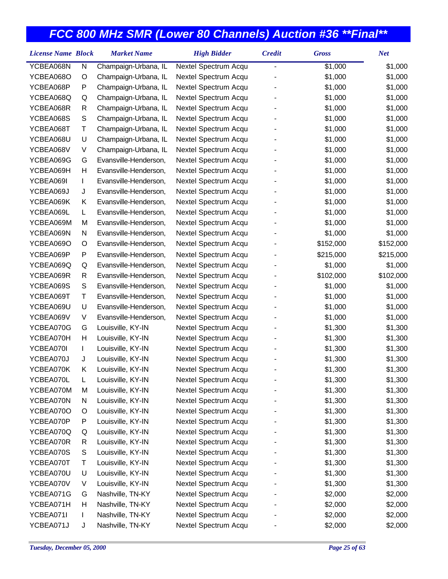| <b>License Name Block</b> |               | <b>Market Name</b>    | <b>High Bidder</b>   | <b>Credit</b> | <b>Gross</b> | <b>Net</b> |
|---------------------------|---------------|-----------------------|----------------------|---------------|--------------|------------|
| YCBEA068N                 | N             | Champaign-Urbana, IL  | Nextel Spectrum Acqu | -             | \$1,000      | \$1,000    |
| YCBEA068O                 | O             | Champaign-Urbana, IL  | Nextel Spectrum Acqu |               | \$1,000      | \$1,000    |
| YCBEA068P                 | P             | Champaign-Urbana, IL  | Nextel Spectrum Acqu |               | \$1,000      | \$1,000    |
| YCBEA068Q                 | Q             | Champaign-Urbana, IL  | Nextel Spectrum Acqu |               | \$1,000      | \$1,000    |
| YCBEA068R                 | R             | Champaign-Urbana, IL  | Nextel Spectrum Acqu |               | \$1,000      | \$1,000    |
| YCBEA068S                 | S             | Champaign-Urbana, IL  | Nextel Spectrum Acqu |               | \$1,000      | \$1,000    |
| YCBEA068T                 | Τ             | Champaign-Urbana, IL  | Nextel Spectrum Acqu |               | \$1,000      | \$1,000    |
| YCBEA068U                 | U             | Champaign-Urbana, IL  | Nextel Spectrum Acqu |               | \$1,000      | \$1,000    |
| YCBEA068V                 | V             | Champaign-Urbana, IL  | Nextel Spectrum Acqu |               | \$1,000      | \$1,000    |
| YCBEA069G                 | G             | Evansville-Henderson, | Nextel Spectrum Acqu |               | \$1,000      | \$1,000    |
| YCBEA069H                 | Н             | Evansville-Henderson, | Nextel Spectrum Acqu |               | \$1,000      | \$1,000    |
| YCBEA069I                 | L             | Evansville-Henderson, | Nextel Spectrum Acqu |               | \$1,000      | \$1,000    |
| YCBEA069J                 | J             | Evansville-Henderson, | Nextel Spectrum Acqu |               | \$1,000      | \$1,000    |
| YCBEA069K                 | Κ             | Evansville-Henderson, | Nextel Spectrum Acqu |               | \$1,000      | \$1,000    |
| YCBEA069L                 | L             | Evansville-Henderson, | Nextel Spectrum Acqu |               | \$1,000      | \$1,000    |
| YCBEA069M                 | M             | Evansville-Henderson, | Nextel Spectrum Acqu |               | \$1,000      | \$1,000    |
| YCBEA069N                 | N             | Evansville-Henderson, | Nextel Spectrum Acqu |               | \$1,000      | \$1,000    |
| YCBEA069O                 | O             | Evansville-Henderson, | Nextel Spectrum Acqu |               | \$152,000    | \$152,000  |
| YCBEA069P                 | P             | Evansville-Henderson, | Nextel Spectrum Acqu |               | \$215,000    | \$215,000  |
| YCBEA069Q                 | Q             | Evansville-Henderson, | Nextel Spectrum Acqu |               | \$1,000      | \$1,000    |
| YCBEA069R                 | R             | Evansville-Henderson, | Nextel Spectrum Acqu |               | \$102,000    | \$102,000  |
| YCBEA069S                 | ${\mathsf S}$ | Evansville-Henderson, | Nextel Spectrum Acqu |               | \$1,000      | \$1,000    |
| YCBEA069T                 | Τ             | Evansville-Henderson, | Nextel Spectrum Acqu |               | \$1,000      | \$1,000    |
| YCBEA069U                 | U             | Evansville-Henderson, | Nextel Spectrum Acqu |               | \$1,000      | \$1,000    |
| YCBEA069V                 | V             | Evansville-Henderson, | Nextel Spectrum Acqu |               | \$1,000      | \$1,000    |
| YCBEA070G                 | G             | Louisville, KY-IN     | Nextel Spectrum Acqu |               | \$1,300      | \$1,300    |
| YCBEA070H                 | Н             | Louisville, KY-IN     | Nextel Spectrum Acqu |               | \$1,300      | \$1,300    |
| YCBEA070I                 | L             | Louisville, KY-IN     | Nextel Spectrum Acqu |               | \$1,300      | \$1,300    |
| YCBEA070J                 | J             | Louisville, KY-IN     | Nextel Spectrum Acqu |               | \$1,300      | \$1,300    |
| YCBEA070K                 | Κ             | Louisville, KY-IN     | Nextel Spectrum Acqu |               | \$1,300      | \$1,300    |
| YCBEA070L                 | L             | Louisville, KY-IN     | Nextel Spectrum Acqu |               | \$1,300      | \$1,300    |
| YCBEA070M                 | M             | Louisville, KY-IN     | Nextel Spectrum Acqu |               | \$1,300      | \$1,300    |
| YCBEA070N                 | N             | Louisville, KY-IN     | Nextel Spectrum Acqu |               | \$1,300      | \$1,300    |
| YCBEA070O                 | O             | Louisville, KY-IN     | Nextel Spectrum Acqu |               | \$1,300      | \$1,300    |
| YCBEA070P                 | P             | Louisville, KY-IN     | Nextel Spectrum Acqu |               | \$1,300      | \$1,300    |
| YCBEA070Q                 | Q             | Louisville, KY-IN     | Nextel Spectrum Acqu |               | \$1,300      | \$1,300    |
| YCBEA070R                 | R             | Louisville, KY-IN     | Nextel Spectrum Acqu |               | \$1,300      | \$1,300    |
| YCBEA070S                 | S             | Louisville, KY-IN     | Nextel Spectrum Acqu |               | \$1,300      | \$1,300    |
| YCBEA070T                 | Τ             | Louisville, KY-IN     | Nextel Spectrum Acqu |               | \$1,300      | \$1,300    |
| YCBEA070U                 | U             | Louisville, KY-IN     | Nextel Spectrum Acqu |               | \$1,300      | \$1,300    |
| YCBEA070V                 | V             | Louisville, KY-IN     | Nextel Spectrum Acqu |               | \$1,300      | \$1,300    |
| YCBEA071G                 | G             | Nashville, TN-KY      | Nextel Spectrum Acqu |               | \$2,000      | \$2,000    |
| YCBEA071H                 | н             | Nashville, TN-KY      | Nextel Spectrum Acqu |               | \$2,000      | \$2,000    |
| YCBEA071I                 | L             | Nashville, TN-KY      | Nextel Spectrum Acqu |               | \$2,000      | \$2,000    |
| YCBEA071J                 |               |                       |                      |               |              |            |
|                           | J             | Nashville, TN-KY      | Nextel Spectrum Acqu |               | \$2,000      | \$2,000    |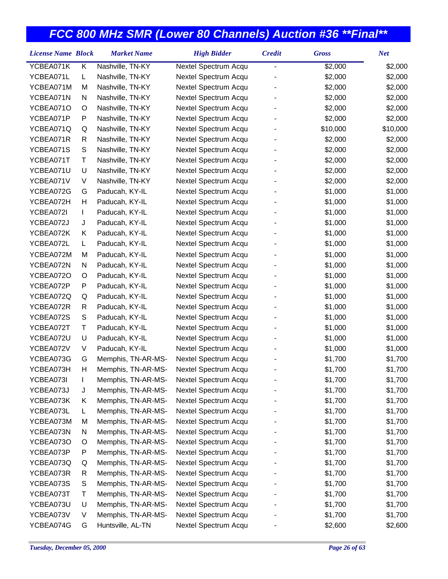| YCBEA071K<br>Κ<br>Nashville, TN-KY<br>\$2,000<br>\$2,000<br>Nextel Spectrum Acqu<br>$\overline{a}$<br>YCBEA071L<br>Nashville, TN-KY<br>Nextel Spectrum Acqu<br>\$2,000<br>\$2,000<br>L<br>YCBEA071M<br>Nashville, TN-KY<br>Nextel Spectrum Acqu<br>\$2,000<br>\$2,000<br>M<br>YCBEA071N<br>N<br>Nashville, TN-KY<br>Nextel Spectrum Acqu<br>\$2,000<br>\$2,000<br>YCBEA071O<br>Nashville, TN-KY<br>Nextel Spectrum Acqu<br>\$2,000<br>\$2,000<br>O<br>YCBEA071P<br>P<br>Nashville, TN-KY<br>Nextel Spectrum Acqu<br>\$2,000<br>\$2,000<br>\$10,000<br>YCBEA071Q<br>Q<br>Nashville, TN-KY<br>Nextel Spectrum Acqu<br>\$10,000<br>YCBEA071R<br>R<br>Nashville, TN-KY<br>Nextel Spectrum Acqu<br>\$2,000<br>\$2,000<br>S<br>YCBEA071S<br>Nashville, TN-KY<br>Nextel Spectrum Acqu<br>\$2,000<br>\$2,000<br>YCBEA071T<br>Τ<br>Nashville, TN-KY<br>Nextel Spectrum Acqu<br>\$2,000<br>\$2,000<br>$\sf U$<br>YCBEA071U<br>Nashville, TN-KY<br>Nextel Spectrum Acqu<br>\$2,000<br>\$2,000<br>YCBEA071V<br>V<br>Nashville, TN-KY<br>Nextel Spectrum Acqu<br>\$2,000<br>\$2,000<br>YCBEA072G<br>Paducah, KY-IL<br>Nextel Spectrum Acqu<br>\$1,000<br>\$1,000<br>G<br>YCBEA072H<br>Н<br>Paducah, KY-IL<br>Nextel Spectrum Acqu<br>\$1,000<br>\$1,000<br>YCBEA072I<br>Paducah, KY-IL<br>Nextel Spectrum Acqu<br>\$1,000<br>\$1,000<br>L<br>Nextel Spectrum Acqu<br>\$1,000<br>\$1,000<br>YCBEA072J<br>J<br>Paducah, KY-IL<br>YCBEA072K<br>Κ<br>Paducah, KY-IL<br>Nextel Spectrum Acqu<br>\$1,000<br>\$1,000<br>YCBEA072L<br>\$1,000<br>\$1,000<br>L.<br>Paducah, KY-IL<br>Nextel Spectrum Acqu<br>YCBEA072M<br>Paducah, KY-IL<br>Nextel Spectrum Acqu<br>\$1,000<br>\$1,000<br>M<br>\$1,000<br>YCBEA072N<br>N<br>Paducah, KY-IL<br>Nextel Spectrum Acqu<br>\$1,000<br>Nextel Spectrum Acqu<br>\$1,000<br>\$1,000<br>YCBEA072O<br>O<br>Paducah, KY-IL<br>YCBEA072P<br>P<br>Paducah, KY-IL<br>Nextel Spectrum Acqu<br>\$1,000<br>\$1,000<br>YCBEA072Q<br>Paducah, KY-IL<br>Nextel Spectrum Acqu<br>\$1,000<br>\$1,000<br>Q<br>YCBEA072R<br>Paducah, KY-IL<br>Nextel Spectrum Acqu<br>\$1,000<br>\$1,000<br>R<br>S<br>YCBEA072S<br>Paducah, KY-IL<br>Nextel Spectrum Acqu<br>\$1,000<br>\$1,000<br>YCBEA072T<br>Τ<br>Nextel Spectrum Acqu<br>\$1,000<br>\$1,000<br>Paducah, KY-IL<br>U<br>YCBEA072U<br>Paducah, KY-IL<br>Nextel Spectrum Acqu<br>\$1,000<br>\$1,000<br>YCBEA072V<br>V<br>Nextel Spectrum Acqu<br>\$1,000<br>\$1,000<br>Paducah, KY-IL<br>YCBEA073G<br>Memphis, TN-AR-MS-<br>Nextel Spectrum Acqu<br>\$1,700<br>\$1,700<br>G<br>Н<br>YCBEA073H<br>Memphis, TN-AR-MS-<br>Nextel Spectrum Acqu<br>\$1,700<br>\$1,700<br>YCBEA073I<br>Memphis, TN-AR-MS-<br>\$1,700<br>\$1,700<br>Nextel Spectrum Acqu<br>YCBEA073J<br>Memphis, TN-AR-MS-<br>Nextel Spectrum Acqu<br>\$1,700<br>\$1,700<br>J<br>Memphis, TN-AR-MS-<br>Nextel Spectrum Acqu<br>\$1,700<br>YCBEA073K<br>Κ<br>\$1,700<br>Memphis, TN-AR-MS-<br>Nextel Spectrum Acqu<br>YCBEA073L<br>\$1,700<br>\$1,700<br>L |
|------------------------------------------------------------------------------------------------------------------------------------------------------------------------------------------------------------------------------------------------------------------------------------------------------------------------------------------------------------------------------------------------------------------------------------------------------------------------------------------------------------------------------------------------------------------------------------------------------------------------------------------------------------------------------------------------------------------------------------------------------------------------------------------------------------------------------------------------------------------------------------------------------------------------------------------------------------------------------------------------------------------------------------------------------------------------------------------------------------------------------------------------------------------------------------------------------------------------------------------------------------------------------------------------------------------------------------------------------------------------------------------------------------------------------------------------------------------------------------------------------------------------------------------------------------------------------------------------------------------------------------------------------------------------------------------------------------------------------------------------------------------------------------------------------------------------------------------------------------------------------------------------------------------------------------------------------------------------------------------------------------------------------------------------------------------------------------------------------------------------------------------------------------------------------------------------------------------------------------------------------------------------------------------------------------------------------------------------------------------------------------------------------------------------------------------------------------------------------------------------------------------------------------------------------------------------------------------------------------------------------------------------------------------------------------------------------------------------------------------------------------------------------------------------------------------------------------------------------------------------------------------------------------------------------------------------------------------------|
|                                                                                                                                                                                                                                                                                                                                                                                                                                                                                                                                                                                                                                                                                                                                                                                                                                                                                                                                                                                                                                                                                                                                                                                                                                                                                                                                                                                                                                                                                                                                                                                                                                                                                                                                                                                                                                                                                                                                                                                                                                                                                                                                                                                                                                                                                                                                                                                                                                                                                                                                                                                                                                                                                                                                                                                                                                                                                                                                                                        |
|                                                                                                                                                                                                                                                                                                                                                                                                                                                                                                                                                                                                                                                                                                                                                                                                                                                                                                                                                                                                                                                                                                                                                                                                                                                                                                                                                                                                                                                                                                                                                                                                                                                                                                                                                                                                                                                                                                                                                                                                                                                                                                                                                                                                                                                                                                                                                                                                                                                                                                                                                                                                                                                                                                                                                                                                                                                                                                                                                                        |
|                                                                                                                                                                                                                                                                                                                                                                                                                                                                                                                                                                                                                                                                                                                                                                                                                                                                                                                                                                                                                                                                                                                                                                                                                                                                                                                                                                                                                                                                                                                                                                                                                                                                                                                                                                                                                                                                                                                                                                                                                                                                                                                                                                                                                                                                                                                                                                                                                                                                                                                                                                                                                                                                                                                                                                                                                                                                                                                                                                        |
|                                                                                                                                                                                                                                                                                                                                                                                                                                                                                                                                                                                                                                                                                                                                                                                                                                                                                                                                                                                                                                                                                                                                                                                                                                                                                                                                                                                                                                                                                                                                                                                                                                                                                                                                                                                                                                                                                                                                                                                                                                                                                                                                                                                                                                                                                                                                                                                                                                                                                                                                                                                                                                                                                                                                                                                                                                                                                                                                                                        |
|                                                                                                                                                                                                                                                                                                                                                                                                                                                                                                                                                                                                                                                                                                                                                                                                                                                                                                                                                                                                                                                                                                                                                                                                                                                                                                                                                                                                                                                                                                                                                                                                                                                                                                                                                                                                                                                                                                                                                                                                                                                                                                                                                                                                                                                                                                                                                                                                                                                                                                                                                                                                                                                                                                                                                                                                                                                                                                                                                                        |
|                                                                                                                                                                                                                                                                                                                                                                                                                                                                                                                                                                                                                                                                                                                                                                                                                                                                                                                                                                                                                                                                                                                                                                                                                                                                                                                                                                                                                                                                                                                                                                                                                                                                                                                                                                                                                                                                                                                                                                                                                                                                                                                                                                                                                                                                                                                                                                                                                                                                                                                                                                                                                                                                                                                                                                                                                                                                                                                                                                        |
|                                                                                                                                                                                                                                                                                                                                                                                                                                                                                                                                                                                                                                                                                                                                                                                                                                                                                                                                                                                                                                                                                                                                                                                                                                                                                                                                                                                                                                                                                                                                                                                                                                                                                                                                                                                                                                                                                                                                                                                                                                                                                                                                                                                                                                                                                                                                                                                                                                                                                                                                                                                                                                                                                                                                                                                                                                                                                                                                                                        |
|                                                                                                                                                                                                                                                                                                                                                                                                                                                                                                                                                                                                                                                                                                                                                                                                                                                                                                                                                                                                                                                                                                                                                                                                                                                                                                                                                                                                                                                                                                                                                                                                                                                                                                                                                                                                                                                                                                                                                                                                                                                                                                                                                                                                                                                                                                                                                                                                                                                                                                                                                                                                                                                                                                                                                                                                                                                                                                                                                                        |
|                                                                                                                                                                                                                                                                                                                                                                                                                                                                                                                                                                                                                                                                                                                                                                                                                                                                                                                                                                                                                                                                                                                                                                                                                                                                                                                                                                                                                                                                                                                                                                                                                                                                                                                                                                                                                                                                                                                                                                                                                                                                                                                                                                                                                                                                                                                                                                                                                                                                                                                                                                                                                                                                                                                                                                                                                                                                                                                                                                        |
|                                                                                                                                                                                                                                                                                                                                                                                                                                                                                                                                                                                                                                                                                                                                                                                                                                                                                                                                                                                                                                                                                                                                                                                                                                                                                                                                                                                                                                                                                                                                                                                                                                                                                                                                                                                                                                                                                                                                                                                                                                                                                                                                                                                                                                                                                                                                                                                                                                                                                                                                                                                                                                                                                                                                                                                                                                                                                                                                                                        |
|                                                                                                                                                                                                                                                                                                                                                                                                                                                                                                                                                                                                                                                                                                                                                                                                                                                                                                                                                                                                                                                                                                                                                                                                                                                                                                                                                                                                                                                                                                                                                                                                                                                                                                                                                                                                                                                                                                                                                                                                                                                                                                                                                                                                                                                                                                                                                                                                                                                                                                                                                                                                                                                                                                                                                                                                                                                                                                                                                                        |
|                                                                                                                                                                                                                                                                                                                                                                                                                                                                                                                                                                                                                                                                                                                                                                                                                                                                                                                                                                                                                                                                                                                                                                                                                                                                                                                                                                                                                                                                                                                                                                                                                                                                                                                                                                                                                                                                                                                                                                                                                                                                                                                                                                                                                                                                                                                                                                                                                                                                                                                                                                                                                                                                                                                                                                                                                                                                                                                                                                        |
|                                                                                                                                                                                                                                                                                                                                                                                                                                                                                                                                                                                                                                                                                                                                                                                                                                                                                                                                                                                                                                                                                                                                                                                                                                                                                                                                                                                                                                                                                                                                                                                                                                                                                                                                                                                                                                                                                                                                                                                                                                                                                                                                                                                                                                                                                                                                                                                                                                                                                                                                                                                                                                                                                                                                                                                                                                                                                                                                                                        |
|                                                                                                                                                                                                                                                                                                                                                                                                                                                                                                                                                                                                                                                                                                                                                                                                                                                                                                                                                                                                                                                                                                                                                                                                                                                                                                                                                                                                                                                                                                                                                                                                                                                                                                                                                                                                                                                                                                                                                                                                                                                                                                                                                                                                                                                                                                                                                                                                                                                                                                                                                                                                                                                                                                                                                                                                                                                                                                                                                                        |
|                                                                                                                                                                                                                                                                                                                                                                                                                                                                                                                                                                                                                                                                                                                                                                                                                                                                                                                                                                                                                                                                                                                                                                                                                                                                                                                                                                                                                                                                                                                                                                                                                                                                                                                                                                                                                                                                                                                                                                                                                                                                                                                                                                                                                                                                                                                                                                                                                                                                                                                                                                                                                                                                                                                                                                                                                                                                                                                                                                        |
|                                                                                                                                                                                                                                                                                                                                                                                                                                                                                                                                                                                                                                                                                                                                                                                                                                                                                                                                                                                                                                                                                                                                                                                                                                                                                                                                                                                                                                                                                                                                                                                                                                                                                                                                                                                                                                                                                                                                                                                                                                                                                                                                                                                                                                                                                                                                                                                                                                                                                                                                                                                                                                                                                                                                                                                                                                                                                                                                                                        |
|                                                                                                                                                                                                                                                                                                                                                                                                                                                                                                                                                                                                                                                                                                                                                                                                                                                                                                                                                                                                                                                                                                                                                                                                                                                                                                                                                                                                                                                                                                                                                                                                                                                                                                                                                                                                                                                                                                                                                                                                                                                                                                                                                                                                                                                                                                                                                                                                                                                                                                                                                                                                                                                                                                                                                                                                                                                                                                                                                                        |
|                                                                                                                                                                                                                                                                                                                                                                                                                                                                                                                                                                                                                                                                                                                                                                                                                                                                                                                                                                                                                                                                                                                                                                                                                                                                                                                                                                                                                                                                                                                                                                                                                                                                                                                                                                                                                                                                                                                                                                                                                                                                                                                                                                                                                                                                                                                                                                                                                                                                                                                                                                                                                                                                                                                                                                                                                                                                                                                                                                        |
|                                                                                                                                                                                                                                                                                                                                                                                                                                                                                                                                                                                                                                                                                                                                                                                                                                                                                                                                                                                                                                                                                                                                                                                                                                                                                                                                                                                                                                                                                                                                                                                                                                                                                                                                                                                                                                                                                                                                                                                                                                                                                                                                                                                                                                                                                                                                                                                                                                                                                                                                                                                                                                                                                                                                                                                                                                                                                                                                                                        |
|                                                                                                                                                                                                                                                                                                                                                                                                                                                                                                                                                                                                                                                                                                                                                                                                                                                                                                                                                                                                                                                                                                                                                                                                                                                                                                                                                                                                                                                                                                                                                                                                                                                                                                                                                                                                                                                                                                                                                                                                                                                                                                                                                                                                                                                                                                                                                                                                                                                                                                                                                                                                                                                                                                                                                                                                                                                                                                                                                                        |
|                                                                                                                                                                                                                                                                                                                                                                                                                                                                                                                                                                                                                                                                                                                                                                                                                                                                                                                                                                                                                                                                                                                                                                                                                                                                                                                                                                                                                                                                                                                                                                                                                                                                                                                                                                                                                                                                                                                                                                                                                                                                                                                                                                                                                                                                                                                                                                                                                                                                                                                                                                                                                                                                                                                                                                                                                                                                                                                                                                        |
|                                                                                                                                                                                                                                                                                                                                                                                                                                                                                                                                                                                                                                                                                                                                                                                                                                                                                                                                                                                                                                                                                                                                                                                                                                                                                                                                                                                                                                                                                                                                                                                                                                                                                                                                                                                                                                                                                                                                                                                                                                                                                                                                                                                                                                                                                                                                                                                                                                                                                                                                                                                                                                                                                                                                                                                                                                                                                                                                                                        |
|                                                                                                                                                                                                                                                                                                                                                                                                                                                                                                                                                                                                                                                                                                                                                                                                                                                                                                                                                                                                                                                                                                                                                                                                                                                                                                                                                                                                                                                                                                                                                                                                                                                                                                                                                                                                                                                                                                                                                                                                                                                                                                                                                                                                                                                                                                                                                                                                                                                                                                                                                                                                                                                                                                                                                                                                                                                                                                                                                                        |
|                                                                                                                                                                                                                                                                                                                                                                                                                                                                                                                                                                                                                                                                                                                                                                                                                                                                                                                                                                                                                                                                                                                                                                                                                                                                                                                                                                                                                                                                                                                                                                                                                                                                                                                                                                                                                                                                                                                                                                                                                                                                                                                                                                                                                                                                                                                                                                                                                                                                                                                                                                                                                                                                                                                                                                                                                                                                                                                                                                        |
|                                                                                                                                                                                                                                                                                                                                                                                                                                                                                                                                                                                                                                                                                                                                                                                                                                                                                                                                                                                                                                                                                                                                                                                                                                                                                                                                                                                                                                                                                                                                                                                                                                                                                                                                                                                                                                                                                                                                                                                                                                                                                                                                                                                                                                                                                                                                                                                                                                                                                                                                                                                                                                                                                                                                                                                                                                                                                                                                                                        |
|                                                                                                                                                                                                                                                                                                                                                                                                                                                                                                                                                                                                                                                                                                                                                                                                                                                                                                                                                                                                                                                                                                                                                                                                                                                                                                                                                                                                                                                                                                                                                                                                                                                                                                                                                                                                                                                                                                                                                                                                                                                                                                                                                                                                                                                                                                                                                                                                                                                                                                                                                                                                                                                                                                                                                                                                                                                                                                                                                                        |
|                                                                                                                                                                                                                                                                                                                                                                                                                                                                                                                                                                                                                                                                                                                                                                                                                                                                                                                                                                                                                                                                                                                                                                                                                                                                                                                                                                                                                                                                                                                                                                                                                                                                                                                                                                                                                                                                                                                                                                                                                                                                                                                                                                                                                                                                                                                                                                                                                                                                                                                                                                                                                                                                                                                                                                                                                                                                                                                                                                        |
|                                                                                                                                                                                                                                                                                                                                                                                                                                                                                                                                                                                                                                                                                                                                                                                                                                                                                                                                                                                                                                                                                                                                                                                                                                                                                                                                                                                                                                                                                                                                                                                                                                                                                                                                                                                                                                                                                                                                                                                                                                                                                                                                                                                                                                                                                                                                                                                                                                                                                                                                                                                                                                                                                                                                                                                                                                                                                                                                                                        |
|                                                                                                                                                                                                                                                                                                                                                                                                                                                                                                                                                                                                                                                                                                                                                                                                                                                                                                                                                                                                                                                                                                                                                                                                                                                                                                                                                                                                                                                                                                                                                                                                                                                                                                                                                                                                                                                                                                                                                                                                                                                                                                                                                                                                                                                                                                                                                                                                                                                                                                                                                                                                                                                                                                                                                                                                                                                                                                                                                                        |
|                                                                                                                                                                                                                                                                                                                                                                                                                                                                                                                                                                                                                                                                                                                                                                                                                                                                                                                                                                                                                                                                                                                                                                                                                                                                                                                                                                                                                                                                                                                                                                                                                                                                                                                                                                                                                                                                                                                                                                                                                                                                                                                                                                                                                                                                                                                                                                                                                                                                                                                                                                                                                                                                                                                                                                                                                                                                                                                                                                        |
|                                                                                                                                                                                                                                                                                                                                                                                                                                                                                                                                                                                                                                                                                                                                                                                                                                                                                                                                                                                                                                                                                                                                                                                                                                                                                                                                                                                                                                                                                                                                                                                                                                                                                                                                                                                                                                                                                                                                                                                                                                                                                                                                                                                                                                                                                                                                                                                                                                                                                                                                                                                                                                                                                                                                                                                                                                                                                                                                                                        |
|                                                                                                                                                                                                                                                                                                                                                                                                                                                                                                                                                                                                                                                                                                                                                                                                                                                                                                                                                                                                                                                                                                                                                                                                                                                                                                                                                                                                                                                                                                                                                                                                                                                                                                                                                                                                                                                                                                                                                                                                                                                                                                                                                                                                                                                                                                                                                                                                                                                                                                                                                                                                                                                                                                                                                                                                                                                                                                                                                                        |
|                                                                                                                                                                                                                                                                                                                                                                                                                                                                                                                                                                                                                                                                                                                                                                                                                                                                                                                                                                                                                                                                                                                                                                                                                                                                                                                                                                                                                                                                                                                                                                                                                                                                                                                                                                                                                                                                                                                                                                                                                                                                                                                                                                                                                                                                                                                                                                                                                                                                                                                                                                                                                                                                                                                                                                                                                                                                                                                                                                        |
|                                                                                                                                                                                                                                                                                                                                                                                                                                                                                                                                                                                                                                                                                                                                                                                                                                                                                                                                                                                                                                                                                                                                                                                                                                                                                                                                                                                                                                                                                                                                                                                                                                                                                                                                                                                                                                                                                                                                                                                                                                                                                                                                                                                                                                                                                                                                                                                                                                                                                                                                                                                                                                                                                                                                                                                                                                                                                                                                                                        |
| Nextel Spectrum Acqu<br>\$1,700<br>YCBEA073M<br>Memphis, TN-AR-MS-<br>\$1,700<br>M                                                                                                                                                                                                                                                                                                                                                                                                                                                                                                                                                                                                                                                                                                                                                                                                                                                                                                                                                                                                                                                                                                                                                                                                                                                                                                                                                                                                                                                                                                                                                                                                                                                                                                                                                                                                                                                                                                                                                                                                                                                                                                                                                                                                                                                                                                                                                                                                                                                                                                                                                                                                                                                                                                                                                                                                                                                                                     |
| YCBEA073N<br>\$1,700<br>N<br>Memphis, TN-AR-MS-<br>Nextel Spectrum Acqu<br>\$1,700                                                                                                                                                                                                                                                                                                                                                                                                                                                                                                                                                                                                                                                                                                                                                                                                                                                                                                                                                                                                                                                                                                                                                                                                                                                                                                                                                                                                                                                                                                                                                                                                                                                                                                                                                                                                                                                                                                                                                                                                                                                                                                                                                                                                                                                                                                                                                                                                                                                                                                                                                                                                                                                                                                                                                                                                                                                                                     |
| Memphis, TN-AR-MS-<br>YCBEA073O<br>Nextel Spectrum Acqu<br>\$1,700<br>\$1,700<br>O                                                                                                                                                                                                                                                                                                                                                                                                                                                                                                                                                                                                                                                                                                                                                                                                                                                                                                                                                                                                                                                                                                                                                                                                                                                                                                                                                                                                                                                                                                                                                                                                                                                                                                                                                                                                                                                                                                                                                                                                                                                                                                                                                                                                                                                                                                                                                                                                                                                                                                                                                                                                                                                                                                                                                                                                                                                                                     |
| Memphis, TN-AR-MS-<br>Nextel Spectrum Acqu<br>\$1,700<br>YCBEA073P<br>P<br>\$1,700                                                                                                                                                                                                                                                                                                                                                                                                                                                                                                                                                                                                                                                                                                                                                                                                                                                                                                                                                                                                                                                                                                                                                                                                                                                                                                                                                                                                                                                                                                                                                                                                                                                                                                                                                                                                                                                                                                                                                                                                                                                                                                                                                                                                                                                                                                                                                                                                                                                                                                                                                                                                                                                                                                                                                                                                                                                                                     |
| YCBEA073Q<br>Memphis, TN-AR-MS-<br>Nextel Spectrum Acqu<br>\$1,700<br>\$1,700<br>Q                                                                                                                                                                                                                                                                                                                                                                                                                                                                                                                                                                                                                                                                                                                                                                                                                                                                                                                                                                                                                                                                                                                                                                                                                                                                                                                                                                                                                                                                                                                                                                                                                                                                                                                                                                                                                                                                                                                                                                                                                                                                                                                                                                                                                                                                                                                                                                                                                                                                                                                                                                                                                                                                                                                                                                                                                                                                                     |
| YCBEA073R<br>R<br>Memphis, TN-AR-MS-<br>Nextel Spectrum Acqu<br>\$1,700<br>\$1,700                                                                                                                                                                                                                                                                                                                                                                                                                                                                                                                                                                                                                                                                                                                                                                                                                                                                                                                                                                                                                                                                                                                                                                                                                                                                                                                                                                                                                                                                                                                                                                                                                                                                                                                                                                                                                                                                                                                                                                                                                                                                                                                                                                                                                                                                                                                                                                                                                                                                                                                                                                                                                                                                                                                                                                                                                                                                                     |
| S<br>Nextel Spectrum Acqu<br>YCBEA073S<br>Memphis, TN-AR-MS-<br>\$1,700<br>\$1,700                                                                                                                                                                                                                                                                                                                                                                                                                                                                                                                                                                                                                                                                                                                                                                                                                                                                                                                                                                                                                                                                                                                                                                                                                                                                                                                                                                                                                                                                                                                                                                                                                                                                                                                                                                                                                                                                                                                                                                                                                                                                                                                                                                                                                                                                                                                                                                                                                                                                                                                                                                                                                                                                                                                                                                                                                                                                                     |
| Memphis, TN-AR-MS-<br>YCBEA073T<br>Т<br>Nextel Spectrum Acqu<br>\$1,700<br>\$1,700                                                                                                                                                                                                                                                                                                                                                                                                                                                                                                                                                                                                                                                                                                                                                                                                                                                                                                                                                                                                                                                                                                                                                                                                                                                                                                                                                                                                                                                                                                                                                                                                                                                                                                                                                                                                                                                                                                                                                                                                                                                                                                                                                                                                                                                                                                                                                                                                                                                                                                                                                                                                                                                                                                                                                                                                                                                                                     |
| U<br>Memphis, TN-AR-MS-<br>Nextel Spectrum Acqu<br>\$1,700<br>YCBEA073U<br>\$1,700                                                                                                                                                                                                                                                                                                                                                                                                                                                                                                                                                                                                                                                                                                                                                                                                                                                                                                                                                                                                                                                                                                                                                                                                                                                                                                                                                                                                                                                                                                                                                                                                                                                                                                                                                                                                                                                                                                                                                                                                                                                                                                                                                                                                                                                                                                                                                                                                                                                                                                                                                                                                                                                                                                                                                                                                                                                                                     |
| YCBEA073V<br>Memphis, TN-AR-MS-<br>Nextel Spectrum Acqu<br>V<br>\$1,700<br>\$1,700                                                                                                                                                                                                                                                                                                                                                                                                                                                                                                                                                                                                                                                                                                                                                                                                                                                                                                                                                                                                                                                                                                                                                                                                                                                                                                                                                                                                                                                                                                                                                                                                                                                                                                                                                                                                                                                                                                                                                                                                                                                                                                                                                                                                                                                                                                                                                                                                                                                                                                                                                                                                                                                                                                                                                                                                                                                                                     |
| YCBEA074G<br>Huntsville, AL-TN<br>Nextel Spectrum Acqu<br>\$2,600<br>\$2,600<br>G                                                                                                                                                                                                                                                                                                                                                                                                                                                                                                                                                                                                                                                                                                                                                                                                                                                                                                                                                                                                                                                                                                                                                                                                                                                                                                                                                                                                                                                                                                                                                                                                                                                                                                                                                                                                                                                                                                                                                                                                                                                                                                                                                                                                                                                                                                                                                                                                                                                                                                                                                                                                                                                                                                                                                                                                                                                                                      |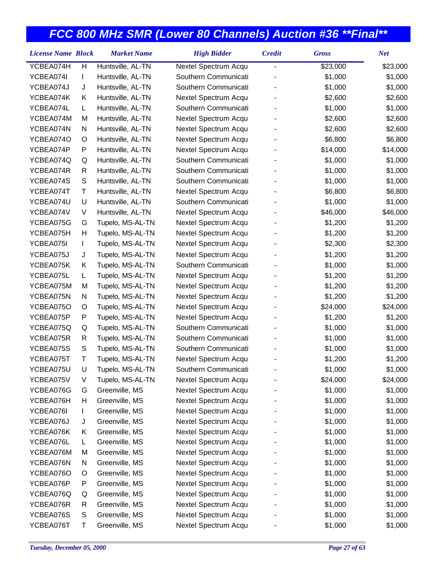| <b>License Name Block</b> |              | <b>Market Name</b> | <b>High Bidder</b>   | <b>Credit</b>  | <b>Gross</b> | <b>Net</b> |
|---------------------------|--------------|--------------------|----------------------|----------------|--------------|------------|
| YCBEA074H                 | Н            | Huntsville, AL-TN  | Nextel Spectrum Acqu | $\overline{a}$ | \$23,000     | \$23,000   |
| YCBEA074I                 | T            | Huntsville, AL-TN  | Southern Communicati |                | \$1,000      | \$1,000    |
| YCBEA074J                 | J            | Huntsville, AL-TN  | Southern Communicati |                | \$1,000      | \$1,000    |
| YCBEA074K                 | Κ            | Huntsville, AL-TN  | Nextel Spectrum Acqu |                | \$2,600      | \$2,600    |
| YCBEA074L                 | L.           | Huntsville, AL-TN  | Southern Communicati |                | \$1,000      | \$1,000    |
| YCBEA074M                 | M            | Huntsville, AL-TN  | Nextel Spectrum Acqu |                | \$2,600      | \$2,600    |
| YCBEA074N                 | N            | Huntsville, AL-TN  | Nextel Spectrum Acqu |                | \$2,600      | \$2,600    |
| YCBEA074O                 | O            | Huntsville, AL-TN  | Nextel Spectrum Acqu |                | \$6,800      | \$6,800    |
| YCBEA074P                 | P            | Huntsville, AL-TN  | Nextel Spectrum Acqu |                | \$14,000     | \$14,000   |
| YCBEA074Q                 | Q            | Huntsville, AL-TN  | Southern Communicati |                | \$1,000      | \$1,000    |
| YCBEA074R                 | R            | Huntsville, AL-TN  | Southern Communicati |                | \$1,000      | \$1,000    |
| YCBEA074S                 | $\mathbf S$  | Huntsville, AL-TN  | Southern Communicati |                | \$1,000      | \$1,000    |
| YCBEA074T                 | Τ            | Huntsville, AL-TN  | Nextel Spectrum Acqu |                | \$6,800      | \$6,800    |
| YCBEA074U                 | U            | Huntsville, AL-TN  | Southern Communicati |                | \$1,000      | \$1,000    |
| YCBEA074V                 | V            | Huntsville, AL-TN  | Nextel Spectrum Acqu |                | \$46,000     | \$46,000   |
| YCBEA075G                 | G            | Tupelo, MS-AL-TN   | Nextel Spectrum Acqu |                | \$1,200      | \$1,200    |
| YCBEA075H                 | Н            | Tupelo, MS-AL-TN   | Nextel Spectrum Acqu |                | \$1,200      | \$1,200    |
| YCBEA075I                 | L            | Tupelo, MS-AL-TN   | Nextel Spectrum Acqu |                | \$2,300      | \$2,300    |
| YCBEA075J                 | J            | Tupelo, MS-AL-TN   | Nextel Spectrum Acqu |                | \$1,200      | \$1,200    |
| YCBEA075K                 | Κ            | Tupelo, MS-AL-TN   | Southern Communicati |                | \$1,000      | \$1,000    |
| YCBEA075L                 | L.           | Tupelo, MS-AL-TN   | Nextel Spectrum Acqu |                | \$1,200      | \$1,200    |
| YCBEA075M                 | M            | Tupelo, MS-AL-TN   | Nextel Spectrum Acqu |                | \$1,200      | \$1,200    |
| YCBEA075N                 | N            | Tupelo, MS-AL-TN   | Nextel Spectrum Acqu |                | \$1,200      | \$1,200    |
| YCBEA075O                 | O            | Tupelo, MS-AL-TN   | Nextel Spectrum Acqu |                | \$24,000     | \$24,000   |
| YCBEA075P                 | P            | Tupelo, MS-AL-TN   | Nextel Spectrum Acqu |                | \$1,200      | \$1,200    |
| YCBEA075Q                 | Q            | Tupelo, MS-AL-TN   | Southern Communicati |                | \$1,000      | \$1,000    |
| YCBEA075R                 | $\mathsf{R}$ | Tupelo, MS-AL-TN   | Southern Communicati |                | \$1,000      | \$1,000    |
| YCBEA075S                 | S            | Tupelo, MS-AL-TN   | Southern Communicati |                | \$1,000      | \$1,000    |
| YCBEA075T                 | Τ            | Tupelo, MS-AL-TN   | Nextel Spectrum Acqu |                | \$1,200      | \$1,200    |
| YCBEA075U                 | U            | Tupelo, MS-AL-TN   | Southern Communicati |                | \$1,000      | \$1,000    |
| YCBEA075V                 | V            | Tupelo, MS-AL-TN   | Nextel Spectrum Acqu |                | \$24,000     | \$24,000   |
| YCBEA076G                 | G            | Greenville, MS     | Nextel Spectrum Acqu |                | \$1,000      | \$1,000    |
| YCBEA076H                 | н            | Greenville, MS     | Nextel Spectrum Acqu |                | \$1,000      | \$1,000    |
| YCBEA076I                 | L            | Greenville, MS     | Nextel Spectrum Acqu |                | \$1,000      | \$1,000    |
| YCBEA076J                 | J            | Greenville, MS     | Nextel Spectrum Acqu |                | \$1,000      | \$1,000    |
| YCBEA076K                 | Κ            | Greenville, MS     | Nextel Spectrum Acqu |                | \$1,000      | \$1,000    |
| YCBEA076L                 | L            | Greenville, MS     | Nextel Spectrum Acqu |                | \$1,000      | \$1,000    |
| YCBEA076M                 | M            | Greenville, MS     | Nextel Spectrum Acqu |                | \$1,000      | \$1,000    |
| YCBEA076N                 | N            | Greenville, MS     | Nextel Spectrum Acqu |                | \$1,000      | \$1,000    |
| YCBEA076O                 | O            | Greenville, MS     | Nextel Spectrum Acqu |                | \$1,000      | \$1,000    |
| YCBEA076P                 | P            | Greenville, MS     | Nextel Spectrum Acqu |                | \$1,000      | \$1,000    |
| YCBEA076Q                 | Q            | Greenville, MS     | Nextel Spectrum Acqu |                | \$1,000      | \$1,000    |
| YCBEA076R                 | R            | Greenville, MS     | Nextel Spectrum Acqu |                | \$1,000      | \$1,000    |
| YCBEA076S                 | S            | Greenville, MS     | Nextel Spectrum Acqu |                | \$1,000      | \$1,000    |
| YCBEA076T                 | Τ            | Greenville, MS     | Nextel Spectrum Acqu |                | \$1,000      | \$1,000    |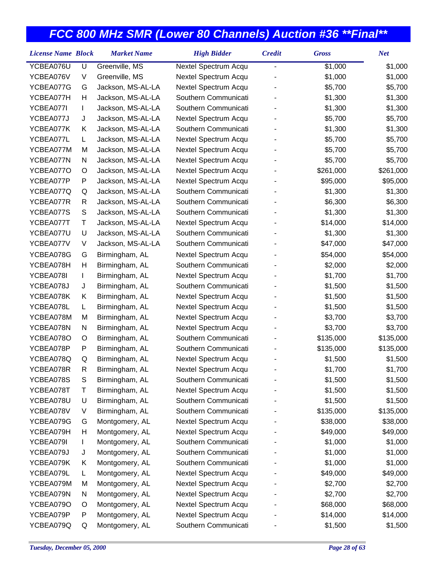| YCBEA076U<br>Greenville, MS<br>U<br>\$1,000<br>\$1,000<br>Nextel Spectrum Acqu<br>$\overline{a}$<br>YCBEA076V<br>V<br>Greenville, MS<br>Nextel Spectrum Acqu<br>\$1,000<br>\$1,000<br>YCBEA077G<br>G<br>Jackson, MS-AL-LA<br>Nextel Spectrum Acqu<br>\$5,700<br>\$5,700<br>Southern Communicati<br>YCBEA077H<br>Н<br>Jackson, MS-AL-LA<br>\$1,300<br>\$1,300<br>Southern Communicati<br>YCBEA077I<br>Jackson, MS-AL-LA<br>\$1,300<br>\$1,300<br>L<br>YCBEA077J<br>Jackson, MS-AL-LA<br>Nextel Spectrum Acqu<br>\$5,700<br>\$5,700<br>J<br>Southern Communicati<br>YCBEA077K<br>Jackson, MS-AL-LA<br>\$1,300<br>\$1,300<br>Κ<br>Jackson, MS-AL-LA<br>YCBEA077L<br>Nextel Spectrum Acqu<br>\$5,700<br>\$5,700<br>L.<br>YCBEA077M<br>M<br>Jackson, MS-AL-LA<br>Nextel Spectrum Acqu<br>\$5,700<br>\$5,700<br>YCBEA077N<br>N<br>Jackson, MS-AL-LA<br>Nextel Spectrum Acqu<br>\$5,700<br>\$5,700<br>YCBEA077O<br>Jackson, MS-AL-LA<br>Nextel Spectrum Acqu<br>\$261,000<br>\$261,000<br>O<br>P<br>YCBEA077P<br>Jackson, MS-AL-LA<br>Nextel Spectrum Acqu<br>\$95,000<br>\$95,000<br>YCBEA077Q<br>Jackson, MS-AL-LA<br>Southern Communicati<br>\$1,300<br>\$1,300<br>Q<br>Jackson, MS-AL-LA<br>Southern Communicati<br>YCBEA077R<br>R<br>\$6,300<br>\$6,300<br>S<br>Southern Communicati<br>YCBEA077S<br>Jackson, MS-AL-LA<br>\$1,300<br>\$1,300<br>Τ<br>Jackson, MS-AL-LA<br>Nextel Spectrum Acqu<br>\$14,000<br>\$14,000<br>YCBEA077T<br>U<br>Southern Communicati<br>YCBEA077U<br>Jackson, MS-AL-LA<br>\$1,300<br>\$1,300<br>Southern Communicati<br>YCBEA077V<br>V<br>Jackson, MS-AL-LA<br>\$47,000<br>\$47,000<br>\$54,000<br>YCBEA078G<br>G<br>Birmingham, AL<br>Nextel Spectrum Acqu<br>\$54,000<br>YCBEA078H<br>Southern Communicati<br>Н<br>Birmingham, AL<br>\$2,000<br>\$2,000<br>Birmingham, AL<br>Nextel Spectrum Acqu<br>\$1,700<br>\$1,700<br>YCBEA078I<br>L<br>Southern Communicati<br>YCBEA078J<br>Birmingham, AL<br>\$1,500<br>\$1,500<br>J<br>YCBEA078K<br>Κ<br>Birmingham, AL<br>Nextel Spectrum Acqu<br>\$1,500<br>\$1,500<br>YCBEA078L<br>Birmingham, AL<br>Nextel Spectrum Acqu<br>\$1,500<br>\$1,500<br>L.<br>YCBEA078M<br>M<br>Birmingham, AL<br>Nextel Spectrum Acqu<br>\$3,700<br>\$3,700<br>YCBEA078N<br>Birmingham, AL<br>Nextel Spectrum Acqu<br>\$3,700<br>\$3,700<br>N<br>Southern Communicati<br>\$135,000<br>YCBEA078O<br>O<br>Birmingham, AL<br>\$135,000<br>Southern Communicati<br>YCBEA078P<br>P<br>Birmingham, AL<br>\$135,000<br>\$135,000<br>YCBEA078Q<br>Birmingham, AL<br>Nextel Spectrum Acqu<br>\$1,500<br>\$1,500<br>Q<br>YCBEA078R<br>R<br>Birmingham, AL<br>Nextel Spectrum Acqu<br>\$1,700<br>\$1,700<br>YCBEA078S<br>S<br>Birmingham, AL<br>Southern Communicati<br>\$1,500<br>\$1,500<br>YCBEA078T<br>Birmingham, AL<br>т<br>Nextel Spectrum Acqu<br>\$1,500<br>\$1,500<br>U<br>Birmingham, AL<br>Southern Communicati<br>YCBEA078U<br>\$1,500<br>\$1,500<br>YCBEA078V<br>V<br>Birmingham, AL<br>Southern Communicati<br>\$135,000<br>\$135,000<br>YCBEA079G<br>Montgomery, AL<br>Nextel Spectrum Acqu<br>\$38,000<br>\$38,000<br>G<br>YCBEA079H<br>Montgomery, AL<br>\$49,000<br>\$49,000<br>Н<br>Nextel Spectrum Acqu<br>Southern Communicati<br>\$1,000<br>YCBEA079I<br>Montgomery, AL<br>\$1,000<br>L<br>YCBEA079J<br>Montgomery, AL<br>Southern Communicati<br>\$1,000<br>J<br>\$1,000<br>YCBEA079K<br>Montgomery, AL<br>Southern Communicati<br>\$1,000<br>\$1,000<br>Κ<br>YCBEA079L<br>Nextel Spectrum Acqu<br>\$49,000<br>\$49,000<br>Montgomery, AL<br>L<br>YCBEA079M<br>Montgomery, AL<br>Nextel Spectrum Acqu<br>\$2,700<br>\$2,700<br>M<br>YCBEA079N<br>Montgomery, AL<br>Nextel Spectrum Acqu<br>N<br>\$2,700<br>\$2,700<br>YCBEA079O<br>Montgomery, AL<br>Nextel Spectrum Acqu<br>\$68,000<br>\$68,000<br>O<br>YCBEA079P<br>Montgomery, AL<br>Nextel Spectrum Acqu<br>\$14,000<br>\$14,000<br>P | <b>License Name Block</b> |   | <b>Market Name</b> | <b>High Bidder</b>   | <b>Credit</b> | <b>Gross</b> | <b>Net</b> |
|------------------------------------------------------------------------------------------------------------------------------------------------------------------------------------------------------------------------------------------------------------------------------------------------------------------------------------------------------------------------------------------------------------------------------------------------------------------------------------------------------------------------------------------------------------------------------------------------------------------------------------------------------------------------------------------------------------------------------------------------------------------------------------------------------------------------------------------------------------------------------------------------------------------------------------------------------------------------------------------------------------------------------------------------------------------------------------------------------------------------------------------------------------------------------------------------------------------------------------------------------------------------------------------------------------------------------------------------------------------------------------------------------------------------------------------------------------------------------------------------------------------------------------------------------------------------------------------------------------------------------------------------------------------------------------------------------------------------------------------------------------------------------------------------------------------------------------------------------------------------------------------------------------------------------------------------------------------------------------------------------------------------------------------------------------------------------------------------------------------------------------------------------------------------------------------------------------------------------------------------------------------------------------------------------------------------------------------------------------------------------------------------------------------------------------------------------------------------------------------------------------------------------------------------------------------------------------------------------------------------------------------------------------------------------------------------------------------------------------------------------------------------------------------------------------------------------------------------------------------------------------------------------------------------------------------------------------------------------------------------------------------------------------------------------------------------------------------------------------------------------------------------------------------------------------------------------------------------------------------------------------------------------------------------------------------------------------------------------------------------------------------------------------------------------------------------------------------------------------------------------------------------------------------------------------------------------------------------------------------------------------------------------------------------------------------------------------------------------------------------------------------------------------------------------------------------------------------------------------|---------------------------|---|--------------------|----------------------|---------------|--------------|------------|
|                                                                                                                                                                                                                                                                                                                                                                                                                                                                                                                                                                                                                                                                                                                                                                                                                                                                                                                                                                                                                                                                                                                                                                                                                                                                                                                                                                                                                                                                                                                                                                                                                                                                                                                                                                                                                                                                                                                                                                                                                                                                                                                                                                                                                                                                                                                                                                                                                                                                                                                                                                                                                                                                                                                                                                                                                                                                                                                                                                                                                                                                                                                                                                                                                                                                                                                                                                                                                                                                                                                                                                                                                                                                                                                                                                                                                                                            |                           |   |                    |                      |               |              |            |
|                                                                                                                                                                                                                                                                                                                                                                                                                                                                                                                                                                                                                                                                                                                                                                                                                                                                                                                                                                                                                                                                                                                                                                                                                                                                                                                                                                                                                                                                                                                                                                                                                                                                                                                                                                                                                                                                                                                                                                                                                                                                                                                                                                                                                                                                                                                                                                                                                                                                                                                                                                                                                                                                                                                                                                                                                                                                                                                                                                                                                                                                                                                                                                                                                                                                                                                                                                                                                                                                                                                                                                                                                                                                                                                                                                                                                                                            |                           |   |                    |                      |               |              |            |
|                                                                                                                                                                                                                                                                                                                                                                                                                                                                                                                                                                                                                                                                                                                                                                                                                                                                                                                                                                                                                                                                                                                                                                                                                                                                                                                                                                                                                                                                                                                                                                                                                                                                                                                                                                                                                                                                                                                                                                                                                                                                                                                                                                                                                                                                                                                                                                                                                                                                                                                                                                                                                                                                                                                                                                                                                                                                                                                                                                                                                                                                                                                                                                                                                                                                                                                                                                                                                                                                                                                                                                                                                                                                                                                                                                                                                                                            |                           |   |                    |                      |               |              |            |
|                                                                                                                                                                                                                                                                                                                                                                                                                                                                                                                                                                                                                                                                                                                                                                                                                                                                                                                                                                                                                                                                                                                                                                                                                                                                                                                                                                                                                                                                                                                                                                                                                                                                                                                                                                                                                                                                                                                                                                                                                                                                                                                                                                                                                                                                                                                                                                                                                                                                                                                                                                                                                                                                                                                                                                                                                                                                                                                                                                                                                                                                                                                                                                                                                                                                                                                                                                                                                                                                                                                                                                                                                                                                                                                                                                                                                                                            |                           |   |                    |                      |               |              |            |
|                                                                                                                                                                                                                                                                                                                                                                                                                                                                                                                                                                                                                                                                                                                                                                                                                                                                                                                                                                                                                                                                                                                                                                                                                                                                                                                                                                                                                                                                                                                                                                                                                                                                                                                                                                                                                                                                                                                                                                                                                                                                                                                                                                                                                                                                                                                                                                                                                                                                                                                                                                                                                                                                                                                                                                                                                                                                                                                                                                                                                                                                                                                                                                                                                                                                                                                                                                                                                                                                                                                                                                                                                                                                                                                                                                                                                                                            |                           |   |                    |                      |               |              |            |
|                                                                                                                                                                                                                                                                                                                                                                                                                                                                                                                                                                                                                                                                                                                                                                                                                                                                                                                                                                                                                                                                                                                                                                                                                                                                                                                                                                                                                                                                                                                                                                                                                                                                                                                                                                                                                                                                                                                                                                                                                                                                                                                                                                                                                                                                                                                                                                                                                                                                                                                                                                                                                                                                                                                                                                                                                                                                                                                                                                                                                                                                                                                                                                                                                                                                                                                                                                                                                                                                                                                                                                                                                                                                                                                                                                                                                                                            |                           |   |                    |                      |               |              |            |
|                                                                                                                                                                                                                                                                                                                                                                                                                                                                                                                                                                                                                                                                                                                                                                                                                                                                                                                                                                                                                                                                                                                                                                                                                                                                                                                                                                                                                                                                                                                                                                                                                                                                                                                                                                                                                                                                                                                                                                                                                                                                                                                                                                                                                                                                                                                                                                                                                                                                                                                                                                                                                                                                                                                                                                                                                                                                                                                                                                                                                                                                                                                                                                                                                                                                                                                                                                                                                                                                                                                                                                                                                                                                                                                                                                                                                                                            |                           |   |                    |                      |               |              |            |
|                                                                                                                                                                                                                                                                                                                                                                                                                                                                                                                                                                                                                                                                                                                                                                                                                                                                                                                                                                                                                                                                                                                                                                                                                                                                                                                                                                                                                                                                                                                                                                                                                                                                                                                                                                                                                                                                                                                                                                                                                                                                                                                                                                                                                                                                                                                                                                                                                                                                                                                                                                                                                                                                                                                                                                                                                                                                                                                                                                                                                                                                                                                                                                                                                                                                                                                                                                                                                                                                                                                                                                                                                                                                                                                                                                                                                                                            |                           |   |                    |                      |               |              |            |
|                                                                                                                                                                                                                                                                                                                                                                                                                                                                                                                                                                                                                                                                                                                                                                                                                                                                                                                                                                                                                                                                                                                                                                                                                                                                                                                                                                                                                                                                                                                                                                                                                                                                                                                                                                                                                                                                                                                                                                                                                                                                                                                                                                                                                                                                                                                                                                                                                                                                                                                                                                                                                                                                                                                                                                                                                                                                                                                                                                                                                                                                                                                                                                                                                                                                                                                                                                                                                                                                                                                                                                                                                                                                                                                                                                                                                                                            |                           |   |                    |                      |               |              |            |
|                                                                                                                                                                                                                                                                                                                                                                                                                                                                                                                                                                                                                                                                                                                                                                                                                                                                                                                                                                                                                                                                                                                                                                                                                                                                                                                                                                                                                                                                                                                                                                                                                                                                                                                                                                                                                                                                                                                                                                                                                                                                                                                                                                                                                                                                                                                                                                                                                                                                                                                                                                                                                                                                                                                                                                                                                                                                                                                                                                                                                                                                                                                                                                                                                                                                                                                                                                                                                                                                                                                                                                                                                                                                                                                                                                                                                                                            |                           |   |                    |                      |               |              |            |
|                                                                                                                                                                                                                                                                                                                                                                                                                                                                                                                                                                                                                                                                                                                                                                                                                                                                                                                                                                                                                                                                                                                                                                                                                                                                                                                                                                                                                                                                                                                                                                                                                                                                                                                                                                                                                                                                                                                                                                                                                                                                                                                                                                                                                                                                                                                                                                                                                                                                                                                                                                                                                                                                                                                                                                                                                                                                                                                                                                                                                                                                                                                                                                                                                                                                                                                                                                                                                                                                                                                                                                                                                                                                                                                                                                                                                                                            |                           |   |                    |                      |               |              |            |
|                                                                                                                                                                                                                                                                                                                                                                                                                                                                                                                                                                                                                                                                                                                                                                                                                                                                                                                                                                                                                                                                                                                                                                                                                                                                                                                                                                                                                                                                                                                                                                                                                                                                                                                                                                                                                                                                                                                                                                                                                                                                                                                                                                                                                                                                                                                                                                                                                                                                                                                                                                                                                                                                                                                                                                                                                                                                                                                                                                                                                                                                                                                                                                                                                                                                                                                                                                                                                                                                                                                                                                                                                                                                                                                                                                                                                                                            |                           |   |                    |                      |               |              |            |
|                                                                                                                                                                                                                                                                                                                                                                                                                                                                                                                                                                                                                                                                                                                                                                                                                                                                                                                                                                                                                                                                                                                                                                                                                                                                                                                                                                                                                                                                                                                                                                                                                                                                                                                                                                                                                                                                                                                                                                                                                                                                                                                                                                                                                                                                                                                                                                                                                                                                                                                                                                                                                                                                                                                                                                                                                                                                                                                                                                                                                                                                                                                                                                                                                                                                                                                                                                                                                                                                                                                                                                                                                                                                                                                                                                                                                                                            |                           |   |                    |                      |               |              |            |
|                                                                                                                                                                                                                                                                                                                                                                                                                                                                                                                                                                                                                                                                                                                                                                                                                                                                                                                                                                                                                                                                                                                                                                                                                                                                                                                                                                                                                                                                                                                                                                                                                                                                                                                                                                                                                                                                                                                                                                                                                                                                                                                                                                                                                                                                                                                                                                                                                                                                                                                                                                                                                                                                                                                                                                                                                                                                                                                                                                                                                                                                                                                                                                                                                                                                                                                                                                                                                                                                                                                                                                                                                                                                                                                                                                                                                                                            |                           |   |                    |                      |               |              |            |
|                                                                                                                                                                                                                                                                                                                                                                                                                                                                                                                                                                                                                                                                                                                                                                                                                                                                                                                                                                                                                                                                                                                                                                                                                                                                                                                                                                                                                                                                                                                                                                                                                                                                                                                                                                                                                                                                                                                                                                                                                                                                                                                                                                                                                                                                                                                                                                                                                                                                                                                                                                                                                                                                                                                                                                                                                                                                                                                                                                                                                                                                                                                                                                                                                                                                                                                                                                                                                                                                                                                                                                                                                                                                                                                                                                                                                                                            |                           |   |                    |                      |               |              |            |
|                                                                                                                                                                                                                                                                                                                                                                                                                                                                                                                                                                                                                                                                                                                                                                                                                                                                                                                                                                                                                                                                                                                                                                                                                                                                                                                                                                                                                                                                                                                                                                                                                                                                                                                                                                                                                                                                                                                                                                                                                                                                                                                                                                                                                                                                                                                                                                                                                                                                                                                                                                                                                                                                                                                                                                                                                                                                                                                                                                                                                                                                                                                                                                                                                                                                                                                                                                                                                                                                                                                                                                                                                                                                                                                                                                                                                                                            |                           |   |                    |                      |               |              |            |
|                                                                                                                                                                                                                                                                                                                                                                                                                                                                                                                                                                                                                                                                                                                                                                                                                                                                                                                                                                                                                                                                                                                                                                                                                                                                                                                                                                                                                                                                                                                                                                                                                                                                                                                                                                                                                                                                                                                                                                                                                                                                                                                                                                                                                                                                                                                                                                                                                                                                                                                                                                                                                                                                                                                                                                                                                                                                                                                                                                                                                                                                                                                                                                                                                                                                                                                                                                                                                                                                                                                                                                                                                                                                                                                                                                                                                                                            |                           |   |                    |                      |               |              |            |
|                                                                                                                                                                                                                                                                                                                                                                                                                                                                                                                                                                                                                                                                                                                                                                                                                                                                                                                                                                                                                                                                                                                                                                                                                                                                                                                                                                                                                                                                                                                                                                                                                                                                                                                                                                                                                                                                                                                                                                                                                                                                                                                                                                                                                                                                                                                                                                                                                                                                                                                                                                                                                                                                                                                                                                                                                                                                                                                                                                                                                                                                                                                                                                                                                                                                                                                                                                                                                                                                                                                                                                                                                                                                                                                                                                                                                                                            |                           |   |                    |                      |               |              |            |
|                                                                                                                                                                                                                                                                                                                                                                                                                                                                                                                                                                                                                                                                                                                                                                                                                                                                                                                                                                                                                                                                                                                                                                                                                                                                                                                                                                                                                                                                                                                                                                                                                                                                                                                                                                                                                                                                                                                                                                                                                                                                                                                                                                                                                                                                                                                                                                                                                                                                                                                                                                                                                                                                                                                                                                                                                                                                                                                                                                                                                                                                                                                                                                                                                                                                                                                                                                                                                                                                                                                                                                                                                                                                                                                                                                                                                                                            |                           |   |                    |                      |               |              |            |
|                                                                                                                                                                                                                                                                                                                                                                                                                                                                                                                                                                                                                                                                                                                                                                                                                                                                                                                                                                                                                                                                                                                                                                                                                                                                                                                                                                                                                                                                                                                                                                                                                                                                                                                                                                                                                                                                                                                                                                                                                                                                                                                                                                                                                                                                                                                                                                                                                                                                                                                                                                                                                                                                                                                                                                                                                                                                                                                                                                                                                                                                                                                                                                                                                                                                                                                                                                                                                                                                                                                                                                                                                                                                                                                                                                                                                                                            |                           |   |                    |                      |               |              |            |
|                                                                                                                                                                                                                                                                                                                                                                                                                                                                                                                                                                                                                                                                                                                                                                                                                                                                                                                                                                                                                                                                                                                                                                                                                                                                                                                                                                                                                                                                                                                                                                                                                                                                                                                                                                                                                                                                                                                                                                                                                                                                                                                                                                                                                                                                                                                                                                                                                                                                                                                                                                                                                                                                                                                                                                                                                                                                                                                                                                                                                                                                                                                                                                                                                                                                                                                                                                                                                                                                                                                                                                                                                                                                                                                                                                                                                                                            |                           |   |                    |                      |               |              |            |
|                                                                                                                                                                                                                                                                                                                                                                                                                                                                                                                                                                                                                                                                                                                                                                                                                                                                                                                                                                                                                                                                                                                                                                                                                                                                                                                                                                                                                                                                                                                                                                                                                                                                                                                                                                                                                                                                                                                                                                                                                                                                                                                                                                                                                                                                                                                                                                                                                                                                                                                                                                                                                                                                                                                                                                                                                                                                                                                                                                                                                                                                                                                                                                                                                                                                                                                                                                                                                                                                                                                                                                                                                                                                                                                                                                                                                                                            |                           |   |                    |                      |               |              |            |
|                                                                                                                                                                                                                                                                                                                                                                                                                                                                                                                                                                                                                                                                                                                                                                                                                                                                                                                                                                                                                                                                                                                                                                                                                                                                                                                                                                                                                                                                                                                                                                                                                                                                                                                                                                                                                                                                                                                                                                                                                                                                                                                                                                                                                                                                                                                                                                                                                                                                                                                                                                                                                                                                                                                                                                                                                                                                                                                                                                                                                                                                                                                                                                                                                                                                                                                                                                                                                                                                                                                                                                                                                                                                                                                                                                                                                                                            |                           |   |                    |                      |               |              |            |
|                                                                                                                                                                                                                                                                                                                                                                                                                                                                                                                                                                                                                                                                                                                                                                                                                                                                                                                                                                                                                                                                                                                                                                                                                                                                                                                                                                                                                                                                                                                                                                                                                                                                                                                                                                                                                                                                                                                                                                                                                                                                                                                                                                                                                                                                                                                                                                                                                                                                                                                                                                                                                                                                                                                                                                                                                                                                                                                                                                                                                                                                                                                                                                                                                                                                                                                                                                                                                                                                                                                                                                                                                                                                                                                                                                                                                                                            |                           |   |                    |                      |               |              |            |
|                                                                                                                                                                                                                                                                                                                                                                                                                                                                                                                                                                                                                                                                                                                                                                                                                                                                                                                                                                                                                                                                                                                                                                                                                                                                                                                                                                                                                                                                                                                                                                                                                                                                                                                                                                                                                                                                                                                                                                                                                                                                                                                                                                                                                                                                                                                                                                                                                                                                                                                                                                                                                                                                                                                                                                                                                                                                                                                                                                                                                                                                                                                                                                                                                                                                                                                                                                                                                                                                                                                                                                                                                                                                                                                                                                                                                                                            |                           |   |                    |                      |               |              |            |
|                                                                                                                                                                                                                                                                                                                                                                                                                                                                                                                                                                                                                                                                                                                                                                                                                                                                                                                                                                                                                                                                                                                                                                                                                                                                                                                                                                                                                                                                                                                                                                                                                                                                                                                                                                                                                                                                                                                                                                                                                                                                                                                                                                                                                                                                                                                                                                                                                                                                                                                                                                                                                                                                                                                                                                                                                                                                                                                                                                                                                                                                                                                                                                                                                                                                                                                                                                                                                                                                                                                                                                                                                                                                                                                                                                                                                                                            |                           |   |                    |                      |               |              |            |
|                                                                                                                                                                                                                                                                                                                                                                                                                                                                                                                                                                                                                                                                                                                                                                                                                                                                                                                                                                                                                                                                                                                                                                                                                                                                                                                                                                                                                                                                                                                                                                                                                                                                                                                                                                                                                                                                                                                                                                                                                                                                                                                                                                                                                                                                                                                                                                                                                                                                                                                                                                                                                                                                                                                                                                                                                                                                                                                                                                                                                                                                                                                                                                                                                                                                                                                                                                                                                                                                                                                                                                                                                                                                                                                                                                                                                                                            |                           |   |                    |                      |               |              |            |
|                                                                                                                                                                                                                                                                                                                                                                                                                                                                                                                                                                                                                                                                                                                                                                                                                                                                                                                                                                                                                                                                                                                                                                                                                                                                                                                                                                                                                                                                                                                                                                                                                                                                                                                                                                                                                                                                                                                                                                                                                                                                                                                                                                                                                                                                                                                                                                                                                                                                                                                                                                                                                                                                                                                                                                                                                                                                                                                                                                                                                                                                                                                                                                                                                                                                                                                                                                                                                                                                                                                                                                                                                                                                                                                                                                                                                                                            |                           |   |                    |                      |               |              |            |
|                                                                                                                                                                                                                                                                                                                                                                                                                                                                                                                                                                                                                                                                                                                                                                                                                                                                                                                                                                                                                                                                                                                                                                                                                                                                                                                                                                                                                                                                                                                                                                                                                                                                                                                                                                                                                                                                                                                                                                                                                                                                                                                                                                                                                                                                                                                                                                                                                                                                                                                                                                                                                                                                                                                                                                                                                                                                                                                                                                                                                                                                                                                                                                                                                                                                                                                                                                                                                                                                                                                                                                                                                                                                                                                                                                                                                                                            |                           |   |                    |                      |               |              |            |
|                                                                                                                                                                                                                                                                                                                                                                                                                                                                                                                                                                                                                                                                                                                                                                                                                                                                                                                                                                                                                                                                                                                                                                                                                                                                                                                                                                                                                                                                                                                                                                                                                                                                                                                                                                                                                                                                                                                                                                                                                                                                                                                                                                                                                                                                                                                                                                                                                                                                                                                                                                                                                                                                                                                                                                                                                                                                                                                                                                                                                                                                                                                                                                                                                                                                                                                                                                                                                                                                                                                                                                                                                                                                                                                                                                                                                                                            |                           |   |                    |                      |               |              |            |
|                                                                                                                                                                                                                                                                                                                                                                                                                                                                                                                                                                                                                                                                                                                                                                                                                                                                                                                                                                                                                                                                                                                                                                                                                                                                                                                                                                                                                                                                                                                                                                                                                                                                                                                                                                                                                                                                                                                                                                                                                                                                                                                                                                                                                                                                                                                                                                                                                                                                                                                                                                                                                                                                                                                                                                                                                                                                                                                                                                                                                                                                                                                                                                                                                                                                                                                                                                                                                                                                                                                                                                                                                                                                                                                                                                                                                                                            |                           |   |                    |                      |               |              |            |
|                                                                                                                                                                                                                                                                                                                                                                                                                                                                                                                                                                                                                                                                                                                                                                                                                                                                                                                                                                                                                                                                                                                                                                                                                                                                                                                                                                                                                                                                                                                                                                                                                                                                                                                                                                                                                                                                                                                                                                                                                                                                                                                                                                                                                                                                                                                                                                                                                                                                                                                                                                                                                                                                                                                                                                                                                                                                                                                                                                                                                                                                                                                                                                                                                                                                                                                                                                                                                                                                                                                                                                                                                                                                                                                                                                                                                                                            |                           |   |                    |                      |               |              |            |
|                                                                                                                                                                                                                                                                                                                                                                                                                                                                                                                                                                                                                                                                                                                                                                                                                                                                                                                                                                                                                                                                                                                                                                                                                                                                                                                                                                                                                                                                                                                                                                                                                                                                                                                                                                                                                                                                                                                                                                                                                                                                                                                                                                                                                                                                                                                                                                                                                                                                                                                                                                                                                                                                                                                                                                                                                                                                                                                                                                                                                                                                                                                                                                                                                                                                                                                                                                                                                                                                                                                                                                                                                                                                                                                                                                                                                                                            |                           |   |                    |                      |               |              |            |
|                                                                                                                                                                                                                                                                                                                                                                                                                                                                                                                                                                                                                                                                                                                                                                                                                                                                                                                                                                                                                                                                                                                                                                                                                                                                                                                                                                                                                                                                                                                                                                                                                                                                                                                                                                                                                                                                                                                                                                                                                                                                                                                                                                                                                                                                                                                                                                                                                                                                                                                                                                                                                                                                                                                                                                                                                                                                                                                                                                                                                                                                                                                                                                                                                                                                                                                                                                                                                                                                                                                                                                                                                                                                                                                                                                                                                                                            |                           |   |                    |                      |               |              |            |
|                                                                                                                                                                                                                                                                                                                                                                                                                                                                                                                                                                                                                                                                                                                                                                                                                                                                                                                                                                                                                                                                                                                                                                                                                                                                                                                                                                                                                                                                                                                                                                                                                                                                                                                                                                                                                                                                                                                                                                                                                                                                                                                                                                                                                                                                                                                                                                                                                                                                                                                                                                                                                                                                                                                                                                                                                                                                                                                                                                                                                                                                                                                                                                                                                                                                                                                                                                                                                                                                                                                                                                                                                                                                                                                                                                                                                                                            |                           |   |                    |                      |               |              |            |
|                                                                                                                                                                                                                                                                                                                                                                                                                                                                                                                                                                                                                                                                                                                                                                                                                                                                                                                                                                                                                                                                                                                                                                                                                                                                                                                                                                                                                                                                                                                                                                                                                                                                                                                                                                                                                                                                                                                                                                                                                                                                                                                                                                                                                                                                                                                                                                                                                                                                                                                                                                                                                                                                                                                                                                                                                                                                                                                                                                                                                                                                                                                                                                                                                                                                                                                                                                                                                                                                                                                                                                                                                                                                                                                                                                                                                                                            |                           |   |                    |                      |               |              |            |
|                                                                                                                                                                                                                                                                                                                                                                                                                                                                                                                                                                                                                                                                                                                                                                                                                                                                                                                                                                                                                                                                                                                                                                                                                                                                                                                                                                                                                                                                                                                                                                                                                                                                                                                                                                                                                                                                                                                                                                                                                                                                                                                                                                                                                                                                                                                                                                                                                                                                                                                                                                                                                                                                                                                                                                                                                                                                                                                                                                                                                                                                                                                                                                                                                                                                                                                                                                                                                                                                                                                                                                                                                                                                                                                                                                                                                                                            |                           |   |                    |                      |               |              |            |
|                                                                                                                                                                                                                                                                                                                                                                                                                                                                                                                                                                                                                                                                                                                                                                                                                                                                                                                                                                                                                                                                                                                                                                                                                                                                                                                                                                                                                                                                                                                                                                                                                                                                                                                                                                                                                                                                                                                                                                                                                                                                                                                                                                                                                                                                                                                                                                                                                                                                                                                                                                                                                                                                                                                                                                                                                                                                                                                                                                                                                                                                                                                                                                                                                                                                                                                                                                                                                                                                                                                                                                                                                                                                                                                                                                                                                                                            |                           |   |                    |                      |               |              |            |
|                                                                                                                                                                                                                                                                                                                                                                                                                                                                                                                                                                                                                                                                                                                                                                                                                                                                                                                                                                                                                                                                                                                                                                                                                                                                                                                                                                                                                                                                                                                                                                                                                                                                                                                                                                                                                                                                                                                                                                                                                                                                                                                                                                                                                                                                                                                                                                                                                                                                                                                                                                                                                                                                                                                                                                                                                                                                                                                                                                                                                                                                                                                                                                                                                                                                                                                                                                                                                                                                                                                                                                                                                                                                                                                                                                                                                                                            |                           |   |                    |                      |               |              |            |
|                                                                                                                                                                                                                                                                                                                                                                                                                                                                                                                                                                                                                                                                                                                                                                                                                                                                                                                                                                                                                                                                                                                                                                                                                                                                                                                                                                                                                                                                                                                                                                                                                                                                                                                                                                                                                                                                                                                                                                                                                                                                                                                                                                                                                                                                                                                                                                                                                                                                                                                                                                                                                                                                                                                                                                                                                                                                                                                                                                                                                                                                                                                                                                                                                                                                                                                                                                                                                                                                                                                                                                                                                                                                                                                                                                                                                                                            |                           |   |                    |                      |               |              |            |
|                                                                                                                                                                                                                                                                                                                                                                                                                                                                                                                                                                                                                                                                                                                                                                                                                                                                                                                                                                                                                                                                                                                                                                                                                                                                                                                                                                                                                                                                                                                                                                                                                                                                                                                                                                                                                                                                                                                                                                                                                                                                                                                                                                                                                                                                                                                                                                                                                                                                                                                                                                                                                                                                                                                                                                                                                                                                                                                                                                                                                                                                                                                                                                                                                                                                                                                                                                                                                                                                                                                                                                                                                                                                                                                                                                                                                                                            |                           |   |                    |                      |               |              |            |
|                                                                                                                                                                                                                                                                                                                                                                                                                                                                                                                                                                                                                                                                                                                                                                                                                                                                                                                                                                                                                                                                                                                                                                                                                                                                                                                                                                                                                                                                                                                                                                                                                                                                                                                                                                                                                                                                                                                                                                                                                                                                                                                                                                                                                                                                                                                                                                                                                                                                                                                                                                                                                                                                                                                                                                                                                                                                                                                                                                                                                                                                                                                                                                                                                                                                                                                                                                                                                                                                                                                                                                                                                                                                                                                                                                                                                                                            |                           |   |                    |                      |               |              |            |
|                                                                                                                                                                                                                                                                                                                                                                                                                                                                                                                                                                                                                                                                                                                                                                                                                                                                                                                                                                                                                                                                                                                                                                                                                                                                                                                                                                                                                                                                                                                                                                                                                                                                                                                                                                                                                                                                                                                                                                                                                                                                                                                                                                                                                                                                                                                                                                                                                                                                                                                                                                                                                                                                                                                                                                                                                                                                                                                                                                                                                                                                                                                                                                                                                                                                                                                                                                                                                                                                                                                                                                                                                                                                                                                                                                                                                                                            |                           |   |                    |                      |               |              |            |
|                                                                                                                                                                                                                                                                                                                                                                                                                                                                                                                                                                                                                                                                                                                                                                                                                                                                                                                                                                                                                                                                                                                                                                                                                                                                                                                                                                                                                                                                                                                                                                                                                                                                                                                                                                                                                                                                                                                                                                                                                                                                                                                                                                                                                                                                                                                                                                                                                                                                                                                                                                                                                                                                                                                                                                                                                                                                                                                                                                                                                                                                                                                                                                                                                                                                                                                                                                                                                                                                                                                                                                                                                                                                                                                                                                                                                                                            |                           |   |                    |                      |               |              |            |
|                                                                                                                                                                                                                                                                                                                                                                                                                                                                                                                                                                                                                                                                                                                                                                                                                                                                                                                                                                                                                                                                                                                                                                                                                                                                                                                                                                                                                                                                                                                                                                                                                                                                                                                                                                                                                                                                                                                                                                                                                                                                                                                                                                                                                                                                                                                                                                                                                                                                                                                                                                                                                                                                                                                                                                                                                                                                                                                                                                                                                                                                                                                                                                                                                                                                                                                                                                                                                                                                                                                                                                                                                                                                                                                                                                                                                                                            | YCBEA079Q                 | Q | Montgomery, AL     | Southern Communicati |               | \$1,500      | \$1,500    |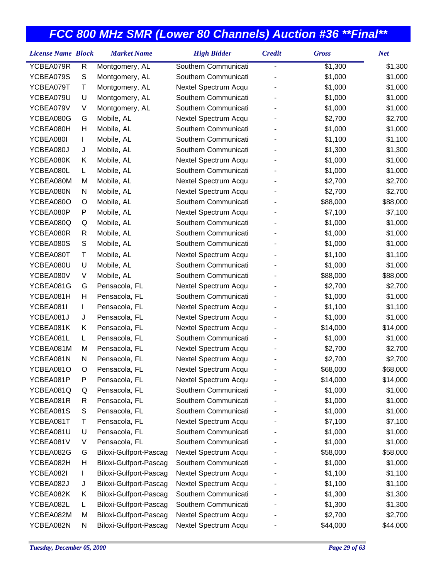| <b>License Name Block</b> |   | <b>Market Name</b>     | <b>High Bidder</b>   | <b>Credit</b>  | <b>Gross</b> | <b>Net</b> |
|---------------------------|---|------------------------|----------------------|----------------|--------------|------------|
| YCBEA079R                 | R | Montgomery, AL         | Southern Communicati | $\overline{a}$ | \$1,300      | \$1,300    |
| YCBEA079S                 | S | Montgomery, AL         | Southern Communicati |                | \$1,000      | \$1,000    |
| YCBEA079T                 | Τ | Montgomery, AL         | Nextel Spectrum Acqu |                | \$1,000      | \$1,000    |
| YCBEA079U                 | U | Montgomery, AL         | Southern Communicati |                | \$1,000      | \$1,000    |
| YCBEA079V                 | V | Montgomery, AL         | Southern Communicati |                | \$1,000      | \$1,000    |
| YCBEA080G                 | G | Mobile, AL             | Nextel Spectrum Acqu |                | \$2,700      | \$2,700    |
| YCBEA080H                 | н | Mobile, AL             | Southern Communicati |                | \$1,000      | \$1,000    |
| YCBEA080I                 | L | Mobile, AL             | Southern Communicati |                | \$1,100      | \$1,100    |
| YCBEA080J                 | J | Mobile, AL             | Southern Communicati |                | \$1,300      | \$1,300    |
| YCBEA080K                 | Κ | Mobile, AL             | Nextel Spectrum Acqu |                | \$1,000      | \$1,000    |
| YCBEA080L                 | L | Mobile, AL             | Southern Communicati |                | \$1,000      | \$1,000    |
| YCBEA080M                 | М | Mobile, AL             | Nextel Spectrum Acqu |                | \$2,700      | \$2,700    |
| YCBEA080N                 | N | Mobile, AL             | Nextel Spectrum Acqu |                | \$2,700      | \$2,700    |
| YCBEA080O                 | O | Mobile, AL             | Southern Communicati |                | \$88,000     | \$88,000   |
| YCBEA080P                 | P | Mobile, AL             | Nextel Spectrum Acqu |                | \$7,100      | \$7,100    |
| YCBEA080Q                 | Q | Mobile, AL             | Southern Communicati |                | \$1,000      | \$1,000    |
| YCBEA080R                 | R | Mobile, AL             | Southern Communicati |                | \$1,000      | \$1,000    |
| YCBEA080S                 | S | Mobile, AL             | Southern Communicati |                | \$1,000      | \$1,000    |
| YCBEA080T                 | Τ | Mobile, AL             | Nextel Spectrum Acqu |                | \$1,100      | \$1,100    |
| YCBEA080U                 | U | Mobile, AL             | Southern Communicati |                | \$1,000      | \$1,000    |
| YCBEA080V                 | V | Mobile, AL             | Southern Communicati |                | \$88,000     | \$88,000   |
| YCBEA081G                 | G | Pensacola, FL          | Nextel Spectrum Acqu |                | \$2,700      | \$2,700    |
| YCBEA081H                 | Η | Pensacola, FL          | Southern Communicati |                | \$1,000      | \$1,000    |
| YCBEA081I                 | L | Pensacola, FL          | Nextel Spectrum Acqu |                | \$1,100      | \$1,100    |
| YCBEA081J                 | J | Pensacola, FL          | Nextel Spectrum Acqu |                | \$1,000      | \$1,000    |
| YCBEA081K                 | Κ | Pensacola, FL          | Nextel Spectrum Acqu |                | \$14,000     | \$14,000   |
| YCBEA081L                 | L | Pensacola, FL          | Southern Communicati |                | \$1,000      | \$1,000    |
| YCBEA081M                 | М | Pensacola, FL          | Nextel Spectrum Acqu |                | \$2,700      | \$2,700    |
| YCBEA081N                 | N | Pensacola, FL          | Nextel Spectrum Acqu |                | \$2,700      | \$2,700    |
| YCBEA081O                 | O | Pensacola, FL          | Nextel Spectrum Acqu |                | \$68,000     | \$68,000   |
| YCBEA081P                 | Ρ | Pensacola, FL          | Nextel Spectrum Acqu |                | \$14,000     | \$14,000   |
| YCBEA081Q                 | Q | Pensacola, FL          | Southern Communicati |                | \$1,000      | \$1,000    |
| YCBEA081R                 | R | Pensacola, FL          | Southern Communicati |                | \$1,000      | \$1,000    |
| YCBEA081S                 | S | Pensacola, FL          | Southern Communicati |                | \$1,000      | \$1,000    |
| YCBEA081T                 | Τ | Pensacola, FL          | Nextel Spectrum Acqu |                | \$7,100      | \$7,100    |
| YCBEA081U                 | U | Pensacola, FL          | Southern Communicati |                | \$1,000      | \$1,000    |
| YCBEA081V                 | V | Pensacola, FL          | Southern Communicati |                | \$1,000      | \$1,000    |
| YCBEA082G                 | G | Biloxi-Gulfport-Pascag | Nextel Spectrum Acqu |                | \$58,000     | \$58,000   |
| YCBEA082H                 | Н | Biloxi-Gulfport-Pascag | Southern Communicati |                | \$1,000      | \$1,000    |
| YCBEA082I                 | L | Biloxi-Gulfport-Pascag | Nextel Spectrum Acqu |                | \$1,100      | \$1,100    |
| YCBEA082J                 | J | Biloxi-Gulfport-Pascag | Nextel Spectrum Acqu |                | \$1,100      | \$1,100    |
| YCBEA082K                 | Κ | Biloxi-Gulfport-Pascag | Southern Communicati |                | \$1,300      | \$1,300    |
| YCBEA082L                 | L | Biloxi-Gulfport-Pascag | Southern Communicati |                | \$1,300      | \$1,300    |
| YCBEA082M                 | M | Biloxi-Gulfport-Pascag | Nextel Spectrum Acqu |                | \$2,700      | \$2,700    |
| YCBEA082N                 | N | Biloxi-Gulfport-Pascag | Nextel Spectrum Acqu |                | \$44,000     | \$44,000   |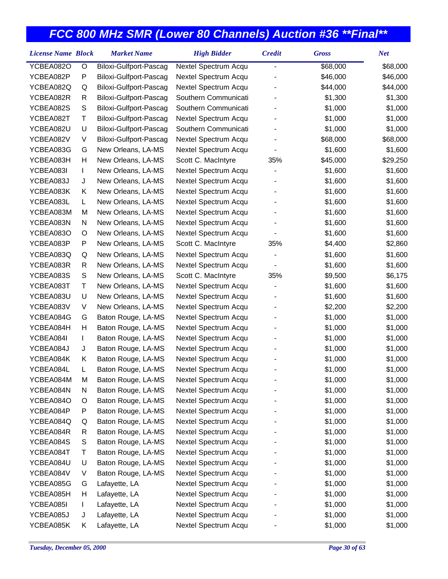| <b>License Name Block</b><br><b>Market Name</b><br><b>Credit</b><br><b>High Bidder</b> | <b>Gross</b> | <b>Net</b> |
|----------------------------------------------------------------------------------------|--------------|------------|
| YCBEA082O<br>O<br>Biloxi-Gulfport-Pascag<br>Nextel Spectrum Acqu<br>-                  | \$68,000     | \$68,000   |
| YCBEA082P<br>P<br>Nextel Spectrum Acqu<br>Biloxi-Gulfport-Pascag                       | \$46,000     | \$46,000   |
| YCBEA082Q<br>Biloxi-Gulfport-Pascag<br>Nextel Spectrum Acqu<br>Q                       | \$44,000     | \$44,000   |
| YCBEA082R<br>Biloxi-Gulfport-Pascag<br>Southern Communicati<br>R                       | \$1,300      | \$1,300    |
| S<br>YCBEA082S<br>Biloxi-Gulfport-Pascag<br>Southern Communicati                       | \$1,000      | \$1,000    |
| Τ<br>YCBEA082T<br>Biloxi-Gulfport-Pascag<br>Nextel Spectrum Acqu                       | \$1,000      | \$1,000    |
| Southern Communicati<br>YCBEA082U<br>U<br>Biloxi-Gulfport-Pascag                       | \$1,000      | \$1,000    |
| YCBEA082V<br>V<br>Biloxi-Gulfport-Pascag<br>Nextel Spectrum Acqu                       | \$68,000     | \$68,000   |
| YCBEA083G<br>G<br>New Orleans, LA-MS<br>Nextel Spectrum Acqu                           | \$1,600      | \$1,600    |
| YCBEA083H<br>Н<br>New Orleans, LA-MS<br>Scott C. MacIntyre<br>35%                      | \$45,000     | \$29,250   |
| YCBEA083I<br>Nextel Spectrum Acqu<br>New Orleans, LA-MS<br>L                           | \$1,600      | \$1,600    |
| YCBEA083J<br>Nextel Spectrum Acqu<br>J<br>New Orleans, LA-MS                           | \$1,600      | \$1,600    |
| YCBEA083K<br>Κ<br>New Orleans, LA-MS<br>Nextel Spectrum Acqu                           | \$1,600      | \$1,600    |
| YCBEA083L<br>New Orleans, LA-MS<br>Nextel Spectrum Acqu<br>L                           | \$1,600      | \$1,600    |
| YCBEA083M<br>M<br>New Orleans, LA-MS<br>Nextel Spectrum Acqu                           | \$1,600      | \$1,600    |
| YCBEA083N<br>Nextel Spectrum Acqu<br>N<br>New Orleans, LA-MS                           | \$1,600      | \$1,600    |
| YCBEA083O<br>New Orleans, LA-MS<br>Nextel Spectrum Acqu<br>O                           | \$1,600      | \$1,600    |
| YCBEA083P<br>P<br>New Orleans, LA-MS<br>Scott C. MacIntyre<br>35%                      | \$4,400      | \$2,860    |
| Nextel Spectrum Acqu<br>YCBEA083Q<br>New Orleans, LA-MS<br>Q                           | \$1,600      | \$1,600    |
| YCBEA083R<br>New Orleans, LA-MS<br>Nextel Spectrum Acqu<br>R<br>-                      | \$1,600      | \$1,600    |
| YCBEA083S<br>S<br>Scott C. MacIntyre<br>35%<br>New Orleans, LA-MS                      | \$9,500      | \$6,175    |
| Τ<br>YCBEA083T<br>New Orleans, LA-MS<br>Nextel Spectrum Acqu                           | \$1,600      | \$1,600    |
| YCBEA083U<br>U<br>New Orleans, LA-MS<br>Nextel Spectrum Acqu                           | \$1,600      | \$1,600    |
| YCBEA083V<br>V<br>New Orleans, LA-MS<br>Nextel Spectrum Acqu                           | \$2,200      | \$2,200    |
| YCBEA084G<br>Baton Rouge, LA-MS<br>Nextel Spectrum Acqu<br>G                           | \$1,000      | \$1,000    |
| YCBEA084H<br>Н<br>Baton Rouge, LA-MS<br>Nextel Spectrum Acqu                           | \$1,000      | \$1,000    |
| YCBEA084I<br>Baton Rouge, LA-MS<br>Nextel Spectrum Acqu<br>L                           | \$1,000      | \$1,000    |
| YCBEA084J<br>Baton Rouge, LA-MS<br>Nextel Spectrum Acqu<br>J                           | \$1,000      | \$1,000    |
| Baton Rouge, LA-MS<br>YCBEA084K<br>Nextel Spectrum Acqu<br>Κ                           | \$1,000      | \$1,000    |
| YCBEA084L<br>Baton Rouge, LA-MS<br>Nextel Spectrum Acqu<br>L                           | \$1,000      | \$1,000    |
| YCBEA084M<br>Nextel Spectrum Acqu<br>Baton Rouge, LA-MS<br>м                           | \$1,000      | \$1,000    |
| YCBEA084N<br>N<br>Baton Rouge, LA-MS<br>Nextel Spectrum Acqu                           | \$1,000      | \$1,000    |
| Baton Rouge, LA-MS<br>Nextel Spectrum Acqu<br>YCBEA084O<br>O                           | \$1,000      | \$1,000    |
| YCBEA084P<br>Baton Rouge, LA-MS<br>Nextel Spectrum Acqu<br>P                           | \$1,000      | \$1,000    |
| Baton Rouge, LA-MS<br>Nextel Spectrum Acqu<br>YCBEA084Q<br>Q                           | \$1,000      | \$1,000    |
| YCBEA084R<br>Baton Rouge, LA-MS<br>Nextel Spectrum Acqu<br>R                           | \$1,000      | \$1,000    |
| YCBEA084S<br>Baton Rouge, LA-MS<br>Nextel Spectrum Acqu<br>S                           | \$1,000      | \$1,000    |
| YCBEA084T<br>Τ<br>Baton Rouge, LA-MS<br>Nextel Spectrum Acqu                           | \$1,000      | \$1,000    |
| YCBEA084U<br>U<br>Baton Rouge, LA-MS<br>Nextel Spectrum Acqu                           | \$1,000      | \$1,000    |
| Baton Rouge, LA-MS<br>Nextel Spectrum Acqu<br>YCBEA084V<br>V                           | \$1,000      | \$1,000    |
| YCBEA085G<br>Nextel Spectrum Acqu<br>Lafayette, LA<br>G                                | \$1,000      | \$1,000    |
| Nextel Spectrum Acqu<br>YCBEA085H<br>н<br>Lafayette, LA                                | \$1,000      | \$1,000    |
| YCBEA085I<br>Lafayette, LA<br>Nextel Spectrum Acqu<br>L                                | \$1,000      | \$1,000    |
| YCBEA085J<br>Lafayette, LA<br>Nextel Spectrum Acqu<br>J                                | \$1,000      | \$1,000    |
| Nextel Spectrum Acqu<br>YCBEA085K<br>Lafayette, LA<br>Κ                                | \$1,000      | \$1,000    |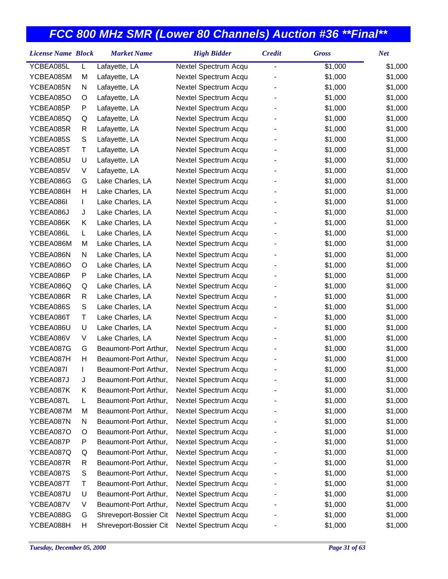| <b>License Name Block</b> |             | <b>Market Name</b>     | <b>High Bidder</b>   | <b>Credit</b> | <b>Gross</b> | <b>Net</b> |
|---------------------------|-------------|------------------------|----------------------|---------------|--------------|------------|
| YCBEA085L                 | L           | Lafayette, LA          | Nextel Spectrum Acqu | -             | \$1,000      | \$1,000    |
| YCBEA085M                 | M           | Lafayette, LA          | Nextel Spectrum Acqu |               | \$1,000      | \$1,000    |
| YCBEA085N                 | N           | Lafayette, LA          | Nextel Spectrum Acqu |               | \$1,000      | \$1,000    |
| YCBEA085O                 | O           | Lafayette, LA          | Nextel Spectrum Acqu |               | \$1,000      | \$1,000    |
| YCBEA085P                 | P           | Lafayette, LA          | Nextel Spectrum Acqu |               | \$1,000      | \$1,000    |
| YCBEA085Q                 | Q           | Lafayette, LA          | Nextel Spectrum Acqu |               | \$1,000      | \$1,000    |
| YCBEA085R                 | R           | Lafayette, LA          | Nextel Spectrum Acqu |               | \$1,000      | \$1,000    |
| YCBEA085S                 | S           | Lafayette, LA          | Nextel Spectrum Acqu |               | \$1,000      | \$1,000    |
| YCBEA085T                 | Τ           | Lafayette, LA          | Nextel Spectrum Acqu |               | \$1,000      | \$1,000    |
| YCBEA085U                 | U           | Lafayette, LA          | Nextel Spectrum Acqu |               | \$1,000      | \$1,000    |
| YCBEA085V                 | V           | Lafayette, LA          | Nextel Spectrum Acqu |               | \$1,000      | \$1,000    |
| YCBEA086G                 | G           | Lake Charles, LA       | Nextel Spectrum Acqu |               | \$1,000      | \$1,000    |
| YCBEA086H                 | Н           | Lake Charles, LA       | Nextel Spectrum Acqu |               | \$1,000      | \$1,000    |
| YCBEA086I                 | L           | Lake Charles, LA       | Nextel Spectrum Acqu |               | \$1,000      | \$1,000    |
| YCBEA086J                 | J           | Lake Charles, LA       | Nextel Spectrum Acqu |               | \$1,000      | \$1,000    |
| YCBEA086K                 | Κ           | Lake Charles, LA       | Nextel Spectrum Acqu |               | \$1,000      | \$1,000    |
| YCBEA086L                 | L           | Lake Charles, LA       | Nextel Spectrum Acqu |               | \$1,000      | \$1,000    |
| YCBEA086M                 | M           | Lake Charles, LA       | Nextel Spectrum Acqu |               | \$1,000      | \$1,000    |
| YCBEA086N                 | N           | Lake Charles, LA       | Nextel Spectrum Acqu |               | \$1,000      | \$1,000    |
| YCBEA086O                 | O           | Lake Charles, LA       | Nextel Spectrum Acqu |               | \$1,000      | \$1,000    |
| YCBEA086P                 | P           | Lake Charles, LA       | Nextel Spectrum Acqu |               | \$1,000      | \$1,000    |
| YCBEA086Q                 | Q           | Lake Charles, LA       | Nextel Spectrum Acqu |               | \$1,000      | \$1,000    |
| YCBEA086R                 | R           | Lake Charles, LA       | Nextel Spectrum Acqu |               | \$1,000      | \$1,000    |
| YCBEA086S                 | $\mathsf S$ | Lake Charles, LA       | Nextel Spectrum Acqu |               | \$1,000      | \$1,000    |
| YCBEA086T                 | Τ           | Lake Charles, LA       | Nextel Spectrum Acqu |               | \$1,000      | \$1,000    |
| YCBEA086U                 | U           | Lake Charles, LA       | Nextel Spectrum Acqu |               | \$1,000      | \$1,000    |
| YCBEA086V                 | V           | Lake Charles, LA       | Nextel Spectrum Acqu |               | \$1,000      | \$1,000    |
| YCBEA087G                 | G           | Beaumont-Port Arthur,  | Nextel Spectrum Acqu |               | \$1,000      | \$1,000    |
| YCBEA087H                 | Н           | Beaumont-Port Arthur,  | Nextel Spectrum Acqu |               | \$1,000      | \$1,000    |
| YCBEA087I                 | L           | Beaumont-Port Arthur,  | Nextel Spectrum Acqu |               | \$1,000      | \$1,000    |
| YCBEA087J                 | J           | Beaumont-Port Arthur,  | Nextel Spectrum Acqu |               | \$1,000      | \$1,000    |
| YCBEA087K                 | Κ           | Beaumont-Port Arthur,  | Nextel Spectrum Acqu |               | \$1,000      | \$1,000    |
| YCBEA087L                 | L           | Beaumont-Port Arthur,  | Nextel Spectrum Acqu |               | \$1,000      | \$1,000    |
| YCBEA087M                 | M           | Beaumont-Port Arthur,  | Nextel Spectrum Acqu |               | \$1,000      | \$1,000    |
| YCBEA087N                 | N           | Beaumont-Port Arthur,  | Nextel Spectrum Acqu |               | \$1,000      | \$1,000    |
| YCBEA087O                 | O           | Beaumont-Port Arthur,  | Nextel Spectrum Acqu |               | \$1,000      | \$1,000    |
| YCBEA087P                 | P           | Beaumont-Port Arthur,  | Nextel Spectrum Acqu |               | \$1,000      | \$1,000    |
| YCBEA087Q                 | Q           | Beaumont-Port Arthur,  | Nextel Spectrum Acqu |               | \$1,000      | \$1,000    |
| YCBEA087R                 | R           | Beaumont-Port Arthur,  | Nextel Spectrum Acqu |               | \$1,000      | \$1,000    |
| YCBEA087S                 | S           | Beaumont-Port Arthur,  | Nextel Spectrum Acqu |               | \$1,000      | \$1,000    |
| YCBEA087T                 | Τ           | Beaumont-Port Arthur,  | Nextel Spectrum Acqu |               | \$1,000      | \$1,000    |
| YCBEA087U                 | U           | Beaumont-Port Arthur,  | Nextel Spectrum Acqu |               | \$1,000      | \$1,000    |
| YCBEA087V                 | V           | Beaumont-Port Arthur,  | Nextel Spectrum Acqu |               | \$1,000      | \$1,000    |
| YCBEA088G                 | G           | Shreveport-Bossier Cit | Nextel Spectrum Acqu |               | \$1,000      | \$1,000    |
| YCBEA088H                 | н           | Shreveport-Bossier Cit | Nextel Spectrum Acqu |               | \$1,000      | \$1,000    |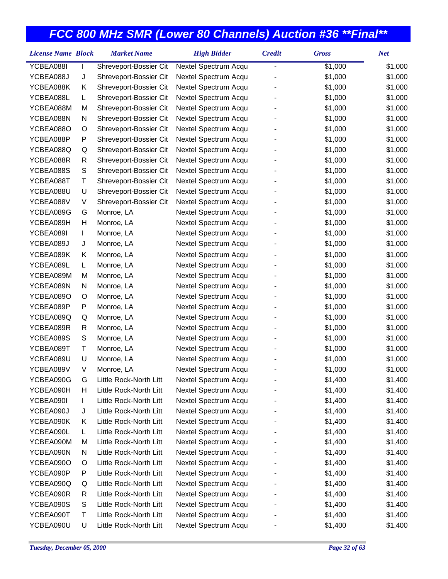| <b>License Name Block</b> |   | <b>Market Name</b>     | <b>High Bidder</b>   | <b>Credit</b>            | <b>Gross</b> | <b>Net</b> |
|---------------------------|---|------------------------|----------------------|--------------------------|--------------|------------|
| YCBEA088I                 |   | Shreveport-Bossier Cit | Nextel Spectrum Acqu | $\overline{\phantom{0}}$ | \$1,000      | \$1,000    |
| YCBEA088J                 | J | Shreveport-Bossier Cit | Nextel Spectrum Acqu |                          | \$1,000      | \$1,000    |
| YCBEA088K                 | Κ | Shreveport-Bossier Cit | Nextel Spectrum Acqu |                          | \$1,000      | \$1,000    |
| YCBEA088L                 | L | Shreveport-Bossier Cit | Nextel Spectrum Acqu |                          | \$1,000      | \$1,000    |
| YCBEA088M                 | M | Shreveport-Bossier Cit | Nextel Spectrum Acqu |                          | \$1,000      | \$1,000    |
| YCBEA088N                 | N | Shreveport-Bossier Cit | Nextel Spectrum Acqu |                          | \$1,000      | \$1,000    |
| YCBEA088O                 | O | Shreveport-Bossier Cit | Nextel Spectrum Acqu |                          | \$1,000      | \$1,000    |
| YCBEA088P                 | P | Shreveport-Bossier Cit | Nextel Spectrum Acqu |                          | \$1,000      | \$1,000    |
| YCBEA088Q                 | Q | Shreveport-Bossier Cit | Nextel Spectrum Acqu |                          | \$1,000      | \$1,000    |
| YCBEA088R                 | R | Shreveport-Bossier Cit | Nextel Spectrum Acqu |                          | \$1,000      | \$1,000    |
| YCBEA088S                 | S | Shreveport-Bossier Cit | Nextel Spectrum Acqu |                          | \$1,000      | \$1,000    |
| YCBEA088T                 | Τ | Shreveport-Bossier Cit | Nextel Spectrum Acqu |                          | \$1,000      | \$1,000    |
| YCBEA088U                 | U | Shreveport-Bossier Cit | Nextel Spectrum Acqu |                          | \$1,000      | \$1,000    |
| YCBEA088V                 | V | Shreveport-Bossier Cit | Nextel Spectrum Acqu |                          | \$1,000      | \$1,000    |
| YCBEA089G                 | G | Monroe, LA             | Nextel Spectrum Acqu |                          | \$1,000      | \$1,000    |
| YCBEA089H                 | Н | Monroe, LA             | Nextel Spectrum Acqu |                          | \$1,000      | \$1,000    |
| YCBEA089I                 | L | Monroe, LA             | Nextel Spectrum Acqu |                          | \$1,000      | \$1,000    |
| YCBEA089J                 | J | Monroe, LA             | Nextel Spectrum Acqu |                          | \$1,000      | \$1,000    |
| YCBEA089K                 | Κ | Monroe, LA             | Nextel Spectrum Acqu |                          | \$1,000      | \$1,000    |
| YCBEA089L                 | L | Monroe, LA             | Nextel Spectrum Acqu |                          | \$1,000      | \$1,000    |
| YCBEA089M                 | M | Monroe, LA             | Nextel Spectrum Acqu |                          | \$1,000      | \$1,000    |
| YCBEA089N                 | N | Monroe, LA             | Nextel Spectrum Acqu |                          | \$1,000      | \$1,000    |
| YCBEA089O                 | O | Monroe, LA             | Nextel Spectrum Acqu |                          | \$1,000      | \$1,000    |
| YCBEA089P                 | P | Monroe, LA             | Nextel Spectrum Acqu |                          | \$1,000      | \$1,000    |
| YCBEA089Q                 | Q | Monroe, LA             | Nextel Spectrum Acqu |                          | \$1,000      | \$1,000    |
| YCBEA089R                 | R | Monroe, LA             | Nextel Spectrum Acqu |                          | \$1,000      | \$1,000    |
| YCBEA089S                 | S | Monroe, LA             | Nextel Spectrum Acqu |                          | \$1,000      | \$1,000    |
| YCBEA089T                 | Τ | Monroe, LA             | Nextel Spectrum Acqu |                          | \$1,000      | \$1,000    |
| YCBEA089U                 | U | Monroe, LA             | Nextel Spectrum Acqu |                          | \$1,000      | \$1,000    |
| YCBEA089V                 | V | Monroe, LA             | Nextel Spectrum Acqu |                          | \$1,000      | \$1,000    |
| YCBEA090G                 | G | Little Rock-North Litt | Nextel Spectrum Acqu |                          | \$1,400      | \$1,400    |
| YCBEA090H                 | н | Little Rock-North Litt | Nextel Spectrum Acqu |                          | \$1,400      | \$1,400    |
| YCBEA090I                 | L | Little Rock-North Litt | Nextel Spectrum Acqu |                          | \$1,400      | \$1,400    |
| YCBEA090J                 | J | Little Rock-North Litt | Nextel Spectrum Acqu |                          | \$1,400      | \$1,400    |
| YCBEA090K                 | Κ | Little Rock-North Litt | Nextel Spectrum Acqu |                          | \$1,400      | \$1,400    |
| YCBEA090L                 | L | Little Rock-North Litt | Nextel Spectrum Acqu |                          | \$1,400      | \$1,400    |
| YCBEA090M                 | M | Little Rock-North Litt | Nextel Spectrum Acqu |                          | \$1,400      | \$1,400    |
| YCBEA090N                 | N | Little Rock-North Litt | Nextel Spectrum Acqu |                          | \$1,400      | \$1,400    |
| YCBEA090O                 | O | Little Rock-North Litt | Nextel Spectrum Acqu |                          | \$1,400      | \$1,400    |
| YCBEA090P                 | P | Little Rock-North Litt | Nextel Spectrum Acqu |                          | \$1,400      | \$1,400    |
| YCBEA090Q                 | Q | Little Rock-North Litt | Nextel Spectrum Acqu |                          | \$1,400      | \$1,400    |
| YCBEA090R                 | R | Little Rock-North Litt | Nextel Spectrum Acqu |                          | \$1,400      | \$1,400    |
| YCBEA090S                 | S | Little Rock-North Litt | Nextel Spectrum Acqu |                          | \$1,400      | \$1,400    |
| YCBEA090T                 | Т | Little Rock-North Litt | Nextel Spectrum Acqu |                          | \$1,400      | \$1,400    |
| YCBEA090U                 | U | Little Rock-North Litt | Nextel Spectrum Acqu |                          | \$1,400      | \$1,400    |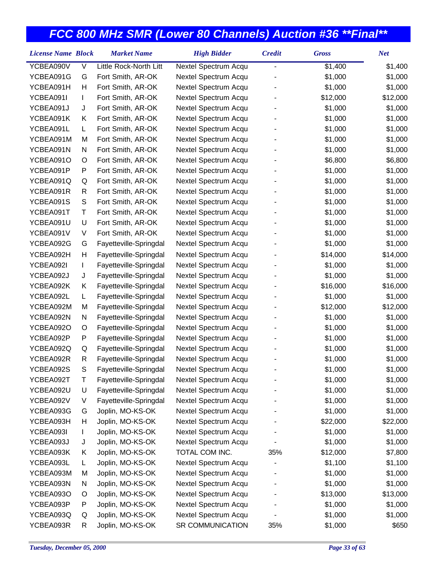| <b>License Name Block</b> |             | <b>Market Name</b>     | <b>High Bidder</b>   | <b>Credit</b> | <b>Gross</b> | <b>Net</b> |
|---------------------------|-------------|------------------------|----------------------|---------------|--------------|------------|
| YCBEA090V                 | V           | Little Rock-North Litt | Nextel Spectrum Acqu | -             | \$1,400      | \$1,400    |
| YCBEA091G                 | G           | Fort Smith, AR-OK      | Nextel Spectrum Acqu |               | \$1,000      | \$1,000    |
| YCBEA091H                 | Н           | Fort Smith, AR-OK      | Nextel Spectrum Acqu |               | \$1,000      | \$1,000    |
| YCBEA091I                 | L           | Fort Smith, AR-OK      | Nextel Spectrum Acqu |               | \$12,000     | \$12,000   |
| YCBEA091J                 | J           | Fort Smith, AR-OK      | Nextel Spectrum Acqu |               | \$1,000      | \$1,000    |
| YCBEA091K                 | Κ           | Fort Smith, AR-OK      | Nextel Spectrum Acqu |               | \$1,000      | \$1,000    |
| YCBEA091L                 | L           | Fort Smith, AR-OK      | Nextel Spectrum Acqu |               | \$1,000      | \$1,000    |
| YCBEA091M                 | M           | Fort Smith, AR-OK      | Nextel Spectrum Acqu |               | \$1,000      | \$1,000    |
| YCBEA091N                 | N           | Fort Smith, AR-OK      | Nextel Spectrum Acqu |               | \$1,000      | \$1,000    |
| YCBEA091O                 | O           | Fort Smith, AR-OK      | Nextel Spectrum Acqu |               | \$6,800      | \$6,800    |
| YCBEA091P                 | P           | Fort Smith, AR-OK      | Nextel Spectrum Acqu |               | \$1,000      | \$1,000    |
| YCBEA091Q                 | Q           | Fort Smith, AR-OK      | Nextel Spectrum Acqu |               | \$1,000      | \$1,000    |
| YCBEA091R                 | R           | Fort Smith, AR-OK      | Nextel Spectrum Acqu |               | \$1,000      | \$1,000    |
| YCBEA091S                 | $\mathsf S$ | Fort Smith, AR-OK      | Nextel Spectrum Acqu |               | \$1,000      | \$1,000    |
| YCBEA091T                 | T           | Fort Smith, AR-OK      | Nextel Spectrum Acqu |               | \$1,000      | \$1,000    |
| YCBEA091U                 | U           | Fort Smith, AR-OK      | Nextel Spectrum Acqu |               | \$1,000      | \$1,000    |
| YCBEA091V                 | V           | Fort Smith, AR-OK      | Nextel Spectrum Acqu |               | \$1,000      | \$1,000    |
| YCBEA092G                 | G           | Fayetteville-Springdal | Nextel Spectrum Acqu |               | \$1,000      | \$1,000    |
| YCBEA092H                 | Н           | Fayetteville-Springdal | Nextel Spectrum Acqu |               | \$14,000     | \$14,000   |
| YCBEA092I                 | L           | Fayetteville-Springdal | Nextel Spectrum Acqu |               | \$1,000      | \$1,000    |
| YCBEA092J                 | J           | Fayetteville-Springdal | Nextel Spectrum Acqu |               | \$1,000      | \$1,000    |
| YCBEA092K                 | Κ           | Fayetteville-Springdal | Nextel Spectrum Acqu |               | \$16,000     | \$16,000   |
| YCBEA092L                 | L           | Fayetteville-Springdal | Nextel Spectrum Acqu |               | \$1,000      | \$1,000    |
| YCBEA092M                 | M           | Fayetteville-Springdal | Nextel Spectrum Acqu |               | \$12,000     | \$12,000   |
| YCBEA092N                 | N           | Fayetteville-Springdal | Nextel Spectrum Acqu |               | \$1,000      | \$1,000    |
| YCBEA092O                 | O           | Fayetteville-Springdal | Nextel Spectrum Acqu |               | \$1,000      | \$1,000    |
| YCBEA092P                 | P           | Fayetteville-Springdal | Nextel Spectrum Acqu |               | \$1,000      | \$1,000    |
| YCBEA092Q                 | Q           | Fayetteville-Springdal | Nextel Spectrum Acqu |               | \$1,000      | \$1,000    |
| YCBEA092R                 | R           | Fayetteville-Springdal | Nextel Spectrum Acqu |               | \$1,000      | \$1,000    |
| YCBEA092S                 | S           | Fayetteville-Springdal | Nextel Spectrum Acqu |               | \$1,000      | \$1,000    |
| YCBEA092T                 | Т           | Fayetteville-Springdal | Nextel Spectrum Acqu |               | \$1,000      | \$1,000    |
| YCBEA092U                 | U           | Fayetteville-Springdal | Nextel Spectrum Acqu |               | \$1,000      | \$1,000    |
| YCBEA092V                 | V           | Fayetteville-Springdal | Nextel Spectrum Acqu |               | \$1,000      | \$1,000    |
| YCBEA093G                 | G           | Joplin, MO-KS-OK       | Nextel Spectrum Acqu |               | \$1,000      | \$1,000    |
| YCBEA093H                 | н           | Joplin, MO-KS-OK       | Nextel Spectrum Acqu |               | \$22,000     | \$22,000   |
| YCBEA093I                 | L           | Joplin, MO-KS-OK       | Nextel Spectrum Acqu |               | \$1,000      | \$1,000    |
| YCBEA093J                 | J           | Joplin, MO-KS-OK       | Nextel Spectrum Acqu |               | \$1,000      | \$1,000    |
| YCBEA093K                 | Κ           | Joplin, MO-KS-OK       | TOTAL COM INC.       | 35%           | \$12,000     | \$7,800    |
| YCBEA093L                 | L           | Joplin, MO-KS-OK       | Nextel Spectrum Acqu |               | \$1,100      | \$1,100    |
| YCBEA093M                 | M           | Joplin, MO-KS-OK       | Nextel Spectrum Acqu |               | \$1,000      | \$1,000    |
| YCBEA093N                 | N           | Joplin, MO-KS-OK       | Nextel Spectrum Acqu |               | \$1,000      | \$1,000    |
| YCBEA093O                 | O           | Joplin, MO-KS-OK       | Nextel Spectrum Acqu |               | \$13,000     | \$13,000   |
| YCBEA093P                 | P           | Joplin, MO-KS-OK       | Nextel Spectrum Acqu |               | \$1,000      | \$1,000    |
| YCBEA093Q                 | Q           | Joplin, MO-KS-OK       | Nextel Spectrum Acqu |               | \$1,000      | \$1,000    |
| YCBEA093R                 | R           | Joplin, MO-KS-OK       | SR COMMUNICATION     | 35%           | \$1,000      | \$650      |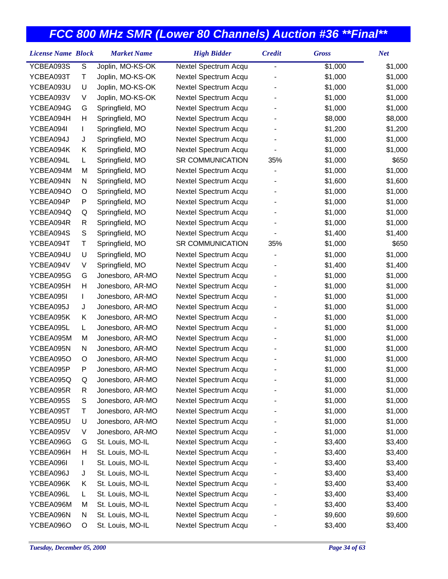| <b>License Name Block</b> |               | <b>Market Name</b> | <b>High Bidder</b>      | <b>Credit</b> | <b>Gross</b> | <b>Net</b> |
|---------------------------|---------------|--------------------|-------------------------|---------------|--------------|------------|
| YCBEA093S                 | ${\mathsf S}$ | Joplin, MO-KS-OK   | Nextel Spectrum Acqu    | -             | \$1,000      | \$1,000    |
| YCBEA093T                 | Τ             | Joplin, MO-KS-OK   | Nextel Spectrum Acqu    |               | \$1,000      | \$1,000    |
| YCBEA093U                 | U             | Joplin, MO-KS-OK   | Nextel Spectrum Acqu    |               | \$1,000      | \$1,000    |
| YCBEA093V                 | V             | Joplin, MO-KS-OK   | Nextel Spectrum Acqu    |               | \$1,000      | \$1,000    |
| YCBEA094G                 | G             | Springfield, MO    | Nextel Spectrum Acqu    |               | \$1,000      | \$1,000    |
| YCBEA094H                 | Н             | Springfield, MO    | Nextel Spectrum Acqu    |               | \$8,000      | \$8,000    |
| YCBEA094I                 | L             | Springfield, MO    | Nextel Spectrum Acqu    |               | \$1,200      | \$1,200    |
| YCBEA094J                 | J             | Springfield, MO    | Nextel Spectrum Acqu    |               | \$1,000      | \$1,000    |
| YCBEA094K                 | Κ             | Springfield, MO    | Nextel Spectrum Acqu    |               | \$1,000      | \$1,000    |
| YCBEA094L                 | L             | Springfield, MO    | SR COMMUNICATION        | 35%           | \$1,000      | \$650      |
| YCBEA094M                 | M             | Springfield, MO    | Nextel Spectrum Acqu    |               | \$1,000      | \$1,000    |
| YCBEA094N                 | N             | Springfield, MO    | Nextel Spectrum Acqu    |               | \$1,600      | \$1,600    |
| YCBEA094O                 | O             | Springfield, MO    | Nextel Spectrum Acqu    |               | \$1,000      | \$1,000    |
| YCBEA094P                 | P             | Springfield, MO    | Nextel Spectrum Acqu    |               | \$1,000      | \$1,000    |
| YCBEA094Q                 | Q             | Springfield, MO    | Nextel Spectrum Acqu    |               | \$1,000      | \$1,000    |
| YCBEA094R                 | R             | Springfield, MO    | Nextel Spectrum Acqu    |               | \$1,000      | \$1,000    |
| YCBEA094S                 | ${\mathsf S}$ | Springfield, MO    | Nextel Spectrum Acqu    |               | \$1,400      | \$1,400    |
| YCBEA094T                 | Τ             | Springfield, MO    | <b>SR COMMUNICATION</b> | 35%           | \$1,000      | \$650      |
| YCBEA094U                 | U             | Springfield, MO    | Nextel Spectrum Acqu    |               | \$1,000      | \$1,000    |
| YCBEA094V                 | V             | Springfield, MO    | Nextel Spectrum Acqu    |               | \$1,400      | \$1,400    |
| YCBEA095G                 | G             | Jonesboro, AR-MO   | Nextel Spectrum Acqu    |               | \$1,000      | \$1,000    |
| YCBEA095H                 | Н             | Jonesboro, AR-MO   | Nextel Spectrum Acqu    |               | \$1,000      | \$1,000    |
| YCBEA095I                 | L             | Jonesboro, AR-MO   | Nextel Spectrum Acqu    |               | \$1,000      | \$1,000    |
| YCBEA095J                 | J             | Jonesboro, AR-MO   | Nextel Spectrum Acqu    |               | \$1,000      | \$1,000    |
| YCBEA095K                 | Κ             | Jonesboro, AR-MO   | Nextel Spectrum Acqu    |               | \$1,000      | \$1,000    |
| YCBEA095L                 | L             | Jonesboro, AR-MO   | Nextel Spectrum Acqu    |               | \$1,000      | \$1,000    |
| YCBEA095M                 | M             | Jonesboro, AR-MO   | Nextel Spectrum Acqu    |               | \$1,000      | \$1,000    |
| YCBEA095N                 | N             | Jonesboro, AR-MO   | Nextel Spectrum Acqu    |               | \$1,000      | \$1,000    |
| YCBEA095O                 | O             | Jonesboro, AR-MO   | Nextel Spectrum Acqu    |               | \$1,000      | \$1,000    |
| YCBEA095P                 | P             | Jonesboro, AR-MO   | Nextel Spectrum Acqu    |               | \$1,000      | \$1,000    |
| YCBEA095Q                 | Q             | Jonesboro, AR-MO   | Nextel Spectrum Acqu    |               | \$1,000      | \$1,000    |
| YCBEA095R                 | R             | Jonesboro, AR-MO   | Nextel Spectrum Acqu    |               | \$1,000      | \$1,000    |
| YCBEA095S                 | S             | Jonesboro, AR-MO   | Nextel Spectrum Acqu    |               | \$1,000      | \$1,000    |
| YCBEA095T                 | Τ             | Jonesboro, AR-MO   | Nextel Spectrum Acqu    |               | \$1,000      | \$1,000    |
| YCBEA095U                 | U             | Jonesboro, AR-MO   | Nextel Spectrum Acqu    |               | \$1,000      | \$1,000    |
| YCBEA095V                 | V             | Jonesboro, AR-MO   | Nextel Spectrum Acqu    |               | \$1,000      | \$1,000    |
| YCBEA096G                 | G             | St. Louis, MO-IL   | Nextel Spectrum Acqu    |               | \$3,400      | \$3,400    |
| YCBEA096H                 | н             | St. Louis, MO-IL   | Nextel Spectrum Acqu    |               | \$3,400      | \$3,400    |
| YCBEA096I                 | L             | St. Louis, MO-IL   | Nextel Spectrum Acqu    |               | \$3,400      | \$3,400    |
| YCBEA096J                 | J             | St. Louis, MO-IL   | Nextel Spectrum Acqu    |               | \$3,400      | \$3,400    |
| YCBEA096K                 | Κ             | St. Louis, MO-IL   | Nextel Spectrum Acqu    |               | \$3,400      | \$3,400    |
| YCBEA096L                 | L             | St. Louis, MO-IL   | Nextel Spectrum Acqu    |               | \$3,400      | \$3,400    |
| YCBEA096M                 | M             | St. Louis, MO-IL   | Nextel Spectrum Acqu    |               | \$3,400      | \$3,400    |
| YCBEA096N                 | N             | St. Louis, MO-IL   | Nextel Spectrum Acqu    |               | \$9,600      | \$9,600    |
| YCBEA096O                 | O             | St. Louis, MO-IL   | Nextel Spectrum Acqu    |               | \$3,400      | \$3,400    |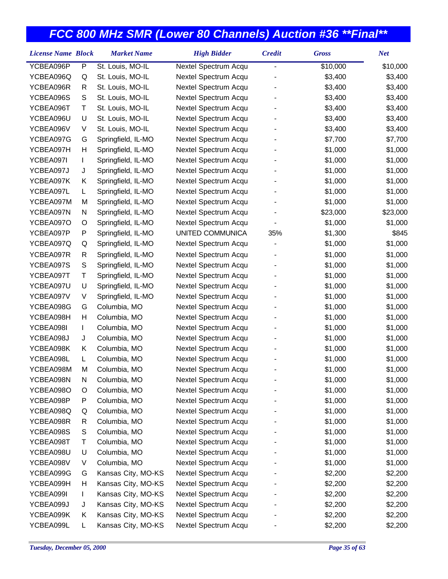| <b>License Name Block</b> |   | <b>Market Name</b> | <b>High Bidder</b>   | <b>Credit</b> | <b>Gross</b> | <b>Net</b> |
|---------------------------|---|--------------------|----------------------|---------------|--------------|------------|
| YCBEA096P                 | P | St. Louis, MO-IL   | Nextel Spectrum Acqu | -             | \$10,000     | \$10,000   |
| YCBEA096Q                 | Q | St. Louis, MO-IL   | Nextel Spectrum Acqu |               | \$3,400      | \$3,400    |
| YCBEA096R                 | R | St. Louis, MO-IL   | Nextel Spectrum Acqu |               | \$3,400      | \$3,400    |
| YCBEA096S                 | S | St. Louis, MO-IL   | Nextel Spectrum Acqu |               | \$3,400      | \$3,400    |
| YCBEA096T                 | Τ | St. Louis, MO-IL   | Nextel Spectrum Acqu |               | \$3,400      | \$3,400    |
| YCBEA096U                 | U | St. Louis, MO-IL   | Nextel Spectrum Acqu |               | \$3,400      | \$3,400    |
| YCBEA096V                 | V | St. Louis, MO-IL   | Nextel Spectrum Acqu |               | \$3,400      | \$3,400    |
| YCBEA097G                 | G | Springfield, IL-MO | Nextel Spectrum Acqu |               | \$7,700      | \$7,700    |
| YCBEA097H                 | Н | Springfield, IL-MO | Nextel Spectrum Acqu |               | \$1,000      | \$1,000    |
| YCBEA097I                 | L | Springfield, IL-MO | Nextel Spectrum Acqu |               | \$1,000      | \$1,000    |
| YCBEA097J                 | J | Springfield, IL-MO | Nextel Spectrum Acqu |               | \$1,000      | \$1,000    |
| YCBEA097K                 | Κ | Springfield, IL-MO | Nextel Spectrum Acqu |               | \$1,000      | \$1,000    |
| YCBEA097L                 | L | Springfield, IL-MO | Nextel Spectrum Acqu |               | \$1,000      | \$1,000    |
| YCBEA097M                 | M | Springfield, IL-MO | Nextel Spectrum Acqu |               | \$1,000      | \$1,000    |
| YCBEA097N                 | N | Springfield, IL-MO | Nextel Spectrum Acqu |               | \$23,000     | \$23,000   |
| YCBEA097O                 | O | Springfield, IL-MO | Nextel Spectrum Acqu |               | \$1,000      | \$1,000    |
| YCBEA097P                 | P | Springfield, IL-MO | UNITED COMMUNICA     | 35%           | \$1,300      | \$845      |
| YCBEA097Q                 | Q | Springfield, IL-MO | Nextel Spectrum Acqu |               | \$1,000      | \$1,000    |
| YCBEA097R                 | R | Springfield, IL-MO | Nextel Spectrum Acqu |               | \$1,000      | \$1,000    |
| YCBEA097S                 | S | Springfield, IL-MO | Nextel Spectrum Acqu |               | \$1,000      | \$1,000    |
| YCBEA097T                 | Τ | Springfield, IL-MO | Nextel Spectrum Acqu |               | \$1,000      | \$1,000    |
| YCBEA097U                 | U | Springfield, IL-MO | Nextel Spectrum Acqu |               | \$1,000      | \$1,000    |
| YCBEA097V                 | V | Springfield, IL-MO | Nextel Spectrum Acqu |               | \$1,000      | \$1,000    |
| YCBEA098G                 | G | Columbia, MO       | Nextel Spectrum Acqu |               | \$1,000      | \$1,000    |
| YCBEA098H                 | Н | Columbia, MO       | Nextel Spectrum Acqu |               | \$1,000      | \$1,000    |
| YCBEA098I                 | L | Columbia, MO       | Nextel Spectrum Acqu |               | \$1,000      | \$1,000    |
| YCBEA098J                 | J | Columbia, MO       | Nextel Spectrum Acqu |               | \$1,000      | \$1,000    |
| YCBEA098K                 | Κ | Columbia, MO       | Nextel Spectrum Acqu |               | \$1,000      | \$1,000    |
| YCBEA098L                 | L | Columbia, MO       | Nextel Spectrum Acqu |               | \$1,000      | \$1,000    |
| YCBEA098M                 | M | Columbia, MO       | Nextel Spectrum Acqu |               | \$1,000      | \$1,000    |
| YCBEA098N                 | N | Columbia, MO       | Nextel Spectrum Acqu |               | \$1,000      | \$1,000    |
| YCBEA098O                 | O | Columbia, MO       | Nextel Spectrum Acqu |               | \$1,000      | \$1,000    |
| YCBEA098P                 | P | Columbia, MO       | Nextel Spectrum Acqu |               | \$1,000      | \$1,000    |
| YCBEA098Q                 | Q | Columbia, MO       | Nextel Spectrum Acqu |               | \$1,000      | \$1,000    |
| YCBEA098R                 | R | Columbia, MO       | Nextel Spectrum Acqu |               | \$1,000      | \$1,000    |
| YCBEA098S                 | S | Columbia, MO       | Nextel Spectrum Acqu |               | \$1,000      | \$1,000    |
| YCBEA098T                 | Т | Columbia, MO       | Nextel Spectrum Acqu |               | \$1,000      | \$1,000    |
| YCBEA098U                 | U | Columbia, MO       | Nextel Spectrum Acqu |               | \$1,000      | \$1,000    |
| YCBEA098V                 | V | Columbia, MO       | Nextel Spectrum Acqu |               | \$1,000      | \$1,000    |
| YCBEA099G                 | G | Kansas City, MO-KS | Nextel Spectrum Acqu |               | \$2,200      | \$2,200    |
| YCBEA099H                 | H | Kansas City, MO-KS | Nextel Spectrum Acqu |               | \$2,200      | \$2,200    |
| YCBEA099I                 | L | Kansas City, MO-KS | Nextel Spectrum Acqu |               | \$2,200      | \$2,200    |
| YCBEA099J                 | J | Kansas City, MO-KS | Nextel Spectrum Acqu |               | \$2,200      | \$2,200    |
| YCBEA099K                 | Κ | Kansas City, MO-KS | Nextel Spectrum Acqu |               | \$2,200      | \$2,200    |
| YCBEA099L                 | L | Kansas City, MO-KS | Nextel Spectrum Acqu |               | \$2,200      | \$2,200    |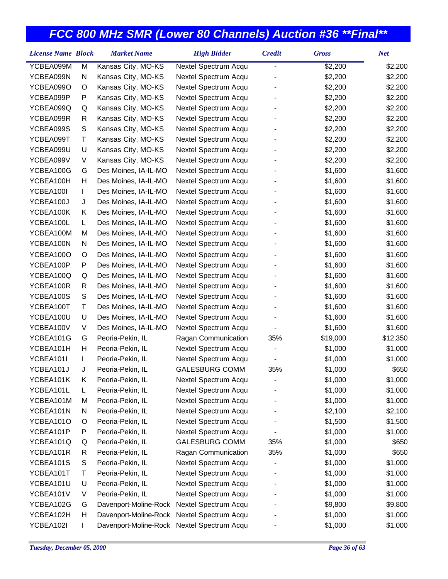| <b>License Name Block</b> |              | <b>Market Name</b>                         | <b>High Bidder</b>    | <b>Credit</b> | <b>Gross</b> | <b>Net</b> |
|---------------------------|--------------|--------------------------------------------|-----------------------|---------------|--------------|------------|
| YCBEA099M                 | M            | Kansas City, MO-KS                         | Nextel Spectrum Acqu  | -             | \$2,200      | \$2,200    |
| YCBEA099N                 | N            | Kansas City, MO-KS                         | Nextel Spectrum Acqu  |               | \$2,200      | \$2,200    |
| YCBEA099O                 | O            | Kansas City, MO-KS                         | Nextel Spectrum Acqu  |               | \$2,200      | \$2,200    |
| YCBEA099P                 | P            | Kansas City, MO-KS                         | Nextel Spectrum Acqu  |               | \$2,200      | \$2,200    |
| YCBEA099Q                 | Q            | Kansas City, MO-KS                         | Nextel Spectrum Acqu  |               | \$2,200      | \$2,200    |
| YCBEA099R                 | R            | Kansas City, MO-KS                         | Nextel Spectrum Acqu  |               | \$2,200      | \$2,200    |
| YCBEA099S                 | S            | Kansas City, MO-KS                         | Nextel Spectrum Acqu  |               | \$2,200      | \$2,200    |
| YCBEA099T                 | Т            | Kansas City, MO-KS                         | Nextel Spectrum Acqu  |               | \$2,200      | \$2,200    |
| YCBEA099U                 | U            | Kansas City, MO-KS                         | Nextel Spectrum Acqu  |               | \$2,200      | \$2,200    |
| YCBEA099V                 | V            | Kansas City, MO-KS                         | Nextel Spectrum Acqu  |               | \$2,200      | \$2,200    |
| YCBEA100G                 | G            | Des Moines, IA-IL-MO                       | Nextel Spectrum Acqu  |               | \$1,600      | \$1,600    |
| YCBEA100H                 | н            | Des Moines, IA-IL-MO                       | Nextel Spectrum Acqu  |               | \$1,600      | \$1,600    |
| YCBEA100I                 | T.           | Des Moines, IA-IL-MO                       | Nextel Spectrum Acqu  |               | \$1,600      | \$1,600    |
| YCBEA100J                 | J            | Des Moines, IA-IL-MO                       | Nextel Spectrum Acqu  |               | \$1,600      | \$1,600    |
| YCBEA100K                 | Κ            | Des Moines, IA-IL-MO                       | Nextel Spectrum Acqu  |               | \$1,600      | \$1,600    |
| YCBEA100L                 | L            | Des Moines, IA-IL-MO                       | Nextel Spectrum Acqu  |               | \$1,600      | \$1,600    |
| YCBEA100M                 | M            | Des Moines, IA-IL-MO                       | Nextel Spectrum Acqu  |               | \$1,600      | \$1,600    |
| YCBEA100N                 | N            | Des Moines, IA-IL-MO                       | Nextel Spectrum Acqu  |               | \$1,600      | \$1,600    |
| YCBEA100O                 | O            | Des Moines, IA-IL-MO                       | Nextel Spectrum Acqu  |               | \$1,600      | \$1,600    |
| YCBEA100P                 | P            | Des Moines, IA-IL-MO                       | Nextel Spectrum Acqu  |               | \$1,600      | \$1,600    |
| YCBEA100Q                 | Q            | Des Moines, IA-IL-MO                       | Nextel Spectrum Acqu  |               | \$1,600      | \$1,600    |
| YCBEA100R                 | R            | Des Moines, IA-IL-MO                       | Nextel Spectrum Acqu  |               | \$1,600      | \$1,600    |
| YCBEA100S                 | S            | Des Moines, IA-IL-MO                       | Nextel Spectrum Acqu  |               | \$1,600      | \$1,600    |
| YCBEA100T                 | Τ            | Des Moines, IA-IL-MO                       | Nextel Spectrum Acqu  |               | \$1,600      | \$1,600    |
| YCBEA100U                 | U            | Des Moines, IA-IL-MO                       | Nextel Spectrum Acqu  |               | \$1,600      | \$1,600    |
| YCBEA100V                 | V            | Des Moines, IA-IL-MO                       | Nextel Spectrum Acqu  |               | \$1,600      | \$1,600    |
| YCBEA101G                 | G            | Peoria-Pekin, IL                           | Ragan Communication   | 35%           | \$19,000     | \$12,350   |
| YCBEA101H                 | н            | Peoria-Pekin, IL                           | Nextel Spectrum Acqu  |               | \$1,000      | \$1,000    |
| YCBEA101I                 | $\mathbf{I}$ | Peoria-Pekin, IL                           | Nextel Spectrum Acqu  |               | \$1,000      | \$1,000    |
| YCBEA101J                 | J            | Peoria-Pekin, IL                           | <b>GALESBURG COMM</b> | 35%           | \$1,000      | \$650      |
| YCBEA101K                 | Κ            | Peoria-Pekin, IL                           | Nextel Spectrum Acqu  |               | \$1,000      | \$1,000    |
| YCBEA101L                 | L            | Peoria-Pekin, IL                           | Nextel Spectrum Acqu  |               | \$1,000      | \$1,000    |
| YCBEA101M                 | M            | Peoria-Pekin, IL                           | Nextel Spectrum Acqu  |               | \$1,000      | \$1,000    |
| YCBEA101N                 | N            | Peoria-Pekin, IL                           | Nextel Spectrum Acqu  |               | \$2,100      | \$2,100    |
| YCBEA101O                 | O            | Peoria-Pekin, IL                           | Nextel Spectrum Acqu  |               | \$1,500      | \$1,500    |
| YCBEA101P                 | P            | Peoria-Pekin, IL                           | Nextel Spectrum Acqu  |               | \$1,000      | \$1,000    |
| YCBEA101Q                 | Q            | Peoria-Pekin, IL                           | <b>GALESBURG COMM</b> | 35%           | \$1,000      | \$650      |
| YCBEA101R                 | R            | Peoria-Pekin, IL                           | Ragan Communication   | 35%           | \$1,000      | \$650      |
| YCBEA101S                 | S            | Peoria-Pekin, IL                           | Nextel Spectrum Acqu  |               | \$1,000      | \$1,000    |
| YCBEA101T                 | Т            | Peoria-Pekin, IL                           | Nextel Spectrum Acqu  |               | \$1,000      | \$1,000    |
| YCBEA101U                 | U            | Peoria-Pekin, IL                           | Nextel Spectrum Acqu  |               | \$1,000      | \$1,000    |
| YCBEA101V                 | V            | Peoria-Pekin, IL                           | Nextel Spectrum Acqu  |               | \$1,000      | \$1,000    |
| YCBEA102G                 | G            | Davenport-Moline-Rock                      | Nextel Spectrum Acqu  |               | \$9,800      | \$9,800    |
| YCBEA102H                 | Н            | Davenport-Moline-Rock                      | Nextel Spectrum Acqu  |               | \$1,000      | \$1,000    |
| YCBEA102I                 | L            | Davenport-Moline-Rock Nextel Spectrum Acqu |                       |               | \$1,000      | \$1,000    |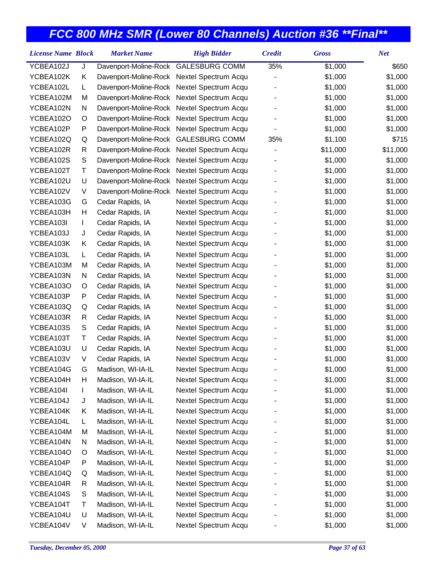| <b>License Name Block</b> |    | <b>Market Name</b>                         | <b>High Bidder</b>   | <b>Credit</b> | <b>Gross</b> | <b>Net</b> |
|---------------------------|----|--------------------------------------------|----------------------|---------------|--------------|------------|
| YCBEA102J                 | J  | Davenport-Moline-Rock GALESBURG COMM       |                      | 35%           | \$1,000      | \$650      |
| YCBEA102K                 | Κ  | Davenport-Moline-Rock Nextel Spectrum Acqu |                      |               | \$1,000      | \$1,000    |
| YCBEA102L                 | L  | Davenport-Moline-Rock Nextel Spectrum Acqu |                      |               | \$1,000      | \$1,000    |
| YCBEA102M                 | M  | Davenport-Moline-Rock Nextel Spectrum Acqu |                      |               | \$1,000      | \$1,000    |
| YCBEA102N                 | N  | Davenport-Moline-Rock Nextel Spectrum Acqu |                      |               | \$1,000      | \$1,000    |
| YCBEA102O                 | O  | Davenport-Moline-Rock Nextel Spectrum Acqu |                      |               | \$1,000      | \$1,000    |
| YCBEA102P                 | P  | Davenport-Moline-Rock Nextel Spectrum Acqu |                      |               | \$1,000      | \$1,000    |
| YCBEA102Q                 | Q  | Davenport-Moline-Rock GALESBURG COMM       |                      | 35%           | \$1,100      | \$715      |
| YCBEA102R                 | R  | Davenport-Moline-Rock                      | Nextel Spectrum Acqu |               | \$11,000     | \$11,000   |
| YCBEA102S                 | S  | Davenport-Moline-Rock                      | Nextel Spectrum Acqu |               | \$1,000      | \$1,000    |
| YCBEA102T                 | Τ  | Davenport-Moline-Rock                      | Nextel Spectrum Acqu |               | \$1,000      | \$1,000    |
| YCBEA102U                 | U  | Davenport-Moline-Rock                      | Nextel Spectrum Acqu |               | \$1,000      | \$1,000    |
| YCBEA102V                 | V  | Davenport-Moline-Rock                      | Nextel Spectrum Acqu |               | \$1,000      | \$1,000    |
| YCBEA103G                 | G  | Cedar Rapids, IA                           | Nextel Spectrum Acqu |               | \$1,000      | \$1,000    |
| YCBEA103H                 | H  | Cedar Rapids, IA                           | Nextel Spectrum Acqu |               | \$1,000      | \$1,000    |
| YCBEA103I                 | L  | Cedar Rapids, IA                           | Nextel Spectrum Acqu |               | \$1,000      | \$1,000    |
| YCBEA103J                 | J  | Cedar Rapids, IA                           | Nextel Spectrum Acqu |               | \$1,000      | \$1,000    |
| YCBEA103K                 | Κ  | Cedar Rapids, IA                           | Nextel Spectrum Acqu |               | \$1,000      | \$1,000    |
| YCBEA103L                 | L. | Cedar Rapids, IA                           | Nextel Spectrum Acqu |               | \$1,000      | \$1,000    |
| YCBEA103M                 | M  | Cedar Rapids, IA                           | Nextel Spectrum Acqu |               | \$1,000      | \$1,000    |
| YCBEA103N                 | N  | Cedar Rapids, IA                           | Nextel Spectrum Acqu |               | \$1,000      | \$1,000    |
| YCBEA103O                 | O  | Cedar Rapids, IA                           | Nextel Spectrum Acqu |               | \$1,000      | \$1,000    |
| YCBEA103P                 | P  | Cedar Rapids, IA                           | Nextel Spectrum Acqu |               | \$1,000      | \$1,000    |
| YCBEA103Q                 | Q  | Cedar Rapids, IA                           | Nextel Spectrum Acqu |               | \$1,000      | \$1,000    |
| YCBEA103R                 | R  | Cedar Rapids, IA                           | Nextel Spectrum Acqu |               | \$1,000      | \$1,000    |
| YCBEA103S                 | S  | Cedar Rapids, IA                           | Nextel Spectrum Acqu |               | \$1,000      | \$1,000    |
| YCBEA103T                 | Τ  | Cedar Rapids, IA                           | Nextel Spectrum Acqu |               | \$1,000      | \$1,000    |
| YCBEA103U                 | U  | Cedar Rapids, IA                           | Nextel Spectrum Acqu |               | \$1,000      | \$1,000    |
| YCBEA103V                 | V  | Cedar Rapids, IA                           | Nextel Spectrum Acqu |               | \$1,000      | \$1,000    |
| YCBEA104G                 | G  | Madison, WI-IA-IL                          | Nextel Spectrum Acqu |               | \$1,000      | \$1,000    |
| YCBEA104H                 | H  | Madison, WI-IA-IL                          | Nextel Spectrum Acqu |               | \$1,000      | \$1,000    |
| YCBEA104I                 | L  | Madison, WI-IA-IL                          | Nextel Spectrum Acqu |               | \$1,000      | \$1,000    |
| YCBEA104J                 | J  | Madison, WI-IA-IL                          | Nextel Spectrum Acqu |               | \$1,000      | \$1,000    |
| YCBEA104K                 | Κ  | Madison, WI-IA-IL                          | Nextel Spectrum Acqu |               | \$1,000      | \$1,000    |
| YCBEA104L                 | L  | Madison, WI-IA-IL                          | Nextel Spectrum Acqu |               | \$1,000      | \$1,000    |
| YCBEA104M                 | M  | Madison, WI-IA-IL                          | Nextel Spectrum Acqu |               | \$1,000      | \$1,000    |
| YCBEA104N                 | N  | Madison, WI-IA-IL                          | Nextel Spectrum Acqu |               | \$1,000      | \$1,000    |
| YCBEA104O                 | O  | Madison, WI-IA-IL                          | Nextel Spectrum Acqu |               | \$1,000      | \$1,000    |
| YCBEA104P                 | P  | Madison, WI-IA-IL                          | Nextel Spectrum Acqu |               | \$1,000      | \$1,000    |
| YCBEA104Q                 | Q  | Madison, WI-IA-IL                          | Nextel Spectrum Acqu |               | \$1,000      | \$1,000    |
| YCBEA104R                 | R  | Madison, WI-IA-IL                          | Nextel Spectrum Acqu |               | \$1,000      | \$1,000    |
| YCBEA104S                 | S  | Madison, WI-IA-IL                          | Nextel Spectrum Acqu |               | \$1,000      | \$1,000    |
| YCBEA104T                 | Т  | Madison, WI-IA-IL                          | Nextel Spectrum Acqu |               | \$1,000      | \$1,000    |
| YCBEA104U                 | U  | Madison, WI-IA-IL                          | Nextel Spectrum Acqu |               | \$1,000      | \$1,000    |
| YCBEA104V                 | V  | Madison, WI-IA-IL                          | Nextel Spectrum Acqu |               | \$1,000      | \$1,000    |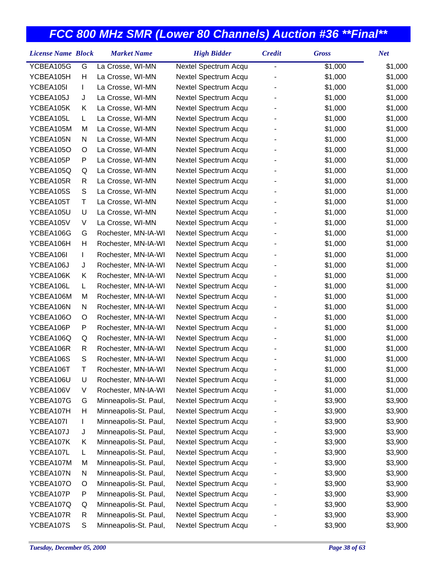| <b>License Name Block</b> |               | <b>Market Name</b>    | <b>High Bidder</b>   | <b>Credit</b>  | <b>Gross</b> | <b>Net</b> |
|---------------------------|---------------|-----------------------|----------------------|----------------|--------------|------------|
| YCBEA105G                 | G             | La Crosse, WI-MN      | Nextel Spectrum Acqu | $\overline{a}$ | \$1,000      | \$1,000    |
| YCBEA105H                 | H             | La Crosse, WI-MN      | Nextel Spectrum Acqu |                | \$1,000      | \$1,000    |
| YCBEA105I                 | L             | La Crosse, WI-MN      | Nextel Spectrum Acqu |                | \$1,000      | \$1,000    |
| YCBEA105J                 | J             | La Crosse, WI-MN      | Nextel Spectrum Acqu |                | \$1,000      | \$1,000    |
| YCBEA105K                 | Κ             | La Crosse, WI-MN      | Nextel Spectrum Acqu |                | \$1,000      | \$1,000    |
| YCBEA105L                 | L.            | La Crosse, WI-MN      | Nextel Spectrum Acqu |                | \$1,000      | \$1,000    |
| YCBEA105M                 | M             | La Crosse, WI-MN      | Nextel Spectrum Acqu |                | \$1,000      | \$1,000    |
| YCBEA105N                 | N             | La Crosse, WI-MN      | Nextel Spectrum Acqu |                | \$1,000      | \$1,000    |
| YCBEA105O                 | O             | La Crosse, WI-MN      | Nextel Spectrum Acqu |                | \$1,000      | \$1,000    |
| YCBEA105P                 | P             | La Crosse, WI-MN      | Nextel Spectrum Acqu |                | \$1,000      | \$1,000    |
| YCBEA105Q                 | Q             | La Crosse, WI-MN      | Nextel Spectrum Acqu |                | \$1,000      | \$1,000    |
| YCBEA105R                 | R             | La Crosse, WI-MN      | Nextel Spectrum Acqu |                | \$1,000      | \$1,000    |
| YCBEA105S                 | ${\mathsf S}$ | La Crosse, WI-MN      | Nextel Spectrum Acqu |                | \$1,000      | \$1,000    |
| YCBEA105T                 | Τ             | La Crosse, WI-MN      | Nextel Spectrum Acqu |                | \$1,000      | \$1,000    |
| YCBEA105U                 | U             | La Crosse, WI-MN      | Nextel Spectrum Acqu |                | \$1,000      | \$1,000    |
| YCBEA105V                 | V             | La Crosse, WI-MN      | Nextel Spectrum Acqu |                | \$1,000      | \$1,000    |
| YCBEA106G                 | G             | Rochester, MN-IA-WI   | Nextel Spectrum Acqu |                | \$1,000      | \$1,000    |
| YCBEA106H                 | H             | Rochester, MN-IA-WI   | Nextel Spectrum Acqu |                | \$1,000      | \$1,000    |
| YCBEA106I                 | L             | Rochester, MN-IA-WI   | Nextel Spectrum Acqu |                | \$1,000      | \$1,000    |
| YCBEA106J                 | J             | Rochester, MN-IA-WI   | Nextel Spectrum Acqu |                | \$1,000      | \$1,000    |
| YCBEA106K                 | Κ             | Rochester, MN-IA-WI   | Nextel Spectrum Acqu |                | \$1,000      | \$1,000    |
| YCBEA106L                 | L.            | Rochester, MN-IA-WI   | Nextel Spectrum Acqu |                | \$1,000      | \$1,000    |
| YCBEA106M                 | M             | Rochester, MN-IA-WI   | Nextel Spectrum Acqu |                | \$1,000      | \$1,000    |
| YCBEA106N                 | N             | Rochester, MN-IA-WI   | Nextel Spectrum Acqu |                | \$1,000      | \$1,000    |
| YCBEA106O                 | O             | Rochester, MN-IA-WI   | Nextel Spectrum Acqu |                | \$1,000      | \$1,000    |
| YCBEA106P                 | P             | Rochester, MN-IA-WI   | Nextel Spectrum Acqu |                | \$1,000      | \$1,000    |
| YCBEA106Q                 | Q             | Rochester, MN-IA-WI   | Nextel Spectrum Acqu |                | \$1,000      | \$1,000    |
| YCBEA106R                 | R             | Rochester, MN-IA-WI   | Nextel Spectrum Acqu |                | \$1,000      | \$1,000    |
| YCBEA106S                 | S             | Rochester, MN-IA-WI   | Nextel Spectrum Acqu |                | \$1,000      | \$1,000    |
| YCBEA106T                 | Τ             | Rochester, MN-IA-WI   | Nextel Spectrum Acqu |                | \$1,000      | \$1,000    |
| YCBEA106U                 | U             | Rochester, MN-IA-WI   | Nextel Spectrum Acqu |                | \$1,000      | \$1,000    |
| YCBEA106V                 | V             | Rochester, MN-IA-WI   | Nextel Spectrum Acqu |                | \$1,000      | \$1,000    |
| YCBEA107G                 | G             | Minneapolis-St. Paul, | Nextel Spectrum Acqu |                | \$3,900      | \$3,900    |
| YCBEA107H                 | Н             | Minneapolis-St. Paul, | Nextel Spectrum Acqu |                | \$3,900      | \$3,900    |
| YCBEA107I                 | L             | Minneapolis-St. Paul, | Nextel Spectrum Acqu |                | \$3,900      | \$3,900    |
| YCBEA107J                 | J             | Minneapolis-St. Paul, | Nextel Spectrum Acqu |                | \$3,900      | \$3,900    |
| YCBEA107K                 | Κ             | Minneapolis-St. Paul, | Nextel Spectrum Acqu |                | \$3,900      | \$3,900    |
| YCBEA107L                 | L             | Minneapolis-St. Paul, | Nextel Spectrum Acqu |                | \$3,900      | \$3,900    |
| YCBEA107M                 | M             | Minneapolis-St. Paul, | Nextel Spectrum Acqu |                | \$3,900      | \$3,900    |
| YCBEA107N                 | N             | Minneapolis-St. Paul, | Nextel Spectrum Acqu |                | \$3,900      | \$3,900    |
| YCBEA107O                 | O             | Minneapolis-St. Paul, | Nextel Spectrum Acqu |                | \$3,900      | \$3,900    |
| YCBEA107P                 | P             | Minneapolis-St. Paul, | Nextel Spectrum Acqu |                | \$3,900      | \$3,900    |
| YCBEA107Q                 | Q             | Minneapolis-St. Paul, | Nextel Spectrum Acqu |                | \$3,900      | \$3,900    |
| YCBEA107R                 | R             | Minneapolis-St. Paul, | Nextel Spectrum Acqu |                | \$3,900      | \$3,900    |
| YCBEA107S                 | S             | Minneapolis-St. Paul, | Nextel Spectrum Acqu |                | \$3,900      | \$3,900    |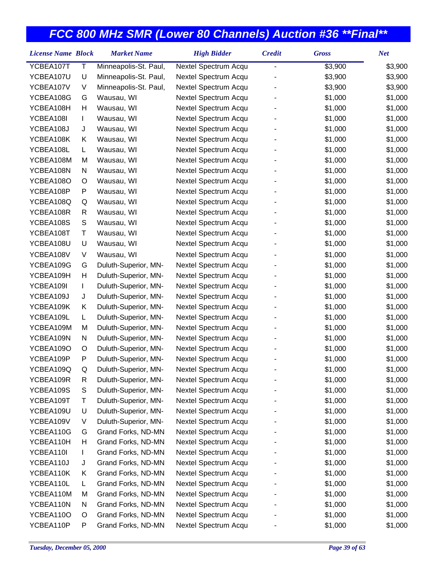| YCBEA107T<br>Τ<br>Minneapolis-St. Paul,<br>\$3,900<br>\$3,900<br>Nextel Spectrum Acqu<br>YCBEA107U<br>U<br>Minneapolis-St. Paul,<br>Nextel Spectrum Acqu<br>\$3,900<br>\$3,900<br>YCBEA107V<br>V<br>Minneapolis-St. Paul,<br>Nextel Spectrum Acqu<br>\$3,900<br>\$3,900<br>YCBEA108G<br>Wausau, WI<br>Nextel Spectrum Acqu<br>\$1,000<br>\$1,000<br>G<br>YCBEA108H<br>Η<br>Wausau, WI<br>Nextel Spectrum Acqu<br>\$1,000<br>\$1,000<br>YCBEA108I<br>Wausau, WI<br>Nextel Spectrum Acqu<br>\$1,000<br>\$1,000<br>L<br>\$1,000<br>YCBEA108J<br>J<br>Wausau, WI<br>Nextel Spectrum Acqu<br>\$1,000<br>YCBEA108K<br>Wausau, WI<br>Nextel Spectrum Acqu<br>\$1,000<br>\$1,000<br>Κ<br>YCBEA108L<br>Wausau, WI<br>Nextel Spectrum Acqu<br>\$1,000<br>\$1,000<br>L.<br>YCBEA108M<br>Wausau, WI<br>Nextel Spectrum Acqu<br>\$1,000<br>\$1,000<br>M<br>YCBEA108N<br>Wausau, WI<br>Nextel Spectrum Acqu<br>\$1,000<br>\$1,000<br>N<br>YCBEA108O<br>Wausau, WI<br>Nextel Spectrum Acqu<br>\$1,000<br>\$1,000<br>O<br>YCBEA108P<br>P<br>Wausau, WI<br>Nextel Spectrum Acqu<br>\$1,000<br>\$1,000<br>YCBEA108Q<br>Q<br>Wausau, WI<br>Nextel Spectrum Acqu<br>\$1,000<br>\$1,000<br>\$1,000<br>YCBEA108R<br>Wausau, WI<br>Nextel Spectrum Acqu<br>\$1,000<br>R<br>YCBEA108S<br>S<br>Wausau, WI<br>Nextel Spectrum Acqu<br>\$1,000<br>\$1,000<br>YCBEA108T<br>Τ<br>Wausau, WI<br>Nextel Spectrum Acqu<br>\$1,000<br>\$1,000<br>YCBEA108U<br>U<br>Wausau, WI<br>Nextel Spectrum Acqu<br>\$1,000<br>\$1,000<br>V<br>\$1,000<br>YCBEA108V<br>Wausau, WI<br>Nextel Spectrum Acqu<br>\$1,000<br>\$1,000<br>\$1,000<br>YCBEA109G<br>G<br>Duluth-Superior, MN-<br>Nextel Spectrum Acqu<br>Н<br>Duluth-Superior, MN-<br>Nextel Spectrum Acqu<br>\$1,000<br>YCBEA109H<br>\$1,000<br>YCBEA109I<br>Duluth-Superior, MN-<br>Nextel Spectrum Acqu<br>\$1,000<br>\$1,000<br>L<br>YCBEA109J<br>J<br>Duluth-Superior, MN-<br>Nextel Spectrum Acqu<br>\$1,000<br>\$1,000<br>YCBEA109K<br>Κ<br>Duluth-Superior, MN-<br>Nextel Spectrum Acqu<br>\$1,000<br>\$1,000<br>YCBEA109L<br>Duluth-Superior, MN-<br>Nextel Spectrum Acqu<br>\$1,000<br>\$1,000<br>L.<br>YCBEA109M<br>Duluth-Superior, MN-<br>Nextel Spectrum Acqu<br>\$1,000<br>\$1,000<br>M<br>YCBEA109N<br>N<br>Duluth-Superior, MN-<br>Nextel Spectrum Acqu<br>\$1,000<br>\$1,000<br>YCBEA109O<br>Duluth-Superior, MN-<br>Nextel Spectrum Acqu<br>\$1,000<br>\$1,000<br>O |
|---------------------------------------------------------------------------------------------------------------------------------------------------------------------------------------------------------------------------------------------------------------------------------------------------------------------------------------------------------------------------------------------------------------------------------------------------------------------------------------------------------------------------------------------------------------------------------------------------------------------------------------------------------------------------------------------------------------------------------------------------------------------------------------------------------------------------------------------------------------------------------------------------------------------------------------------------------------------------------------------------------------------------------------------------------------------------------------------------------------------------------------------------------------------------------------------------------------------------------------------------------------------------------------------------------------------------------------------------------------------------------------------------------------------------------------------------------------------------------------------------------------------------------------------------------------------------------------------------------------------------------------------------------------------------------------------------------------------------------------------------------------------------------------------------------------------------------------------------------------------------------------------------------------------------------------------------------------------------------------------------------------------------------------------------------------------------------------------------------------------------------------------------------------------------------------------------------------------------------------------------------------------------------------------------------------------------------------------------------------------------------------------------|
|                                                                                                                                                                                                                                                                                                                                                                                                                                                                                                                                                                                                                                                                                                                                                                                                                                                                                                                                                                                                                                                                                                                                                                                                                                                                                                                                                                                                                                                                                                                                                                                                                                                                                                                                                                                                                                                                                                                                                                                                                                                                                                                                                                                                                                                                                                                                                                                                   |
|                                                                                                                                                                                                                                                                                                                                                                                                                                                                                                                                                                                                                                                                                                                                                                                                                                                                                                                                                                                                                                                                                                                                                                                                                                                                                                                                                                                                                                                                                                                                                                                                                                                                                                                                                                                                                                                                                                                                                                                                                                                                                                                                                                                                                                                                                                                                                                                                   |
|                                                                                                                                                                                                                                                                                                                                                                                                                                                                                                                                                                                                                                                                                                                                                                                                                                                                                                                                                                                                                                                                                                                                                                                                                                                                                                                                                                                                                                                                                                                                                                                                                                                                                                                                                                                                                                                                                                                                                                                                                                                                                                                                                                                                                                                                                                                                                                                                   |
|                                                                                                                                                                                                                                                                                                                                                                                                                                                                                                                                                                                                                                                                                                                                                                                                                                                                                                                                                                                                                                                                                                                                                                                                                                                                                                                                                                                                                                                                                                                                                                                                                                                                                                                                                                                                                                                                                                                                                                                                                                                                                                                                                                                                                                                                                                                                                                                                   |
|                                                                                                                                                                                                                                                                                                                                                                                                                                                                                                                                                                                                                                                                                                                                                                                                                                                                                                                                                                                                                                                                                                                                                                                                                                                                                                                                                                                                                                                                                                                                                                                                                                                                                                                                                                                                                                                                                                                                                                                                                                                                                                                                                                                                                                                                                                                                                                                                   |
|                                                                                                                                                                                                                                                                                                                                                                                                                                                                                                                                                                                                                                                                                                                                                                                                                                                                                                                                                                                                                                                                                                                                                                                                                                                                                                                                                                                                                                                                                                                                                                                                                                                                                                                                                                                                                                                                                                                                                                                                                                                                                                                                                                                                                                                                                                                                                                                                   |
|                                                                                                                                                                                                                                                                                                                                                                                                                                                                                                                                                                                                                                                                                                                                                                                                                                                                                                                                                                                                                                                                                                                                                                                                                                                                                                                                                                                                                                                                                                                                                                                                                                                                                                                                                                                                                                                                                                                                                                                                                                                                                                                                                                                                                                                                                                                                                                                                   |
|                                                                                                                                                                                                                                                                                                                                                                                                                                                                                                                                                                                                                                                                                                                                                                                                                                                                                                                                                                                                                                                                                                                                                                                                                                                                                                                                                                                                                                                                                                                                                                                                                                                                                                                                                                                                                                                                                                                                                                                                                                                                                                                                                                                                                                                                                                                                                                                                   |
|                                                                                                                                                                                                                                                                                                                                                                                                                                                                                                                                                                                                                                                                                                                                                                                                                                                                                                                                                                                                                                                                                                                                                                                                                                                                                                                                                                                                                                                                                                                                                                                                                                                                                                                                                                                                                                                                                                                                                                                                                                                                                                                                                                                                                                                                                                                                                                                                   |
|                                                                                                                                                                                                                                                                                                                                                                                                                                                                                                                                                                                                                                                                                                                                                                                                                                                                                                                                                                                                                                                                                                                                                                                                                                                                                                                                                                                                                                                                                                                                                                                                                                                                                                                                                                                                                                                                                                                                                                                                                                                                                                                                                                                                                                                                                                                                                                                                   |
|                                                                                                                                                                                                                                                                                                                                                                                                                                                                                                                                                                                                                                                                                                                                                                                                                                                                                                                                                                                                                                                                                                                                                                                                                                                                                                                                                                                                                                                                                                                                                                                                                                                                                                                                                                                                                                                                                                                                                                                                                                                                                                                                                                                                                                                                                                                                                                                                   |
|                                                                                                                                                                                                                                                                                                                                                                                                                                                                                                                                                                                                                                                                                                                                                                                                                                                                                                                                                                                                                                                                                                                                                                                                                                                                                                                                                                                                                                                                                                                                                                                                                                                                                                                                                                                                                                                                                                                                                                                                                                                                                                                                                                                                                                                                                                                                                                                                   |
|                                                                                                                                                                                                                                                                                                                                                                                                                                                                                                                                                                                                                                                                                                                                                                                                                                                                                                                                                                                                                                                                                                                                                                                                                                                                                                                                                                                                                                                                                                                                                                                                                                                                                                                                                                                                                                                                                                                                                                                                                                                                                                                                                                                                                                                                                                                                                                                                   |
|                                                                                                                                                                                                                                                                                                                                                                                                                                                                                                                                                                                                                                                                                                                                                                                                                                                                                                                                                                                                                                                                                                                                                                                                                                                                                                                                                                                                                                                                                                                                                                                                                                                                                                                                                                                                                                                                                                                                                                                                                                                                                                                                                                                                                                                                                                                                                                                                   |
|                                                                                                                                                                                                                                                                                                                                                                                                                                                                                                                                                                                                                                                                                                                                                                                                                                                                                                                                                                                                                                                                                                                                                                                                                                                                                                                                                                                                                                                                                                                                                                                                                                                                                                                                                                                                                                                                                                                                                                                                                                                                                                                                                                                                                                                                                                                                                                                                   |
|                                                                                                                                                                                                                                                                                                                                                                                                                                                                                                                                                                                                                                                                                                                                                                                                                                                                                                                                                                                                                                                                                                                                                                                                                                                                                                                                                                                                                                                                                                                                                                                                                                                                                                                                                                                                                                                                                                                                                                                                                                                                                                                                                                                                                                                                                                                                                                                                   |
|                                                                                                                                                                                                                                                                                                                                                                                                                                                                                                                                                                                                                                                                                                                                                                                                                                                                                                                                                                                                                                                                                                                                                                                                                                                                                                                                                                                                                                                                                                                                                                                                                                                                                                                                                                                                                                                                                                                                                                                                                                                                                                                                                                                                                                                                                                                                                                                                   |
|                                                                                                                                                                                                                                                                                                                                                                                                                                                                                                                                                                                                                                                                                                                                                                                                                                                                                                                                                                                                                                                                                                                                                                                                                                                                                                                                                                                                                                                                                                                                                                                                                                                                                                                                                                                                                                                                                                                                                                                                                                                                                                                                                                                                                                                                                                                                                                                                   |
|                                                                                                                                                                                                                                                                                                                                                                                                                                                                                                                                                                                                                                                                                                                                                                                                                                                                                                                                                                                                                                                                                                                                                                                                                                                                                                                                                                                                                                                                                                                                                                                                                                                                                                                                                                                                                                                                                                                                                                                                                                                                                                                                                                                                                                                                                                                                                                                                   |
|                                                                                                                                                                                                                                                                                                                                                                                                                                                                                                                                                                                                                                                                                                                                                                                                                                                                                                                                                                                                                                                                                                                                                                                                                                                                                                                                                                                                                                                                                                                                                                                                                                                                                                                                                                                                                                                                                                                                                                                                                                                                                                                                                                                                                                                                                                                                                                                                   |
|                                                                                                                                                                                                                                                                                                                                                                                                                                                                                                                                                                                                                                                                                                                                                                                                                                                                                                                                                                                                                                                                                                                                                                                                                                                                                                                                                                                                                                                                                                                                                                                                                                                                                                                                                                                                                                                                                                                                                                                                                                                                                                                                                                                                                                                                                                                                                                                                   |
|                                                                                                                                                                                                                                                                                                                                                                                                                                                                                                                                                                                                                                                                                                                                                                                                                                                                                                                                                                                                                                                                                                                                                                                                                                                                                                                                                                                                                                                                                                                                                                                                                                                                                                                                                                                                                                                                                                                                                                                                                                                                                                                                                                                                                                                                                                                                                                                                   |
|                                                                                                                                                                                                                                                                                                                                                                                                                                                                                                                                                                                                                                                                                                                                                                                                                                                                                                                                                                                                                                                                                                                                                                                                                                                                                                                                                                                                                                                                                                                                                                                                                                                                                                                                                                                                                                                                                                                                                                                                                                                                                                                                                                                                                                                                                                                                                                                                   |
|                                                                                                                                                                                                                                                                                                                                                                                                                                                                                                                                                                                                                                                                                                                                                                                                                                                                                                                                                                                                                                                                                                                                                                                                                                                                                                                                                                                                                                                                                                                                                                                                                                                                                                                                                                                                                                                                                                                                                                                                                                                                                                                                                                                                                                                                                                                                                                                                   |
|                                                                                                                                                                                                                                                                                                                                                                                                                                                                                                                                                                                                                                                                                                                                                                                                                                                                                                                                                                                                                                                                                                                                                                                                                                                                                                                                                                                                                                                                                                                                                                                                                                                                                                                                                                                                                                                                                                                                                                                                                                                                                                                                                                                                                                                                                                                                                                                                   |
|                                                                                                                                                                                                                                                                                                                                                                                                                                                                                                                                                                                                                                                                                                                                                                                                                                                                                                                                                                                                                                                                                                                                                                                                                                                                                                                                                                                                                                                                                                                                                                                                                                                                                                                                                                                                                                                                                                                                                                                                                                                                                                                                                                                                                                                                                                                                                                                                   |
|                                                                                                                                                                                                                                                                                                                                                                                                                                                                                                                                                                                                                                                                                                                                                                                                                                                                                                                                                                                                                                                                                                                                                                                                                                                                                                                                                                                                                                                                                                                                                                                                                                                                                                                                                                                                                                                                                                                                                                                                                                                                                                                                                                                                                                                                                                                                                                                                   |
|                                                                                                                                                                                                                                                                                                                                                                                                                                                                                                                                                                                                                                                                                                                                                                                                                                                                                                                                                                                                                                                                                                                                                                                                                                                                                                                                                                                                                                                                                                                                                                                                                                                                                                                                                                                                                                                                                                                                                                                                                                                                                                                                                                                                                                                                                                                                                                                                   |
| YCBEA109P<br>P<br>Duluth-Superior, MN-<br>Nextel Spectrum Acqu<br>\$1,000<br>\$1,000                                                                                                                                                                                                                                                                                                                                                                                                                                                                                                                                                                                                                                                                                                                                                                                                                                                                                                                                                                                                                                                                                                                                                                                                                                                                                                                                                                                                                                                                                                                                                                                                                                                                                                                                                                                                                                                                                                                                                                                                                                                                                                                                                                                                                                                                                                              |
| YCBEA109Q<br>Q<br>Duluth-Superior, MN-<br>Nextel Spectrum Acqu<br>\$1,000<br>\$1,000                                                                                                                                                                                                                                                                                                                                                                                                                                                                                                                                                                                                                                                                                                                                                                                                                                                                                                                                                                                                                                                                                                                                                                                                                                                                                                                                                                                                                                                                                                                                                                                                                                                                                                                                                                                                                                                                                                                                                                                                                                                                                                                                                                                                                                                                                                              |
| YCBEA109R<br>Duluth-Superior, MN-<br>Nextel Spectrum Acqu<br>\$1,000<br>\$1,000<br>R                                                                                                                                                                                                                                                                                                                                                                                                                                                                                                                                                                                                                                                                                                                                                                                                                                                                                                                                                                                                                                                                                                                                                                                                                                                                                                                                                                                                                                                                                                                                                                                                                                                                                                                                                                                                                                                                                                                                                                                                                                                                                                                                                                                                                                                                                                              |
| YCBEA109S<br>\$1,000<br>\$1,000<br>S<br>Duluth-Superior, MN-<br>Nextel Spectrum Acqu                                                                                                                                                                                                                                                                                                                                                                                                                                                                                                                                                                                                                                                                                                                                                                                                                                                                                                                                                                                                                                                                                                                                                                                                                                                                                                                                                                                                                                                                                                                                                                                                                                                                                                                                                                                                                                                                                                                                                                                                                                                                                                                                                                                                                                                                                                              |
| Τ<br>Duluth-Superior, MN-<br>Nextel Spectrum Acqu<br>\$1,000<br>YCBEA109T<br>\$1,000                                                                                                                                                                                                                                                                                                                                                                                                                                                                                                                                                                                                                                                                                                                                                                                                                                                                                                                                                                                                                                                                                                                                                                                                                                                                                                                                                                                                                                                                                                                                                                                                                                                                                                                                                                                                                                                                                                                                                                                                                                                                                                                                                                                                                                                                                                              |
| U<br>Duluth-Superior, MN-<br>YCBEA109U<br>Nextel Spectrum Acqu<br>\$1,000<br>\$1,000                                                                                                                                                                                                                                                                                                                                                                                                                                                                                                                                                                                                                                                                                                                                                                                                                                                                                                                                                                                                                                                                                                                                                                                                                                                                                                                                                                                                                                                                                                                                                                                                                                                                                                                                                                                                                                                                                                                                                                                                                                                                                                                                                                                                                                                                                                              |
| YCBEA109V<br>Duluth-Superior, MN-<br>Nextel Spectrum Acqu<br>\$1,000<br>V<br>\$1,000                                                                                                                                                                                                                                                                                                                                                                                                                                                                                                                                                                                                                                                                                                                                                                                                                                                                                                                                                                                                                                                                                                                                                                                                                                                                                                                                                                                                                                                                                                                                                                                                                                                                                                                                                                                                                                                                                                                                                                                                                                                                                                                                                                                                                                                                                                              |
| YCBEA110G<br>\$1,000<br>\$1,000<br>Grand Forks, ND-MN<br>Nextel Spectrum Acqu<br>G                                                                                                                                                                                                                                                                                                                                                                                                                                                                                                                                                                                                                                                                                                                                                                                                                                                                                                                                                                                                                                                                                                                                                                                                                                                                                                                                                                                                                                                                                                                                                                                                                                                                                                                                                                                                                                                                                                                                                                                                                                                                                                                                                                                                                                                                                                                |
| YCBEA110H<br>н<br>Grand Forks, ND-MN<br>Nextel Spectrum Acqu<br>\$1,000<br>\$1,000                                                                                                                                                                                                                                                                                                                                                                                                                                                                                                                                                                                                                                                                                                                                                                                                                                                                                                                                                                                                                                                                                                                                                                                                                                                                                                                                                                                                                                                                                                                                                                                                                                                                                                                                                                                                                                                                                                                                                                                                                                                                                                                                                                                                                                                                                                                |
| YCBEA110I<br>Grand Forks, ND-MN<br>Nextel Spectrum Acqu<br>\$1,000<br>\$1,000<br>L                                                                                                                                                                                                                                                                                                                                                                                                                                                                                                                                                                                                                                                                                                                                                                                                                                                                                                                                                                                                                                                                                                                                                                                                                                                                                                                                                                                                                                                                                                                                                                                                                                                                                                                                                                                                                                                                                                                                                                                                                                                                                                                                                                                                                                                                                                                |
| \$1,000<br>YCBEA110J<br>Grand Forks, ND-MN<br>Nextel Spectrum Acqu<br>\$1,000<br>J                                                                                                                                                                                                                                                                                                                                                                                                                                                                                                                                                                                                                                                                                                                                                                                                                                                                                                                                                                                                                                                                                                                                                                                                                                                                                                                                                                                                                                                                                                                                                                                                                                                                                                                                                                                                                                                                                                                                                                                                                                                                                                                                                                                                                                                                                                                |
| YCBEA110K<br>Nextel Spectrum Acqu<br>\$1,000<br>Κ<br>Grand Forks, ND-MN<br>\$1,000                                                                                                                                                                                                                                                                                                                                                                                                                                                                                                                                                                                                                                                                                                                                                                                                                                                                                                                                                                                                                                                                                                                                                                                                                                                                                                                                                                                                                                                                                                                                                                                                                                                                                                                                                                                                                                                                                                                                                                                                                                                                                                                                                                                                                                                                                                                |
| YCBEA110L<br>Nextel Spectrum Acqu<br>Grand Forks, ND-MN<br>\$1,000<br>\$1,000<br>L.                                                                                                                                                                                                                                                                                                                                                                                                                                                                                                                                                                                                                                                                                                                                                                                                                                                                                                                                                                                                                                                                                                                                                                                                                                                                                                                                                                                                                                                                                                                                                                                                                                                                                                                                                                                                                                                                                                                                                                                                                                                                                                                                                                                                                                                                                                               |
| YCBEA110M<br>Grand Forks, ND-MN<br>Nextel Spectrum Acqu<br>\$1,000<br>\$1,000<br>M                                                                                                                                                                                                                                                                                                                                                                                                                                                                                                                                                                                                                                                                                                                                                                                                                                                                                                                                                                                                                                                                                                                                                                                                                                                                                                                                                                                                                                                                                                                                                                                                                                                                                                                                                                                                                                                                                                                                                                                                                                                                                                                                                                                                                                                                                                                |
| Grand Forks, ND-MN<br>Nextel Spectrum Acqu<br>\$1,000<br>YCBEA110N<br>N<br>\$1,000                                                                                                                                                                                                                                                                                                                                                                                                                                                                                                                                                                                                                                                                                                                                                                                                                                                                                                                                                                                                                                                                                                                                                                                                                                                                                                                                                                                                                                                                                                                                                                                                                                                                                                                                                                                                                                                                                                                                                                                                                                                                                                                                                                                                                                                                                                                |
| YCBEA110O<br>Grand Forks, ND-MN<br>Nextel Spectrum Acqu<br>\$1,000<br>\$1,000<br>O                                                                                                                                                                                                                                                                                                                                                                                                                                                                                                                                                                                                                                                                                                                                                                                                                                                                                                                                                                                                                                                                                                                                                                                                                                                                                                                                                                                                                                                                                                                                                                                                                                                                                                                                                                                                                                                                                                                                                                                                                                                                                                                                                                                                                                                                                                                |
| YCBEA110P<br>Nextel Spectrum Acqu<br>\$1,000<br>P<br>Grand Forks, ND-MN<br>\$1,000                                                                                                                                                                                                                                                                                                                                                                                                                                                                                                                                                                                                                                                                                                                                                                                                                                                                                                                                                                                                                                                                                                                                                                                                                                                                                                                                                                                                                                                                                                                                                                                                                                                                                                                                                                                                                                                                                                                                                                                                                                                                                                                                                                                                                                                                                                                |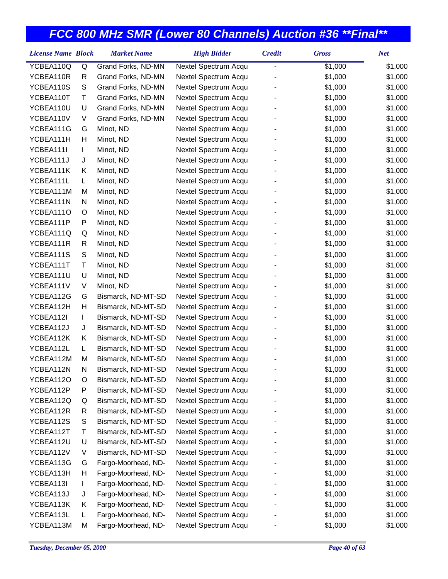| <b>License Name Block</b> |    | <b>Market Name</b>  | <b>High Bidder</b>   | <b>Credit</b>  | <b>Gross</b> | <b>Net</b> |
|---------------------------|----|---------------------|----------------------|----------------|--------------|------------|
| YCBEA110Q                 | Q  | Grand Forks, ND-MN  | Nextel Spectrum Acqu | $\overline{a}$ | \$1,000      | \$1,000    |
| YCBEA110R                 | R  | Grand Forks, ND-MN  | Nextel Spectrum Acqu |                | \$1,000      | \$1,000    |
| YCBEA110S                 | S  | Grand Forks, ND-MN  | Nextel Spectrum Acqu |                | \$1,000      | \$1,000    |
| YCBEA110T                 | Τ  | Grand Forks, ND-MN  | Nextel Spectrum Acqu |                | \$1,000      | \$1,000    |
| YCBEA110U                 | U  | Grand Forks, ND-MN  | Nextel Spectrum Acqu |                | \$1,000      | \$1,000    |
| YCBEA110V                 | V  | Grand Forks, ND-MN  | Nextel Spectrum Acqu |                | \$1,000      | \$1,000    |
| YCBEA111G                 | G  | Minot, ND           | Nextel Spectrum Acqu |                | \$1,000      | \$1,000    |
| YCBEA111H                 | Н  | Minot, ND           | Nextel Spectrum Acqu |                | \$1,000      | \$1,000    |
| YCBEA111I                 | L  | Minot, ND           | Nextel Spectrum Acqu |                | \$1,000      | \$1,000    |
| YCBEA111J                 | J  | Minot, ND           | Nextel Spectrum Acqu |                | \$1,000      | \$1,000    |
| YCBEA111K                 | Κ  | Minot, ND           | Nextel Spectrum Acqu |                | \$1,000      | \$1,000    |
| YCBEA111L                 | L  | Minot, ND           | Nextel Spectrum Acqu |                | \$1,000      | \$1,000    |
| YCBEA111M                 | M  | Minot, ND           | Nextel Spectrum Acqu |                | \$1,000      | \$1,000    |
| YCBEA111N                 | N  | Minot, ND           | Nextel Spectrum Acqu |                | \$1,000      | \$1,000    |
| YCBEA111O                 | O  | Minot, ND           | Nextel Spectrum Acqu |                | \$1,000      | \$1,000    |
| YCBEA111P                 | P  | Minot, ND           | Nextel Spectrum Acqu |                | \$1,000      | \$1,000    |
| YCBEA111Q                 | Q  | Minot, ND           | Nextel Spectrum Acqu |                | \$1,000      | \$1,000    |
| YCBEA111R                 | R  | Minot, ND           | Nextel Spectrum Acqu |                | \$1,000      | \$1,000    |
| YCBEA111S                 | S  | Minot, ND           | Nextel Spectrum Acqu |                | \$1,000      | \$1,000    |
| YCBEA111T                 | Τ  | Minot, ND           | Nextel Spectrum Acqu |                | \$1,000      | \$1,000    |
| YCBEA111U                 | U  | Minot, ND           | Nextel Spectrum Acqu |                | \$1,000      | \$1,000    |
| YCBEA111V                 | V  | Minot, ND           | Nextel Spectrum Acqu |                | \$1,000      | \$1,000    |
| YCBEA112G                 | G  | Bismarck, ND-MT-SD  | Nextel Spectrum Acqu |                | \$1,000      | \$1,000    |
| YCBEA112H                 | Н  | Bismarck, ND-MT-SD  | Nextel Spectrum Acqu |                | \$1,000      | \$1,000    |
| YCBEA112I                 | L  | Bismarck, ND-MT-SD  | Nextel Spectrum Acqu |                | \$1,000      | \$1,000    |
| YCBEA112J                 | J  | Bismarck, ND-MT-SD  | Nextel Spectrum Acqu |                | \$1,000      | \$1,000    |
| YCBEA112K                 | Κ  | Bismarck, ND-MT-SD  | Nextel Spectrum Acqu |                | \$1,000      | \$1,000    |
| YCBEA112L                 | L. | Bismarck, ND-MT-SD  | Nextel Spectrum Acqu |                | \$1,000      | \$1,000    |
| YCBEA112M                 | M  | Bismarck, ND-MT-SD  | Nextel Spectrum Acqu |                | \$1,000      | \$1,000    |
| YCBEA112N                 | N  | Bismarck, ND-MT-SD  | Nextel Spectrum Acqu |                | \$1,000      | \$1,000    |
| YCBEA112O                 | O  | Bismarck, ND-MT-SD  | Nextel Spectrum Acqu |                | \$1,000      | \$1,000    |
| YCBEA112P                 | P  | Bismarck, ND-MT-SD  | Nextel Spectrum Acqu |                | \$1,000      | \$1,000    |
| YCBEA112Q                 | Q  | Bismarck, ND-MT-SD  | Nextel Spectrum Acqu |                | \$1,000      | \$1,000    |
| YCBEA112R                 | R  | Bismarck, ND-MT-SD  | Nextel Spectrum Acqu |                | \$1,000      | \$1,000    |
| YCBEA112S                 | S  | Bismarck, ND-MT-SD  | Nextel Spectrum Acqu |                | \$1,000      | \$1,000    |
| YCBEA112T                 | Т  | Bismarck, ND-MT-SD  | Nextel Spectrum Acqu |                | \$1,000      | \$1,000    |
| YCBEA112U                 | U  | Bismarck, ND-MT-SD  | Nextel Spectrum Acqu |                | \$1,000      | \$1,000    |
| YCBEA112V                 | V  | Bismarck, ND-MT-SD  | Nextel Spectrum Acqu |                | \$1,000      | \$1,000    |
| YCBEA113G                 | G  | Fargo-Moorhead, ND- | Nextel Spectrum Acqu |                | \$1,000      | \$1,000    |
| YCBEA113H                 | Н  | Fargo-Moorhead, ND- | Nextel Spectrum Acqu |                | \$1,000      | \$1,000    |
| YCBEA113I                 | L  | Fargo-Moorhead, ND- | Nextel Spectrum Acqu |                | \$1,000      | \$1,000    |
| YCBEA113J                 | J  | Fargo-Moorhead, ND- | Nextel Spectrum Acqu |                | \$1,000      | \$1,000    |
| YCBEA113K                 | Κ  | Fargo-Moorhead, ND- | Nextel Spectrum Acqu |                | \$1,000      | \$1,000    |
| YCBEA113L                 | L  | Fargo-Moorhead, ND- | Nextel Spectrum Acqu |                | \$1,000      | \$1,000    |
| YCBEA113M                 | М  | Fargo-Moorhead, ND- | Nextel Spectrum Acqu |                | \$1,000      | \$1,000    |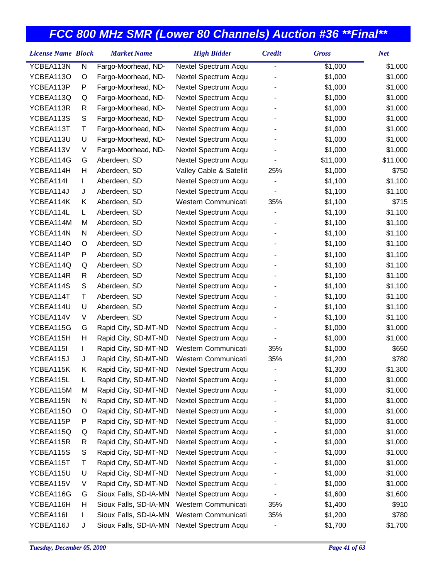| <b>License Name Block</b> |               | <b>Market Name</b>    | <b>High Bidder</b>      | <b>Credit</b> | <b>Gross</b> | <b>Net</b> |
|---------------------------|---------------|-----------------------|-------------------------|---------------|--------------|------------|
| YCBEA113N                 | N             | Fargo-Moorhead, ND-   | Nextel Spectrum Acqu    | -             | \$1,000      | \$1,000    |
| YCBEA113O                 | O             | Fargo-Moorhead, ND-   | Nextel Spectrum Acqu    |               | \$1,000      | \$1,000    |
| YCBEA113P                 | P             | Fargo-Moorhead, ND-   | Nextel Spectrum Acqu    |               | \$1,000      | \$1,000    |
| YCBEA113Q                 | Q             | Fargo-Moorhead, ND-   | Nextel Spectrum Acqu    |               | \$1,000      | \$1,000    |
| YCBEA113R                 | R             | Fargo-Moorhead, ND-   | Nextel Spectrum Acqu    |               | \$1,000      | \$1,000    |
| YCBEA113S                 | ${\mathsf S}$ | Fargo-Moorhead, ND-   | Nextel Spectrum Acqu    |               | \$1,000      | \$1,000    |
| YCBEA113T                 | Τ             | Fargo-Moorhead, ND-   | Nextel Spectrum Acqu    |               | \$1,000      | \$1,000    |
| YCBEA113U                 | U             | Fargo-Moorhead, ND-   | Nextel Spectrum Acqu    |               | \$1,000      | \$1,000    |
| YCBEA113V                 | V             | Fargo-Moorhead, ND-   | Nextel Spectrum Acqu    |               | \$1,000      | \$1,000    |
| YCBEA114G                 | G             | Aberdeen, SD          | Nextel Spectrum Acqu    |               | \$11,000     | \$11,000   |
| YCBEA114H                 | Н             | Aberdeen, SD          | Valley Cable & Satellit | 25%           | \$1,000      | \$750      |
| YCBEA114I                 | L             | Aberdeen, SD          | Nextel Spectrum Acqu    |               | \$1,100      | \$1,100    |
| YCBEA114J                 | J             | Aberdeen, SD          | Nextel Spectrum Acqu    |               | \$1,100      | \$1,100    |
| YCBEA114K                 | Κ             | Aberdeen, SD          | Western Communicati     | 35%           | \$1,100      | \$715      |
| YCBEA114L                 | L             | Aberdeen, SD          | Nextel Spectrum Acqu    |               | \$1,100      | \$1,100    |
| YCBEA114M                 | M             | Aberdeen, SD          | Nextel Spectrum Acqu    |               | \$1,100      | \$1,100    |
| YCBEA114N                 | N             | Aberdeen, SD          | Nextel Spectrum Acqu    |               | \$1,100      | \$1,100    |
| YCBEA114O                 | O             | Aberdeen, SD          | Nextel Spectrum Acqu    |               | \$1,100      | \$1,100    |
| YCBEA114P                 | P             | Aberdeen, SD          | Nextel Spectrum Acqu    |               | \$1,100      | \$1,100    |
| YCBEA114Q                 | Q             | Aberdeen, SD          | Nextel Spectrum Acqu    |               | \$1,100      | \$1,100    |
| YCBEA114R                 | R             | Aberdeen, SD          | Nextel Spectrum Acqu    |               | \$1,100      | \$1,100    |
| YCBEA114S                 | ${\mathsf S}$ | Aberdeen, SD          | Nextel Spectrum Acqu    |               | \$1,100      | \$1,100    |
| YCBEA114T                 | Τ             | Aberdeen, SD          | Nextel Spectrum Acqu    |               | \$1,100      | \$1,100    |
| YCBEA114U                 | U             | Aberdeen, SD          | Nextel Spectrum Acqu    |               | \$1,100      | \$1,100    |
| YCBEA114V                 | V             | Aberdeen, SD          | Nextel Spectrum Acqu    |               | \$1,100      | \$1,100    |
| YCBEA115G                 | G             | Rapid City, SD-MT-ND  | Nextel Spectrum Acqu    |               | \$1,000      | \$1,000    |
| YCBEA115H                 | Н             | Rapid City, SD-MT-ND  | Nextel Spectrum Acqu    |               | \$1,000      | \$1,000    |
| YCBEA115I                 | L             | Rapid City, SD-MT-ND  | Western Communicati     | 35%           | \$1,000      | \$650      |
| YCBEA115J                 | J             | Rapid City, SD-MT-ND  | Western Communicati     | 35%           | \$1,200      | \$780      |
| YCBEA115K                 | Κ             | Rapid City, SD-MT-ND  | Nextel Spectrum Acqu    | -             | \$1,300      | \$1,300    |
| YCBEA115L                 | L             | Rapid City, SD-MT-ND  | Nextel Spectrum Acqu    |               | \$1,000      | \$1,000    |
| YCBEA115M                 | M             | Rapid City, SD-MT-ND  | Nextel Spectrum Acqu    |               | \$1,000      | \$1,000    |
| YCBEA115N                 | N             | Rapid City, SD-MT-ND  | Nextel Spectrum Acqu    |               | \$1,000      | \$1,000    |
| YCBEA115O                 | O             | Rapid City, SD-MT-ND  | Nextel Spectrum Acqu    |               | \$1,000      | \$1,000    |
| YCBEA115P                 | P             | Rapid City, SD-MT-ND  | Nextel Spectrum Acqu    |               | \$1,000      | \$1,000    |
| YCBEA115Q                 | Q             | Rapid City, SD-MT-ND  | Nextel Spectrum Acqu    |               | \$1,000      | \$1,000    |
| YCBEA115R                 | R             | Rapid City, SD-MT-ND  | Nextel Spectrum Acqu    |               | \$1,000      | \$1,000    |
| YCBEA115S                 | S             | Rapid City, SD-MT-ND  | Nextel Spectrum Acqu    |               | \$1,000      | \$1,000    |
| YCBEA115T                 | Τ             | Rapid City, SD-MT-ND  | Nextel Spectrum Acqu    |               | \$1,000      | \$1,000    |
| YCBEA115U                 | U             | Rapid City, SD-MT-ND  | Nextel Spectrum Acqu    |               | \$1,000      | \$1,000    |
| YCBEA115V                 | V             | Rapid City, SD-MT-ND  | Nextel Spectrum Acqu    |               | \$1,000      | \$1,000    |
| YCBEA116G                 | G             | Sioux Falls, SD-IA-MN | Nextel Spectrum Acqu    |               | \$1,600      | \$1,600    |
| YCBEA116H                 | н             | Sioux Falls, SD-IA-MN | Western Communicati     | 35%           | \$1,400      | \$910      |
| YCBEA116I                 | L             | Sioux Falls, SD-IA-MN | Western Communicati     | 35%           | \$1,200      | \$780      |
| YCBEA116J                 | J             | Sioux Falls, SD-IA-MN | Nextel Spectrum Acqu    |               | \$1,700      | \$1,700    |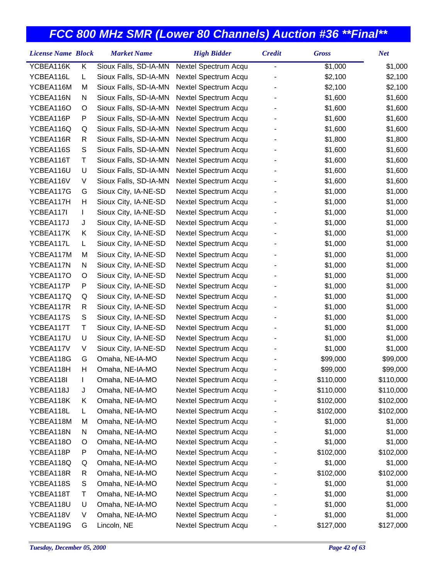| Sioux Falls, SD-IA-MN<br>YCBEA116K<br>Κ<br>Nextel Spectrum Acqu<br>\$1,000<br>\$1,000<br>-<br>YCBEA116L<br>Г<br>Sioux Falls, SD-IA-MN<br>Nextel Spectrum Acqu<br>\$2,100<br>\$2,100<br>YCBEA116M<br>Sioux Falls, SD-IA-MN<br>Nextel Spectrum Acqu<br>\$2,100<br>M<br>\$2,100<br>YCBEA116N<br>Sioux Falls, SD-IA-MN<br>Nextel Spectrum Acqu<br>\$1,600<br>\$1,600<br>N<br>Sioux Falls, SD-IA-MN<br>Nextel Spectrum Acqu<br>\$1,600<br>\$1,600<br>YCBEA116O<br>O<br>YCBEA116P<br>P<br>Sioux Falls, SD-IA-MN<br>Nextel Spectrum Acqu<br>\$1,600<br>\$1,600<br>YCBEA116Q<br>Sioux Falls, SD-IA-MN<br>Nextel Spectrum Acqu<br>\$1,600<br>\$1,600<br>Q<br>YCBEA116R<br>Sioux Falls, SD-IA-MN<br>Nextel Spectrum Acqu<br>\$1,800<br>\$1,800<br>R<br>${\mathsf S}$<br>YCBEA116S<br>Sioux Falls, SD-IA-MN<br>Nextel Spectrum Acqu<br>\$1,600<br>\$1,600<br>YCBEA116T<br>Τ<br>Sioux Falls, SD-IA-MN<br>Nextel Spectrum Acqu<br>\$1,600<br>\$1,600<br>YCBEA116U<br>U<br>Sioux Falls, SD-IA-MN<br>Nextel Spectrum Acqu<br>\$1,600<br>\$1,600<br>YCBEA116V<br>V<br>Sioux Falls, SD-IA-MN<br>Nextel Spectrum Acqu<br>\$1,600<br>\$1,600<br>Sioux City, IA-NE-SD<br>YCBEA117G<br>Nextel Spectrum Acqu<br>\$1,000<br>\$1,000<br>G<br>Sioux City, IA-NE-SD<br>YCBEA117H<br>Н<br>Nextel Spectrum Acqu<br>\$1,000<br>\$1,000<br>YCBEA117I<br>Sioux City, IA-NE-SD<br>Nextel Spectrum Acqu<br>\$1,000<br>\$1,000<br>L<br>Sioux City, IA-NE-SD<br>Nextel Spectrum Acqu<br>\$1,000<br>\$1,000<br>YCBEA117J<br>J<br>YCBEA117K<br>Κ<br>Sioux City, IA-NE-SD<br>Nextel Spectrum Acqu<br>\$1,000<br>\$1,000<br>YCBEA117L<br>Sioux City, IA-NE-SD<br>\$1,000<br>\$1,000<br>L<br>Nextel Spectrum Acqu<br>Sioux City, IA-NE-SD<br>YCBEA117M<br>M<br>Nextel Spectrum Acqu<br>\$1,000<br>\$1,000<br>\$1,000<br>YCBEA117N<br>N<br>Sioux City, IA-NE-SD<br>Nextel Spectrum Acqu<br>\$1,000<br>Sioux City, IA-NE-SD<br>Nextel Spectrum Acqu<br>\$1,000<br>\$1,000<br>YCBEA117O<br>O<br>YCBEA117P<br>Sioux City, IA-NE-SD<br>Nextel Spectrum Acqu<br>\$1,000<br>\$1,000<br>P<br>YCBEA117Q<br>Sioux City, IA-NE-SD<br>Nextel Spectrum Acqu<br>\$1,000<br>\$1,000<br>Q<br>Sioux City, IA-NE-SD<br>YCBEA117R<br>Nextel Spectrum Acqu<br>\$1,000<br>\$1,000<br>R<br>YCBEA117S<br>S<br>Sioux City, IA-NE-SD<br>Nextel Spectrum Acqu<br>\$1,000<br>\$1,000<br>Τ<br>Sioux City, IA-NE-SD<br>Nextel Spectrum Acqu<br>\$1,000<br>\$1,000<br>YCBEA117T<br>YCBEA117U<br>U<br>Sioux City, IA-NE-SD<br>Nextel Spectrum Acqu<br>\$1,000<br>\$1,000<br>YCBEA117V<br>V<br>Sioux City, IA-NE-SD<br>Nextel Spectrum Acqu<br>\$1,000<br>\$1,000<br>Omaha, NE-IA-MO<br>Nextel Spectrum Acqu<br>\$99,000<br>\$99,000<br>YCBEA118G<br>G<br>YCBEA118H<br>Н<br>Omaha, NE-IA-MO<br>Nextel Spectrum Acqu<br>\$99,000<br>\$99,000<br>YCBEA118I<br>\$110,000<br>Omaha, NE-IA-MO<br>Nextel Spectrum Acqu<br>\$110,000<br>L<br>YCBEA118J<br>Nextel Spectrum Acqu<br>\$110,000<br>\$110,000<br>Omaha, NE-IA-MO<br>J<br>Nextel Spectrum Acqu<br>YCBEA118K<br>Κ<br>Omaha, NE-IA-MO<br>\$102,000<br>\$102,000<br>Nextel Spectrum Acqu<br>\$102,000<br>\$102,000<br>YCBEA118L<br>L<br>Omaha, NE-IA-MO<br>YCBEA118M<br>Omaha, NE-IA-MO<br>Nextel Spectrum Acqu<br>\$1,000<br>\$1,000<br>M<br>YCBEA118N<br>Nextel Spectrum Acqu<br>\$1,000<br>\$1,000<br>N<br>Omaha, NE-IA-MO<br>Nextel Spectrum Acqu<br>YCBEA118O<br>Omaha, NE-IA-MO<br>\$1,000<br>\$1,000<br>O<br>Omaha, NE-IA-MO<br>Nextel Spectrum Acqu<br>\$102,000<br>\$102,000<br>YCBEA118P<br>P | <b>License Name Block</b> | <b>Market Name</b> | <b>High Bidder</b> | <b>Credit</b> | <b>Gross</b> | <b>Net</b> |
|---------------------------------------------------------------------------------------------------------------------------------------------------------------------------------------------------------------------------------------------------------------------------------------------------------------------------------------------------------------------------------------------------------------------------------------------------------------------------------------------------------------------------------------------------------------------------------------------------------------------------------------------------------------------------------------------------------------------------------------------------------------------------------------------------------------------------------------------------------------------------------------------------------------------------------------------------------------------------------------------------------------------------------------------------------------------------------------------------------------------------------------------------------------------------------------------------------------------------------------------------------------------------------------------------------------------------------------------------------------------------------------------------------------------------------------------------------------------------------------------------------------------------------------------------------------------------------------------------------------------------------------------------------------------------------------------------------------------------------------------------------------------------------------------------------------------------------------------------------------------------------------------------------------------------------------------------------------------------------------------------------------------------------------------------------------------------------------------------------------------------------------------------------------------------------------------------------------------------------------------------------------------------------------------------------------------------------------------------------------------------------------------------------------------------------------------------------------------------------------------------------------------------------------------------------------------------------------------------------------------------------------------------------------------------------------------------------------------------------------------------------------------------------------------------------------------------------------------------------------------------------------------------------------------------------------------------------------------------------------------------------------------------------------------------------------------------------------------------------------------------------------------------------------------------------------------------------------------------------------------------------------------------------------------------------------------------------------------------------------------------------------------------------------------------------------------------------------------------------|---------------------------|--------------------|--------------------|---------------|--------------|------------|
|                                                                                                                                                                                                                                                                                                                                                                                                                                                                                                                                                                                                                                                                                                                                                                                                                                                                                                                                                                                                                                                                                                                                                                                                                                                                                                                                                                                                                                                                                                                                                                                                                                                                                                                                                                                                                                                                                                                                                                                                                                                                                                                                                                                                                                                                                                                                                                                                                                                                                                                                                                                                                                                                                                                                                                                                                                                                                                                                                                                                                                                                                                                                                                                                                                                                                                                                                                                                                                                                                 |                           |                    |                    |               |              |            |
|                                                                                                                                                                                                                                                                                                                                                                                                                                                                                                                                                                                                                                                                                                                                                                                                                                                                                                                                                                                                                                                                                                                                                                                                                                                                                                                                                                                                                                                                                                                                                                                                                                                                                                                                                                                                                                                                                                                                                                                                                                                                                                                                                                                                                                                                                                                                                                                                                                                                                                                                                                                                                                                                                                                                                                                                                                                                                                                                                                                                                                                                                                                                                                                                                                                                                                                                                                                                                                                                                 |                           |                    |                    |               |              |            |
|                                                                                                                                                                                                                                                                                                                                                                                                                                                                                                                                                                                                                                                                                                                                                                                                                                                                                                                                                                                                                                                                                                                                                                                                                                                                                                                                                                                                                                                                                                                                                                                                                                                                                                                                                                                                                                                                                                                                                                                                                                                                                                                                                                                                                                                                                                                                                                                                                                                                                                                                                                                                                                                                                                                                                                                                                                                                                                                                                                                                                                                                                                                                                                                                                                                                                                                                                                                                                                                                                 |                           |                    |                    |               |              |            |
|                                                                                                                                                                                                                                                                                                                                                                                                                                                                                                                                                                                                                                                                                                                                                                                                                                                                                                                                                                                                                                                                                                                                                                                                                                                                                                                                                                                                                                                                                                                                                                                                                                                                                                                                                                                                                                                                                                                                                                                                                                                                                                                                                                                                                                                                                                                                                                                                                                                                                                                                                                                                                                                                                                                                                                                                                                                                                                                                                                                                                                                                                                                                                                                                                                                                                                                                                                                                                                                                                 |                           |                    |                    |               |              |            |
|                                                                                                                                                                                                                                                                                                                                                                                                                                                                                                                                                                                                                                                                                                                                                                                                                                                                                                                                                                                                                                                                                                                                                                                                                                                                                                                                                                                                                                                                                                                                                                                                                                                                                                                                                                                                                                                                                                                                                                                                                                                                                                                                                                                                                                                                                                                                                                                                                                                                                                                                                                                                                                                                                                                                                                                                                                                                                                                                                                                                                                                                                                                                                                                                                                                                                                                                                                                                                                                                                 |                           |                    |                    |               |              |            |
|                                                                                                                                                                                                                                                                                                                                                                                                                                                                                                                                                                                                                                                                                                                                                                                                                                                                                                                                                                                                                                                                                                                                                                                                                                                                                                                                                                                                                                                                                                                                                                                                                                                                                                                                                                                                                                                                                                                                                                                                                                                                                                                                                                                                                                                                                                                                                                                                                                                                                                                                                                                                                                                                                                                                                                                                                                                                                                                                                                                                                                                                                                                                                                                                                                                                                                                                                                                                                                                                                 |                           |                    |                    |               |              |            |
|                                                                                                                                                                                                                                                                                                                                                                                                                                                                                                                                                                                                                                                                                                                                                                                                                                                                                                                                                                                                                                                                                                                                                                                                                                                                                                                                                                                                                                                                                                                                                                                                                                                                                                                                                                                                                                                                                                                                                                                                                                                                                                                                                                                                                                                                                                                                                                                                                                                                                                                                                                                                                                                                                                                                                                                                                                                                                                                                                                                                                                                                                                                                                                                                                                                                                                                                                                                                                                                                                 |                           |                    |                    |               |              |            |
|                                                                                                                                                                                                                                                                                                                                                                                                                                                                                                                                                                                                                                                                                                                                                                                                                                                                                                                                                                                                                                                                                                                                                                                                                                                                                                                                                                                                                                                                                                                                                                                                                                                                                                                                                                                                                                                                                                                                                                                                                                                                                                                                                                                                                                                                                                                                                                                                                                                                                                                                                                                                                                                                                                                                                                                                                                                                                                                                                                                                                                                                                                                                                                                                                                                                                                                                                                                                                                                                                 |                           |                    |                    |               |              |            |
|                                                                                                                                                                                                                                                                                                                                                                                                                                                                                                                                                                                                                                                                                                                                                                                                                                                                                                                                                                                                                                                                                                                                                                                                                                                                                                                                                                                                                                                                                                                                                                                                                                                                                                                                                                                                                                                                                                                                                                                                                                                                                                                                                                                                                                                                                                                                                                                                                                                                                                                                                                                                                                                                                                                                                                                                                                                                                                                                                                                                                                                                                                                                                                                                                                                                                                                                                                                                                                                                                 |                           |                    |                    |               |              |            |
|                                                                                                                                                                                                                                                                                                                                                                                                                                                                                                                                                                                                                                                                                                                                                                                                                                                                                                                                                                                                                                                                                                                                                                                                                                                                                                                                                                                                                                                                                                                                                                                                                                                                                                                                                                                                                                                                                                                                                                                                                                                                                                                                                                                                                                                                                                                                                                                                                                                                                                                                                                                                                                                                                                                                                                                                                                                                                                                                                                                                                                                                                                                                                                                                                                                                                                                                                                                                                                                                                 |                           |                    |                    |               |              |            |
|                                                                                                                                                                                                                                                                                                                                                                                                                                                                                                                                                                                                                                                                                                                                                                                                                                                                                                                                                                                                                                                                                                                                                                                                                                                                                                                                                                                                                                                                                                                                                                                                                                                                                                                                                                                                                                                                                                                                                                                                                                                                                                                                                                                                                                                                                                                                                                                                                                                                                                                                                                                                                                                                                                                                                                                                                                                                                                                                                                                                                                                                                                                                                                                                                                                                                                                                                                                                                                                                                 |                           |                    |                    |               |              |            |
|                                                                                                                                                                                                                                                                                                                                                                                                                                                                                                                                                                                                                                                                                                                                                                                                                                                                                                                                                                                                                                                                                                                                                                                                                                                                                                                                                                                                                                                                                                                                                                                                                                                                                                                                                                                                                                                                                                                                                                                                                                                                                                                                                                                                                                                                                                                                                                                                                                                                                                                                                                                                                                                                                                                                                                                                                                                                                                                                                                                                                                                                                                                                                                                                                                                                                                                                                                                                                                                                                 |                           |                    |                    |               |              |            |
|                                                                                                                                                                                                                                                                                                                                                                                                                                                                                                                                                                                                                                                                                                                                                                                                                                                                                                                                                                                                                                                                                                                                                                                                                                                                                                                                                                                                                                                                                                                                                                                                                                                                                                                                                                                                                                                                                                                                                                                                                                                                                                                                                                                                                                                                                                                                                                                                                                                                                                                                                                                                                                                                                                                                                                                                                                                                                                                                                                                                                                                                                                                                                                                                                                                                                                                                                                                                                                                                                 |                           |                    |                    |               |              |            |
|                                                                                                                                                                                                                                                                                                                                                                                                                                                                                                                                                                                                                                                                                                                                                                                                                                                                                                                                                                                                                                                                                                                                                                                                                                                                                                                                                                                                                                                                                                                                                                                                                                                                                                                                                                                                                                                                                                                                                                                                                                                                                                                                                                                                                                                                                                                                                                                                                                                                                                                                                                                                                                                                                                                                                                                                                                                                                                                                                                                                                                                                                                                                                                                                                                                                                                                                                                                                                                                                                 |                           |                    |                    |               |              |            |
|                                                                                                                                                                                                                                                                                                                                                                                                                                                                                                                                                                                                                                                                                                                                                                                                                                                                                                                                                                                                                                                                                                                                                                                                                                                                                                                                                                                                                                                                                                                                                                                                                                                                                                                                                                                                                                                                                                                                                                                                                                                                                                                                                                                                                                                                                                                                                                                                                                                                                                                                                                                                                                                                                                                                                                                                                                                                                                                                                                                                                                                                                                                                                                                                                                                                                                                                                                                                                                                                                 |                           |                    |                    |               |              |            |
|                                                                                                                                                                                                                                                                                                                                                                                                                                                                                                                                                                                                                                                                                                                                                                                                                                                                                                                                                                                                                                                                                                                                                                                                                                                                                                                                                                                                                                                                                                                                                                                                                                                                                                                                                                                                                                                                                                                                                                                                                                                                                                                                                                                                                                                                                                                                                                                                                                                                                                                                                                                                                                                                                                                                                                                                                                                                                                                                                                                                                                                                                                                                                                                                                                                                                                                                                                                                                                                                                 |                           |                    |                    |               |              |            |
|                                                                                                                                                                                                                                                                                                                                                                                                                                                                                                                                                                                                                                                                                                                                                                                                                                                                                                                                                                                                                                                                                                                                                                                                                                                                                                                                                                                                                                                                                                                                                                                                                                                                                                                                                                                                                                                                                                                                                                                                                                                                                                                                                                                                                                                                                                                                                                                                                                                                                                                                                                                                                                                                                                                                                                                                                                                                                                                                                                                                                                                                                                                                                                                                                                                                                                                                                                                                                                                                                 |                           |                    |                    |               |              |            |
|                                                                                                                                                                                                                                                                                                                                                                                                                                                                                                                                                                                                                                                                                                                                                                                                                                                                                                                                                                                                                                                                                                                                                                                                                                                                                                                                                                                                                                                                                                                                                                                                                                                                                                                                                                                                                                                                                                                                                                                                                                                                                                                                                                                                                                                                                                                                                                                                                                                                                                                                                                                                                                                                                                                                                                                                                                                                                                                                                                                                                                                                                                                                                                                                                                                                                                                                                                                                                                                                                 |                           |                    |                    |               |              |            |
|                                                                                                                                                                                                                                                                                                                                                                                                                                                                                                                                                                                                                                                                                                                                                                                                                                                                                                                                                                                                                                                                                                                                                                                                                                                                                                                                                                                                                                                                                                                                                                                                                                                                                                                                                                                                                                                                                                                                                                                                                                                                                                                                                                                                                                                                                                                                                                                                                                                                                                                                                                                                                                                                                                                                                                                                                                                                                                                                                                                                                                                                                                                                                                                                                                                                                                                                                                                                                                                                                 |                           |                    |                    |               |              |            |
|                                                                                                                                                                                                                                                                                                                                                                                                                                                                                                                                                                                                                                                                                                                                                                                                                                                                                                                                                                                                                                                                                                                                                                                                                                                                                                                                                                                                                                                                                                                                                                                                                                                                                                                                                                                                                                                                                                                                                                                                                                                                                                                                                                                                                                                                                                                                                                                                                                                                                                                                                                                                                                                                                                                                                                                                                                                                                                                                                                                                                                                                                                                                                                                                                                                                                                                                                                                                                                                                                 |                           |                    |                    |               |              |            |
|                                                                                                                                                                                                                                                                                                                                                                                                                                                                                                                                                                                                                                                                                                                                                                                                                                                                                                                                                                                                                                                                                                                                                                                                                                                                                                                                                                                                                                                                                                                                                                                                                                                                                                                                                                                                                                                                                                                                                                                                                                                                                                                                                                                                                                                                                                                                                                                                                                                                                                                                                                                                                                                                                                                                                                                                                                                                                                                                                                                                                                                                                                                                                                                                                                                                                                                                                                                                                                                                                 |                           |                    |                    |               |              |            |
|                                                                                                                                                                                                                                                                                                                                                                                                                                                                                                                                                                                                                                                                                                                                                                                                                                                                                                                                                                                                                                                                                                                                                                                                                                                                                                                                                                                                                                                                                                                                                                                                                                                                                                                                                                                                                                                                                                                                                                                                                                                                                                                                                                                                                                                                                                                                                                                                                                                                                                                                                                                                                                                                                                                                                                                                                                                                                                                                                                                                                                                                                                                                                                                                                                                                                                                                                                                                                                                                                 |                           |                    |                    |               |              |            |
|                                                                                                                                                                                                                                                                                                                                                                                                                                                                                                                                                                                                                                                                                                                                                                                                                                                                                                                                                                                                                                                                                                                                                                                                                                                                                                                                                                                                                                                                                                                                                                                                                                                                                                                                                                                                                                                                                                                                                                                                                                                                                                                                                                                                                                                                                                                                                                                                                                                                                                                                                                                                                                                                                                                                                                                                                                                                                                                                                                                                                                                                                                                                                                                                                                                                                                                                                                                                                                                                                 |                           |                    |                    |               |              |            |
|                                                                                                                                                                                                                                                                                                                                                                                                                                                                                                                                                                                                                                                                                                                                                                                                                                                                                                                                                                                                                                                                                                                                                                                                                                                                                                                                                                                                                                                                                                                                                                                                                                                                                                                                                                                                                                                                                                                                                                                                                                                                                                                                                                                                                                                                                                                                                                                                                                                                                                                                                                                                                                                                                                                                                                                                                                                                                                                                                                                                                                                                                                                                                                                                                                                                                                                                                                                                                                                                                 |                           |                    |                    |               |              |            |
|                                                                                                                                                                                                                                                                                                                                                                                                                                                                                                                                                                                                                                                                                                                                                                                                                                                                                                                                                                                                                                                                                                                                                                                                                                                                                                                                                                                                                                                                                                                                                                                                                                                                                                                                                                                                                                                                                                                                                                                                                                                                                                                                                                                                                                                                                                                                                                                                                                                                                                                                                                                                                                                                                                                                                                                                                                                                                                                                                                                                                                                                                                                                                                                                                                                                                                                                                                                                                                                                                 |                           |                    |                    |               |              |            |
|                                                                                                                                                                                                                                                                                                                                                                                                                                                                                                                                                                                                                                                                                                                                                                                                                                                                                                                                                                                                                                                                                                                                                                                                                                                                                                                                                                                                                                                                                                                                                                                                                                                                                                                                                                                                                                                                                                                                                                                                                                                                                                                                                                                                                                                                                                                                                                                                                                                                                                                                                                                                                                                                                                                                                                                                                                                                                                                                                                                                                                                                                                                                                                                                                                                                                                                                                                                                                                                                                 |                           |                    |                    |               |              |            |
|                                                                                                                                                                                                                                                                                                                                                                                                                                                                                                                                                                                                                                                                                                                                                                                                                                                                                                                                                                                                                                                                                                                                                                                                                                                                                                                                                                                                                                                                                                                                                                                                                                                                                                                                                                                                                                                                                                                                                                                                                                                                                                                                                                                                                                                                                                                                                                                                                                                                                                                                                                                                                                                                                                                                                                                                                                                                                                                                                                                                                                                                                                                                                                                                                                                                                                                                                                                                                                                                                 |                           |                    |                    |               |              |            |
|                                                                                                                                                                                                                                                                                                                                                                                                                                                                                                                                                                                                                                                                                                                                                                                                                                                                                                                                                                                                                                                                                                                                                                                                                                                                                                                                                                                                                                                                                                                                                                                                                                                                                                                                                                                                                                                                                                                                                                                                                                                                                                                                                                                                                                                                                                                                                                                                                                                                                                                                                                                                                                                                                                                                                                                                                                                                                                                                                                                                                                                                                                                                                                                                                                                                                                                                                                                                                                                                                 |                           |                    |                    |               |              |            |
|                                                                                                                                                                                                                                                                                                                                                                                                                                                                                                                                                                                                                                                                                                                                                                                                                                                                                                                                                                                                                                                                                                                                                                                                                                                                                                                                                                                                                                                                                                                                                                                                                                                                                                                                                                                                                                                                                                                                                                                                                                                                                                                                                                                                                                                                                                                                                                                                                                                                                                                                                                                                                                                                                                                                                                                                                                                                                                                                                                                                                                                                                                                                                                                                                                                                                                                                                                                                                                                                                 |                           |                    |                    |               |              |            |
|                                                                                                                                                                                                                                                                                                                                                                                                                                                                                                                                                                                                                                                                                                                                                                                                                                                                                                                                                                                                                                                                                                                                                                                                                                                                                                                                                                                                                                                                                                                                                                                                                                                                                                                                                                                                                                                                                                                                                                                                                                                                                                                                                                                                                                                                                                                                                                                                                                                                                                                                                                                                                                                                                                                                                                                                                                                                                                                                                                                                                                                                                                                                                                                                                                                                                                                                                                                                                                                                                 |                           |                    |                    |               |              |            |
|                                                                                                                                                                                                                                                                                                                                                                                                                                                                                                                                                                                                                                                                                                                                                                                                                                                                                                                                                                                                                                                                                                                                                                                                                                                                                                                                                                                                                                                                                                                                                                                                                                                                                                                                                                                                                                                                                                                                                                                                                                                                                                                                                                                                                                                                                                                                                                                                                                                                                                                                                                                                                                                                                                                                                                                                                                                                                                                                                                                                                                                                                                                                                                                                                                                                                                                                                                                                                                                                                 |                           |                    |                    |               |              |            |
|                                                                                                                                                                                                                                                                                                                                                                                                                                                                                                                                                                                                                                                                                                                                                                                                                                                                                                                                                                                                                                                                                                                                                                                                                                                                                                                                                                                                                                                                                                                                                                                                                                                                                                                                                                                                                                                                                                                                                                                                                                                                                                                                                                                                                                                                                                                                                                                                                                                                                                                                                                                                                                                                                                                                                                                                                                                                                                                                                                                                                                                                                                                                                                                                                                                                                                                                                                                                                                                                                 |                           |                    |                    |               |              |            |
|                                                                                                                                                                                                                                                                                                                                                                                                                                                                                                                                                                                                                                                                                                                                                                                                                                                                                                                                                                                                                                                                                                                                                                                                                                                                                                                                                                                                                                                                                                                                                                                                                                                                                                                                                                                                                                                                                                                                                                                                                                                                                                                                                                                                                                                                                                                                                                                                                                                                                                                                                                                                                                                                                                                                                                                                                                                                                                                                                                                                                                                                                                                                                                                                                                                                                                                                                                                                                                                                                 |                           |                    |                    |               |              |            |
|                                                                                                                                                                                                                                                                                                                                                                                                                                                                                                                                                                                                                                                                                                                                                                                                                                                                                                                                                                                                                                                                                                                                                                                                                                                                                                                                                                                                                                                                                                                                                                                                                                                                                                                                                                                                                                                                                                                                                                                                                                                                                                                                                                                                                                                                                                                                                                                                                                                                                                                                                                                                                                                                                                                                                                                                                                                                                                                                                                                                                                                                                                                                                                                                                                                                                                                                                                                                                                                                                 |                           |                    |                    |               |              |            |
|                                                                                                                                                                                                                                                                                                                                                                                                                                                                                                                                                                                                                                                                                                                                                                                                                                                                                                                                                                                                                                                                                                                                                                                                                                                                                                                                                                                                                                                                                                                                                                                                                                                                                                                                                                                                                                                                                                                                                                                                                                                                                                                                                                                                                                                                                                                                                                                                                                                                                                                                                                                                                                                                                                                                                                                                                                                                                                                                                                                                                                                                                                                                                                                                                                                                                                                                                                                                                                                                                 |                           |                    |                    |               |              |            |
|                                                                                                                                                                                                                                                                                                                                                                                                                                                                                                                                                                                                                                                                                                                                                                                                                                                                                                                                                                                                                                                                                                                                                                                                                                                                                                                                                                                                                                                                                                                                                                                                                                                                                                                                                                                                                                                                                                                                                                                                                                                                                                                                                                                                                                                                                                                                                                                                                                                                                                                                                                                                                                                                                                                                                                                                                                                                                                                                                                                                                                                                                                                                                                                                                                                                                                                                                                                                                                                                                 |                           |                    |                    |               |              |            |
|                                                                                                                                                                                                                                                                                                                                                                                                                                                                                                                                                                                                                                                                                                                                                                                                                                                                                                                                                                                                                                                                                                                                                                                                                                                                                                                                                                                                                                                                                                                                                                                                                                                                                                                                                                                                                                                                                                                                                                                                                                                                                                                                                                                                                                                                                                                                                                                                                                                                                                                                                                                                                                                                                                                                                                                                                                                                                                                                                                                                                                                                                                                                                                                                                                                                                                                                                                                                                                                                                 |                           |                    |                    |               |              |            |
|                                                                                                                                                                                                                                                                                                                                                                                                                                                                                                                                                                                                                                                                                                                                                                                                                                                                                                                                                                                                                                                                                                                                                                                                                                                                                                                                                                                                                                                                                                                                                                                                                                                                                                                                                                                                                                                                                                                                                                                                                                                                                                                                                                                                                                                                                                                                                                                                                                                                                                                                                                                                                                                                                                                                                                                                                                                                                                                                                                                                                                                                                                                                                                                                                                                                                                                                                                                                                                                                                 |                           |                    |                    |               |              |            |
| Omaha, NE-IA-MO<br>Nextel Spectrum Acqu<br>\$1,000<br>\$1,000<br>YCBEA118Q<br>Q                                                                                                                                                                                                                                                                                                                                                                                                                                                                                                                                                                                                                                                                                                                                                                                                                                                                                                                                                                                                                                                                                                                                                                                                                                                                                                                                                                                                                                                                                                                                                                                                                                                                                                                                                                                                                                                                                                                                                                                                                                                                                                                                                                                                                                                                                                                                                                                                                                                                                                                                                                                                                                                                                                                                                                                                                                                                                                                                                                                                                                                                                                                                                                                                                                                                                                                                                                                                 |                           |                    |                    |               |              |            |
| YCBEA118R<br>Nextel Spectrum Acqu<br>\$102,000<br>R<br>Omaha, NE-IA-MO<br>\$102,000                                                                                                                                                                                                                                                                                                                                                                                                                                                                                                                                                                                                                                                                                                                                                                                                                                                                                                                                                                                                                                                                                                                                                                                                                                                                                                                                                                                                                                                                                                                                                                                                                                                                                                                                                                                                                                                                                                                                                                                                                                                                                                                                                                                                                                                                                                                                                                                                                                                                                                                                                                                                                                                                                                                                                                                                                                                                                                                                                                                                                                                                                                                                                                                                                                                                                                                                                                                             |                           |                    |                    |               |              |            |
| YCBEA118S<br>S<br>Omaha, NE-IA-MO<br>Nextel Spectrum Acqu<br>\$1,000<br>\$1,000                                                                                                                                                                                                                                                                                                                                                                                                                                                                                                                                                                                                                                                                                                                                                                                                                                                                                                                                                                                                                                                                                                                                                                                                                                                                                                                                                                                                                                                                                                                                                                                                                                                                                                                                                                                                                                                                                                                                                                                                                                                                                                                                                                                                                                                                                                                                                                                                                                                                                                                                                                                                                                                                                                                                                                                                                                                                                                                                                                                                                                                                                                                                                                                                                                                                                                                                                                                                 |                           |                    |                    |               |              |            |
| Nextel Spectrum Acqu<br>YCBEA118T<br>Т<br>Omaha, NE-IA-MO<br>\$1,000<br>\$1,000                                                                                                                                                                                                                                                                                                                                                                                                                                                                                                                                                                                                                                                                                                                                                                                                                                                                                                                                                                                                                                                                                                                                                                                                                                                                                                                                                                                                                                                                                                                                                                                                                                                                                                                                                                                                                                                                                                                                                                                                                                                                                                                                                                                                                                                                                                                                                                                                                                                                                                                                                                                                                                                                                                                                                                                                                                                                                                                                                                                                                                                                                                                                                                                                                                                                                                                                                                                                 |                           |                    |                    |               |              |            |
| YCBEA118U<br>U<br>Omaha, NE-IA-MO<br>Nextel Spectrum Acqu<br>\$1,000<br>\$1,000                                                                                                                                                                                                                                                                                                                                                                                                                                                                                                                                                                                                                                                                                                                                                                                                                                                                                                                                                                                                                                                                                                                                                                                                                                                                                                                                                                                                                                                                                                                                                                                                                                                                                                                                                                                                                                                                                                                                                                                                                                                                                                                                                                                                                                                                                                                                                                                                                                                                                                                                                                                                                                                                                                                                                                                                                                                                                                                                                                                                                                                                                                                                                                                                                                                                                                                                                                                                 |                           |                    |                    |               |              |            |
| YCBEA118V<br>Omaha, NE-IA-MO<br>Nextel Spectrum Acqu<br>\$1,000<br>\$1,000<br>V                                                                                                                                                                                                                                                                                                                                                                                                                                                                                                                                                                                                                                                                                                                                                                                                                                                                                                                                                                                                                                                                                                                                                                                                                                                                                                                                                                                                                                                                                                                                                                                                                                                                                                                                                                                                                                                                                                                                                                                                                                                                                                                                                                                                                                                                                                                                                                                                                                                                                                                                                                                                                                                                                                                                                                                                                                                                                                                                                                                                                                                                                                                                                                                                                                                                                                                                                                                                 |                           |                    |                    |               |              |            |
| Nextel Spectrum Acqu<br>\$127,000<br>\$127,000<br>YCBEA119G<br>G<br>Lincoln, NE                                                                                                                                                                                                                                                                                                                                                                                                                                                                                                                                                                                                                                                                                                                                                                                                                                                                                                                                                                                                                                                                                                                                                                                                                                                                                                                                                                                                                                                                                                                                                                                                                                                                                                                                                                                                                                                                                                                                                                                                                                                                                                                                                                                                                                                                                                                                                                                                                                                                                                                                                                                                                                                                                                                                                                                                                                                                                                                                                                                                                                                                                                                                                                                                                                                                                                                                                                                                 |                           |                    |                    |               |              |            |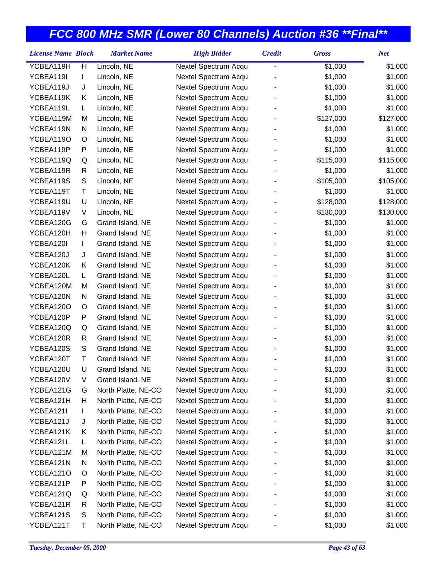| <b>License Name Block</b> |   | <b>Market Name</b>  | <b>High Bidder</b>   | <b>Credit</b> | <b>Gross</b> | <b>Net</b> |
|---------------------------|---|---------------------|----------------------|---------------|--------------|------------|
| YCBEA119H                 | Н | Lincoln, NE         | Nextel Spectrum Acqu | -             | \$1,000      | \$1,000    |
| YCBEA119I                 | L | Lincoln, NE         | Nextel Spectrum Acqu |               | \$1,000      | \$1,000    |
| YCBEA119J                 | J | Lincoln, NE         | Nextel Spectrum Acqu |               | \$1,000      | \$1,000    |
| YCBEA119K                 | Κ | Lincoln, NE         | Nextel Spectrum Acqu |               | \$1,000      | \$1,000    |
| YCBEA119L                 | L | Lincoln, NE         | Nextel Spectrum Acqu |               | \$1,000      | \$1,000    |
| YCBEA119M                 | M | Lincoln, NE         | Nextel Spectrum Acqu |               | \$127,000    | \$127,000  |
| YCBEA119N                 | N | Lincoln, NE         | Nextel Spectrum Acqu |               | \$1,000      | \$1,000    |
| YCBEA119O                 | O | Lincoln, NE         | Nextel Spectrum Acqu |               | \$1,000      | \$1,000    |
| YCBEA119P                 | P | Lincoln, NE         | Nextel Spectrum Acqu |               | \$1,000      | \$1,000    |
| YCBEA119Q                 | Q | Lincoln, NE         | Nextel Spectrum Acqu |               | \$115,000    | \$115,000  |
| YCBEA119R                 | R | Lincoln, NE         | Nextel Spectrum Acqu |               | \$1,000      | \$1,000    |
| YCBEA119S                 | S | Lincoln, NE         | Nextel Spectrum Acqu |               | \$105,000    | \$105,000  |
| YCBEA119T                 | Τ | Lincoln, NE         | Nextel Spectrum Acqu |               | \$1,000      | \$1,000    |
| YCBEA119U                 | U | Lincoln, NE         | Nextel Spectrum Acqu |               | \$128,000    | \$128,000  |
| YCBEA119V                 | V | Lincoln, NE         | Nextel Spectrum Acqu |               | \$130,000    | \$130,000  |
| YCBEA120G                 | G | Grand Island, NE    | Nextel Spectrum Acqu |               | \$1,000      | \$1,000    |
| YCBEA120H                 | Н | Grand Island, NE    | Nextel Spectrum Acqu |               | \$1,000      | \$1,000    |
| YCBEA120I                 | L | Grand Island, NE    | Nextel Spectrum Acqu |               | \$1,000      | \$1,000    |
| YCBEA120J                 | J | Grand Island, NE    | Nextel Spectrum Acqu |               | \$1,000      | \$1,000    |
| YCBEA120K                 | Κ | Grand Island, NE    | Nextel Spectrum Acqu |               | \$1,000      | \$1,000    |
| YCBEA120L                 | L | Grand Island, NE    | Nextel Spectrum Acqu |               | \$1,000      | \$1,000    |
| YCBEA120M                 | M | Grand Island, NE    | Nextel Spectrum Acqu |               | \$1,000      | \$1,000    |
| YCBEA120N                 | N | Grand Island, NE    | Nextel Spectrum Acqu |               | \$1,000      | \$1,000    |
| YCBEA120O                 | O | Grand Island, NE    | Nextel Spectrum Acqu |               | \$1,000      | \$1,000    |
| YCBEA120P                 | P | Grand Island, NE    | Nextel Spectrum Acqu |               | \$1,000      | \$1,000    |
| YCBEA120Q                 | Q | Grand Island, NE    | Nextel Spectrum Acqu |               | \$1,000      | \$1,000    |
| YCBEA120R                 | R | Grand Island, NE    | Nextel Spectrum Acqu |               | \$1,000      | \$1,000    |
| YCBEA120S                 | S | Grand Island, NE    | Nextel Spectrum Acqu |               | \$1,000      | \$1,000    |
| YCBEA120T                 | Τ | Grand Island, NE    | Nextel Spectrum Acqu |               | \$1,000      | \$1,000    |
| YCBEA120U                 | U | Grand Island, NE    | Nextel Spectrum Acqu |               | \$1,000      | \$1,000    |
| YCBEA120V                 | V | Grand Island, NE    | Nextel Spectrum Acqu |               | \$1,000      | \$1,000    |
| YCBEA121G                 | G | North Platte, NE-CO | Nextel Spectrum Acqu |               | \$1,000      | \$1,000    |
| YCBEA121H                 | н | North Platte, NE-CO | Nextel Spectrum Acqu |               | \$1,000      | \$1,000    |
| YCBEA121I                 | L | North Platte, NE-CO | Nextel Spectrum Acqu |               | \$1,000      | \$1,000    |
| YCBEA121J                 | J | North Platte, NE-CO | Nextel Spectrum Acqu |               | \$1,000      | \$1,000    |
| YCBEA121K                 | Κ | North Platte, NE-CO | Nextel Spectrum Acqu |               | \$1,000      | \$1,000    |
| YCBEA121L                 | L | North Platte, NE-CO | Nextel Spectrum Acqu |               | \$1,000      | \$1,000    |
| YCBEA121M                 | M | North Platte, NE-CO | Nextel Spectrum Acqu |               | \$1,000      | \$1,000    |
| YCBEA121N                 | N | North Platte, NE-CO | Nextel Spectrum Acqu |               | \$1,000      | \$1,000    |
| YCBEA121O                 | O | North Platte, NE-CO | Nextel Spectrum Acqu |               | \$1,000      | \$1,000    |
| YCBEA121P                 | P | North Platte, NE-CO | Nextel Spectrum Acqu |               | \$1,000      | \$1,000    |
| YCBEA121Q                 | Q | North Platte, NE-CO | Nextel Spectrum Acqu |               | \$1,000      | \$1,000    |
| YCBEA121R                 | R | North Platte, NE-CO | Nextel Spectrum Acqu |               | \$1,000      | \$1,000    |
| YCBEA121S                 | S | North Platte, NE-CO | Nextel Spectrum Acqu |               | \$1,000      | \$1,000    |
| YCBEA121T                 | Т | North Platte, NE-CO | Nextel Spectrum Acqu |               | \$1,000      | \$1,000    |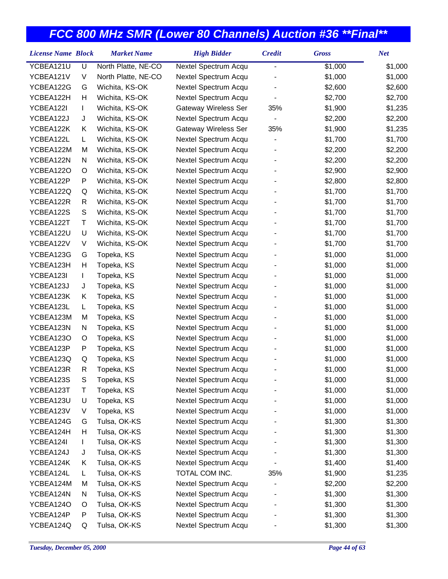| <b>License Name Block</b> |   | <b>Market Name</b>  | <b>High Bidder</b>   | <b>Credit</b>  | <b>Gross</b> | <b>Net</b> |
|---------------------------|---|---------------------|----------------------|----------------|--------------|------------|
| YCBEA121U                 | U | North Platte, NE-CO | Nextel Spectrum Acqu | $\overline{a}$ | \$1,000      | \$1,000    |
| YCBEA121V                 | V | North Platte, NE-CO | Nextel Spectrum Acqu |                | \$1,000      | \$1,000    |
| YCBEA122G                 | G | Wichita, KS-OK      | Nextel Spectrum Acqu |                | \$2,600      | \$2,600    |
| YCBEA122H                 | Η | Wichita, KS-OK      | Nextel Spectrum Acqu |                | \$2,700      | \$2,700    |
| YCBEA122I                 | L | Wichita, KS-OK      | Gateway Wireless Ser | 35%            | \$1,900      | \$1,235    |
| YCBEA122J                 | J | Wichita, KS-OK      | Nextel Spectrum Acqu |                | \$2,200      | \$2,200    |
| YCBEA122K                 | Κ | Wichita, KS-OK      | Gateway Wireless Ser | 35%            | \$1,900      | \$1,235    |
| YCBEA122L                 | L | Wichita, KS-OK      | Nextel Spectrum Acqu |                | \$1,700      | \$1,700    |
| YCBEA122M                 | M | Wichita, KS-OK      | Nextel Spectrum Acqu |                | \$2,200      | \$2,200    |
| YCBEA122N                 | N | Wichita, KS-OK      | Nextel Spectrum Acqu |                | \$2,200      | \$2,200    |
| YCBEA122O                 | O | Wichita, KS-OK      | Nextel Spectrum Acqu |                | \$2,900      | \$2,900    |
| YCBEA122P                 | P | Wichita, KS-OK      | Nextel Spectrum Acqu |                | \$2,800      | \$2,800    |
| YCBEA122Q                 | Q | Wichita, KS-OK      | Nextel Spectrum Acqu |                | \$1,700      | \$1,700    |
| YCBEA122R                 | R | Wichita, KS-OK      | Nextel Spectrum Acqu |                | \$1,700      | \$1,700    |
| YCBEA122S                 | S | Wichita, KS-OK      | Nextel Spectrum Acqu |                | \$1,700      | \$1,700    |
| YCBEA122T                 | Τ | Wichita, KS-OK      | Nextel Spectrum Acqu |                | \$1,700      | \$1,700    |
| YCBEA122U                 | U | Wichita, KS-OK      | Nextel Spectrum Acqu |                | \$1,700      | \$1,700    |
| YCBEA122V                 | V | Wichita, KS-OK      | Nextel Spectrum Acqu |                | \$1,700      | \$1,700    |
| YCBEA123G                 | G | Topeka, KS          | Nextel Spectrum Acqu |                | \$1,000      | \$1,000    |
| YCBEA123H                 | Η | Topeka, KS          | Nextel Spectrum Acqu |                | \$1,000      | \$1,000    |
| YCBEA123I                 | L | Topeka, KS          | Nextel Spectrum Acqu |                | \$1,000      | \$1,000    |
| YCBEA123J                 | J | Topeka, KS          | Nextel Spectrum Acqu |                | \$1,000      | \$1,000    |
| YCBEA123K                 | Κ | Topeka, KS          | Nextel Spectrum Acqu |                | \$1,000      | \$1,000    |
| YCBEA123L                 | L | Topeka, KS          | Nextel Spectrum Acqu |                | \$1,000      | \$1,000    |
| YCBEA123M                 | M | Topeka, KS          | Nextel Spectrum Acqu |                | \$1,000      | \$1,000    |
| YCBEA123N                 | N | Topeka, KS          | Nextel Spectrum Acqu |                | \$1,000      | \$1,000    |
| YCBEA123O                 | O | Topeka, KS          | Nextel Spectrum Acqu |                | \$1,000      | \$1,000    |
| YCBEA123P                 | P | Topeka, KS          | Nextel Spectrum Acqu |                | \$1,000      | \$1,000    |
| YCBEA123Q                 | Q | Topeka, KS          | Nextel Spectrum Acqu |                | \$1,000      | \$1,000    |
| YCBEA123R                 | R | Topeka, KS          | Nextel Spectrum Acqu |                | \$1,000      | \$1,000    |
| YCBEA123S                 | S | Topeka, KS          | Nextel Spectrum Acqu |                | \$1,000      | \$1,000    |
| YCBEA123T                 | Т | Topeka, KS          | Nextel Spectrum Acqu |                | \$1,000      | \$1,000    |
| YCBEA123U                 | U | Topeka, KS          | Nextel Spectrum Acqu |                | \$1,000      | \$1,000    |
| YCBEA123V                 | V | Topeka, KS          | Nextel Spectrum Acqu |                | \$1,000      | \$1,000    |
| YCBEA124G                 | G | Tulsa, OK-KS        | Nextel Spectrum Acqu |                | \$1,300      | \$1,300    |
| YCBEA124H                 | н | Tulsa, OK-KS        | Nextel Spectrum Acqu |                | \$1,300      | \$1,300    |
| YCBEA124I                 | L | Tulsa, OK-KS        | Nextel Spectrum Acqu |                | \$1,300      | \$1,300    |
| YCBEA124J                 | J | Tulsa, OK-KS        | Nextel Spectrum Acqu |                | \$1,300      | \$1,300    |
| YCBEA124K                 | Κ | Tulsa, OK-KS        | Nextel Spectrum Acqu |                | \$1,400      | \$1,400    |
| YCBEA124L                 | L | Tulsa, OK-KS        | TOTAL COM INC.       | 35%            | \$1,900      | \$1,235    |
| YCBEA124M                 | M | Tulsa, OK-KS        | Nextel Spectrum Acqu |                | \$2,200      | \$2,200    |
| YCBEA124N                 | N | Tulsa, OK-KS        | Nextel Spectrum Acqu |                | \$1,300      | \$1,300    |
| YCBEA124O                 | O | Tulsa, OK-KS        | Nextel Spectrum Acqu |                | \$1,300      | \$1,300    |
| YCBEA124P                 | P | Tulsa, OK-KS        | Nextel Spectrum Acqu |                | \$1,300      | \$1,300    |
| YCBEA124Q                 | Q | Tulsa, OK-KS        | Nextel Spectrum Acqu |                | \$1,300      | \$1,300    |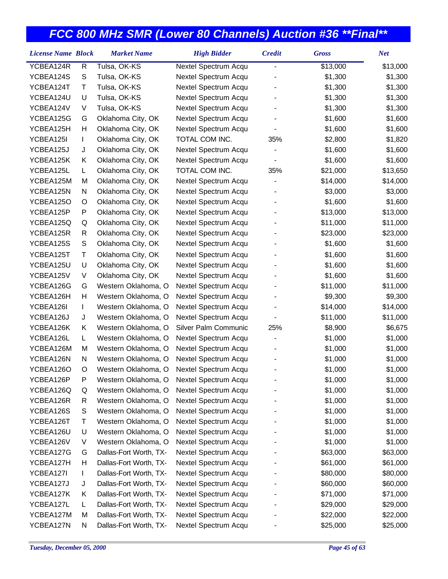| <b>License Name Block</b> |              | <b>Market Name</b>     | <b>High Bidder</b>   | <b>Credit</b>            | <b>Gross</b> | <b>Net</b> |
|---------------------------|--------------|------------------------|----------------------|--------------------------|--------------|------------|
| YCBEA124R                 | $\mathsf{R}$ | Tulsa, OK-KS           | Nextel Spectrum Acqu | $\overline{a}$           | \$13,000     | \$13,000   |
| YCBEA124S                 | S            | Tulsa, OK-KS           | Nextel Spectrum Acqu |                          | \$1,300      | \$1,300    |
| YCBEA124T                 | Τ            | Tulsa, OK-KS           | Nextel Spectrum Acqu |                          | \$1,300      | \$1,300    |
| YCBEA124U                 | U            | Tulsa, OK-KS           | Nextel Spectrum Acqu |                          | \$1,300      | \$1,300    |
| YCBEA124V                 | V            | Tulsa, OK-KS           | Nextel Spectrum Acqu |                          | \$1,300      | \$1,300    |
| YCBEA125G                 | G            | Oklahoma City, OK      | Nextel Spectrum Acqu |                          | \$1,600      | \$1,600    |
| YCBEA125H                 | Н            | Oklahoma City, OK      | Nextel Spectrum Acqu |                          | \$1,600      | \$1,600    |
| YCBEA125I                 | L            | Oklahoma City, OK      | TOTAL COM INC.       | 35%                      | \$2,800      | \$1,820    |
| YCBEA125J                 | J            | Oklahoma City, OK      | Nextel Spectrum Acqu |                          | \$1,600      | \$1,600    |
| YCBEA125K                 | Κ            | Oklahoma City, OK      | Nextel Spectrum Acqu | $\blacksquare$           | \$1,600      | \$1,600    |
| YCBEA125L                 | L.           | Oklahoma City, OK      | TOTAL COM INC.       | 35%                      | \$21,000     | \$13,650   |
| YCBEA125M                 | M            | Oklahoma City, OK      | Nextel Spectrum Acqu | $\overline{\phantom{a}}$ | \$14,000     | \$14,000   |
| YCBEA125N                 | N            | Oklahoma City, OK      | Nextel Spectrum Acqu |                          | \$3,000      | \$3,000    |
| YCBEA125O                 | O            | Oklahoma City, OK      | Nextel Spectrum Acqu |                          | \$1,600      | \$1,600    |
| YCBEA125P                 | P            | Oklahoma City, OK      | Nextel Spectrum Acqu |                          | \$13,000     | \$13,000   |
| YCBEA125Q                 | Q            | Oklahoma City, OK      | Nextel Spectrum Acqu |                          | \$11,000     | \$11,000   |
| YCBEA125R                 | R            | Oklahoma City, OK      | Nextel Spectrum Acqu |                          | \$23,000     | \$23,000   |
| YCBEA125S                 | S            | Oklahoma City, OK      | Nextel Spectrum Acqu |                          | \$1,600      | \$1,600    |
| YCBEA125T                 | Τ            | Oklahoma City, OK      | Nextel Spectrum Acqu |                          | \$1,600      | \$1,600    |
| YCBEA125U                 | U            | Oklahoma City, OK      | Nextel Spectrum Acqu |                          | \$1,600      | \$1,600    |
| YCBEA125V                 | V            | Oklahoma City, OK      | Nextel Spectrum Acqu |                          | \$1,600      | \$1,600    |
| YCBEA126G                 | G            | Western Oklahoma, O    | Nextel Spectrum Acqu |                          | \$11,000     | \$11,000   |
| YCBEA126H                 | Н            | Western Oklahoma, O    | Nextel Spectrum Acqu |                          | \$9,300      | \$9,300    |
| YCBEA126I                 | L            | Western Oklahoma, O    | Nextel Spectrum Acqu |                          | \$14,000     | \$14,000   |
| YCBEA126J                 | J            | Western Oklahoma, O    | Nextel Spectrum Acqu |                          | \$11,000     | \$11,000   |
| YCBEA126K                 | Κ            | Western Oklahoma, O    | Silver Palm Communic | 25%                      | \$8,900      | \$6,675    |
| YCBEA126L                 | L            | Western Oklahoma, O    | Nextel Spectrum Acqu |                          | \$1,000      | \$1,000    |
| YCBEA126M                 | M            | Western Oklahoma, O    | Nextel Spectrum Acqu |                          | \$1,000      | \$1,000    |
| YCBEA126N                 | N            | Western Oklahoma, O    | Nextel Spectrum Acqu |                          | \$1,000      | \$1,000    |
| YCBEA126O                 | O            | Western Oklahoma, O    | Nextel Spectrum Acqu |                          | \$1,000      | \$1,000    |
| YCBEA126P                 | Ρ            | Western Oklahoma, O    | Nextel Spectrum Acqu |                          | \$1,000      | \$1,000    |
| YCBEA126Q                 | Q            | Western Oklahoma, O    | Nextel Spectrum Acqu |                          | \$1,000      | \$1,000    |
| YCBEA126R                 | R            | Western Oklahoma, O    | Nextel Spectrum Acqu |                          | \$1,000      | \$1,000    |
| YCBEA126S                 | S            | Western Oklahoma, O    | Nextel Spectrum Acqu |                          | \$1,000      | \$1,000    |
| YCBEA126T                 | т            | Western Oklahoma, O    | Nextel Spectrum Acqu |                          | \$1,000      | \$1,000    |
| YCBEA126U                 | U            | Western Oklahoma, O    | Nextel Spectrum Acqu |                          | \$1,000      | \$1,000    |
| YCBEA126V                 | V            | Western Oklahoma, O    | Nextel Spectrum Acqu |                          | \$1,000      | \$1,000    |
| YCBEA127G                 | G            | Dallas-Fort Worth, TX- | Nextel Spectrum Acqu |                          | \$63,000     | \$63,000   |
| YCBEA127H                 | н            | Dallas-Fort Worth, TX- | Nextel Spectrum Acqu |                          | \$61,000     | \$61,000   |
| YCBEA127I                 | L            | Dallas-Fort Worth, TX- | Nextel Spectrum Acqu |                          | \$80,000     | \$80,000   |
| YCBEA127J                 | J            | Dallas-Fort Worth, TX- | Nextel Spectrum Acqu |                          | \$60,000     | \$60,000   |
| YCBEA127K                 | Κ            | Dallas-Fort Worth, TX- | Nextel Spectrum Acqu |                          | \$71,000     | \$71,000   |
| YCBEA127L                 | L            | Dallas-Fort Worth, TX- | Nextel Spectrum Acqu |                          | \$29,000     | \$29,000   |
| YCBEA127M                 | M            | Dallas-Fort Worth, TX- | Nextel Spectrum Acqu |                          | \$22,000     | \$22,000   |
| YCBEA127N                 | N            | Dallas-Fort Worth, TX- | Nextel Spectrum Acqu |                          | \$25,000     | \$25,000   |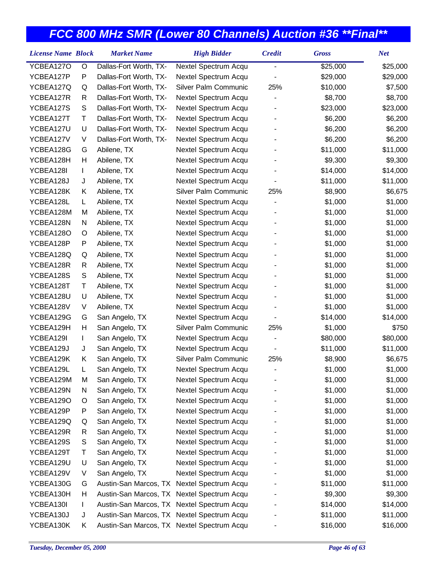| <b>License Name Block</b> |    | <b>Market Name</b>                         | <b>High Bidder</b>   | <b>Credit</b>  | <b>Gross</b> | <b>Net</b> |
|---------------------------|----|--------------------------------------------|----------------------|----------------|--------------|------------|
| YCBEA127O                 | O  | Dallas-Fort Worth, TX-                     | Nextel Spectrum Acqu | $\overline{a}$ | \$25,000     | \$25,000   |
| YCBEA127P                 | P  | Dallas-Fort Worth, TX-                     | Nextel Spectrum Acqu |                | \$29,000     | \$29,000   |
| YCBEA127Q                 | Q  | Dallas-Fort Worth, TX-                     | Silver Palm Communic | 25%            | \$10,000     | \$7,500    |
| YCBEA127R                 | R  | Dallas-Fort Worth, TX-                     | Nextel Spectrum Acqu |                | \$8,700      | \$8,700    |
| YCBEA127S                 | S  | Dallas-Fort Worth, TX-                     | Nextel Spectrum Acqu |                | \$23,000     | \$23,000   |
| YCBEA127T                 | т  | Dallas-Fort Worth, TX-                     | Nextel Spectrum Acqu |                | \$6,200      | \$6,200    |
| YCBEA127U                 | U  | Dallas-Fort Worth, TX-                     | Nextel Spectrum Acqu |                | \$6,200      | \$6,200    |
| YCBEA127V                 | V  | Dallas-Fort Worth, TX-                     | Nextel Spectrum Acqu |                | \$6,200      | \$6,200    |
| YCBEA128G                 | G  | Abilene, TX                                | Nextel Spectrum Acqu |                | \$11,000     | \$11,000   |
| YCBEA128H                 | Н  | Abilene, TX                                | Nextel Spectrum Acqu |                | \$9,300      | \$9,300    |
| YCBEA128I                 | L  | Abilene, TX                                | Nextel Spectrum Acqu |                | \$14,000     | \$14,000   |
| YCBEA128J                 | J  | Abilene, TX                                | Nextel Spectrum Acqu |                | \$11,000     | \$11,000   |
| YCBEA128K                 | Κ  | Abilene, TX                                | Silver Palm Communic | 25%            | \$8,900      | \$6,675    |
| YCBEA128L                 | L. | Abilene, TX                                | Nextel Spectrum Acqu |                | \$1,000      | \$1,000    |
| YCBEA128M                 | M  | Abilene, TX                                | Nextel Spectrum Acqu |                | \$1,000      | \$1,000    |
| YCBEA128N                 | N  | Abilene, TX                                | Nextel Spectrum Acqu |                | \$1,000      | \$1,000    |
| YCBEA128O                 | O  | Abilene, TX                                | Nextel Spectrum Acqu |                | \$1,000      | \$1,000    |
| YCBEA128P                 | P  | Abilene, TX                                | Nextel Spectrum Acqu |                | \$1,000      | \$1,000    |
| YCBEA128Q                 | Q  | Abilene, TX                                | Nextel Spectrum Acqu |                | \$1,000      | \$1,000    |
| YCBEA128R                 | R  | Abilene, TX                                | Nextel Spectrum Acqu |                | \$1,000      | \$1,000    |
| YCBEA128S                 | S  | Abilene, TX                                | Nextel Spectrum Acqu |                | \$1,000      | \$1,000    |
| YCBEA128T                 | т  | Abilene, TX                                | Nextel Spectrum Acqu |                | \$1,000      | \$1,000    |
| YCBEA128U                 | U  | Abilene, TX                                | Nextel Spectrum Acqu |                | \$1,000      | \$1,000    |
| YCBEA128V                 | V  | Abilene, TX                                | Nextel Spectrum Acqu |                | \$1,000      | \$1,000    |
| YCBEA129G                 | G  | San Angelo, TX                             | Nextel Spectrum Acqu |                | \$14,000     | \$14,000   |
| YCBEA129H                 | Н  | San Angelo, TX                             | Silver Palm Communic | 25%            | \$1,000      | \$750      |
| YCBEA129I                 | L  | San Angelo, TX                             | Nextel Spectrum Acqu |                | \$80,000     | \$80,000   |
| YCBEA129J                 | J  | San Angelo, TX                             | Nextel Spectrum Acqu |                | \$11,000     | \$11,000   |
| YCBEA129K                 | Κ  | San Angelo, TX                             | Silver Palm Communic | 25%            | \$8,900      | \$6,675    |
| YCBEA129L                 | L  | San Angelo, TX                             | Nextel Spectrum Acqu |                | \$1,000      | \$1,000    |
| YCBEA129M                 | м  | San Angelo, TX                             | Nextel Spectrum Acqu |                | \$1,000      | \$1,000    |
| YCBEA129N                 | N  | San Angelo, TX                             | Nextel Spectrum Acqu |                | \$1,000      | \$1,000    |
| YCBEA129O                 | O  | San Angelo, TX                             | Nextel Spectrum Acqu |                | \$1,000      | \$1,000    |
| YCBEA129P                 | P  | San Angelo, TX                             | Nextel Spectrum Acqu |                | \$1,000      | \$1,000    |
| YCBEA129Q                 | Q  | San Angelo, TX                             | Nextel Spectrum Acqu |                | \$1,000      | \$1,000    |
| YCBEA129R                 | R  | San Angelo, TX                             | Nextel Spectrum Acqu |                | \$1,000      | \$1,000    |
| YCBEA129S                 | S  | San Angelo, TX                             | Nextel Spectrum Acqu |                | \$1,000      | \$1,000    |
| YCBEA129T                 | т  | San Angelo, TX                             | Nextel Spectrum Acqu |                | \$1,000      | \$1,000    |
| YCBEA129U                 | U  | San Angelo, TX                             | Nextel Spectrum Acqu |                | \$1,000      | \$1,000    |
| YCBEA129V                 | V  | San Angelo, TX                             | Nextel Spectrum Acqu |                | \$1,000      | \$1,000    |
| YCBEA130G                 | G  | Austin-San Marcos, TX                      | Nextel Spectrum Acqu |                | \$11,000     | \$11,000   |
| YCBEA130H                 | н  | Austin-San Marcos, TX Nextel Spectrum Acqu |                      |                | \$9,300      | \$9,300    |
| YCBEA130I                 | L  | Austin-San Marcos, TX Nextel Spectrum Acqu |                      |                | \$14,000     | \$14,000   |
| YCBEA130J                 | J  | Austin-San Marcos, TX Nextel Spectrum Acqu |                      |                | \$11,000     | \$11,000   |
| YCBEA130K                 | K  | Austin-San Marcos, TX Nextel Spectrum Acqu |                      |                | \$16,000     | \$16,000   |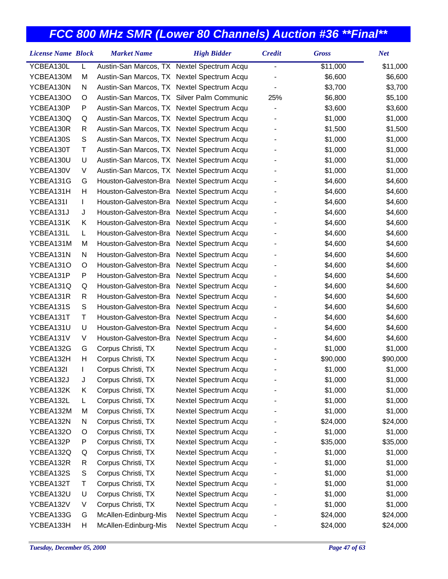| YCBEA130L<br>Austin-San Marcos, TX Nextel Spectrum Acqu<br>\$11,000<br>L<br>$\blacksquare$<br>YCBEA130M<br>Austin-San Marcos, TX Nextel Spectrum Acqu<br>\$6,600<br>М<br>YCBEA130N<br>Austin-San Marcos, TX Nextel Spectrum Acqu<br>\$3,700<br>N | \$11,000<br>\$6,600<br>\$3,700<br>\$5,100<br>\$3,600<br>\$1,000 |
|--------------------------------------------------------------------------------------------------------------------------------------------------------------------------------------------------------------------------------------------------|-----------------------------------------------------------------|
|                                                                                                                                                                                                                                                  |                                                                 |
|                                                                                                                                                                                                                                                  |                                                                 |
|                                                                                                                                                                                                                                                  |                                                                 |
| YCBEA130O<br>Austin-San Marcos, TX Silver Palm Communic<br>25%<br>\$6,800<br>O                                                                                                                                                                   |                                                                 |
| YCBEA130P<br>P<br>Austin-San Marcos, TX Nextel Spectrum Acqu<br>\$3,600                                                                                                                                                                          |                                                                 |
| YCBEA130Q<br>Austin-San Marcos, TX Nextel Spectrum Acqu<br>\$1,000<br>Q                                                                                                                                                                          |                                                                 |
| YCBEA130R<br>R<br>Austin-San Marcos, TX Nextel Spectrum Acqu<br>\$1,500                                                                                                                                                                          | \$1,500                                                         |
| YCBEA130S<br>S<br>Austin-San Marcos, TX Nextel Spectrum Acqu<br>\$1,000                                                                                                                                                                          | \$1,000                                                         |
| T<br>YCBEA130T<br>Austin-San Marcos, TX Nextel Spectrum Acqu<br>\$1,000                                                                                                                                                                          | \$1,000                                                         |
| YCBEA130U<br>U<br>Austin-San Marcos, TX Nextel Spectrum Acqu<br>\$1,000                                                                                                                                                                          | \$1,000                                                         |
| YCBEA130V<br>V<br>Austin-San Marcos, TX Nextel Spectrum Acqu<br>\$1,000                                                                                                                                                                          | \$1,000                                                         |
| YCBEA131G<br>Houston-Galveston-Bra Nextel Spectrum Acqu<br>\$4,600<br>G                                                                                                                                                                          | \$4,600                                                         |
| YCBEA131H<br>Н<br>Houston-Galveston-Bra Nextel Spectrum Acqu<br>\$4,600                                                                                                                                                                          | \$4,600                                                         |
| YCBEA131I<br>Houston-Galveston-Bra<br>Nextel Spectrum Acqu<br>\$4,600<br>L                                                                                                                                                                       | \$4,600                                                         |
| YCBEA131J<br>Houston-Galveston-Bra<br>Nextel Spectrum Acqu<br>\$4,600<br>J                                                                                                                                                                       | \$4,600                                                         |
| YCBEA131K<br>Nextel Spectrum Acqu<br>Κ<br>Houston-Galveston-Bra<br>\$4,600                                                                                                                                                                       | \$4,600                                                         |
| YCBEA131L<br>Houston-Galveston-Bra<br>Nextel Spectrum Acqu<br>L.<br>\$4,600                                                                                                                                                                      | \$4,600                                                         |
| YCBEA131M<br>Houston-Galveston-Bra<br>Nextel Spectrum Acqu<br>\$4,600<br>M                                                                                                                                                                       | \$4,600                                                         |
| Nextel Spectrum Acqu<br>YCBEA131N<br>N<br>Houston-Galveston-Bra<br>\$4,600                                                                                                                                                                       | \$4,600                                                         |
| YCBEA131O<br>Houston-Galveston-Bra<br>Nextel Spectrum Acqu<br>\$4,600<br>O                                                                                                                                                                       | \$4,600                                                         |
| P<br>Nextel Spectrum Acqu<br>YCBEA131P<br>Houston-Galveston-Bra<br>\$4,600                                                                                                                                                                       | \$4,600                                                         |
| YCBEA131Q<br>Houston-Galveston-Bra<br>Nextel Spectrum Acqu<br>\$4,600<br>Q                                                                                                                                                                       | \$4,600                                                         |
| YCBEA131R<br>R<br>Houston-Galveston-Bra<br>Nextel Spectrum Acqu<br>\$4,600                                                                                                                                                                       | \$4,600                                                         |
| S<br>YCBEA131S<br>Houston-Galveston-Bra<br>Nextel Spectrum Acqu<br>\$4,600                                                                                                                                                                       | \$4,600                                                         |
| YCBEA131T<br>Τ<br>Houston-Galveston-Bra<br>Nextel Spectrum Acqu<br>\$4,600                                                                                                                                                                       | \$4,600                                                         |
| YCBEA131U<br>U<br>Houston-Galveston-Bra<br>Nextel Spectrum Acqu<br>\$4,600                                                                                                                                                                       | \$4,600                                                         |
| YCBEA131V<br>V<br>Houston-Galveston-Bra<br>Nextel Spectrum Acqu<br>\$4,600                                                                                                                                                                       | \$4,600                                                         |
| YCBEA132G<br>Corpus Christi, TX<br>Nextel Spectrum Acqu<br>\$1,000<br>G                                                                                                                                                                          | \$1,000                                                         |
| Corpus Christi, TX<br>YCBEA132H<br>н<br>Nextel Spectrum Acqu<br>\$90,000                                                                                                                                                                         | \$90,000                                                        |
| Corpus Christi, TX<br>YCBEA132I<br>Nextel Spectrum Acqu<br>\$1,000<br>L                                                                                                                                                                          | \$1,000                                                         |
| YCBEA132J<br>Corpus Christi, TX<br>Nextel Spectrum Acqu<br>\$1,000<br>J                                                                                                                                                                          | \$1,000                                                         |
| YCBEA132K<br>Corpus Christi, TX<br>Nextel Spectrum Acqu<br>\$1,000<br>Κ                                                                                                                                                                          | \$1,000                                                         |
| Corpus Christi, TX<br>Nextel Spectrum Acqu<br>\$1,000<br>YCBEA132L<br>L.                                                                                                                                                                         | \$1,000                                                         |
| Corpus Christi, TX<br>Nextel Spectrum Acqu<br>YCBEA132M<br>\$1,000<br>M                                                                                                                                                                          | \$1,000                                                         |
| Corpus Christi, TX<br>Nextel Spectrum Acqu<br>YCBEA132N<br>N<br>\$24,000                                                                                                                                                                         | \$24,000                                                        |
| YCBEA132O<br>Corpus Christi, TX<br>Nextel Spectrum Acqu<br>\$1,000<br>O                                                                                                                                                                          | \$1,000                                                         |
| Corpus Christi, TX<br>Nextel Spectrum Acqu<br>\$35,000<br>YCBEA132P<br>P                                                                                                                                                                         | \$35,000                                                        |
| Corpus Christi, TX<br>YCBEA132Q<br>Nextel Spectrum Acqu<br>\$1,000<br>Q                                                                                                                                                                          | \$1,000                                                         |
| YCBEA132R<br>Corpus Christi, TX<br>Nextel Spectrum Acqu<br>\$1,000<br>R                                                                                                                                                                          | \$1,000                                                         |
| YCBEA132S<br>S<br>Corpus Christi, TX<br>Nextel Spectrum Acqu<br>\$1,000                                                                                                                                                                          | \$1,000                                                         |
| YCBEA132T<br>Corpus Christi, TX<br>Nextel Spectrum Acqu<br>Т<br>\$1,000                                                                                                                                                                          | \$1,000                                                         |
| YCBEA132U<br>U<br>Corpus Christi, TX<br>Nextel Spectrum Acqu<br>\$1,000                                                                                                                                                                          | \$1,000                                                         |
| Corpus Christi, TX<br>Nextel Spectrum Acqu<br>\$1,000<br>YCBEA132V<br>V                                                                                                                                                                          | \$1,000                                                         |
| YCBEA133G<br>McAllen-Edinburg-Mis<br>Nextel Spectrum Acqu<br>\$24,000<br>G                                                                                                                                                                       | \$24,000                                                        |
| YCBEA133H<br>McAllen-Edinburg-Mis<br>Nextel Spectrum Acqu<br>\$24,000<br>н                                                                                                                                                                       | \$24,000                                                        |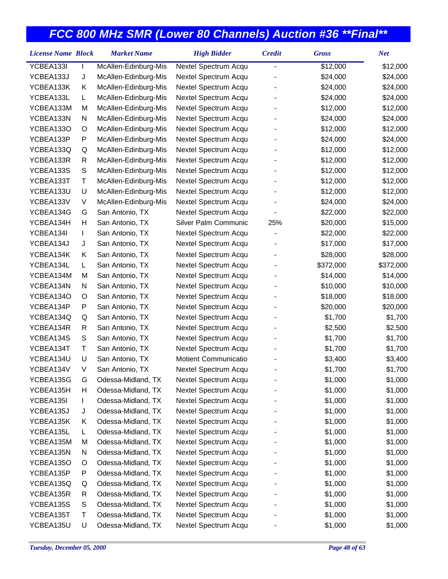| <b>License Name Block</b> |   | <b>Market Name</b>   | <b>High Bidder</b>   | <b>Credit</b> | <b>Gross</b> | <b>Net</b> |
|---------------------------|---|----------------------|----------------------|---------------|--------------|------------|
| YCBEA133I                 |   | McAllen-Edinburg-Mis | Nextel Spectrum Acqu | -             | \$12,000     | \$12,000   |
| YCBEA133J                 | J | McAllen-Edinburg-Mis | Nextel Spectrum Acqu |               | \$24,000     | \$24,000   |
| YCBEA133K                 | Κ | McAllen-Edinburg-Mis | Nextel Spectrum Acqu |               | \$24,000     | \$24,000   |
| YCBEA133L                 | L | McAllen-Edinburg-Mis | Nextel Spectrum Acqu |               | \$24,000     | \$24,000   |
| YCBEA133M                 | M | McAllen-Edinburg-Mis | Nextel Spectrum Acqu |               | \$12,000     | \$12,000   |
| YCBEA133N                 | N | McAllen-Edinburg-Mis | Nextel Spectrum Acqu |               | \$24,000     | \$24,000   |
| YCBEA133O                 | O | McAllen-Edinburg-Mis | Nextel Spectrum Acqu |               | \$12,000     | \$12,000   |
| YCBEA133P                 | P | McAllen-Edinburg-Mis | Nextel Spectrum Acqu |               | \$24,000     | \$24,000   |
| YCBEA133Q                 | Q | McAllen-Edinburg-Mis | Nextel Spectrum Acqu |               | \$12,000     | \$12,000   |
| YCBEA133R                 | R | McAllen-Edinburg-Mis | Nextel Spectrum Acqu |               | \$12,000     | \$12,000   |
| YCBEA133S                 | S | McAllen-Edinburg-Mis | Nextel Spectrum Acqu |               | \$12,000     | \$12,000   |
| YCBEA133T                 | Τ | McAllen-Edinburg-Mis | Nextel Spectrum Acqu |               | \$12,000     | \$12,000   |
| YCBEA133U                 | U | McAllen-Edinburg-Mis | Nextel Spectrum Acqu |               | \$12,000     | \$12,000   |
| YCBEA133V                 | V | McAllen-Edinburg-Mis | Nextel Spectrum Acqu |               | \$24,000     | \$24,000   |
| YCBEA134G                 | G | San Antonio, TX      | Nextel Spectrum Acqu |               | \$22,000     | \$22,000   |
| YCBEA134H                 | Н | San Antonio, TX      | Silver Palm Communic | 25%           | \$20,000     | \$15,000   |
| YCBEA134I                 | L | San Antonio, TX      | Nextel Spectrum Acqu |               | \$22,000     | \$22,000   |
| YCBEA134J                 | J | San Antonio, TX      | Nextel Spectrum Acqu |               | \$17,000     | \$17,000   |
| YCBEA134K                 | Κ | San Antonio, TX      | Nextel Spectrum Acqu |               | \$28,000     | \$28,000   |
| YCBEA134L                 | L | San Antonio, TX      | Nextel Spectrum Acqu |               | \$372,000    | \$372,000  |
| YCBEA134M                 | M | San Antonio, TX      | Nextel Spectrum Acqu |               | \$14,000     | \$14,000   |
| YCBEA134N                 | N | San Antonio, TX      | Nextel Spectrum Acqu |               | \$10,000     | \$10,000   |
| YCBEA134O                 | O | San Antonio, TX      | Nextel Spectrum Acqu |               | \$18,000     | \$18,000   |
| YCBEA134P                 | P | San Antonio, TX      | Nextel Spectrum Acqu |               | \$20,000     | \$20,000   |
| YCBEA134Q                 | Q | San Antonio, TX      | Nextel Spectrum Acqu |               | \$1,700      | \$1,700    |
| YCBEA134R                 | R | San Antonio, TX      | Nextel Spectrum Acqu |               | \$2,500      | \$2,500    |
| YCBEA134S                 | S | San Antonio, TX      | Nextel Spectrum Acqu |               | \$1,700      | \$1,700    |
| YCBEA134T                 | Τ | San Antonio, TX      | Nextel Spectrum Acqu |               | \$1,700      | \$1,700    |
| YCBEA134U                 | U | San Antonio, TX      | Motient Communicatio |               | \$3,400      | \$3,400    |
| YCBEA134V                 | V | San Antonio, TX      | Nextel Spectrum Acqu |               | \$1,700      | \$1,700    |
| YCBEA135G                 | G | Odessa-Midland, TX   | Nextel Spectrum Acqu |               | \$1,000      | \$1,000    |
| YCBEA135H                 | н | Odessa-Midland, TX   | Nextel Spectrum Acqu |               | \$1,000      | \$1,000    |
| YCBEA135I                 | L | Odessa-Midland, TX   | Nextel Spectrum Acqu |               | \$1,000      | \$1,000    |
| YCBEA135J                 | J | Odessa-Midland, TX   | Nextel Spectrum Acqu |               | \$1,000      | \$1,000    |
| YCBEA135K                 | Κ | Odessa-Midland, TX   | Nextel Spectrum Acqu |               | \$1,000      | \$1,000    |
| YCBEA135L                 | L | Odessa-Midland, TX   | Nextel Spectrum Acqu |               | \$1,000      | \$1,000    |
| YCBEA135M                 | M | Odessa-Midland, TX   | Nextel Spectrum Acqu |               | \$1,000      | \$1,000    |
| YCBEA135N                 | N | Odessa-Midland, TX   | Nextel Spectrum Acqu |               | \$1,000      | \$1,000    |
| YCBEA135O                 | O | Odessa-Midland, TX   | Nextel Spectrum Acqu |               | \$1,000      | \$1,000    |
| YCBEA135P                 | P | Odessa-Midland, TX   | Nextel Spectrum Acqu |               | \$1,000      | \$1,000    |
| YCBEA135Q                 | Q | Odessa-Midland, TX   | Nextel Spectrum Acqu |               | \$1,000      | \$1,000    |
| YCBEA135R                 | R | Odessa-Midland, TX   | Nextel Spectrum Acqu |               | \$1,000      | \$1,000    |
| YCBEA135S                 | S | Odessa-Midland, TX   | Nextel Spectrum Acqu |               | \$1,000      | \$1,000    |
| YCBEA135T                 | Τ | Odessa-Midland, TX   | Nextel Spectrum Acqu |               | \$1,000      | \$1,000    |
| YCBEA135U                 | U | Odessa-Midland, TX   | Nextel Spectrum Acqu |               | \$1,000      | \$1,000    |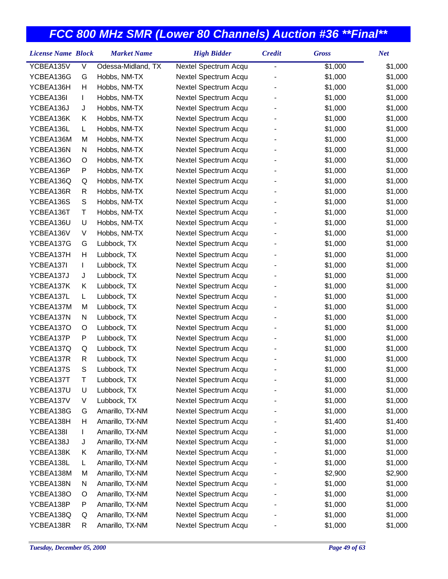| <b>License Name Block</b> |   | <b>Market Name</b> | <b>High Bidder</b>   | <b>Credit</b> | <b>Gross</b> | <b>Net</b> |
|---------------------------|---|--------------------|----------------------|---------------|--------------|------------|
| YCBEA135V                 | V | Odessa-Midland, TX | Nextel Spectrum Acqu | -             | \$1,000      | \$1,000    |
| YCBEA136G                 | G | Hobbs, NM-TX       | Nextel Spectrum Acqu |               | \$1,000      | \$1,000    |
| YCBEA136H                 | Η | Hobbs, NM-TX       | Nextel Spectrum Acqu |               | \$1,000      | \$1,000    |
| YCBEA136I                 | L | Hobbs, NM-TX       | Nextel Spectrum Acqu |               | \$1,000      | \$1,000    |
| YCBEA136J                 | J | Hobbs, NM-TX       | Nextel Spectrum Acqu |               | \$1,000      | \$1,000    |
| YCBEA136K                 | Κ | Hobbs, NM-TX       | Nextel Spectrum Acqu |               | \$1,000      | \$1,000    |
| YCBEA136L                 | L | Hobbs, NM-TX       | Nextel Spectrum Acqu |               | \$1,000      | \$1,000    |
| YCBEA136M                 | M | Hobbs, NM-TX       | Nextel Spectrum Acqu |               | \$1,000      | \$1,000    |
| YCBEA136N                 | N | Hobbs, NM-TX       | Nextel Spectrum Acqu |               | \$1,000      | \$1,000    |
| YCBEA136O                 | O | Hobbs, NM-TX       | Nextel Spectrum Acqu |               | \$1,000      | \$1,000    |
| YCBEA136P                 | P | Hobbs, NM-TX       | Nextel Spectrum Acqu |               | \$1,000      | \$1,000    |
| YCBEA136Q                 | Q | Hobbs, NM-TX       | Nextel Spectrum Acqu |               | \$1,000      | \$1,000    |
| YCBEA136R                 | R | Hobbs, NM-TX       | Nextel Spectrum Acqu |               | \$1,000      | \$1,000    |
| YCBEA136S                 | S | Hobbs, NM-TX       | Nextel Spectrum Acqu |               | \$1,000      | \$1,000    |
| YCBEA136T                 | Τ | Hobbs, NM-TX       | Nextel Spectrum Acqu |               | \$1,000      | \$1,000    |
| YCBEA136U                 | U | Hobbs, NM-TX       | Nextel Spectrum Acqu |               | \$1,000      | \$1,000    |
| YCBEA136V                 | V | Hobbs, NM-TX       | Nextel Spectrum Acqu |               | \$1,000      | \$1,000    |
| YCBEA137G                 | G | Lubbock, TX        | Nextel Spectrum Acqu |               | \$1,000      | \$1,000    |
| YCBEA137H                 | Н | Lubbock, TX        | Nextel Spectrum Acqu |               | \$1,000      | \$1,000    |
| YCBEA137I                 | L | Lubbock, TX        | Nextel Spectrum Acqu |               | \$1,000      | \$1,000    |
| YCBEA137J                 | J | Lubbock, TX        | Nextel Spectrum Acqu |               | \$1,000      | \$1,000    |
| YCBEA137K                 | Κ | Lubbock, TX        | Nextel Spectrum Acqu |               | \$1,000      | \$1,000    |
| YCBEA137L                 | L | Lubbock, TX        | Nextel Spectrum Acqu |               | \$1,000      | \$1,000    |
| YCBEA137M                 | M | Lubbock, TX        | Nextel Spectrum Acqu |               | \$1,000      | \$1,000    |
| YCBEA137N                 | Ν | Lubbock, TX        | Nextel Spectrum Acqu |               | \$1,000      | \$1,000    |
| YCBEA137O                 | O | Lubbock, TX        | Nextel Spectrum Acqu |               | \$1,000      | \$1,000    |
| YCBEA137P                 | P | Lubbock, TX        | Nextel Spectrum Acqu |               | \$1,000      | \$1,000    |
| YCBEA137Q                 | Q | Lubbock, TX        | Nextel Spectrum Acqu |               | \$1,000      | \$1,000    |
| YCBEA137R                 | R | Lubbock, TX        | Nextel Spectrum Acqu |               | \$1,000      | \$1,000    |
| YCBEA137S                 | S | Lubbock, TX        | Nextel Spectrum Acqu |               | \$1,000      | \$1,000    |
| YCBEA137T                 | Т | Lubbock, TX        | Nextel Spectrum Acqu |               | \$1,000      | \$1,000    |
| YCBEA137U                 | U | Lubbock, TX        | Nextel Spectrum Acqu |               | \$1,000      | \$1,000    |
| YCBEA137V                 | V | Lubbock, TX        | Nextel Spectrum Acqu |               | \$1,000      | \$1,000    |
| YCBEA138G                 | G | Amarillo, TX-NM    | Nextel Spectrum Acqu |               | \$1,000      | \$1,000    |
| YCBEA138H                 | Н | Amarillo, TX-NM    | Nextel Spectrum Acqu |               | \$1,400      | \$1,400    |
| YCBEA138I                 | L | Amarillo, TX-NM    | Nextel Spectrum Acqu |               | \$1,000      | \$1,000    |
| YCBEA138J                 | J | Amarillo, TX-NM    | Nextel Spectrum Acqu |               | \$1,000      | \$1,000    |
| YCBEA138K                 | Κ | Amarillo, TX-NM    | Nextel Spectrum Acqu |               | \$1,000      | \$1,000    |
| YCBEA138L                 | L | Amarillo, TX-NM    | Nextel Spectrum Acqu |               | \$1,000      | \$1,000    |
| YCBEA138M                 | M | Amarillo, TX-NM    | Nextel Spectrum Acqu |               | \$2,900      | \$2,900    |
| YCBEA138N                 | N | Amarillo, TX-NM    | Nextel Spectrum Acqu |               | \$1,000      | \$1,000    |
| YCBEA138O                 | O | Amarillo, TX-NM    | Nextel Spectrum Acqu |               | \$1,000      | \$1,000    |
| YCBEA138P                 | Ρ | Amarillo, TX-NM    | Nextel Spectrum Acqu |               | \$1,000      | \$1,000    |
| YCBEA138Q                 | Q | Amarillo, TX-NM    | Nextel Spectrum Acqu |               | \$1,000      | \$1,000    |
| YCBEA138R                 | R | Amarillo, TX-NM    | Nextel Spectrum Acqu |               | \$1,000      | \$1,000    |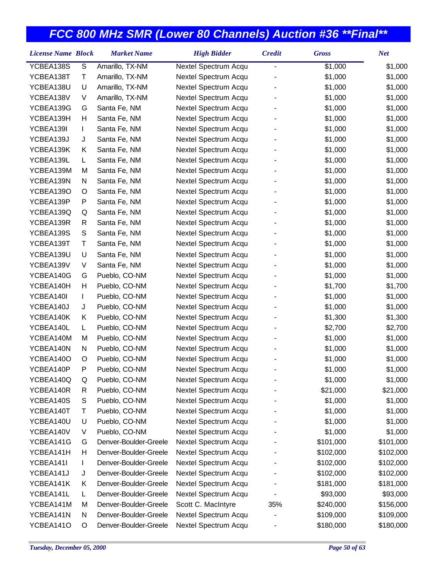| YCBEA138S<br>${\mathsf S}$<br>Amarillo, TX-NM<br>\$1,000<br>\$1,000<br>Nextel Spectrum Acqu<br>$\overline{a}$<br>YCBEA138T<br>Amarillo, TX-NM<br>Nextel Spectrum Acqu<br>\$1,000<br>\$1,000<br>Т<br>U<br>YCBEA138U<br>Amarillo, TX-NM<br>Nextel Spectrum Acqu<br>\$1,000<br>\$1,000<br>YCBEA138V<br>V<br>Amarillo, TX-NM<br>Nextel Spectrum Acqu<br>\$1,000<br>\$1,000<br>YCBEA139G<br>Santa Fe, NM<br>Nextel Spectrum Acqu<br>\$1,000<br>\$1,000<br>G<br>YCBEA139H<br>Н<br>Santa Fe, NM<br>Nextel Spectrum Acqu<br>\$1,000<br>\$1,000<br>\$1,000<br>YCBEA139I<br>Nextel Spectrum Acqu<br>\$1,000<br>L<br>Santa Fe, NM<br>Santa Fe, NM<br>Nextel Spectrum Acqu<br>\$1,000<br>\$1,000<br>YCBEA139J<br>J<br>YCBEA139K<br>Κ<br>Santa Fe, NM<br>Nextel Spectrum Acqu<br>\$1,000<br>\$1,000<br>YCBEA139L<br>Nextel Spectrum Acqu<br>\$1,000<br>\$1,000<br>L<br>Santa Fe, NM<br>YCBEA139M<br>Santa Fe, NM<br>\$1,000<br>\$1,000<br>M<br>Nextel Spectrum Acqu<br>YCBEA139N<br>N<br>Santa Fe, NM<br>Nextel Spectrum Acqu<br>\$1,000<br>\$1,000<br>YCBEA139O<br>Santa Fe, NM<br>Nextel Spectrum Acqu<br>\$1,000<br>\$1,000<br>O |
|------------------------------------------------------------------------------------------------------------------------------------------------------------------------------------------------------------------------------------------------------------------------------------------------------------------------------------------------------------------------------------------------------------------------------------------------------------------------------------------------------------------------------------------------------------------------------------------------------------------------------------------------------------------------------------------------------------------------------------------------------------------------------------------------------------------------------------------------------------------------------------------------------------------------------------------------------------------------------------------------------------------------------------------------------------------------------------------------------------------------|
|                                                                                                                                                                                                                                                                                                                                                                                                                                                                                                                                                                                                                                                                                                                                                                                                                                                                                                                                                                                                                                                                                                                        |
|                                                                                                                                                                                                                                                                                                                                                                                                                                                                                                                                                                                                                                                                                                                                                                                                                                                                                                                                                                                                                                                                                                                        |
|                                                                                                                                                                                                                                                                                                                                                                                                                                                                                                                                                                                                                                                                                                                                                                                                                                                                                                                                                                                                                                                                                                                        |
|                                                                                                                                                                                                                                                                                                                                                                                                                                                                                                                                                                                                                                                                                                                                                                                                                                                                                                                                                                                                                                                                                                                        |
|                                                                                                                                                                                                                                                                                                                                                                                                                                                                                                                                                                                                                                                                                                                                                                                                                                                                                                                                                                                                                                                                                                                        |
|                                                                                                                                                                                                                                                                                                                                                                                                                                                                                                                                                                                                                                                                                                                                                                                                                                                                                                                                                                                                                                                                                                                        |
|                                                                                                                                                                                                                                                                                                                                                                                                                                                                                                                                                                                                                                                                                                                                                                                                                                                                                                                                                                                                                                                                                                                        |
|                                                                                                                                                                                                                                                                                                                                                                                                                                                                                                                                                                                                                                                                                                                                                                                                                                                                                                                                                                                                                                                                                                                        |
|                                                                                                                                                                                                                                                                                                                                                                                                                                                                                                                                                                                                                                                                                                                                                                                                                                                                                                                                                                                                                                                                                                                        |
|                                                                                                                                                                                                                                                                                                                                                                                                                                                                                                                                                                                                                                                                                                                                                                                                                                                                                                                                                                                                                                                                                                                        |
|                                                                                                                                                                                                                                                                                                                                                                                                                                                                                                                                                                                                                                                                                                                                                                                                                                                                                                                                                                                                                                                                                                                        |
|                                                                                                                                                                                                                                                                                                                                                                                                                                                                                                                                                                                                                                                                                                                                                                                                                                                                                                                                                                                                                                                                                                                        |
|                                                                                                                                                                                                                                                                                                                                                                                                                                                                                                                                                                                                                                                                                                                                                                                                                                                                                                                                                                                                                                                                                                                        |
| YCBEA139P<br>P<br>Santa Fe, NM<br>Nextel Spectrum Acqu<br>\$1,000<br>\$1,000                                                                                                                                                                                                                                                                                                                                                                                                                                                                                                                                                                                                                                                                                                                                                                                                                                                                                                                                                                                                                                           |
| YCBEA139Q<br>Nextel Spectrum Acqu<br>\$1,000<br>\$1,000<br>Q<br>Santa Fe, NM                                                                                                                                                                                                                                                                                                                                                                                                                                                                                                                                                                                                                                                                                                                                                                                                                                                                                                                                                                                                                                           |
| Santa Fe, NM<br>Nextel Spectrum Acqu<br>\$1,000<br>\$1,000<br>YCBEA139R<br>R                                                                                                                                                                                                                                                                                                                                                                                                                                                                                                                                                                                                                                                                                                                                                                                                                                                                                                                                                                                                                                           |
| ${\mathsf S}$<br>YCBEA139S<br>Nextel Spectrum Acqu<br>\$1,000<br>\$1,000<br>Santa Fe, NM                                                                                                                                                                                                                                                                                                                                                                                                                                                                                                                                                                                                                                                                                                                                                                                                                                                                                                                                                                                                                               |
| \$1,000<br>\$1,000<br>YCBEA139T<br>Т<br>Santa Fe, NM<br>Nextel Spectrum Acqu                                                                                                                                                                                                                                                                                                                                                                                                                                                                                                                                                                                                                                                                                                                                                                                                                                                                                                                                                                                                                                           |
| YCBEA139U<br>U<br>Santa Fe, NM<br>Nextel Spectrum Acqu<br>\$1,000<br>\$1,000                                                                                                                                                                                                                                                                                                                                                                                                                                                                                                                                                                                                                                                                                                                                                                                                                                                                                                                                                                                                                                           |
| \$1,000<br>YCBEA139V<br>V<br>Santa Fe, NM<br>Nextel Spectrum Acqu<br>\$1,000                                                                                                                                                                                                                                                                                                                                                                                                                                                                                                                                                                                                                                                                                                                                                                                                                                                                                                                                                                                                                                           |
| YCBEA140G<br>Pueblo, CO-NM<br>Nextel Spectrum Acqu<br>\$1,000<br>\$1,000<br>G                                                                                                                                                                                                                                                                                                                                                                                                                                                                                                                                                                                                                                                                                                                                                                                                                                                                                                                                                                                                                                          |
| YCBEA140H<br>Н<br>Pueblo, CO-NM<br>Nextel Spectrum Acqu<br>\$1,700<br>\$1,700                                                                                                                                                                                                                                                                                                                                                                                                                                                                                                                                                                                                                                                                                                                                                                                                                                                                                                                                                                                                                                          |
| YCBEA140I<br>Pueblo, CO-NM<br>Nextel Spectrum Acqu<br>\$1,000<br>\$1,000<br>L                                                                                                                                                                                                                                                                                                                                                                                                                                                                                                                                                                                                                                                                                                                                                                                                                                                                                                                                                                                                                                          |
| Pueblo, CO-NM<br>Nextel Spectrum Acqu<br>\$1,000<br>\$1,000<br>YCBEA140J<br>J                                                                                                                                                                                                                                                                                                                                                                                                                                                                                                                                                                                                                                                                                                                                                                                                                                                                                                                                                                                                                                          |
| YCBEA140K<br>Pueblo, CO-NM<br>Nextel Spectrum Acqu<br>\$1,300<br>\$1,300<br>Κ                                                                                                                                                                                                                                                                                                                                                                                                                                                                                                                                                                                                                                                                                                                                                                                                                                                                                                                                                                                                                                          |
| YCBEA140L<br>Pueblo, CO-NM<br>Nextel Spectrum Acqu<br>\$2,700<br>\$2,700<br>L.                                                                                                                                                                                                                                                                                                                                                                                                                                                                                                                                                                                                                                                                                                                                                                                                                                                                                                                                                                                                                                         |
| YCBEA140M<br>Pueblo, CO-NM<br>Nextel Spectrum Acqu<br>\$1,000<br>\$1,000<br>M                                                                                                                                                                                                                                                                                                                                                                                                                                                                                                                                                                                                                                                                                                                                                                                                                                                                                                                                                                                                                                          |
| YCBEA140N<br>Pueblo, CO-NM<br>Nextel Spectrum Acqu<br>\$1,000<br>\$1,000<br>N                                                                                                                                                                                                                                                                                                                                                                                                                                                                                                                                                                                                                                                                                                                                                                                                                                                                                                                                                                                                                                          |
| Pueblo, CO-NM<br>Nextel Spectrum Acqu<br>\$1,000<br>\$1,000<br>YCBEA140O<br>O                                                                                                                                                                                                                                                                                                                                                                                                                                                                                                                                                                                                                                                                                                                                                                                                                                                                                                                                                                                                                                          |
| \$1,000<br>YCBEA140P<br>P<br>Pueblo, CO-NM<br>Nextel Spectrum Acqu<br>\$1,000                                                                                                                                                                                                                                                                                                                                                                                                                                                                                                                                                                                                                                                                                                                                                                                                                                                                                                                                                                                                                                          |
| YCBEA140Q<br>\$1,000<br>Pueblo, CO-NM<br>Nextel Spectrum Acqu<br>\$1,000<br>Q                                                                                                                                                                                                                                                                                                                                                                                                                                                                                                                                                                                                                                                                                                                                                                                                                                                                                                                                                                                                                                          |
| YCBEA140R<br>Pueblo, CO-NM<br>Nextel Spectrum Acqu<br>\$21,000<br>\$21,000<br>R                                                                                                                                                                                                                                                                                                                                                                                                                                                                                                                                                                                                                                                                                                                                                                                                                                                                                                                                                                                                                                        |
| S<br>Pueblo, CO-NM<br>Nextel Spectrum Acqu<br>YCBEA140S<br>\$1,000<br>\$1,000                                                                                                                                                                                                                                                                                                                                                                                                                                                                                                                                                                                                                                                                                                                                                                                                                                                                                                                                                                                                                                          |
| YCBEA140T<br>Pueblo, CO-NM<br>Nextel Spectrum Acqu<br>\$1,000<br>т<br>\$1,000                                                                                                                                                                                                                                                                                                                                                                                                                                                                                                                                                                                                                                                                                                                                                                                                                                                                                                                                                                                                                                          |
| YCBEA140U<br>Pueblo, CO-NM<br>Nextel Spectrum Acqu<br>U<br>\$1,000<br>\$1,000                                                                                                                                                                                                                                                                                                                                                                                                                                                                                                                                                                                                                                                                                                                                                                                                                                                                                                                                                                                                                                          |
| YCBEA140V<br>Pueblo, CO-NM<br>Nextel Spectrum Acqu<br>\$1,000<br>\$1,000<br>V                                                                                                                                                                                                                                                                                                                                                                                                                                                                                                                                                                                                                                                                                                                                                                                                                                                                                                                                                                                                                                          |
| Denver-Boulder-Greele<br>\$101,000<br>\$101,000<br>YCBEA141G<br>Nextel Spectrum Acqu<br>G                                                                                                                                                                                                                                                                                                                                                                                                                                                                                                                                                                                                                                                                                                                                                                                                                                                                                                                                                                                                                              |
| Denver-Boulder-Greele<br>Nextel Spectrum Acqu<br>YCBEA141H<br>н<br>\$102,000<br>\$102,000                                                                                                                                                                                                                                                                                                                                                                                                                                                                                                                                                                                                                                                                                                                                                                                                                                                                                                                                                                                                                              |
| YCBEA141I<br>Denver-Boulder-Greele<br>Nextel Spectrum Acqu<br>\$102,000<br>\$102,000<br>L                                                                                                                                                                                                                                                                                                                                                                                                                                                                                                                                                                                                                                                                                                                                                                                                                                                                                                                                                                                                                              |
| YCBEA141J<br>Denver-Boulder-Greele<br>Nextel Spectrum Acqu<br>\$102,000<br>\$102,000<br>J                                                                                                                                                                                                                                                                                                                                                                                                                                                                                                                                                                                                                                                                                                                                                                                                                                                                                                                                                                                                                              |
| YCBEA141K<br>Denver-Boulder-Greele<br>Nextel Spectrum Acqu<br>\$181,000<br>\$181,000<br>Κ                                                                                                                                                                                                                                                                                                                                                                                                                                                                                                                                                                                                                                                                                                                                                                                                                                                                                                                                                                                                                              |
| YCBEA141L<br>Denver-Boulder-Greele<br>Nextel Spectrum Acqu<br>\$93,000<br>\$93,000<br>L                                                                                                                                                                                                                                                                                                                                                                                                                                                                                                                                                                                                                                                                                                                                                                                                                                                                                                                                                                                                                                |
| YCBEA141M<br>Denver-Boulder-Greele<br>Scott C. MacIntyre<br>35%<br>\$240,000<br>M<br>\$156,000                                                                                                                                                                                                                                                                                                                                                                                                                                                                                                                                                                                                                                                                                                                                                                                                                                                                                                                                                                                                                         |
| YCBEA141N<br>Denver-Boulder-Greele<br>Nextel Spectrum Acqu<br>N<br>\$109,000<br>\$109,000                                                                                                                                                                                                                                                                                                                                                                                                                                                                                                                                                                                                                                                                                                                                                                                                                                                                                                                                                                                                                              |
| Denver-Boulder-Greele<br>Nextel Spectrum Acqu<br>YCBEA141O<br>\$180,000<br>\$180,000<br>O                                                                                                                                                                                                                                                                                                                                                                                                                                                                                                                                                                                                                                                                                                                                                                                                                                                                                                                                                                                                                              |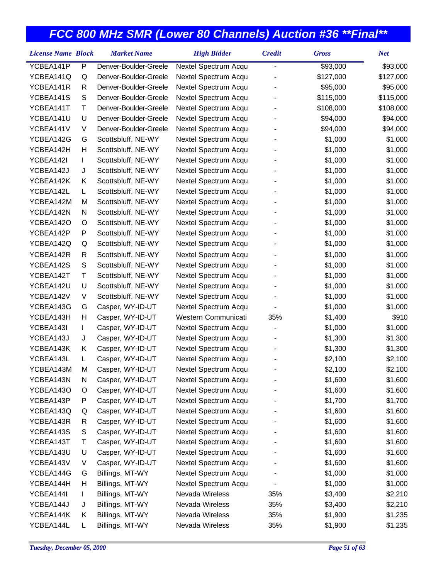| <b>License Name Block</b> |   | <b>Market Name</b>    | <b>High Bidder</b>   | <b>Credit</b>  | <b>Gross</b> | <b>Net</b> |
|---------------------------|---|-----------------------|----------------------|----------------|--------------|------------|
| YCBEA141P                 | P | Denver-Boulder-Greele | Nextel Spectrum Acqu | $\overline{a}$ | \$93,000     | \$93,000   |
| YCBEA141Q                 | Q | Denver-Boulder-Greele | Nextel Spectrum Acqu |                | \$127,000    | \$127,000  |
| YCBEA141R                 | R | Denver-Boulder-Greele | Nextel Spectrum Acqu |                | \$95,000     | \$95,000   |
| YCBEA141S                 | S | Denver-Boulder-Greele | Nextel Spectrum Acqu |                | \$115,000    | \$115,000  |
| YCBEA141T                 | Τ | Denver-Boulder-Greele | Nextel Spectrum Acqu |                | \$108,000    | \$108,000  |
| YCBEA141U                 | U | Denver-Boulder-Greele | Nextel Spectrum Acqu |                | \$94,000     | \$94,000   |
| YCBEA141V                 | V | Denver-Boulder-Greele | Nextel Spectrum Acqu |                | \$94,000     | \$94,000   |
| YCBEA142G                 | G | Scottsbluff, NE-WY    | Nextel Spectrum Acqu |                | \$1,000      | \$1,000    |
| YCBEA142H                 | Н | Scottsbluff, NE-WY    | Nextel Spectrum Acqu |                | \$1,000      | \$1,000    |
| YCBEA142I                 | L | Scottsbluff, NE-WY    | Nextel Spectrum Acqu |                | \$1,000      | \$1,000    |
| YCBEA142J                 | J | Scottsbluff, NE-WY    | Nextel Spectrum Acqu |                | \$1,000      | \$1,000    |
| YCBEA142K                 | Κ | Scottsbluff, NE-WY    | Nextel Spectrum Acqu |                | \$1,000      | \$1,000    |
| YCBEA142L                 | L | Scottsbluff, NE-WY    | Nextel Spectrum Acqu |                | \$1,000      | \$1,000    |
| YCBEA142M                 | M | Scottsbluff, NE-WY    | Nextel Spectrum Acqu |                | \$1,000      | \$1,000    |
| YCBEA142N                 | N | Scottsbluff, NE-WY    | Nextel Spectrum Acqu |                | \$1,000      | \$1,000    |
| YCBEA142O                 | O | Scottsbluff, NE-WY    | Nextel Spectrum Acqu |                | \$1,000      | \$1,000    |
| YCBEA142P                 | P | Scottsbluff, NE-WY    | Nextel Spectrum Acqu |                | \$1,000      | \$1,000    |
| YCBEA142Q                 | Q | Scottsbluff, NE-WY    | Nextel Spectrum Acqu |                | \$1,000      | \$1,000    |
| YCBEA142R                 | R | Scottsbluff, NE-WY    | Nextel Spectrum Acqu |                | \$1,000      | \$1,000    |
| YCBEA142S                 | S | Scottsbluff, NE-WY    | Nextel Spectrum Acqu |                | \$1,000      | \$1,000    |
| YCBEA142T                 | Τ | Scottsbluff, NE-WY    | Nextel Spectrum Acqu |                | \$1,000      | \$1,000    |
| YCBEA142U                 | U | Scottsbluff, NE-WY    | Nextel Spectrum Acqu |                | \$1,000      | \$1,000    |
| YCBEA142V                 | V | Scottsbluff, NE-WY    | Nextel Spectrum Acqu |                | \$1,000      | \$1,000    |
| YCBEA143G                 | G | Casper, WY-ID-UT      | Nextel Spectrum Acqu |                | \$1,000      | \$1,000    |
| YCBEA143H                 | Н | Casper, WY-ID-UT      | Western Communicati  | 35%            | \$1,400      | \$910      |
| YCBEA143I                 | L | Casper, WY-ID-UT      | Nextel Spectrum Acqu |                | \$1,000      | \$1,000    |
| YCBEA143J                 | J | Casper, WY-ID-UT      | Nextel Spectrum Acqu |                | \$1,300      | \$1,300    |
| YCBEA143K                 | Κ | Casper, WY-ID-UT      | Nextel Spectrum Acqu |                | \$1,300      | \$1,300    |
| YCBEA143L                 | L | Casper, WY-ID-UT      | Nextel Spectrum Acqu |                | \$2,100      | \$2,100    |
| YCBEA143M                 | M | Casper, WY-ID-UT      | Nextel Spectrum Acqu |                | \$2,100      | \$2,100    |
| YCBEA143N                 | N | Casper, WY-ID-UT      | Nextel Spectrum Acqu |                | \$1,600      | \$1,600    |
| YCBEA143O                 | O | Casper, WY-ID-UT      | Nextel Spectrum Acqu |                | \$1,600      | \$1,600    |
| YCBEA143P                 | P | Casper, WY-ID-UT      | Nextel Spectrum Acqu |                | \$1,700      | \$1,700    |
| YCBEA143Q                 | Q | Casper, WY-ID-UT      | Nextel Spectrum Acqu |                | \$1,600      | \$1,600    |
| YCBEA143R                 | R | Casper, WY-ID-UT      | Nextel Spectrum Acqu |                | \$1,600      | \$1,600    |
| YCBEA143S                 | S | Casper, WY-ID-UT      | Nextel Spectrum Acqu |                | \$1,600      | \$1,600    |
| YCBEA143T                 | Т | Casper, WY-ID-UT      | Nextel Spectrum Acqu |                | \$1,600      | \$1,600    |
| YCBEA143U                 | U | Casper, WY-ID-UT      | Nextel Spectrum Acqu |                | \$1,600      | \$1,600    |
| YCBEA143V                 | V | Casper, WY-ID-UT      | Nextel Spectrum Acqu |                | \$1,600      | \$1,600    |
| YCBEA144G                 | G | Billings, MT-WY       | Nextel Spectrum Acqu |                | \$1,000      | \$1,000    |
| YCBEA144H                 | н | Billings, MT-WY       | Nextel Spectrum Acqu |                | \$1,000      | \$1,000    |
| YCBEA144I                 | L | Billings, MT-WY       | Nevada Wireless      | 35%            | \$3,400      | \$2,210    |
| YCBEA144J                 | J | Billings, MT-WY       | Nevada Wireless      | 35%            | \$3,400      | \$2,210    |
| YCBEA144K                 | Κ | Billings, MT-WY       | Nevada Wireless      | 35%            | \$1,900      | \$1,235    |
| YCBEA144L                 | L | Billings, MT-WY       | Nevada Wireless      | 35%            | \$1,900      | \$1,235    |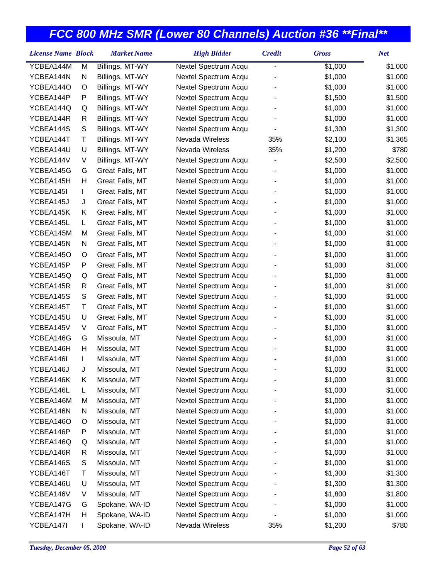| <b>License Name Block</b> |              | <b>Market Name</b> | <b>High Bidder</b>   | <b>Credit</b>  | <b>Gross</b> | <b>Net</b> |
|---------------------------|--------------|--------------------|----------------------|----------------|--------------|------------|
| YCBEA144M                 | M            | Billings, MT-WY    | Nextel Spectrum Acqu | $\overline{a}$ | \$1,000      | \$1,000    |
| YCBEA144N                 | N            | Billings, MT-WY    | Nextel Spectrum Acqu |                | \$1,000      | \$1,000    |
| YCBEA144O                 | O            | Billings, MT-WY    | Nextel Spectrum Acqu |                | \$1,000      | \$1,000    |
| YCBEA144P                 | P            | Billings, MT-WY    | Nextel Spectrum Acqu |                | \$1,500      | \$1,500    |
| YCBEA144Q                 | Q            | Billings, MT-WY    | Nextel Spectrum Acqu |                | \$1,000      | \$1,000    |
| YCBEA144R                 | R            | Billings, MT-WY    | Nextel Spectrum Acqu |                | \$1,000      | \$1,000    |
| YCBEA144S                 | S            | Billings, MT-WY    | Nextel Spectrum Acqu |                | \$1,300      | \$1,300    |
| YCBEA144T                 | Т            | Billings, MT-WY    | Nevada Wireless      | 35%            | \$2,100      | \$1,365    |
| YCBEA144U                 | U            | Billings, MT-WY    | Nevada Wireless      | 35%            | \$1,200      | \$780      |
| YCBEA144V                 | V            | Billings, MT-WY    | Nextel Spectrum Acqu |                | \$2,500      | \$2,500    |
| YCBEA145G                 | G            | Great Falls, MT    | Nextel Spectrum Acqu |                | \$1,000      | \$1,000    |
| YCBEA145H                 | Н            | Great Falls, MT    | Nextel Spectrum Acqu |                | \$1,000      | \$1,000    |
| YCBEA145I                 | $\mathbf{I}$ | Great Falls, MT    | Nextel Spectrum Acqu |                | \$1,000      | \$1,000    |
| YCBEA145J                 | J            | Great Falls, MT    | Nextel Spectrum Acqu |                | \$1,000      | \$1,000    |
| YCBEA145K                 | Κ            | Great Falls, MT    | Nextel Spectrum Acqu |                | \$1,000      | \$1,000    |
| YCBEA145L                 | L            | Great Falls, MT    | Nextel Spectrum Acqu |                | \$1,000      | \$1,000    |
| YCBEA145M                 | M            | Great Falls, MT    | Nextel Spectrum Acqu |                | \$1,000      | \$1,000    |
| YCBEA145N                 | N            | Great Falls, MT    | Nextel Spectrum Acqu |                | \$1,000      | \$1,000    |
| YCBEA145O                 | O            | Great Falls, MT    | Nextel Spectrum Acqu |                | \$1,000      | \$1,000    |
| YCBEA145P                 | P            | Great Falls, MT    | Nextel Spectrum Acqu |                | \$1,000      | \$1,000    |
| YCBEA145Q                 | Q            | Great Falls, MT    | Nextel Spectrum Acqu |                | \$1,000      | \$1,000    |
| YCBEA145R                 | R            | Great Falls, MT    | Nextel Spectrum Acqu |                | \$1,000      | \$1,000    |
| YCBEA145S                 | $\mathsf S$  | Great Falls, MT    | Nextel Spectrum Acqu |                | \$1,000      | \$1,000    |
| YCBEA145T                 | Τ            | Great Falls, MT    | Nextel Spectrum Acqu |                | \$1,000      | \$1,000    |
| YCBEA145U                 | U            | Great Falls, MT    | Nextel Spectrum Acqu |                | \$1,000      | \$1,000    |
| YCBEA145V                 | V            | Great Falls, MT    | Nextel Spectrum Acqu |                | \$1,000      | \$1,000    |
| YCBEA146G                 | G            | Missoula, MT       | Nextel Spectrum Acqu |                | \$1,000      | \$1,000    |
| YCBEA146H                 | Н            | Missoula, MT       | Nextel Spectrum Acqu |                | \$1,000      | \$1,000    |
| YCBEA146I                 | I.           | Missoula, MT       | Nextel Spectrum Acqu |                | \$1,000      | \$1,000    |
| YCBEA146J                 | J            | Missoula, MT       | Nextel Spectrum Acqu |                | \$1,000      | \$1,000    |
| YCBEA146K                 | Κ            | Missoula, MT       | Nextel Spectrum Acqu |                | \$1,000      | \$1,000    |
| YCBEA146L                 | L            | Missoula, MT       | Nextel Spectrum Acqu |                | \$1,000      | \$1,000    |
| YCBEA146M                 | M            | Missoula, MT       | Nextel Spectrum Acqu |                | \$1,000      | \$1,000    |
| YCBEA146N                 | N            | Missoula, MT       | Nextel Spectrum Acqu |                | \$1,000      | \$1,000    |
| YCBEA146O                 | O            | Missoula, MT       | Nextel Spectrum Acqu |                | \$1,000      | \$1,000    |
| YCBEA146P                 | P            | Missoula, MT       | Nextel Spectrum Acqu |                | \$1,000      | \$1,000    |
| YCBEA146Q                 | Q            | Missoula, MT       | Nextel Spectrum Acqu |                | \$1,000      | \$1,000    |
| YCBEA146R                 | R            | Missoula, MT       | Nextel Spectrum Acqu |                | \$1,000      | \$1,000    |
| YCBEA146S                 | S            | Missoula, MT       | Nextel Spectrum Acqu |                | \$1,000      | \$1,000    |
| YCBEA146T                 | Т            | Missoula, MT       | Nextel Spectrum Acqu |                | \$1,300      | \$1,300    |
| YCBEA146U                 | U            | Missoula, MT       | Nextel Spectrum Acqu |                | \$1,300      | \$1,300    |
| YCBEA146V                 | V            | Missoula, MT       | Nextel Spectrum Acqu |                | \$1,800      | \$1,800    |
| YCBEA147G                 | G            | Spokane, WA-ID     | Nextel Spectrum Acqu |                | \$1,000      | \$1,000    |
| YCBEA147H                 | н            | Spokane, WA-ID     | Nextel Spectrum Acqu |                | \$1,000      | \$1,000    |
| YCBEA147I                 |              | Spokane, WA-ID     | Nevada Wireless      | 35%            | \$1,200      | \$780      |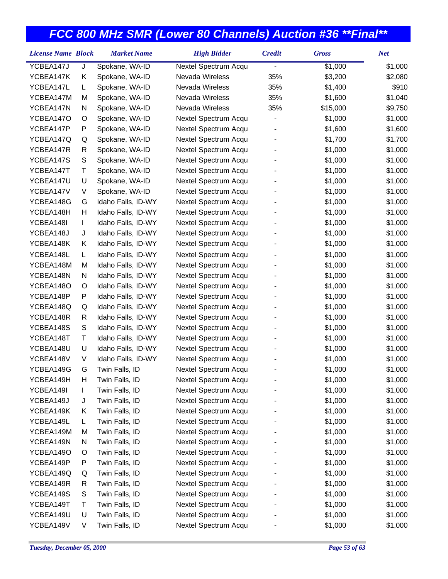| <b>License Name Block</b> |               | <b>Market Name</b> | <b>High Bidder</b>   | <b>Credit</b> | <b>Gross</b> | <b>Net</b> |
|---------------------------|---------------|--------------------|----------------------|---------------|--------------|------------|
| YCBEA147J                 | J             | Spokane, WA-ID     | Nextel Spectrum Acqu |               | \$1,000      | \$1,000    |
| YCBEA147K                 | Κ             | Spokane, WA-ID     | Nevada Wireless      | 35%           | \$3,200      | \$2,080    |
| YCBEA147L                 | L             | Spokane, WA-ID     | Nevada Wireless      | 35%           | \$1,400      | \$910      |
| YCBEA147M                 | M             | Spokane, WA-ID     | Nevada Wireless      | 35%           | \$1,600      | \$1,040    |
| YCBEA147N                 | N             | Spokane, WA-ID     | Nevada Wireless      | 35%           | \$15,000     | \$9,750    |
| YCBEA147O                 | O             | Spokane, WA-ID     | Nextel Spectrum Acqu |               | \$1,000      | \$1,000    |
| YCBEA147P                 | P             | Spokane, WA-ID     | Nextel Spectrum Acqu |               | \$1,600      | \$1,600    |
| YCBEA147Q                 | Q             | Spokane, WA-ID     | Nextel Spectrum Acqu |               | \$1,700      | \$1,700    |
| YCBEA147R                 | R             | Spokane, WA-ID     | Nextel Spectrum Acqu |               | \$1,000      | \$1,000    |
| YCBEA147S                 | S             | Spokane, WA-ID     | Nextel Spectrum Acqu |               | \$1,000      | \$1,000    |
| YCBEA147T                 | Т             | Spokane, WA-ID     | Nextel Spectrum Acqu |               | \$1,000      | \$1,000    |
| YCBEA147U                 | U             | Spokane, WA-ID     | Nextel Spectrum Acqu |               | \$1,000      | \$1,000    |
| YCBEA147V                 | V             | Spokane, WA-ID     | Nextel Spectrum Acqu |               | \$1,000      | \$1,000    |
| YCBEA148G                 | G             | Idaho Falls, ID-WY | Nextel Spectrum Acqu |               | \$1,000      | \$1,000    |
| YCBEA148H                 | Н             | Idaho Falls, ID-WY | Nextel Spectrum Acqu |               | \$1,000      | \$1,000    |
| YCBEA148I                 | L             | Idaho Falls, ID-WY | Nextel Spectrum Acqu |               | \$1,000      | \$1,000    |
| YCBEA148J                 | J             | Idaho Falls, ID-WY | Nextel Spectrum Acqu |               | \$1,000      | \$1,000    |
| YCBEA148K                 | Κ             | Idaho Falls, ID-WY | Nextel Spectrum Acqu |               | \$1,000      | \$1,000    |
| YCBEA148L                 | L.            | Idaho Falls, ID-WY | Nextel Spectrum Acqu |               | \$1,000      | \$1,000    |
| YCBEA148M                 | M             | Idaho Falls, ID-WY | Nextel Spectrum Acqu |               | \$1,000      | \$1,000    |
| YCBEA148N                 | N             | Idaho Falls, ID-WY | Nextel Spectrum Acqu |               | \$1,000      | \$1,000    |
| YCBEA148O                 | O             | Idaho Falls, ID-WY | Nextel Spectrum Acqu |               | \$1,000      | \$1,000    |
| YCBEA148P                 | P             | Idaho Falls, ID-WY | Nextel Spectrum Acqu |               | \$1,000      | \$1,000    |
| YCBEA148Q                 | Q             | Idaho Falls, ID-WY | Nextel Spectrum Acqu |               | \$1,000      | \$1,000    |
| YCBEA148R                 | R             | Idaho Falls, ID-WY | Nextel Spectrum Acqu |               | \$1,000      | \$1,000    |
| YCBEA148S                 | ${\mathsf S}$ | Idaho Falls, ID-WY | Nextel Spectrum Acqu |               | \$1,000      | \$1,000    |
| YCBEA148T                 | Τ             | Idaho Falls, ID-WY | Nextel Spectrum Acqu |               | \$1,000      | \$1,000    |
| YCBEA148U                 | U             | Idaho Falls, ID-WY | Nextel Spectrum Acqu |               | \$1,000      | \$1,000    |
| YCBEA148V                 | V             | Idaho Falls, ID-WY | Nextel Spectrum Acqu |               | \$1,000      | \$1,000    |
| YCBEA149G                 | G             | Twin Falls, ID     | Nextel Spectrum Acqu |               | \$1,000      | \$1,000    |
| YCBEA149H                 | H             | Twin Falls, ID     | Nextel Spectrum Acqu |               | \$1,000      | \$1,000    |
| YCBEA149I                 |               | Twin Falls, ID     | Nextel Spectrum Acqu |               | \$1,000      | \$1,000    |
| YCBEA149J                 | J             | Twin Falls, ID     | Nextel Spectrum Acqu |               | \$1,000      | \$1,000    |
| YCBEA149K                 | Κ             | Twin Falls, ID     | Nextel Spectrum Acqu |               | \$1,000      | \$1,000    |
| YCBEA149L                 | L             | Twin Falls, ID     | Nextel Spectrum Acqu |               | \$1,000      | \$1,000    |
| YCBEA149M                 | M             | Twin Falls, ID     | Nextel Spectrum Acqu |               | \$1,000      | \$1,000    |
| YCBEA149N                 | N             | Twin Falls, ID     | Nextel Spectrum Acqu |               | \$1,000      | \$1,000    |
| YCBEA149O                 | O             | Twin Falls, ID     | Nextel Spectrum Acqu |               | \$1,000      | \$1,000    |
| YCBEA149P                 | P             | Twin Falls, ID     | Nextel Spectrum Acqu |               | \$1,000      | \$1,000    |
| YCBEA149Q                 | Q             | Twin Falls, ID     | Nextel Spectrum Acqu |               | \$1,000      | \$1,000    |
| YCBEA149R                 | R             | Twin Falls, ID     | Nextel Spectrum Acqu |               | \$1,000      | \$1,000    |
| YCBEA149S                 | S             | Twin Falls, ID     | Nextel Spectrum Acqu |               | \$1,000      | \$1,000    |
| YCBEA149T                 | т             | Twin Falls, ID     | Nextel Spectrum Acqu |               | \$1,000      | \$1,000    |
| YCBEA149U                 | U             | Twin Falls, ID     | Nextel Spectrum Acqu |               | \$1,000      | \$1,000    |
| YCBEA149V                 | V             | Twin Falls, ID     | Nextel Spectrum Acqu |               | \$1,000      | \$1,000    |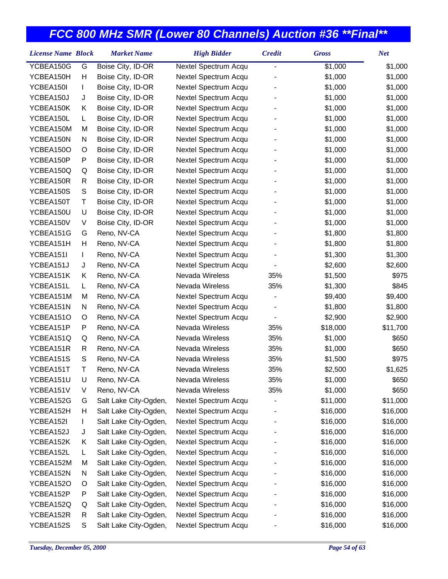| <b>License Name Block</b> |    | <b>Market Name</b>    | <b>High Bidder</b>   | <b>Credit</b>            | <b>Gross</b> | <b>Net</b> |
|---------------------------|----|-----------------------|----------------------|--------------------------|--------------|------------|
| YCBEA150G                 | G  | Boise City, ID-OR     | Nextel Spectrum Acqu | $\overline{a}$           | \$1,000      | \$1,000    |
| YCBEA150H                 | Н  | Boise City, ID-OR     | Nextel Spectrum Acqu |                          | \$1,000      | \$1,000    |
| YCBEA150I                 | L  | Boise City, ID-OR     | Nextel Spectrum Acqu |                          | \$1,000      | \$1,000    |
| YCBEA150J                 | J  | Boise City, ID-OR     | Nextel Spectrum Acqu |                          | \$1,000      | \$1,000    |
| YCBEA150K                 | Κ  | Boise City, ID-OR     | Nextel Spectrum Acqu |                          | \$1,000      | \$1,000    |
| YCBEA150L                 | L. | Boise City, ID-OR     | Nextel Spectrum Acqu |                          | \$1,000      | \$1,000    |
| YCBEA150M                 | M  | Boise City, ID-OR     | Nextel Spectrum Acqu |                          | \$1,000      | \$1,000    |
| YCBEA150N                 | N  | Boise City, ID-OR     | Nextel Spectrum Acqu |                          | \$1,000      | \$1,000    |
| YCBEA150O                 | O  | Boise City, ID-OR     | Nextel Spectrum Acqu |                          | \$1,000      | \$1,000    |
| YCBEA150P                 | P  | Boise City, ID-OR     | Nextel Spectrum Acqu |                          | \$1,000      | \$1,000    |
| YCBEA150Q                 | Q  | Boise City, ID-OR     | Nextel Spectrum Acqu |                          | \$1,000      | \$1,000    |
| YCBEA150R                 | R  | Boise City, ID-OR     | Nextel Spectrum Acqu |                          | \$1,000      | \$1,000    |
| YCBEA150S                 | S  | Boise City, ID-OR     | Nextel Spectrum Acqu |                          | \$1,000      | \$1,000    |
| YCBEA150T                 | T  | Boise City, ID-OR     | Nextel Spectrum Acqu |                          | \$1,000      | \$1,000    |
| YCBEA150U                 | U  | Boise City, ID-OR     | Nextel Spectrum Acqu |                          | \$1,000      | \$1,000    |
| YCBEA150V                 | V  | Boise City, ID-OR     | Nextel Spectrum Acqu |                          | \$1,000      | \$1,000    |
| YCBEA151G                 | G  | Reno, NV-CA           | Nextel Spectrum Acqu |                          | \$1,800      | \$1,800    |
| YCBEA151H                 | Н  | Reno, NV-CA           | Nextel Spectrum Acqu |                          | \$1,800      | \$1,800    |
| YCBEA151I                 | L  | Reno, NV-CA           | Nextel Spectrum Acqu |                          | \$1,300      | \$1,300    |
| YCBEA151J                 | J  | Reno, NV-CA           | Nextel Spectrum Acqu |                          | \$2,600      | \$2,600    |
| YCBEA151K                 | Κ  | Reno, NV-CA           | Nevada Wireless      | 35%                      | \$1,500      | \$975      |
| YCBEA151L                 | L. | Reno, NV-CA           | Nevada Wireless      | 35%                      | \$1,300      | \$845      |
| YCBEA151M                 | M  | Reno, NV-CA           | Nextel Spectrum Acqu |                          | \$9,400      | \$9,400    |
| YCBEA151N                 | N  | Reno, NV-CA           | Nextel Spectrum Acqu |                          | \$1,800      | \$1,800    |
| YCBEA151O                 | O  | Reno, NV-CA           | Nextel Spectrum Acqu | $\overline{\phantom{a}}$ | \$2,900      | \$2,900    |
| YCBEA151P                 | P  | Reno, NV-CA           | Nevada Wireless      | 35%                      | \$18,000     | \$11,700   |
| YCBEA151Q                 | Q  | Reno, NV-CA           | Nevada Wireless      | 35%                      | \$1,000      | \$650      |
| YCBEA151R                 | R  | Reno, NV-CA           | Nevada Wireless      | 35%                      | \$1,000      | \$650      |
| YCBEA151S                 | S  | Reno, NV-CA           | Nevada Wireless      | 35%                      | \$1,500      | \$975      |
| YCBEA151T                 | Τ  | Reno, NV-CA           | Nevada Wireless      | 35%                      | \$2,500      | \$1,625    |
| YCBEA151U                 | U  | Reno, NV-CA           | Nevada Wireless      | 35%                      | \$1,000      | \$650      |
| YCBEA151V                 | V  | Reno, NV-CA           | Nevada Wireless      | 35%                      | \$1,000      | \$650      |
| YCBEA152G                 | G  | Salt Lake City-Ogden, | Nextel Spectrum Acqu |                          | \$11,000     | \$11,000   |
| YCBEA152H                 | н  | Salt Lake City-Ogden, | Nextel Spectrum Acqu |                          | \$16,000     | \$16,000   |
| YCBEA152I                 |    | Salt Lake City-Ogden, | Nextel Spectrum Acqu |                          | \$16,000     | \$16,000   |
| YCBEA152J                 | J  | Salt Lake City-Ogden, | Nextel Spectrum Acqu |                          | \$16,000     | \$16,000   |
| YCBEA152K                 | Κ  | Salt Lake City-Ogden, | Nextel Spectrum Acqu |                          | \$16,000     | \$16,000   |
| YCBEA152L                 | L. | Salt Lake City-Ogden, | Nextel Spectrum Acqu |                          | \$16,000     | \$16,000   |
| YCBEA152M                 | M  | Salt Lake City-Ogden, | Nextel Spectrum Acqu |                          | \$16,000     | \$16,000   |
| YCBEA152N                 | N  | Salt Lake City-Ogden, | Nextel Spectrum Acqu |                          | \$16,000     | \$16,000   |
| YCBEA152O                 | O  | Salt Lake City-Ogden, | Nextel Spectrum Acqu |                          | \$16,000     | \$16,000   |
| YCBEA152P                 | P  | Salt Lake City-Ogden, | Nextel Spectrum Acqu |                          | \$16,000     | \$16,000   |
| YCBEA152Q                 | Q  | Salt Lake City-Ogden, | Nextel Spectrum Acqu |                          | \$16,000     | \$16,000   |
| YCBEA152R                 | R  | Salt Lake City-Ogden, | Nextel Spectrum Acqu |                          | \$16,000     | \$16,000   |
| YCBEA152S                 | S  | Salt Lake City-Ogden, | Nextel Spectrum Acqu |                          | \$16,000     | \$16,000   |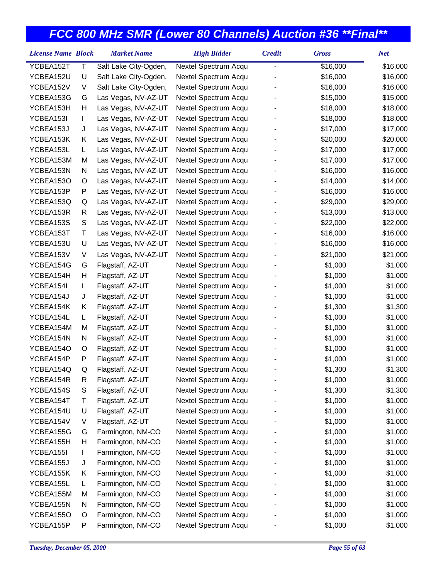| YCBEA152T<br>Τ<br>Salt Lake City-Ogden,<br>\$16,000<br>\$16,000<br>Nextel Spectrum Acqu<br>YCBEA152U<br>U<br>Salt Lake City-Ogden,<br>Nextel Spectrum Acqu<br>\$16,000<br>\$16,000<br>YCBEA152V<br>V<br>Salt Lake City-Ogden,<br>Nextel Spectrum Acqu<br>\$16,000<br>\$16,000<br>YCBEA153G<br>Las Vegas, NV-AZ-UT<br>Nextel Spectrum Acqu<br>\$15,000<br>\$15,000<br>G<br>YCBEA153H<br>Н<br>Las Vegas, NV-AZ-UT<br>Nextel Spectrum Acqu<br>\$18,000<br>\$18,000<br>YCBEA153I<br>Las Vegas, NV-AZ-UT<br>Nextel Spectrum Acqu<br>\$18,000<br>\$18,000<br>L |  |
|----------------------------------------------------------------------------------------------------------------------------------------------------------------------------------------------------------------------------------------------------------------------------------------------------------------------------------------------------------------------------------------------------------------------------------------------------------------------------------------------------------------------------------------------------------|--|
|                                                                                                                                                                                                                                                                                                                                                                                                                                                                                                                                                          |  |
|                                                                                                                                                                                                                                                                                                                                                                                                                                                                                                                                                          |  |
|                                                                                                                                                                                                                                                                                                                                                                                                                                                                                                                                                          |  |
|                                                                                                                                                                                                                                                                                                                                                                                                                                                                                                                                                          |  |
|                                                                                                                                                                                                                                                                                                                                                                                                                                                                                                                                                          |  |
|                                                                                                                                                                                                                                                                                                                                                                                                                                                                                                                                                          |  |
| YCBEA153J<br>Las Vegas, NV-AZ-UT<br>Nextel Spectrum Acqu<br>\$17,000<br>\$17,000<br>J                                                                                                                                                                                                                                                                                                                                                                                                                                                                    |  |
| Las Vegas, NV-AZ-UT<br>Nextel Spectrum Acqu<br>\$20,000<br>YCBEA153K<br>\$20,000<br>Κ                                                                                                                                                                                                                                                                                                                                                                                                                                                                    |  |
| YCBEA153L<br>Las Vegas, NV-AZ-UT<br>Nextel Spectrum Acqu<br>\$17,000<br>\$17,000<br>L.                                                                                                                                                                                                                                                                                                                                                                                                                                                                   |  |
| YCBEA153M<br>Las Vegas, NV-AZ-UT<br>Nextel Spectrum Acqu<br>\$17,000<br>M<br>\$17,000                                                                                                                                                                                                                                                                                                                                                                                                                                                                    |  |
| YCBEA153N<br>Las Vegas, NV-AZ-UT<br>Nextel Spectrum Acqu<br>\$16,000<br>\$16,000<br>N                                                                                                                                                                                                                                                                                                                                                                                                                                                                    |  |
| YCBEA153O<br>Las Vegas, NV-AZ-UT<br>Nextel Spectrum Acqu<br>\$14,000<br>O<br>\$14,000                                                                                                                                                                                                                                                                                                                                                                                                                                                                    |  |
| P<br>Las Vegas, NV-AZ-UT<br>Nextel Spectrum Acqu<br>\$16,000<br>YCBEA153P<br>\$16,000                                                                                                                                                                                                                                                                                                                                                                                                                                                                    |  |
| YCBEA153Q<br>Las Vegas, NV-AZ-UT<br>Nextel Spectrum Acqu<br>\$29,000<br>\$29,000<br>Q                                                                                                                                                                                                                                                                                                                                                                                                                                                                    |  |
| YCBEA153R<br>Nextel Spectrum Acqu<br>\$13,000<br>\$13,000<br>R<br>Las Vegas, NV-AZ-UT                                                                                                                                                                                                                                                                                                                                                                                                                                                                    |  |
| S<br>Las Vegas, NV-AZ-UT<br>Nextel Spectrum Acqu<br>YCBEA153S<br>\$22,000<br>\$22,000                                                                                                                                                                                                                                                                                                                                                                                                                                                                    |  |
| YCBEA153T<br>Τ<br>Las Vegas, NV-AZ-UT<br>Nextel Spectrum Acqu<br>\$16,000<br>\$16,000                                                                                                                                                                                                                                                                                                                                                                                                                                                                    |  |
| U<br>Las Vegas, NV-AZ-UT<br>Nextel Spectrum Acqu<br>\$16,000<br>YCBEA153U<br>\$16,000                                                                                                                                                                                                                                                                                                                                                                                                                                                                    |  |
| Las Vegas, NV-AZ-UT<br>YCBEA153V<br>V<br>Nextel Spectrum Acqu<br>\$21,000<br>\$21,000                                                                                                                                                                                                                                                                                                                                                                                                                                                                    |  |
| \$1,000<br>\$1,000<br>YCBEA154G<br>Flagstaff, AZ-UT<br>Nextel Spectrum Acqu<br>G                                                                                                                                                                                                                                                                                                                                                                                                                                                                         |  |
| YCBEA154H<br>Н<br>Flagstaff, AZ-UT<br>\$1,000<br>Nextel Spectrum Acqu<br>\$1,000                                                                                                                                                                                                                                                                                                                                                                                                                                                                         |  |
| YCBEA154I<br>Flagstaff, AZ-UT<br>Nextel Spectrum Acqu<br>\$1,000<br>L<br>\$1,000                                                                                                                                                                                                                                                                                                                                                                                                                                                                         |  |
| Flagstaff, AZ-UT<br>Nextel Spectrum Acqu<br>\$1,000<br>\$1,000<br>YCBEA154J<br>J                                                                                                                                                                                                                                                                                                                                                                                                                                                                         |  |
| YCBEA154K<br>Flagstaff, AZ-UT<br>Nextel Spectrum Acqu<br>\$1,300<br>\$1,300<br>Κ                                                                                                                                                                                                                                                                                                                                                                                                                                                                         |  |
| YCBEA154L<br>Flagstaff, AZ-UT<br>Nextel Spectrum Acqu<br>\$1,000<br>\$1,000<br>L.                                                                                                                                                                                                                                                                                                                                                                                                                                                                        |  |
| YCBEA154M<br>Flagstaff, AZ-UT<br>Nextel Spectrum Acqu<br>\$1,000<br>\$1,000<br>M                                                                                                                                                                                                                                                                                                                                                                                                                                                                         |  |
| Flagstaff, AZ-UT<br>Nextel Spectrum Acqu<br>\$1,000<br>\$1,000<br>YCBEA154N<br>N                                                                                                                                                                                                                                                                                                                                                                                                                                                                         |  |
| YCBEA154O<br>Nextel Spectrum Acqu<br>\$1,000<br>\$1,000<br>O<br>Flagstaff, AZ-UT                                                                                                                                                                                                                                                                                                                                                                                                                                                                         |  |
| P<br>Flagstaff, AZ-UT<br>Nextel Spectrum Acqu<br>\$1,000<br>\$1,000<br>YCBEA154P                                                                                                                                                                                                                                                                                                                                                                                                                                                                         |  |
| YCBEA154Q<br>Q<br>Flagstaff, AZ-UT<br>Nextel Spectrum Acqu<br>\$1,300<br>\$1,300                                                                                                                                                                                                                                                                                                                                                                                                                                                                         |  |
| YCBEA154R<br>Flagstaff, AZ-UT<br>Nextel Spectrum Acqu<br>\$1,000<br>\$1,000<br>R                                                                                                                                                                                                                                                                                                                                                                                                                                                                         |  |
| YCBEA154S<br>Flagstaff, AZ-UT<br>Nextel Spectrum Acqu<br>\$1,300<br>\$1,300<br>S                                                                                                                                                                                                                                                                                                                                                                                                                                                                         |  |
| Τ<br>Flagstaff, AZ-UT<br>Nextel Spectrum Acqu<br>\$1,000<br>YCBEA154T<br>\$1,000                                                                                                                                                                                                                                                                                                                                                                                                                                                                         |  |
| U<br>Nextel Spectrum Acqu<br>\$1,000<br>YCBEA154U<br>Flagstaff, AZ-UT<br>\$1,000                                                                                                                                                                                                                                                                                                                                                                                                                                                                         |  |
| YCBEA154V<br>Flagstaff, AZ-UT<br>Nextel Spectrum Acqu<br>\$1,000<br>\$1,000<br>V                                                                                                                                                                                                                                                                                                                                                                                                                                                                         |  |
| YCBEA155G<br>Farmington, NM-CO<br>\$1,000<br>\$1,000<br>Nextel Spectrum Acqu<br>G                                                                                                                                                                                                                                                                                                                                                                                                                                                                        |  |
| Farmington, NM-CO<br>YCBEA155H<br>н<br>Nextel Spectrum Acqu<br>\$1,000<br>\$1,000                                                                                                                                                                                                                                                                                                                                                                                                                                                                        |  |
| YCBEA155I<br>Farmington, NM-CO<br>Nextel Spectrum Acqu<br>\$1,000<br>\$1,000<br>L                                                                                                                                                                                                                                                                                                                                                                                                                                                                        |  |
| Nextel Spectrum Acqu<br>\$1,000<br>\$1,000<br>YCBEA155J<br>Farmington, NM-CO<br>J                                                                                                                                                                                                                                                                                                                                                                                                                                                                        |  |
| Farmington, NM-CO<br>Nextel Spectrum Acqu<br>\$1,000<br>\$1,000<br>YCBEA155K<br>Κ                                                                                                                                                                                                                                                                                                                                                                                                                                                                        |  |
| YCBEA155L<br>Nextel Spectrum Acqu<br>Farmington, NM-CO<br>\$1,000<br>\$1,000<br>L                                                                                                                                                                                                                                                                                                                                                                                                                                                                        |  |
| YCBEA155M<br>Farmington, NM-CO<br>Nextel Spectrum Acqu<br>\$1,000<br>\$1,000<br>M                                                                                                                                                                                                                                                                                                                                                                                                                                                                        |  |
| Farmington, NM-CO<br>Nextel Spectrum Acqu<br>\$1,000<br>YCBEA155N<br>N<br>\$1,000                                                                                                                                                                                                                                                                                                                                                                                                                                                                        |  |
| YCBEA155O<br>Farmington, NM-CO<br>Nextel Spectrum Acqu<br>\$1,000<br>\$1,000<br>O                                                                                                                                                                                                                                                                                                                                                                                                                                                                        |  |
| YCBEA155P<br>Farmington, NM-CO<br>Nextel Spectrum Acqu<br>\$1,000<br>P<br>\$1,000                                                                                                                                                                                                                                                                                                                                                                                                                                                                        |  |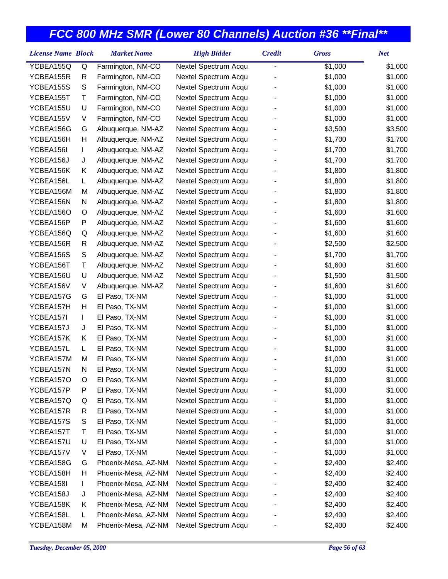| YCBEA155Q<br>Farmington, NM-CO<br>Nextel Spectrum Acqu<br>\$1,000<br>\$1,000<br>Q<br>-<br>YCBEA155R<br>Nextel Spectrum Acqu<br>\$1,000<br>\$1,000<br>R<br>Farmington, NM-CO<br>YCBEA155S<br>S<br>Farmington, NM-CO<br>Nextel Spectrum Acqu<br>\$1,000<br>\$1,000<br>Τ<br>YCBEA155T<br>Farmington, NM-CO<br>Nextel Spectrum Acqu<br>\$1,000<br>\$1,000<br>YCBEA155U<br>U<br>Nextel Spectrum Acqu<br>\$1,000<br>\$1,000<br>Farmington, NM-CO<br>YCBEA155V<br>V<br>Nextel Spectrum Acqu<br>\$1,000<br>\$1,000<br>Farmington, NM-CO<br>YCBEA156G<br>Nextel Spectrum Acqu<br>\$3,500<br>\$3,500<br>G<br>Albuquerque, NM-AZ<br>YCBEA156H<br>Η<br>Nextel Spectrum Acqu<br>\$1,700<br>Albuquerque, NM-AZ<br>\$1,700<br>YCBEA156I<br>Nextel Spectrum Acqu<br>\$1,700<br>\$1,700<br>Albuquerque, NM-AZ<br>L<br>YCBEA156J<br>Nextel Spectrum Acqu<br>\$1,700<br>\$1,700<br>J<br>Albuquerque, NM-AZ<br>Nextel Spectrum Acqu<br>\$1,800<br>YCBEA156K<br>Κ<br>Albuquerque, NM-AZ<br>\$1,800<br>YCBEA156L<br>Nextel Spectrum Acqu<br>\$1,800<br>\$1,800<br>Albuquerque, NM-AZ<br>L<br>YCBEA156M<br>М<br>Nextel Spectrum Acqu<br>\$1,800<br>\$1,800<br>Albuquerque, NM-AZ<br>Nextel Spectrum Acqu<br>\$1,800<br>\$1,800<br>YCBEA156N<br>N<br>Albuquerque, NM-AZ<br>YCBEA156O<br>Nextel Spectrum Acqu<br>\$1,600<br>\$1,600<br>O<br>Albuquerque, NM-AZ<br>P<br>Nextel Spectrum Acqu<br>\$1,600<br>\$1,600<br>YCBEA156P<br>Albuquerque, NM-AZ<br>Nextel Spectrum Acqu<br>\$1,600<br>\$1,600<br>YCBEA156Q<br>Q<br>Albuquerque, NM-AZ<br>YCBEA156R<br>R<br>Albuquerque, NM-AZ<br>Nextel Spectrum Acqu<br>\$2,500<br>\$2,500<br>S<br>YCBEA156S<br>Albuquerque, NM-AZ<br>Nextel Spectrum Acqu<br>\$1,700<br>\$1,700<br>YCBEA156T<br>Τ<br>Nextel Spectrum Acqu<br>\$1,600<br>\$1,600<br>Albuquerque, NM-AZ<br>YCBEA156U<br>U<br>Nextel Spectrum Acqu<br>\$1,500<br>\$1,500<br>Albuquerque, NM-AZ<br>V<br>Nextel Spectrum Acqu<br>\$1,600<br>\$1,600<br>YCBEA156V<br>Albuquerque, NM-AZ<br>YCBEA157G<br>Nextel Spectrum Acqu<br>\$1,000<br>\$1,000<br>G<br>El Paso, TX-NM<br>Н<br>El Paso, TX-NM<br>Nextel Spectrum Acqu<br>YCBEA157H<br>\$1,000<br>\$1,000<br>YCBEA157I<br>El Paso, TX-NM<br>Nextel Spectrum Acqu<br>\$1,000<br>\$1,000<br>L<br>Nextel Spectrum Acqu<br>\$1,000<br>\$1,000<br>YCBEA157J<br>J<br>El Paso, TX-NM<br>YCBEA157K<br>El Paso, TX-NM<br>Nextel Spectrum Acqu<br>\$1,000<br>\$1,000<br>Κ<br>YCBEA157L<br>El Paso, TX-NM<br>Nextel Spectrum Acqu<br>\$1,000<br>L<br>\$1,000<br>YCBEA157M<br>Nextel Spectrum Acqu<br>\$1,000<br>\$1,000<br>M<br>El Paso, TX-NM<br>\$1,000<br>YCBEA157N<br>Ν<br>El Paso, TX-NM<br>Nextel Spectrum Acqu<br>\$1,000<br>YCBEA157O<br>El Paso, TX-NM<br>Nextel Spectrum Acqu<br>\$1,000<br>\$1,000<br>O<br>YCBEA157P<br>El Paso, TX-NM<br>Nextel Spectrum Acqu<br>\$1,000<br>\$1,000<br>P<br>Nextel Spectrum Acqu<br>YCBEA157Q<br>El Paso, TX-NM<br>\$1,000<br>\$1,000<br>Q<br>Nextel Spectrum Acqu<br>\$1,000<br>YCBEA157R<br>R<br>El Paso, TX-NM<br>\$1,000<br>S<br>YCBEA157S<br>El Paso, TX-NM<br>Nextel Spectrum Acqu<br>\$1,000<br>\$1,000<br>YCBEA157T<br>Nextel Spectrum Acqu<br>Т<br>El Paso, TX-NM<br>\$1,000<br>\$1,000<br>YCBEA157U<br>U<br>El Paso, TX-NM<br>Nextel Spectrum Acqu<br>\$1,000<br>\$1,000<br>El Paso, TX-NM<br>Nextel Spectrum Acqu<br>YCBEA157V<br>V<br>\$1,000<br>\$1,000<br>YCBEA158G<br>Phoenix-Mesa, AZ-NM<br>Nextel Spectrum Acqu<br>\$2,400<br>\$2,400<br>G<br>YCBEA158H<br>Н<br>Phoenix-Mesa, AZ-NM<br>Nextel Spectrum Acqu<br>\$2,400<br>\$2,400<br>YCBEA158I<br>Phoenix-Mesa, AZ-NM<br>Nextel Spectrum Acqu<br>\$2,400<br>\$2,400<br>L<br>Phoenix-Mesa, AZ-NM<br>YCBEA158J<br>Nextel Spectrum Acqu<br>\$2,400<br>\$2,400<br>J<br>Nextel Spectrum Acqu<br>\$2,400<br>YCBEA158K<br>Phoenix-Mesa, AZ-NM<br>\$2,400<br>Κ | <b>License Name Block</b> | <b>Market Name</b> | <b>High Bidder</b> | <b>Credit</b> | <b>Gross</b> | <b>Net</b> |
|------------------------------------------------------------------------------------------------------------------------------------------------------------------------------------------------------------------------------------------------------------------------------------------------------------------------------------------------------------------------------------------------------------------------------------------------------------------------------------------------------------------------------------------------------------------------------------------------------------------------------------------------------------------------------------------------------------------------------------------------------------------------------------------------------------------------------------------------------------------------------------------------------------------------------------------------------------------------------------------------------------------------------------------------------------------------------------------------------------------------------------------------------------------------------------------------------------------------------------------------------------------------------------------------------------------------------------------------------------------------------------------------------------------------------------------------------------------------------------------------------------------------------------------------------------------------------------------------------------------------------------------------------------------------------------------------------------------------------------------------------------------------------------------------------------------------------------------------------------------------------------------------------------------------------------------------------------------------------------------------------------------------------------------------------------------------------------------------------------------------------------------------------------------------------------------------------------------------------------------------------------------------------------------------------------------------------------------------------------------------------------------------------------------------------------------------------------------------------------------------------------------------------------------------------------------------------------------------------------------------------------------------------------------------------------------------------------------------------------------------------------------------------------------------------------------------------------------------------------------------------------------------------------------------------------------------------------------------------------------------------------------------------------------------------------------------------------------------------------------------------------------------------------------------------------------------------------------------------------------------------------------------------------------------------------------------------------------------------------------------------------------------------------------------------------------------------------------------------------------------------------------------------------------------------------------------------------------------------------------------------------------------------------------------------------------------------------------------------------------------------------------------------------|---------------------------|--------------------|--------------------|---------------|--------------|------------|
|                                                                                                                                                                                                                                                                                                                                                                                                                                                                                                                                                                                                                                                                                                                                                                                                                                                                                                                                                                                                                                                                                                                                                                                                                                                                                                                                                                                                                                                                                                                                                                                                                                                                                                                                                                                                                                                                                                                                                                                                                                                                                                                                                                                                                                                                                                                                                                                                                                                                                                                                                                                                                                                                                                                                                                                                                                                                                                                                                                                                                                                                                                                                                                                                                                                                                                                                                                                                                                                                                                                                                                                                                                                                                                                                                                                    |                           |                    |                    |               |              |            |
|                                                                                                                                                                                                                                                                                                                                                                                                                                                                                                                                                                                                                                                                                                                                                                                                                                                                                                                                                                                                                                                                                                                                                                                                                                                                                                                                                                                                                                                                                                                                                                                                                                                                                                                                                                                                                                                                                                                                                                                                                                                                                                                                                                                                                                                                                                                                                                                                                                                                                                                                                                                                                                                                                                                                                                                                                                                                                                                                                                                                                                                                                                                                                                                                                                                                                                                                                                                                                                                                                                                                                                                                                                                                                                                                                                                    |                           |                    |                    |               |              |            |
|                                                                                                                                                                                                                                                                                                                                                                                                                                                                                                                                                                                                                                                                                                                                                                                                                                                                                                                                                                                                                                                                                                                                                                                                                                                                                                                                                                                                                                                                                                                                                                                                                                                                                                                                                                                                                                                                                                                                                                                                                                                                                                                                                                                                                                                                                                                                                                                                                                                                                                                                                                                                                                                                                                                                                                                                                                                                                                                                                                                                                                                                                                                                                                                                                                                                                                                                                                                                                                                                                                                                                                                                                                                                                                                                                                                    |                           |                    |                    |               |              |            |
|                                                                                                                                                                                                                                                                                                                                                                                                                                                                                                                                                                                                                                                                                                                                                                                                                                                                                                                                                                                                                                                                                                                                                                                                                                                                                                                                                                                                                                                                                                                                                                                                                                                                                                                                                                                                                                                                                                                                                                                                                                                                                                                                                                                                                                                                                                                                                                                                                                                                                                                                                                                                                                                                                                                                                                                                                                                                                                                                                                                                                                                                                                                                                                                                                                                                                                                                                                                                                                                                                                                                                                                                                                                                                                                                                                                    |                           |                    |                    |               |              |            |
|                                                                                                                                                                                                                                                                                                                                                                                                                                                                                                                                                                                                                                                                                                                                                                                                                                                                                                                                                                                                                                                                                                                                                                                                                                                                                                                                                                                                                                                                                                                                                                                                                                                                                                                                                                                                                                                                                                                                                                                                                                                                                                                                                                                                                                                                                                                                                                                                                                                                                                                                                                                                                                                                                                                                                                                                                                                                                                                                                                                                                                                                                                                                                                                                                                                                                                                                                                                                                                                                                                                                                                                                                                                                                                                                                                                    |                           |                    |                    |               |              |            |
|                                                                                                                                                                                                                                                                                                                                                                                                                                                                                                                                                                                                                                                                                                                                                                                                                                                                                                                                                                                                                                                                                                                                                                                                                                                                                                                                                                                                                                                                                                                                                                                                                                                                                                                                                                                                                                                                                                                                                                                                                                                                                                                                                                                                                                                                                                                                                                                                                                                                                                                                                                                                                                                                                                                                                                                                                                                                                                                                                                                                                                                                                                                                                                                                                                                                                                                                                                                                                                                                                                                                                                                                                                                                                                                                                                                    |                           |                    |                    |               |              |            |
|                                                                                                                                                                                                                                                                                                                                                                                                                                                                                                                                                                                                                                                                                                                                                                                                                                                                                                                                                                                                                                                                                                                                                                                                                                                                                                                                                                                                                                                                                                                                                                                                                                                                                                                                                                                                                                                                                                                                                                                                                                                                                                                                                                                                                                                                                                                                                                                                                                                                                                                                                                                                                                                                                                                                                                                                                                                                                                                                                                                                                                                                                                                                                                                                                                                                                                                                                                                                                                                                                                                                                                                                                                                                                                                                                                                    |                           |                    |                    |               |              |            |
|                                                                                                                                                                                                                                                                                                                                                                                                                                                                                                                                                                                                                                                                                                                                                                                                                                                                                                                                                                                                                                                                                                                                                                                                                                                                                                                                                                                                                                                                                                                                                                                                                                                                                                                                                                                                                                                                                                                                                                                                                                                                                                                                                                                                                                                                                                                                                                                                                                                                                                                                                                                                                                                                                                                                                                                                                                                                                                                                                                                                                                                                                                                                                                                                                                                                                                                                                                                                                                                                                                                                                                                                                                                                                                                                                                                    |                           |                    |                    |               |              |            |
|                                                                                                                                                                                                                                                                                                                                                                                                                                                                                                                                                                                                                                                                                                                                                                                                                                                                                                                                                                                                                                                                                                                                                                                                                                                                                                                                                                                                                                                                                                                                                                                                                                                                                                                                                                                                                                                                                                                                                                                                                                                                                                                                                                                                                                                                                                                                                                                                                                                                                                                                                                                                                                                                                                                                                                                                                                                                                                                                                                                                                                                                                                                                                                                                                                                                                                                                                                                                                                                                                                                                                                                                                                                                                                                                                                                    |                           |                    |                    |               |              |            |
|                                                                                                                                                                                                                                                                                                                                                                                                                                                                                                                                                                                                                                                                                                                                                                                                                                                                                                                                                                                                                                                                                                                                                                                                                                                                                                                                                                                                                                                                                                                                                                                                                                                                                                                                                                                                                                                                                                                                                                                                                                                                                                                                                                                                                                                                                                                                                                                                                                                                                                                                                                                                                                                                                                                                                                                                                                                                                                                                                                                                                                                                                                                                                                                                                                                                                                                                                                                                                                                                                                                                                                                                                                                                                                                                                                                    |                           |                    |                    |               |              |            |
|                                                                                                                                                                                                                                                                                                                                                                                                                                                                                                                                                                                                                                                                                                                                                                                                                                                                                                                                                                                                                                                                                                                                                                                                                                                                                                                                                                                                                                                                                                                                                                                                                                                                                                                                                                                                                                                                                                                                                                                                                                                                                                                                                                                                                                                                                                                                                                                                                                                                                                                                                                                                                                                                                                                                                                                                                                                                                                                                                                                                                                                                                                                                                                                                                                                                                                                                                                                                                                                                                                                                                                                                                                                                                                                                                                                    |                           |                    |                    |               |              |            |
|                                                                                                                                                                                                                                                                                                                                                                                                                                                                                                                                                                                                                                                                                                                                                                                                                                                                                                                                                                                                                                                                                                                                                                                                                                                                                                                                                                                                                                                                                                                                                                                                                                                                                                                                                                                                                                                                                                                                                                                                                                                                                                                                                                                                                                                                                                                                                                                                                                                                                                                                                                                                                                                                                                                                                                                                                                                                                                                                                                                                                                                                                                                                                                                                                                                                                                                                                                                                                                                                                                                                                                                                                                                                                                                                                                                    |                           |                    |                    |               |              |            |
|                                                                                                                                                                                                                                                                                                                                                                                                                                                                                                                                                                                                                                                                                                                                                                                                                                                                                                                                                                                                                                                                                                                                                                                                                                                                                                                                                                                                                                                                                                                                                                                                                                                                                                                                                                                                                                                                                                                                                                                                                                                                                                                                                                                                                                                                                                                                                                                                                                                                                                                                                                                                                                                                                                                                                                                                                                                                                                                                                                                                                                                                                                                                                                                                                                                                                                                                                                                                                                                                                                                                                                                                                                                                                                                                                                                    |                           |                    |                    |               |              |            |
|                                                                                                                                                                                                                                                                                                                                                                                                                                                                                                                                                                                                                                                                                                                                                                                                                                                                                                                                                                                                                                                                                                                                                                                                                                                                                                                                                                                                                                                                                                                                                                                                                                                                                                                                                                                                                                                                                                                                                                                                                                                                                                                                                                                                                                                                                                                                                                                                                                                                                                                                                                                                                                                                                                                                                                                                                                                                                                                                                                                                                                                                                                                                                                                                                                                                                                                                                                                                                                                                                                                                                                                                                                                                                                                                                                                    |                           |                    |                    |               |              |            |
|                                                                                                                                                                                                                                                                                                                                                                                                                                                                                                                                                                                                                                                                                                                                                                                                                                                                                                                                                                                                                                                                                                                                                                                                                                                                                                                                                                                                                                                                                                                                                                                                                                                                                                                                                                                                                                                                                                                                                                                                                                                                                                                                                                                                                                                                                                                                                                                                                                                                                                                                                                                                                                                                                                                                                                                                                                                                                                                                                                                                                                                                                                                                                                                                                                                                                                                                                                                                                                                                                                                                                                                                                                                                                                                                                                                    |                           |                    |                    |               |              |            |
|                                                                                                                                                                                                                                                                                                                                                                                                                                                                                                                                                                                                                                                                                                                                                                                                                                                                                                                                                                                                                                                                                                                                                                                                                                                                                                                                                                                                                                                                                                                                                                                                                                                                                                                                                                                                                                                                                                                                                                                                                                                                                                                                                                                                                                                                                                                                                                                                                                                                                                                                                                                                                                                                                                                                                                                                                                                                                                                                                                                                                                                                                                                                                                                                                                                                                                                                                                                                                                                                                                                                                                                                                                                                                                                                                                                    |                           |                    |                    |               |              |            |
|                                                                                                                                                                                                                                                                                                                                                                                                                                                                                                                                                                                                                                                                                                                                                                                                                                                                                                                                                                                                                                                                                                                                                                                                                                                                                                                                                                                                                                                                                                                                                                                                                                                                                                                                                                                                                                                                                                                                                                                                                                                                                                                                                                                                                                                                                                                                                                                                                                                                                                                                                                                                                                                                                                                                                                                                                                                                                                                                                                                                                                                                                                                                                                                                                                                                                                                                                                                                                                                                                                                                                                                                                                                                                                                                                                                    |                           |                    |                    |               |              |            |
|                                                                                                                                                                                                                                                                                                                                                                                                                                                                                                                                                                                                                                                                                                                                                                                                                                                                                                                                                                                                                                                                                                                                                                                                                                                                                                                                                                                                                                                                                                                                                                                                                                                                                                                                                                                                                                                                                                                                                                                                                                                                                                                                                                                                                                                                                                                                                                                                                                                                                                                                                                                                                                                                                                                                                                                                                                                                                                                                                                                                                                                                                                                                                                                                                                                                                                                                                                                                                                                                                                                                                                                                                                                                                                                                                                                    |                           |                    |                    |               |              |            |
|                                                                                                                                                                                                                                                                                                                                                                                                                                                                                                                                                                                                                                                                                                                                                                                                                                                                                                                                                                                                                                                                                                                                                                                                                                                                                                                                                                                                                                                                                                                                                                                                                                                                                                                                                                                                                                                                                                                                                                                                                                                                                                                                                                                                                                                                                                                                                                                                                                                                                                                                                                                                                                                                                                                                                                                                                                                                                                                                                                                                                                                                                                                                                                                                                                                                                                                                                                                                                                                                                                                                                                                                                                                                                                                                                                                    |                           |                    |                    |               |              |            |
|                                                                                                                                                                                                                                                                                                                                                                                                                                                                                                                                                                                                                                                                                                                                                                                                                                                                                                                                                                                                                                                                                                                                                                                                                                                                                                                                                                                                                                                                                                                                                                                                                                                                                                                                                                                                                                                                                                                                                                                                                                                                                                                                                                                                                                                                                                                                                                                                                                                                                                                                                                                                                                                                                                                                                                                                                                                                                                                                                                                                                                                                                                                                                                                                                                                                                                                                                                                                                                                                                                                                                                                                                                                                                                                                                                                    |                           |                    |                    |               |              |            |
|                                                                                                                                                                                                                                                                                                                                                                                                                                                                                                                                                                                                                                                                                                                                                                                                                                                                                                                                                                                                                                                                                                                                                                                                                                                                                                                                                                                                                                                                                                                                                                                                                                                                                                                                                                                                                                                                                                                                                                                                                                                                                                                                                                                                                                                                                                                                                                                                                                                                                                                                                                                                                                                                                                                                                                                                                                                                                                                                                                                                                                                                                                                                                                                                                                                                                                                                                                                                                                                                                                                                                                                                                                                                                                                                                                                    |                           |                    |                    |               |              |            |
|                                                                                                                                                                                                                                                                                                                                                                                                                                                                                                                                                                                                                                                                                                                                                                                                                                                                                                                                                                                                                                                                                                                                                                                                                                                                                                                                                                                                                                                                                                                                                                                                                                                                                                                                                                                                                                                                                                                                                                                                                                                                                                                                                                                                                                                                                                                                                                                                                                                                                                                                                                                                                                                                                                                                                                                                                                                                                                                                                                                                                                                                                                                                                                                                                                                                                                                                                                                                                                                                                                                                                                                                                                                                                                                                                                                    |                           |                    |                    |               |              |            |
|                                                                                                                                                                                                                                                                                                                                                                                                                                                                                                                                                                                                                                                                                                                                                                                                                                                                                                                                                                                                                                                                                                                                                                                                                                                                                                                                                                                                                                                                                                                                                                                                                                                                                                                                                                                                                                                                                                                                                                                                                                                                                                                                                                                                                                                                                                                                                                                                                                                                                                                                                                                                                                                                                                                                                                                                                                                                                                                                                                                                                                                                                                                                                                                                                                                                                                                                                                                                                                                                                                                                                                                                                                                                                                                                                                                    |                           |                    |                    |               |              |            |
|                                                                                                                                                                                                                                                                                                                                                                                                                                                                                                                                                                                                                                                                                                                                                                                                                                                                                                                                                                                                                                                                                                                                                                                                                                                                                                                                                                                                                                                                                                                                                                                                                                                                                                                                                                                                                                                                                                                                                                                                                                                                                                                                                                                                                                                                                                                                                                                                                                                                                                                                                                                                                                                                                                                                                                                                                                                                                                                                                                                                                                                                                                                                                                                                                                                                                                                                                                                                                                                                                                                                                                                                                                                                                                                                                                                    |                           |                    |                    |               |              |            |
|                                                                                                                                                                                                                                                                                                                                                                                                                                                                                                                                                                                                                                                                                                                                                                                                                                                                                                                                                                                                                                                                                                                                                                                                                                                                                                                                                                                                                                                                                                                                                                                                                                                                                                                                                                                                                                                                                                                                                                                                                                                                                                                                                                                                                                                                                                                                                                                                                                                                                                                                                                                                                                                                                                                                                                                                                                                                                                                                                                                                                                                                                                                                                                                                                                                                                                                                                                                                                                                                                                                                                                                                                                                                                                                                                                                    |                           |                    |                    |               |              |            |
|                                                                                                                                                                                                                                                                                                                                                                                                                                                                                                                                                                                                                                                                                                                                                                                                                                                                                                                                                                                                                                                                                                                                                                                                                                                                                                                                                                                                                                                                                                                                                                                                                                                                                                                                                                                                                                                                                                                                                                                                                                                                                                                                                                                                                                                                                                                                                                                                                                                                                                                                                                                                                                                                                                                                                                                                                                                                                                                                                                                                                                                                                                                                                                                                                                                                                                                                                                                                                                                                                                                                                                                                                                                                                                                                                                                    |                           |                    |                    |               |              |            |
|                                                                                                                                                                                                                                                                                                                                                                                                                                                                                                                                                                                                                                                                                                                                                                                                                                                                                                                                                                                                                                                                                                                                                                                                                                                                                                                                                                                                                                                                                                                                                                                                                                                                                                                                                                                                                                                                                                                                                                                                                                                                                                                                                                                                                                                                                                                                                                                                                                                                                                                                                                                                                                                                                                                                                                                                                                                                                                                                                                                                                                                                                                                                                                                                                                                                                                                                                                                                                                                                                                                                                                                                                                                                                                                                                                                    |                           |                    |                    |               |              |            |
|                                                                                                                                                                                                                                                                                                                                                                                                                                                                                                                                                                                                                                                                                                                                                                                                                                                                                                                                                                                                                                                                                                                                                                                                                                                                                                                                                                                                                                                                                                                                                                                                                                                                                                                                                                                                                                                                                                                                                                                                                                                                                                                                                                                                                                                                                                                                                                                                                                                                                                                                                                                                                                                                                                                                                                                                                                                                                                                                                                                                                                                                                                                                                                                                                                                                                                                                                                                                                                                                                                                                                                                                                                                                                                                                                                                    |                           |                    |                    |               |              |            |
|                                                                                                                                                                                                                                                                                                                                                                                                                                                                                                                                                                                                                                                                                                                                                                                                                                                                                                                                                                                                                                                                                                                                                                                                                                                                                                                                                                                                                                                                                                                                                                                                                                                                                                                                                                                                                                                                                                                                                                                                                                                                                                                                                                                                                                                                                                                                                                                                                                                                                                                                                                                                                                                                                                                                                                                                                                                                                                                                                                                                                                                                                                                                                                                                                                                                                                                                                                                                                                                                                                                                                                                                                                                                                                                                                                                    |                           |                    |                    |               |              |            |
|                                                                                                                                                                                                                                                                                                                                                                                                                                                                                                                                                                                                                                                                                                                                                                                                                                                                                                                                                                                                                                                                                                                                                                                                                                                                                                                                                                                                                                                                                                                                                                                                                                                                                                                                                                                                                                                                                                                                                                                                                                                                                                                                                                                                                                                                                                                                                                                                                                                                                                                                                                                                                                                                                                                                                                                                                                                                                                                                                                                                                                                                                                                                                                                                                                                                                                                                                                                                                                                                                                                                                                                                                                                                                                                                                                                    |                           |                    |                    |               |              |            |
|                                                                                                                                                                                                                                                                                                                                                                                                                                                                                                                                                                                                                                                                                                                                                                                                                                                                                                                                                                                                                                                                                                                                                                                                                                                                                                                                                                                                                                                                                                                                                                                                                                                                                                                                                                                                                                                                                                                                                                                                                                                                                                                                                                                                                                                                                                                                                                                                                                                                                                                                                                                                                                                                                                                                                                                                                                                                                                                                                                                                                                                                                                                                                                                                                                                                                                                                                                                                                                                                                                                                                                                                                                                                                                                                                                                    |                           |                    |                    |               |              |            |
|                                                                                                                                                                                                                                                                                                                                                                                                                                                                                                                                                                                                                                                                                                                                                                                                                                                                                                                                                                                                                                                                                                                                                                                                                                                                                                                                                                                                                                                                                                                                                                                                                                                                                                                                                                                                                                                                                                                                                                                                                                                                                                                                                                                                                                                                                                                                                                                                                                                                                                                                                                                                                                                                                                                                                                                                                                                                                                                                                                                                                                                                                                                                                                                                                                                                                                                                                                                                                                                                                                                                                                                                                                                                                                                                                                                    |                           |                    |                    |               |              |            |
|                                                                                                                                                                                                                                                                                                                                                                                                                                                                                                                                                                                                                                                                                                                                                                                                                                                                                                                                                                                                                                                                                                                                                                                                                                                                                                                                                                                                                                                                                                                                                                                                                                                                                                                                                                                                                                                                                                                                                                                                                                                                                                                                                                                                                                                                                                                                                                                                                                                                                                                                                                                                                                                                                                                                                                                                                                                                                                                                                                                                                                                                                                                                                                                                                                                                                                                                                                                                                                                                                                                                                                                                                                                                                                                                                                                    |                           |                    |                    |               |              |            |
|                                                                                                                                                                                                                                                                                                                                                                                                                                                                                                                                                                                                                                                                                                                                                                                                                                                                                                                                                                                                                                                                                                                                                                                                                                                                                                                                                                                                                                                                                                                                                                                                                                                                                                                                                                                                                                                                                                                                                                                                                                                                                                                                                                                                                                                                                                                                                                                                                                                                                                                                                                                                                                                                                                                                                                                                                                                                                                                                                                                                                                                                                                                                                                                                                                                                                                                                                                                                                                                                                                                                                                                                                                                                                                                                                                                    |                           |                    |                    |               |              |            |
|                                                                                                                                                                                                                                                                                                                                                                                                                                                                                                                                                                                                                                                                                                                                                                                                                                                                                                                                                                                                                                                                                                                                                                                                                                                                                                                                                                                                                                                                                                                                                                                                                                                                                                                                                                                                                                                                                                                                                                                                                                                                                                                                                                                                                                                                                                                                                                                                                                                                                                                                                                                                                                                                                                                                                                                                                                                                                                                                                                                                                                                                                                                                                                                                                                                                                                                                                                                                                                                                                                                                                                                                                                                                                                                                                                                    |                           |                    |                    |               |              |            |
|                                                                                                                                                                                                                                                                                                                                                                                                                                                                                                                                                                                                                                                                                                                                                                                                                                                                                                                                                                                                                                                                                                                                                                                                                                                                                                                                                                                                                                                                                                                                                                                                                                                                                                                                                                                                                                                                                                                                                                                                                                                                                                                                                                                                                                                                                                                                                                                                                                                                                                                                                                                                                                                                                                                                                                                                                                                                                                                                                                                                                                                                                                                                                                                                                                                                                                                                                                                                                                                                                                                                                                                                                                                                                                                                                                                    |                           |                    |                    |               |              |            |
|                                                                                                                                                                                                                                                                                                                                                                                                                                                                                                                                                                                                                                                                                                                                                                                                                                                                                                                                                                                                                                                                                                                                                                                                                                                                                                                                                                                                                                                                                                                                                                                                                                                                                                                                                                                                                                                                                                                                                                                                                                                                                                                                                                                                                                                                                                                                                                                                                                                                                                                                                                                                                                                                                                                                                                                                                                                                                                                                                                                                                                                                                                                                                                                                                                                                                                                                                                                                                                                                                                                                                                                                                                                                                                                                                                                    |                           |                    |                    |               |              |            |
|                                                                                                                                                                                                                                                                                                                                                                                                                                                                                                                                                                                                                                                                                                                                                                                                                                                                                                                                                                                                                                                                                                                                                                                                                                                                                                                                                                                                                                                                                                                                                                                                                                                                                                                                                                                                                                                                                                                                                                                                                                                                                                                                                                                                                                                                                                                                                                                                                                                                                                                                                                                                                                                                                                                                                                                                                                                                                                                                                                                                                                                                                                                                                                                                                                                                                                                                                                                                                                                                                                                                                                                                                                                                                                                                                                                    |                           |                    |                    |               |              |            |
|                                                                                                                                                                                                                                                                                                                                                                                                                                                                                                                                                                                                                                                                                                                                                                                                                                                                                                                                                                                                                                                                                                                                                                                                                                                                                                                                                                                                                                                                                                                                                                                                                                                                                                                                                                                                                                                                                                                                                                                                                                                                                                                                                                                                                                                                                                                                                                                                                                                                                                                                                                                                                                                                                                                                                                                                                                                                                                                                                                                                                                                                                                                                                                                                                                                                                                                                                                                                                                                                                                                                                                                                                                                                                                                                                                                    |                           |                    |                    |               |              |            |
|                                                                                                                                                                                                                                                                                                                                                                                                                                                                                                                                                                                                                                                                                                                                                                                                                                                                                                                                                                                                                                                                                                                                                                                                                                                                                                                                                                                                                                                                                                                                                                                                                                                                                                                                                                                                                                                                                                                                                                                                                                                                                                                                                                                                                                                                                                                                                                                                                                                                                                                                                                                                                                                                                                                                                                                                                                                                                                                                                                                                                                                                                                                                                                                                                                                                                                                                                                                                                                                                                                                                                                                                                                                                                                                                                                                    |                           |                    |                    |               |              |            |
|                                                                                                                                                                                                                                                                                                                                                                                                                                                                                                                                                                                                                                                                                                                                                                                                                                                                                                                                                                                                                                                                                                                                                                                                                                                                                                                                                                                                                                                                                                                                                                                                                                                                                                                                                                                                                                                                                                                                                                                                                                                                                                                                                                                                                                                                                                                                                                                                                                                                                                                                                                                                                                                                                                                                                                                                                                                                                                                                                                                                                                                                                                                                                                                                                                                                                                                                                                                                                                                                                                                                                                                                                                                                                                                                                                                    |                           |                    |                    |               |              |            |
|                                                                                                                                                                                                                                                                                                                                                                                                                                                                                                                                                                                                                                                                                                                                                                                                                                                                                                                                                                                                                                                                                                                                                                                                                                                                                                                                                                                                                                                                                                                                                                                                                                                                                                                                                                                                                                                                                                                                                                                                                                                                                                                                                                                                                                                                                                                                                                                                                                                                                                                                                                                                                                                                                                                                                                                                                                                                                                                                                                                                                                                                                                                                                                                                                                                                                                                                                                                                                                                                                                                                                                                                                                                                                                                                                                                    |                           |                    |                    |               |              |            |
|                                                                                                                                                                                                                                                                                                                                                                                                                                                                                                                                                                                                                                                                                                                                                                                                                                                                                                                                                                                                                                                                                                                                                                                                                                                                                                                                                                                                                                                                                                                                                                                                                                                                                                                                                                                                                                                                                                                                                                                                                                                                                                                                                                                                                                                                                                                                                                                                                                                                                                                                                                                                                                                                                                                                                                                                                                                                                                                                                                                                                                                                                                                                                                                                                                                                                                                                                                                                                                                                                                                                                                                                                                                                                                                                                                                    |                           |                    |                    |               |              |            |
| Nextel Spectrum Acqu<br>YCBEA158L<br>Phoenix-Mesa, AZ-NM<br>\$2,400<br>\$2,400<br>L.                                                                                                                                                                                                                                                                                                                                                                                                                                                                                                                                                                                                                                                                                                                                                                                                                                                                                                                                                                                                                                                                                                                                                                                                                                                                                                                                                                                                                                                                                                                                                                                                                                                                                                                                                                                                                                                                                                                                                                                                                                                                                                                                                                                                                                                                                                                                                                                                                                                                                                                                                                                                                                                                                                                                                                                                                                                                                                                                                                                                                                                                                                                                                                                                                                                                                                                                                                                                                                                                                                                                                                                                                                                                                               |                           |                    |                    |               |              |            |
| Nextel Spectrum Acqu<br>YCBEA158M<br>Phoenix-Mesa, AZ-NM<br>\$2,400<br>\$2,400<br>M                                                                                                                                                                                                                                                                                                                                                                                                                                                                                                                                                                                                                                                                                                                                                                                                                                                                                                                                                                                                                                                                                                                                                                                                                                                                                                                                                                                                                                                                                                                                                                                                                                                                                                                                                                                                                                                                                                                                                                                                                                                                                                                                                                                                                                                                                                                                                                                                                                                                                                                                                                                                                                                                                                                                                                                                                                                                                                                                                                                                                                                                                                                                                                                                                                                                                                                                                                                                                                                                                                                                                                                                                                                                                                |                           |                    |                    |               |              |            |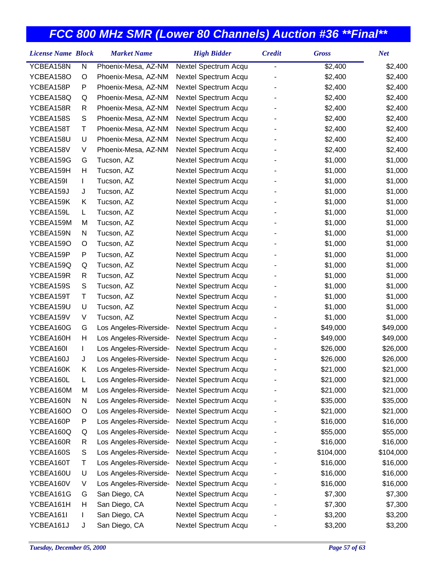| YCBEA158N<br>N<br>Phoenix-Mesa, AZ-NM<br>Nextel Spectrum Acqu<br>\$2,400<br>$\overline{\phantom{0}}$ | \$2,400   |
|------------------------------------------------------------------------------------------------------|-----------|
| YCBEA158O<br>Phoenix-Mesa, AZ-NM<br>Nextel Spectrum Acqu<br>\$2,400<br>O                             | \$2,400   |
| YCBEA158P<br>P<br>Phoenix-Mesa, AZ-NM<br>Nextel Spectrum Acqu<br>\$2,400                             | \$2,400   |
| YCBEA158Q<br>Phoenix-Mesa, AZ-NM<br>Nextel Spectrum Acqu<br>\$2,400<br>Q                             | \$2,400   |
| YCBEA158R<br>Phoenix-Mesa, AZ-NM<br>Nextel Spectrum Acqu<br>\$2,400<br>R                             | \$2,400   |
| S<br>YCBEA158S<br>Phoenix-Mesa, AZ-NM<br>Nextel Spectrum Acqu<br>\$2,400                             | \$2,400   |
| Τ<br>YCBEA158T<br>Phoenix-Mesa, AZ-NM<br>Nextel Spectrum Acqu<br>\$2,400                             | \$2,400   |
| YCBEA158U<br>U<br>Phoenix-Mesa, AZ-NM<br>Nextel Spectrum Acqu<br>\$2,400                             | \$2,400   |
| YCBEA158V<br>V<br>Phoenix-Mesa, AZ-NM<br>Nextel Spectrum Acqu<br>\$2,400                             | \$2,400   |
| \$1,000<br>YCBEA159G<br>Nextel Spectrum Acqu<br>G<br>Tucson, AZ                                      | \$1,000   |
| YCBEA159H<br>Н<br>Tucson, AZ<br>Nextel Spectrum Acqu<br>\$1,000                                      | \$1,000   |
| YCBEA159I<br>Tucson, AZ<br>Nextel Spectrum Acqu<br>\$1,000<br>L                                      | \$1,000   |
| YCBEA159J<br>Tucson, AZ<br>Nextel Spectrum Acqu<br>\$1,000<br>J                                      | \$1,000   |
| YCBEA159K<br>Κ<br>Tucson, AZ<br>Nextel Spectrum Acqu<br>\$1,000                                      | \$1,000   |
| YCBEA159L<br>Tucson, AZ<br>Nextel Spectrum Acqu<br>\$1,000<br>L                                      | \$1,000   |
| Nextel Spectrum Acqu<br>\$1,000<br>YCBEA159M<br>M<br>Tucson, AZ                                      | \$1,000   |
| YCBEA159N<br>Tucson, AZ<br>Nextel Spectrum Acqu<br>\$1,000<br>N                                      | \$1,000   |
| YCBEA159O<br>Nextel Spectrum Acqu<br>\$1,000<br>O<br>Tucson, AZ                                      | \$1,000   |
| YCBEA159P<br>P<br>Tucson, AZ<br>Nextel Spectrum Acqu<br>\$1,000                                      | \$1,000   |
| \$1,000<br>YCBEA159Q<br>Q<br>Tucson, AZ<br>Nextel Spectrum Acqu                                      | \$1,000   |
| YCBEA159R<br>Nextel Spectrum Acqu<br>\$1,000<br>R<br>Tucson, AZ                                      | \$1,000   |
| ${\mathsf S}$<br>YCBEA159S<br>Tucson, AZ<br>Nextel Spectrum Acqu<br>\$1,000                          | \$1,000   |
| Τ<br>Tucson, AZ<br>Nextel Spectrum Acqu<br>\$1,000<br>YCBEA159T                                      | \$1,000   |
| YCBEA159U<br>U<br>Tucson, AZ<br>Nextel Spectrum Acqu<br>\$1,000                                      | \$1,000   |
| YCBEA159V<br>V<br>Nextel Spectrum Acqu<br>\$1,000<br>Tucson, AZ                                      | \$1,000   |
| YCBEA160G<br>G<br>Nextel Spectrum Acqu<br>\$49,000<br>Los Angeles-Riverside-                         | \$49,000  |
| Н<br>YCBEA160H<br>Los Angeles-Riverside-<br>Nextel Spectrum Acqu<br>\$49,000                         | \$49,000  |
| YCBEA160I<br>Los Angeles-Riverside-<br>Nextel Spectrum Acqu<br>\$26,000<br>T.                        | \$26,000  |
| YCBEA160J<br>Los Angeles-Riverside-<br>Nextel Spectrum Acqu<br>\$26,000<br>J                         | \$26,000  |
| YCBEA160K<br>Κ<br>Nextel Spectrum Acqu<br>\$21,000<br>Los Angeles-Riverside-                         | \$21,000  |
| YCBEA160L<br>\$21,000<br>L<br>Nextel Spectrum Acqu<br>Los Angeles-Riverside-                         | \$21,000  |
| YCBEA160M<br>Nextel Spectrum Acqu<br>M<br>Los Angeles-Riverside-<br>\$21,000                         | \$21,000  |
| Los Angeles-Riverside-<br>Nextel Spectrum Acqu<br>YCBEA160N<br>N<br>\$35,000                         | \$35,000  |
| Nextel Spectrum Acqu<br>YCBEA160O<br>Los Angeles-Riverside-<br>\$21,000<br>O                         | \$21,000  |
| YCBEA160P<br>Nextel Spectrum Acqu<br>P<br>Los Angeles-Riverside-<br>\$16,000                         | \$16,000  |
| YCBEA160Q<br>Q<br>Los Angeles-Riverside-<br>Nextel Spectrum Acqu<br>\$55,000                         | \$55,000  |
| YCBEA160R<br>Los Angeles-Riverside-<br>Nextel Spectrum Acqu<br>\$16,000<br>R                         | \$16,000  |
| YCBEA160S<br>S<br>Los Angeles-Riverside-<br>Nextel Spectrum Acqu<br>\$104,000                        | \$104,000 |
| Los Angeles-Riverside-<br>Nextel Spectrum Acqu<br>YCBEA160T<br>Τ<br>\$16,000                         | \$16,000  |
| YCBEA160U<br>U<br>Los Angeles-Riverside-<br>Nextel Spectrum Acqu<br>\$16,000                         | \$16,000  |
| YCBEA160V<br>V<br>Los Angeles-Riverside-<br>Nextel Spectrum Acqu<br>\$16,000                         | \$16,000  |
| YCBEA161G<br>San Diego, CA<br>Nextel Spectrum Acqu<br>\$7,300<br>G                                   | \$7,300   |
| San Diego, CA<br>Nextel Spectrum Acqu<br>YCBEA161H<br>Н<br>\$7,300                                   | \$7,300   |
| San Diego, CA<br>YCBEA161I<br>Nextel Spectrum Acqu<br>\$3,200<br>L                                   | \$3,200   |
| YCBEA161J<br>San Diego, CA<br>Nextel Spectrum Acqu<br>\$3,200<br>J                                   | \$3,200   |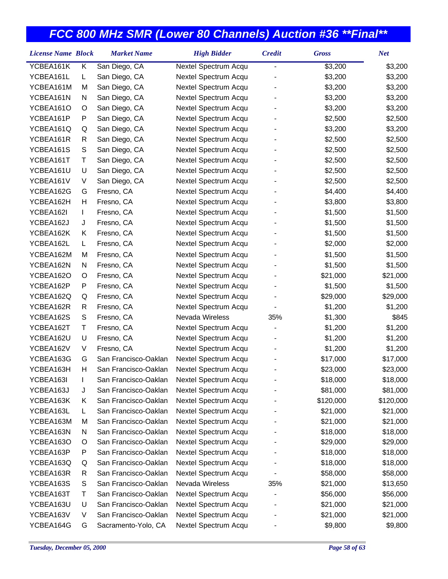| <b>License Name Block</b> |   | <b>Market Name</b>   | <b>High Bidder</b>     | <b>Credit</b> | <b>Gross</b> | <b>Net</b> |
|---------------------------|---|----------------------|------------------------|---------------|--------------|------------|
| YCBEA161K                 | Κ | San Diego, CA        | Nextel Spectrum Acqu   | -             | \$3,200      | \$3,200    |
| YCBEA161L                 | L | San Diego, CA        | Nextel Spectrum Acqu   |               | \$3,200      | \$3,200    |
| YCBEA161M                 | М | San Diego, CA        | Nextel Spectrum Acqu   |               | \$3,200      | \$3,200    |
| YCBEA161N                 | N | San Diego, CA        | Nextel Spectrum Acqu   |               | \$3,200      | \$3,200    |
| YCBEA161O                 | O | San Diego, CA        | Nextel Spectrum Acqu   |               | \$3,200      | \$3,200    |
| YCBEA161P                 | P | San Diego, CA        | Nextel Spectrum Acqu   |               | \$2,500      | \$2,500    |
| YCBEA161Q                 | Q | San Diego, CA        | Nextel Spectrum Acqu   |               | \$3,200      | \$3,200    |
| YCBEA161R                 | R | San Diego, CA        | Nextel Spectrum Acqu   |               | \$2,500      | \$2,500    |
| YCBEA161S                 | S | San Diego, CA        | Nextel Spectrum Acqu   |               | \$2,500      | \$2,500    |
| YCBEA161T                 | Τ | San Diego, CA        | Nextel Spectrum Acqu   |               | \$2,500      | \$2,500    |
| YCBEA161U                 | U | San Diego, CA        | Nextel Spectrum Acqu   |               | \$2,500      | \$2,500    |
| YCBEA161V                 | V | San Diego, CA        | Nextel Spectrum Acqu   |               | \$2,500      | \$2,500    |
| YCBEA162G                 | G | Fresno, CA           | Nextel Spectrum Acqu   |               | \$4,400      | \$4,400    |
| YCBEA162H                 | Н | Fresno, CA           | Nextel Spectrum Acqu   |               | \$3,800      | \$3,800    |
| YCBEA162I                 | L | Fresno, CA           | Nextel Spectrum Acqu   |               | \$1,500      | \$1,500    |
| YCBEA162J                 | J | Fresno, CA           | Nextel Spectrum Acqu   |               | \$1,500      | \$1,500    |
| YCBEA162K                 | Κ | Fresno, CA           | Nextel Spectrum Acqu   |               | \$1,500      | \$1,500    |
| YCBEA162L                 | L | Fresno, CA           | Nextel Spectrum Acqu   |               | \$2,000      | \$2,000    |
| YCBEA162M                 | М | Fresno, CA           | Nextel Spectrum Acqu   |               | \$1,500      | \$1,500    |
| YCBEA162N                 | N | Fresno, CA           | Nextel Spectrum Acqu   |               | \$1,500      | \$1,500    |
| YCBEA162O                 | O | Fresno, CA           | Nextel Spectrum Acqu   |               | \$21,000     | \$21,000   |
| YCBEA162P                 | P | Fresno, CA           | Nextel Spectrum Acqu   |               | \$1,500      | \$1,500    |
| YCBEA162Q                 | Q | Fresno, CA           | Nextel Spectrum Acqu   |               | \$29,000     | \$29,000   |
| YCBEA162R                 | R | Fresno, CA           | Nextel Spectrum Acqu   |               | \$1,200      | \$1,200    |
| YCBEA162S                 | S | Fresno, CA           | <b>Nevada Wireless</b> | 35%           | \$1,300      | \$845      |
| YCBEA162T                 | Т | Fresno, CA           | Nextel Spectrum Acqu   |               | \$1,200      | \$1,200    |
| YCBEA162U                 | U | Fresno, CA           | Nextel Spectrum Acqu   |               | \$1,200      | \$1,200    |
| YCBEA162V                 | V | Fresno, CA           | Nextel Spectrum Acqu   |               | \$1,200      | \$1,200    |
| YCBEA163G                 | G | San Francisco-Oaklan | Nextel Spectrum Acqu   |               | \$17,000     | \$17,000   |
| YCBEA163H                 | Н | San Francisco-Oaklan | Nextel Spectrum Acqu   |               | \$23,000     | \$23,000   |
| YCBEA163I                 |   | San Francisco-Oaklan | Nextel Spectrum Acqu   |               | \$18,000     | \$18,000   |
| YCBEA163J                 | J | San Francisco-Oaklan | Nextel Spectrum Acqu   |               | \$81,000     | \$81,000   |
| YCBEA163K                 | Κ | San Francisco-Oaklan | Nextel Spectrum Acqu   |               | \$120,000    | \$120,000  |
| YCBEA163L                 | L | San Francisco-Oaklan | Nextel Spectrum Acqu   |               | \$21,000     | \$21,000   |
| YCBEA163M                 | M | San Francisco-Oaklan | Nextel Spectrum Acqu   |               | \$21,000     | \$21,000   |
| YCBEA163N                 | N | San Francisco-Oaklan | Nextel Spectrum Acqu   |               | \$18,000     | \$18,000   |
| YCBEA163O                 | O | San Francisco-Oaklan | Nextel Spectrum Acqu   |               | \$29,000     | \$29,000   |
| YCBEA163P                 | Ρ | San Francisco-Oaklan | Nextel Spectrum Acqu   |               | \$18,000     | \$18,000   |
| YCBEA163Q                 | Q | San Francisco-Oaklan | Nextel Spectrum Acqu   |               | \$18,000     | \$18,000   |
| YCBEA163R                 | R | San Francisco-Oaklan | Nextel Spectrum Acqu   |               | \$58,000     | \$58,000   |
| YCBEA163S                 | S | San Francisco-Oaklan | Nevada Wireless        | 35%           | \$21,000     | \$13,650   |
| YCBEA163T                 | Т | San Francisco-Oaklan | Nextel Spectrum Acqu   |               | \$56,000     | \$56,000   |
| YCBEA163U                 | U | San Francisco-Oaklan | Nextel Spectrum Acqu   |               | \$21,000     | \$21,000   |
| YCBEA163V                 | V | San Francisco-Oaklan | Nextel Spectrum Acqu   |               | \$21,000     | \$21,000   |
| YCBEA164G                 | G | Sacramento-Yolo, CA  | Nextel Spectrum Acqu   |               | \$9,800      | \$9,800    |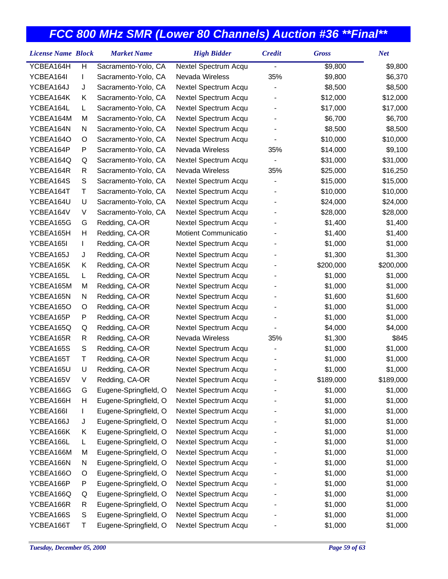| <b>License Name Block</b> |   | <b>Market Name</b>    | <b>High Bidder</b>   | <b>Credit</b>  | <b>Gross</b> | <b>Net</b> |
|---------------------------|---|-----------------------|----------------------|----------------|--------------|------------|
| YCBEA164H                 | H | Sacramento-Yolo, CA   | Nextel Spectrum Acqu |                | \$9,800      | \$9,800    |
| YCBEA164I                 | L | Sacramento-Yolo, CA   | Nevada Wireless      | 35%            | \$9,800      | \$6,370    |
| YCBEA164J                 | J | Sacramento-Yolo, CA   | Nextel Spectrum Acqu |                | \$8,500      | \$8,500    |
| YCBEA164K                 | Κ | Sacramento-Yolo, CA   | Nextel Spectrum Acqu |                | \$12,000     | \$12,000   |
| YCBEA164L                 | L | Sacramento-Yolo, CA   | Nextel Spectrum Acqu |                | \$17,000     | \$17,000   |
| YCBEA164M                 | M | Sacramento-Yolo, CA   | Nextel Spectrum Acqu |                | \$6,700      | \$6,700    |
| YCBEA164N                 | N | Sacramento-Yolo, CA   | Nextel Spectrum Acqu |                | \$8,500      | \$8,500    |
| YCBEA164O                 | O | Sacramento-Yolo, CA   | Nextel Spectrum Acqu |                | \$10,000     | \$10,000   |
| YCBEA164P                 | P | Sacramento-Yolo, CA   | Nevada Wireless      | 35%            | \$14,000     | \$9,100    |
| YCBEA164Q                 | Q | Sacramento-Yolo, CA   | Nextel Spectrum Acqu | $\overline{a}$ | \$31,000     | \$31,000   |
| YCBEA164R                 | R | Sacramento-Yolo, CA   | Nevada Wireless      | 35%            | \$25,000     | \$16,250   |
| YCBEA164S                 | S | Sacramento-Yolo, CA   | Nextel Spectrum Acqu |                | \$15,000     | \$15,000   |
| YCBEA164T                 | Τ | Sacramento-Yolo, CA   | Nextel Spectrum Acqu |                | \$10,000     | \$10,000   |
| YCBEA164U                 | U | Sacramento-Yolo, CA   | Nextel Spectrum Acqu |                | \$24,000     | \$24,000   |
| YCBEA164V                 | V | Sacramento-Yolo, CA   | Nextel Spectrum Acqu |                | \$28,000     | \$28,000   |
| YCBEA165G                 | G | Redding, CA-OR        | Nextel Spectrum Acqu |                | \$1,400      | \$1,400    |
| YCBEA165H                 | н | Redding, CA-OR        | Motient Communicatio |                | \$1,400      | \$1,400    |
| YCBEA165I                 | L | Redding, CA-OR        | Nextel Spectrum Acqu |                | \$1,000      | \$1,000    |
| YCBEA165J                 | J | Redding, CA-OR        | Nextel Spectrum Acqu |                | \$1,300      | \$1,300    |
| YCBEA165K                 | Κ | Redding, CA-OR        | Nextel Spectrum Acqu |                | \$200,000    | \$200,000  |
| YCBEA165L                 | L | Redding, CA-OR        | Nextel Spectrum Acqu |                | \$1,000      | \$1,000    |
| YCBEA165M                 | M | Redding, CA-OR        | Nextel Spectrum Acqu |                | \$1,000      | \$1,000    |
| YCBEA165N                 | N | Redding, CA-OR        | Nextel Spectrum Acqu |                | \$1,600      | \$1,600    |
| YCBEA165O                 | O | Redding, CA-OR        | Nextel Spectrum Acqu |                | \$1,000      | \$1,000    |
| YCBEA165P                 | P | Redding, CA-OR        | Nextel Spectrum Acqu |                | \$1,000      | \$1,000    |
| YCBEA165Q                 | Q | Redding, CA-OR        | Nextel Spectrum Acqu |                | \$4,000      | \$4,000    |
| YCBEA165R                 | R | Redding, CA-OR        | Nevada Wireless      | 35%            | \$1,300      | \$845      |
| YCBEA165S                 | S | Redding, CA-OR        | Nextel Spectrum Acqu |                | \$1,000      | \$1,000    |
| YCBEA165T                 | Τ | Redding, CA-OR        | Nextel Spectrum Acqu |                | \$1,000      | \$1,000    |
| YCBEA165U                 | U | Redding, CA-OR        | Nextel Spectrum Acqu |                | \$1,000      | \$1,000    |
| YCBEA165V                 | V | Redding, CA-OR        | Nextel Spectrum Acqu |                | \$189,000    | \$189,000  |
| YCBEA166G                 | G | Eugene-Springfield, O | Nextel Spectrum Acqu |                | \$1,000      | \$1,000    |
| YCBEA166H                 | н | Eugene-Springfield, O | Nextel Spectrum Acqu |                | \$1,000      | \$1,000    |
| YCBEA166I                 |   | Eugene-Springfield, O | Nextel Spectrum Acqu |                | \$1,000      | \$1,000    |
| YCBEA166J                 | J | Eugene-Springfield, O | Nextel Spectrum Acqu |                | \$1,000      | \$1,000    |
| YCBEA166K                 | Κ | Eugene-Springfield, O | Nextel Spectrum Acqu |                | \$1,000      | \$1,000    |
| YCBEA166L                 | L | Eugene-Springfield, O | Nextel Spectrum Acqu |                | \$1,000      | \$1,000    |
| YCBEA166M                 | M | Eugene-Springfield, O | Nextel Spectrum Acqu |                | \$1,000      | \$1,000    |
| YCBEA166N                 | N | Eugene-Springfield, O | Nextel Spectrum Acqu |                | \$1,000      | \$1,000    |
| YCBEA166O                 | O | Eugene-Springfield, O | Nextel Spectrum Acqu |                | \$1,000      | \$1,000    |
| YCBEA166P                 | P | Eugene-Springfield, O | Nextel Spectrum Acqu |                | \$1,000      | \$1,000    |
| YCBEA166Q                 | Q | Eugene-Springfield, O | Nextel Spectrum Acqu |                | \$1,000      | \$1,000    |
| YCBEA166R                 | R | Eugene-Springfield, O | Nextel Spectrum Acqu |                | \$1,000      | \$1,000    |
| YCBEA166S                 | S | Eugene-Springfield, O | Nextel Spectrum Acqu |                | \$1,000      | \$1,000    |
| YCBEA166T                 | Т | Eugene-Springfield, O | Nextel Spectrum Acqu |                | \$1,000      | \$1,000    |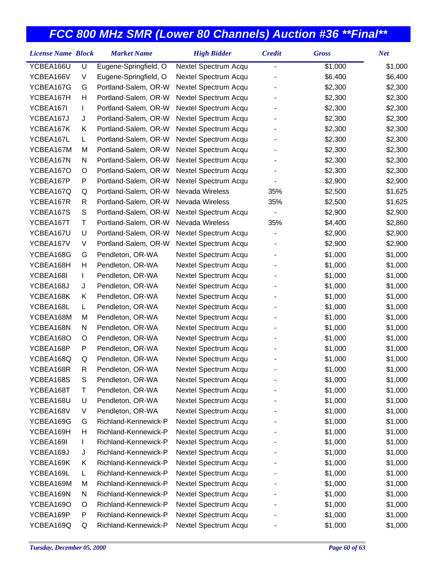| <b>License Name Block</b> |    | <b>Market Name</b>    | <b>High Bidder</b>   | <b>Credit</b>            | <b>Gross</b> | <b>Net</b> |
|---------------------------|----|-----------------------|----------------------|--------------------------|--------------|------------|
| YCBEA166U                 | U  | Eugene-Springfield, O | Nextel Spectrum Acqu | $\overline{a}$           | \$1,000      | \$1,000    |
| YCBEA166V                 | V  | Eugene-Springfield, O | Nextel Spectrum Acqu |                          | \$6,400      | \$6,400    |
| YCBEA167G                 | G  | Portland-Salem, OR-W  | Nextel Spectrum Acqu |                          | \$2,300      | \$2,300    |
| YCBEA167H                 | Н  | Portland-Salem, OR-W  | Nextel Spectrum Acqu |                          | \$2,300      | \$2,300    |
| YCBEA167I                 | L  | Portland-Salem, OR-W  | Nextel Spectrum Acqu |                          | \$2,300      | \$2,300    |
| YCBEA167J                 | J  | Portland-Salem, OR-W  | Nextel Spectrum Acqu |                          | \$2,300      | \$2,300    |
| YCBEA167K                 | Κ  | Portland-Salem, OR-W  | Nextel Spectrum Acqu |                          | \$2,300      | \$2,300    |
| YCBEA167L                 | L. | Portland-Salem, OR-W  | Nextel Spectrum Acqu |                          | \$2,300      | \$2,300    |
| YCBEA167M                 | M  | Portland-Salem, OR-W  | Nextel Spectrum Acqu |                          | \$2,300      | \$2,300    |
| YCBEA167N                 | N  | Portland-Salem, OR-W  | Nextel Spectrum Acqu |                          | \$2,300      | \$2,300    |
| YCBEA167O                 | O  | Portland-Salem, OR-W  | Nextel Spectrum Acqu |                          | \$2,300      | \$2,300    |
| YCBEA167P                 | P  | Portland-Salem, OR-W  | Nextel Spectrum Acqu |                          | \$2,900      | \$2,900    |
| YCBEA167Q                 | Q  | Portland-Salem, OR-W  | Nevada Wireless      | 35%                      | \$2,500      | \$1,625    |
| YCBEA167R                 | R  | Portland-Salem, OR-W  | Nevada Wireless      | 35%                      | \$2,500      | \$1,625    |
| YCBEA167S                 | S  | Portland-Salem, OR-W  | Nextel Spectrum Acqu | $\overline{\phantom{0}}$ | \$2,900      | \$2,900    |
| YCBEA167T                 | Τ  | Portland-Salem, OR-W  | Nevada Wireless      | 35%                      | \$4,400      | \$2,860    |
| YCBEA167U                 | U  | Portland-Salem, OR-W  | Nextel Spectrum Acqu |                          | \$2,900      | \$2,900    |
| YCBEA167V                 | V  | Portland-Salem, OR-W  | Nextel Spectrum Acqu |                          | \$2,900      | \$2,900    |
| YCBEA168G                 | G  | Pendleton, OR-WA      | Nextel Spectrum Acqu |                          | \$1,000      | \$1,000    |
| YCBEA168H                 | Н  | Pendleton, OR-WA      | Nextel Spectrum Acqu |                          | \$1,000      | \$1,000    |
| YCBEA168I                 | L  | Pendleton, OR-WA      | Nextel Spectrum Acqu |                          | \$1,000      | \$1,000    |
| YCBEA168J                 | J  | Pendleton, OR-WA      | Nextel Spectrum Acqu |                          | \$1,000      | \$1,000    |
| YCBEA168K                 | Κ  | Pendleton, OR-WA      | Nextel Spectrum Acqu |                          | \$1,000      | \$1,000    |
| YCBEA168L                 | L. | Pendleton, OR-WA      | Nextel Spectrum Acqu |                          | \$1,000      | \$1,000    |
| YCBEA168M                 | M  | Pendleton, OR-WA      | Nextel Spectrum Acqu |                          | \$1,000      | \$1,000    |
| YCBEA168N                 | N  | Pendleton, OR-WA      | Nextel Spectrum Acqu |                          | \$1,000      | \$1,000    |
| YCBEA168O                 | O  | Pendleton, OR-WA      | Nextel Spectrum Acqu |                          | \$1,000      | \$1,000    |
| YCBEA168P                 | P  | Pendleton, OR-WA      | Nextel Spectrum Acqu |                          | \$1,000      | \$1,000    |
| YCBEA168Q                 | Q  | Pendleton, OR-WA      | Nextel Spectrum Acqu |                          | \$1,000      | \$1,000    |
| YCBEA168R                 | R  | Pendleton, OR-WA      | Nextel Spectrum Acqu |                          | \$1,000      | \$1,000    |
| YCBEA168S                 | S  | Pendleton, OR-WA      | Nextel Spectrum Acqu |                          | \$1,000      | \$1,000    |
| YCBEA168T                 | Т  | Pendleton, OR-WA      | Nextel Spectrum Acqu |                          | \$1,000      | \$1,000    |
| YCBEA168U                 | U  | Pendleton, OR-WA      | Nextel Spectrum Acqu |                          | \$1,000      | \$1,000    |
| YCBEA168V                 | V  | Pendleton, OR-WA      | Nextel Spectrum Acqu |                          | \$1,000      | \$1,000    |
| YCBEA169G                 | G  | Richland-Kennewick-P  | Nextel Spectrum Acqu |                          | \$1,000      | \$1,000    |
| YCBEA169H                 | н  | Richland-Kennewick-P  | Nextel Spectrum Acqu |                          | \$1,000      | \$1,000    |
| YCBEA169I                 | L  | Richland-Kennewick-P  | Nextel Spectrum Acqu |                          | \$1,000      | \$1,000    |
| YCBEA169J                 | J  | Richland-Kennewick-P  | Nextel Spectrum Acqu |                          | \$1,000      | \$1,000    |
| YCBEA169K                 | Κ  | Richland-Kennewick-P  | Nextel Spectrum Acqu |                          | \$1,000      | \$1,000    |
| YCBEA169L                 | L  | Richland-Kennewick-P  | Nextel Spectrum Acqu |                          | \$1,000      | \$1,000    |
| YCBEA169M                 | M  | Richland-Kennewick-P  | Nextel Spectrum Acqu |                          | \$1,000      | \$1,000    |
| YCBEA169N                 | N  | Richland-Kennewick-P  | Nextel Spectrum Acqu |                          | \$1,000      | \$1,000    |
| YCBEA169O                 | O  | Richland-Kennewick-P  | Nextel Spectrum Acqu |                          | \$1,000      | \$1,000    |
| YCBEA169P                 | P  | Richland-Kennewick-P  | Nextel Spectrum Acqu |                          | \$1,000      | \$1,000    |
| YCBEA169Q                 | Q  | Richland-Kennewick-P  | Nextel Spectrum Acqu |                          | \$1,000      | \$1,000    |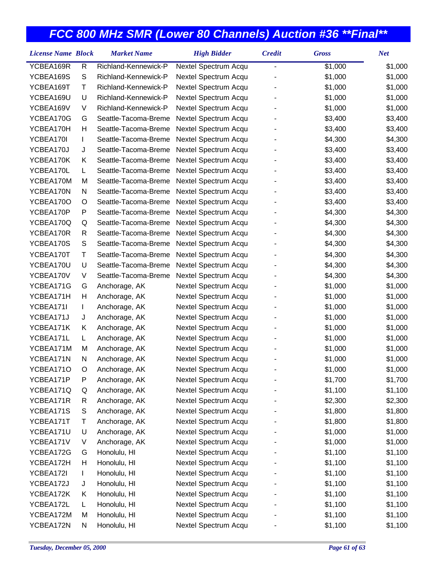| <b>License Name Block</b> |             | <b>Market Name</b>   | <b>High Bidder</b>   | <b>Credit</b>  | <b>Gross</b> | <b>Net</b> |
|---------------------------|-------------|----------------------|----------------------|----------------|--------------|------------|
| YCBEA169R                 | R           | Richland-Kennewick-P | Nextel Spectrum Acqu | $\overline{a}$ | \$1,000      | \$1,000    |
| YCBEA169S                 | S           | Richland-Kennewick-P | Nextel Spectrum Acqu |                | \$1,000      | \$1,000    |
| YCBEA169T                 | Τ           | Richland-Kennewick-P | Nextel Spectrum Acqu |                | \$1,000      | \$1,000    |
| YCBEA169U                 | U           | Richland-Kennewick-P | Nextel Spectrum Acqu |                | \$1,000      | \$1,000    |
| YCBEA169V                 | V           | Richland-Kennewick-P | Nextel Spectrum Acqu |                | \$1,000      | \$1,000    |
| YCBEA170G                 | G           | Seattle-Tacoma-Breme | Nextel Spectrum Acqu |                | \$3,400      | \$3,400    |
| YCBEA170H                 | Н           | Seattle-Tacoma-Breme | Nextel Spectrum Acqu |                | \$3,400      | \$3,400    |
| YCBEA170I                 | L           | Seattle-Tacoma-Breme | Nextel Spectrum Acqu |                | \$4,300      | \$4,300    |
| YCBEA170J                 | J           | Seattle-Tacoma-Breme | Nextel Spectrum Acqu |                | \$3,400      | \$3,400    |
| YCBEA170K                 | Κ           | Seattle-Tacoma-Breme | Nextel Spectrum Acqu |                | \$3,400      | \$3,400    |
| YCBEA170L                 | L           | Seattle-Tacoma-Breme | Nextel Spectrum Acqu |                | \$3,400      | \$3,400    |
| YCBEA170M                 | М           | Seattle-Tacoma-Breme | Nextel Spectrum Acqu |                | \$3,400      | \$3,400    |
| YCBEA170N                 | Ν           | Seattle-Tacoma-Breme | Nextel Spectrum Acqu |                | \$3,400      | \$3,400    |
| YCBEA170O                 | O           | Seattle-Tacoma-Breme | Nextel Spectrum Acqu |                | \$3,400      | \$3,400    |
| YCBEA170P                 | P           | Seattle-Tacoma-Breme | Nextel Spectrum Acqu |                | \$4,300      | \$4,300    |
| YCBEA170Q                 | Q           | Seattle-Tacoma-Breme | Nextel Spectrum Acqu |                | \$4,300      | \$4,300    |
| YCBEA170R                 | R           | Seattle-Tacoma-Breme | Nextel Spectrum Acqu |                | \$4,300      | \$4,300    |
| YCBEA170S                 | $\mathbb S$ | Seattle-Tacoma-Breme | Nextel Spectrum Acqu |                | \$4,300      | \$4,300    |
| YCBEA170T                 | T           | Seattle-Tacoma-Breme | Nextel Spectrum Acqu |                | \$4,300      | \$4,300    |
| YCBEA170U                 | U           | Seattle-Tacoma-Breme | Nextel Spectrum Acqu |                | \$4,300      | \$4,300    |
| YCBEA170V                 | V           | Seattle-Tacoma-Breme | Nextel Spectrum Acqu |                | \$4,300      | \$4,300    |
| YCBEA171G                 | G           | Anchorage, AK        | Nextel Spectrum Acqu |                | \$1,000      | \$1,000    |
| YCBEA171H                 | Н           | Anchorage, AK        | Nextel Spectrum Acqu |                | \$1,000      | \$1,000    |
| YCBEA171I                 | L           | Anchorage, AK        | Nextel Spectrum Acqu |                | \$1,000      | \$1,000    |
| YCBEA171J                 | J           | Anchorage, AK        | Nextel Spectrum Acqu |                | \$1,000      | \$1,000    |
| YCBEA171K                 | Κ           | Anchorage, AK        | Nextel Spectrum Acqu |                | \$1,000      | \$1,000    |
| YCBEA171L                 | L           | Anchorage, AK        | Nextel Spectrum Acqu |                | \$1,000      | \$1,000    |
| YCBEA171M                 | М           | Anchorage, AK        | Nextel Spectrum Acqu |                | \$1,000      | \$1,000    |
| YCBEA171N                 | N           | Anchorage, AK        | Nextel Spectrum Acqu |                | \$1,000      | \$1,000    |
| YCBEA171O                 | O           | Anchorage, AK        | Nextel Spectrum Acqu |                | \$1,000      | \$1,000    |
| YCBEA171P                 | Ρ           | Anchorage, AK        | Nextel Spectrum Acqu |                | \$1,700      | \$1,700    |
| YCBEA171Q                 | Q           | Anchorage, AK        | Nextel Spectrum Acqu |                | \$1,100      | \$1,100    |
| YCBEA171R                 | R           | Anchorage, AK        | Nextel Spectrum Acqu |                | \$2,300      | \$2,300    |
| YCBEA171S                 | S           | Anchorage, AK        | Nextel Spectrum Acqu |                | \$1,800      | \$1,800    |
| YCBEA171T                 | Τ           | Anchorage, AK        | Nextel Spectrum Acqu |                | \$1,800      | \$1,800    |
| YCBEA171U                 | U           | Anchorage, AK        | Nextel Spectrum Acqu |                | \$1,000      | \$1,000    |
| YCBEA171V                 | V           | Anchorage, AK        | Nextel Spectrum Acqu |                | \$1,000      | \$1,000    |
| YCBEA172G                 | G           | Honolulu, HI         | Nextel Spectrum Acqu |                | \$1,100      | \$1,100    |
| YCBEA172H                 | Н           | Honolulu, HI         | Nextel Spectrum Acqu |                | \$1,100      | \$1,100    |
| YCBEA172I                 | L           | Honolulu, HI         | Nextel Spectrum Acqu |                | \$1,100      | \$1,100    |
| YCBEA172J                 | J           | Honolulu, HI         | Nextel Spectrum Acqu |                | \$1,100      | \$1,100    |
| YCBEA172K                 | Κ           | Honolulu, HI         | Nextel Spectrum Acqu |                | \$1,100      | \$1,100    |
| YCBEA172L                 | L           | Honolulu, HI         | Nextel Spectrum Acqu |                | \$1,100      | \$1,100    |
| YCBEA172M                 | М           | Honolulu, HI         | Nextel Spectrum Acqu |                | \$1,100      | \$1,100    |
| YCBEA172N                 | N           | Honolulu, HI         | Nextel Spectrum Acqu |                | \$1,100      | \$1,100    |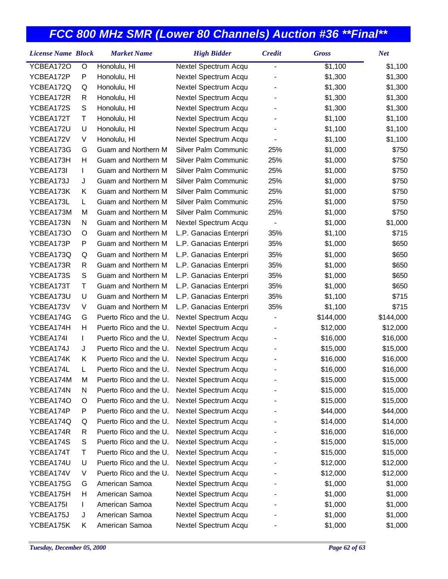| <b>License Name Block</b> |    | <b>Market Name</b>     | <b>High Bidder</b>          | <b>Credit</b>            | <b>Gross</b> | <b>Net</b> |
|---------------------------|----|------------------------|-----------------------------|--------------------------|--------------|------------|
| YCBEA172O                 | O  | Honolulu, HI           | Nextel Spectrum Acqu        | $\blacksquare$           | \$1,100      | \$1,100    |
| YCBEA172P                 | P  | Honolulu, HI           | Nextel Spectrum Acqu        |                          | \$1,300      | \$1,300    |
| YCBEA172Q                 | Q  | Honolulu, HI           | Nextel Spectrum Acqu        |                          | \$1,300      | \$1,300    |
| YCBEA172R                 | R  | Honolulu, HI           | Nextel Spectrum Acqu        |                          | \$1,300      | \$1,300    |
| YCBEA172S                 | S  | Honolulu, HI           | Nextel Spectrum Acqu        |                          | \$1,300      | \$1,300    |
| YCBEA172T                 | т  | Honolulu, HI           | Nextel Spectrum Acqu        |                          | \$1,100      | \$1,100    |
| YCBEA172U                 | U  | Honolulu, HI           | Nextel Spectrum Acqu        |                          | \$1,100      | \$1,100    |
| YCBEA172V                 | V  | Honolulu, HI           | Nextel Spectrum Acqu        |                          | \$1,100      | \$1,100    |
| YCBEA173G                 | G  | Guam and Northern M    | Silver Palm Communic        | 25%                      | \$1,000      | \$750      |
| YCBEA173H                 | Н  | Guam and Northern M    | Silver Palm Communic        | 25%                      | \$1,000      | \$750      |
| YCBEA173I                 | I. | Guam and Northern M    | Silver Palm Communic        | 25%                      | \$1,000      | \$750      |
| YCBEA173J                 | J  | Guam and Northern M    | Silver Palm Communic        | 25%                      | \$1,000      | \$750      |
| YCBEA173K                 | K  | Guam and Northern M    | Silver Palm Communic        | 25%                      | \$1,000      | \$750      |
| YCBEA173L                 | L. | Guam and Northern M    | <b>Silver Palm Communic</b> | 25%                      | \$1,000      | \$750      |
| YCBEA173M                 | М  | Guam and Northern M    | Silver Palm Communic        | 25%                      | \$1,000      | \$750      |
| YCBEA173N                 | N  | Guam and Northern M    | Nextel Spectrum Acqu        |                          | \$1,000      | \$1,000    |
| YCBEA173O                 | O  | Guam and Northern M    | L.P. Ganacias Enterpri      | 35%                      | \$1,100      | \$715      |
| YCBEA173P                 | P  | Guam and Northern M    | L.P. Ganacias Enterpri      | 35%                      | \$1,000      | \$650      |
| YCBEA173Q                 | Q  | Guam and Northern M    | L.P. Ganacias Enterpri      | 35%                      | \$1,000      | \$650      |
| YCBEA173R                 | R  | Guam and Northern M    | L.P. Ganacias Enterpri      | 35%                      | \$1,000      | \$650      |
| YCBEA173S                 | S  | Guam and Northern M    | L.P. Ganacias Enterpri      | 35%                      | \$1,000      | \$650      |
| YCBEA173T                 | T  | Guam and Northern M    | L.P. Ganacias Enterpri      | 35%                      | \$1,000      | \$650      |
| YCBEA173U                 | U  | Guam and Northern M    | L.P. Ganacias Enterpri      | 35%                      | \$1,100      | \$715      |
| YCBEA173V                 | V  | Guam and Northern M    | L.P. Ganacias Enterpri      | 35%                      | \$1,100      | \$715      |
| YCBEA174G                 | G  | Puerto Rico and the U. | Nextel Spectrum Acqu        | $\overline{\phantom{a}}$ | \$144,000    | \$144,000  |
| YCBEA174H                 | Н  | Puerto Rico and the U. | Nextel Spectrum Acqu        |                          | \$12,000     | \$12,000   |
| YCBEA174I                 | L  | Puerto Rico and the U. | Nextel Spectrum Acqu        |                          | \$16,000     | \$16,000   |
| YCBEA174J                 | J  | Puerto Rico and the U. | Nextel Spectrum Acqu        |                          | \$15,000     | \$15,000   |
| YCBEA174K                 | K. | Puerto Rico and the U. | Nextel Spectrum Acqu        |                          | \$16,000     | \$16,000   |
| YCBEA174L                 | L. | Puerto Rico and the U. | Nextel Spectrum Acqu        |                          | \$16,000     | \$16,000   |
| YCBEA174M                 | M  | Puerto Rico and the U. | Nextel Spectrum Acqu        |                          | \$15,000     | \$15,000   |
| YCBEA174N                 | N  | Puerto Rico and the U. | Nextel Spectrum Acqu        |                          | \$15,000     | \$15,000   |
| YCBEA174O                 | O  | Puerto Rico and the U. | Nextel Spectrum Acqu        |                          | \$15,000     | \$15,000   |
| YCBEA174P                 | P  | Puerto Rico and the U. | Nextel Spectrum Acqu        |                          | \$44,000     | \$44,000   |
| YCBEA174Q                 | Q  | Puerto Rico and the U. | Nextel Spectrum Acqu        |                          | \$14,000     | \$14,000   |
| YCBEA174R                 | R  | Puerto Rico and the U. | Nextel Spectrum Acqu        |                          | \$16,000     | \$16,000   |
| YCBEA174S                 | S  | Puerto Rico and the U. | Nextel Spectrum Acqu        |                          | \$15,000     | \$15,000   |
| YCBEA174T                 | Τ  | Puerto Rico and the U. | Nextel Spectrum Acqu        |                          | \$15,000     | \$15,000   |
| YCBEA174U                 | U  | Puerto Rico and the U. | Nextel Spectrum Acqu        |                          | \$12,000     | \$12,000   |
| YCBEA174V                 | V  | Puerto Rico and the U. | Nextel Spectrum Acqu        |                          | \$12,000     | \$12,000   |
| YCBEA175G                 | G  | American Samoa         | Nextel Spectrum Acqu        |                          | \$1,000      | \$1,000    |
| YCBEA175H                 | Н  | American Samoa         | Nextel Spectrum Acqu        |                          | \$1,000      | \$1,000    |
| YCBEA175I                 | L  | American Samoa         | Nextel Spectrum Acqu        |                          | \$1,000      | \$1,000    |
| YCBEA175J                 | J  | American Samoa         | Nextel Spectrum Acqu        |                          | \$1,000      | \$1,000    |
| YCBEA175K                 | Κ  | American Samoa         | Nextel Spectrum Acqu        |                          | \$1,000      | \$1,000    |